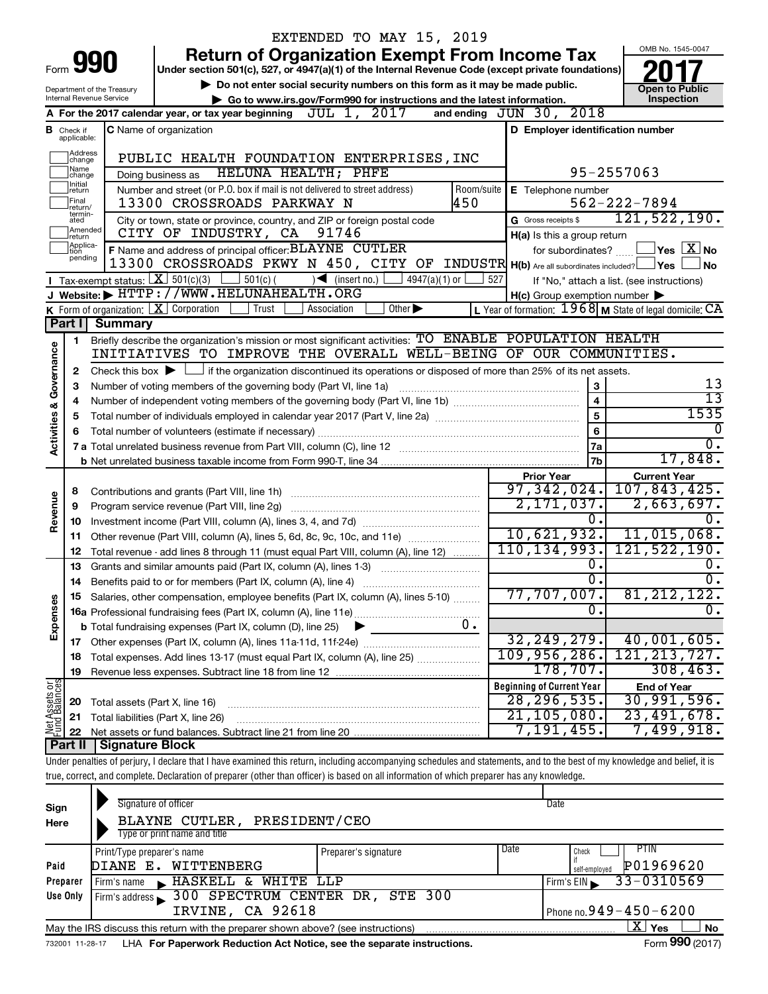|                                                                |                                                                                                    |                                | EXTENDED TO MAY 15, 2019                                                                                                                                                   |                                                                        |                                            |  |  |  |  |  |  |  |
|----------------------------------------------------------------|----------------------------------------------------------------------------------------------------|--------------------------------|----------------------------------------------------------------------------------------------------------------------------------------------------------------------------|------------------------------------------------------------------------|--------------------------------------------|--|--|--|--|--|--|--|
|                                                                |                                                                                                    |                                | <b>Return of Organization Exempt From Income Tax</b>                                                                                                                       |                                                                        | OMB No. 1545-0047                          |  |  |  |  |  |  |  |
|                                                                |                                                                                                    | Form 990                       | Under section 501(c), 527, or 4947(a)(1) of the Internal Revenue Code (except private foundations)                                                                         |                                                                        |                                            |  |  |  |  |  |  |  |
|                                                                |                                                                                                    | Department of the Treasury     | Do not enter social security numbers on this form as it may be made public.                                                                                                |                                                                        | <b>Open to Public</b>                      |  |  |  |  |  |  |  |
|                                                                |                                                                                                    | Internal Revenue Service       | Go to www.irs.gov/Form990 for instructions and the latest information.                                                                                                     |                                                                        | Inspection                                 |  |  |  |  |  |  |  |
|                                                                |                                                                                                    |                                | JUL 1, 2017<br>A For the 2017 calendar year, or tax year beginning                                                                                                         | and ending JUN 30, 2018                                                |                                            |  |  |  |  |  |  |  |
|                                                                | D Employer identification number<br><b>C</b> Name of organization<br><b>B</b> Check if applicable: |                                |                                                                                                                                                                            |                                                                        |                                            |  |  |  |  |  |  |  |
| Address<br>change<br>PUBLIC HEALTH FOUNDATION ENTERPRISES, INC |                                                                                                    |                                |                                                                                                                                                                            |                                                                        |                                            |  |  |  |  |  |  |  |
|                                                                | Name<br>95-2557063<br>HELUNA HEALTH; PHFE<br>Doing business as<br>change                           |                                |                                                                                                                                                                            |                                                                        |                                            |  |  |  |  |  |  |  |
|                                                                |                                                                                                    |                                |                                                                                                                                                                            |                                                                        |                                            |  |  |  |  |  |  |  |
|                                                                | return<br>Final<br>return/                                                                         |                                | Number and street (or P.O. box if mail is not delivered to street address)<br>Room/suite<br>450<br>13300 CROSSROADS PARKWAY N                                              | E Telephone number                                                     | $562 - 222 - 7894$                         |  |  |  |  |  |  |  |
|                                                                | termin-<br>ated                                                                                    |                                | City or town, state or province, country, and ZIP or foreign postal code                                                                                                   | G Gross receipts \$                                                    | 121, 522, 190.                             |  |  |  |  |  |  |  |
|                                                                | Amended<br>Ireturn                                                                                 |                                | CITY OF INDUSTRY, CA<br>91746                                                                                                                                              | H(a) Is this a group return                                            |                                            |  |  |  |  |  |  |  |
|                                                                | Applica-<br>tion                                                                                   |                                | F Name and address of principal officer: BLAYNE CUTLER                                                                                                                     | for subordinates?                                                      | $\,$ Yes $\,$ $\,$ $\rm X$ $\,$ No $\,$    |  |  |  |  |  |  |  |
|                                                                | pending                                                                                            |                                | 13300 CROSSROADS PKWY N 450, CITY OF INDUSTR H(b) Are all subordinates included? Yes                                                                                       |                                                                        | No.                                        |  |  |  |  |  |  |  |
|                                                                |                                                                                                    |                                | Tax-exempt status: $X \over 301(c)(3)$<br>∫ 501(c) (<br>$\sqrt{\bullet}$ (insert no.)<br>4947(a)(1) or                                                                     | 527                                                                    | If "No," attach a list. (see instructions) |  |  |  |  |  |  |  |
|                                                                |                                                                                                    |                                | J Website: FHTTP://WWW.HELUNAHEALTH.ORG                                                                                                                                    | $H(c)$ Group exemption number $\blacktriangleright$                    |                                            |  |  |  |  |  |  |  |
|                                                                |                                                                                                    |                                | K Form of organization: $X$ Corporation<br>Trust<br>Association<br>Other $\blacktriangleright$                                                                             | L Year of formation: $1968$ M State of legal domicile: $\overline{CA}$ |                                            |  |  |  |  |  |  |  |
|                                                                | Part I                                                                                             | <b>Summary</b>                 |                                                                                                                                                                            |                                                                        |                                            |  |  |  |  |  |  |  |
|                                                                | 1                                                                                                  |                                | Briefly describe the organization's mission or most significant activities: TO ENABLE POPULATION HEALTH                                                                    |                                                                        |                                            |  |  |  |  |  |  |  |
|                                                                |                                                                                                    |                                | INITIATIVES TO IMPROVE THE OVERALL WELL-BEING OF OUR COMMUNITIES.                                                                                                          |                                                                        |                                            |  |  |  |  |  |  |  |
| Governance                                                     | 2                                                                                                  |                                | Check this box $\blacktriangleright$ $\Box$ if the organization discontinued its operations or disposed of more than 25% of its net assets.                                |                                                                        |                                            |  |  |  |  |  |  |  |
|                                                                | З                                                                                                  |                                | Number of voting members of the governing body (Part VI, line 1a)                                                                                                          | 3                                                                      | 13<br>$\overline{13}$                      |  |  |  |  |  |  |  |
|                                                                | 4                                                                                                  |                                |                                                                                                                                                                            | $\overline{\mathbf{4}}$                                                | 1535                                       |  |  |  |  |  |  |  |
| <b>Activities &amp;</b>                                        | 5                                                                                                  |                                |                                                                                                                                                                            | 5<br>6                                                                 | 0                                          |  |  |  |  |  |  |  |
|                                                                | 6                                                                                                  |                                |                                                                                                                                                                            |                                                                        |                                            |  |  |  |  |  |  |  |
|                                                                |                                                                                                    |                                |                                                                                                                                                                            | 7a<br>7b                                                               | $\overline{0}$ .<br>17,848.                |  |  |  |  |  |  |  |
|                                                                |                                                                                                    |                                |                                                                                                                                                                            | <b>Prior Year</b>                                                      | <b>Current Year</b>                        |  |  |  |  |  |  |  |
|                                                                | 8                                                                                                  |                                |                                                                                                                                                                            | 97, 342, 024.                                                          | 107,843,425.                               |  |  |  |  |  |  |  |
|                                                                | 9                                                                                                  |                                | Program service revenue (Part VIII, line 2g)                                                                                                                               | 2,171,037.                                                             | 2,663,697.                                 |  |  |  |  |  |  |  |
| Revenue                                                        | 10                                                                                                 |                                |                                                                                                                                                                            | 0.                                                                     |                                            |  |  |  |  |  |  |  |
|                                                                | 11                                                                                                 |                                | Other revenue (Part VIII, column (A), lines 5, 6d, 8c, 9c, 10c, and 11e)                                                                                                   | 10,621,932.                                                            | 11,015,068.                                |  |  |  |  |  |  |  |
|                                                                | 12                                                                                                 |                                | Total revenue - add lines 8 through 11 (must equal Part VIII, column (A), line 12)                                                                                         | 110, 134, 993.                                                         | 121, 522, 190.                             |  |  |  |  |  |  |  |
|                                                                | 13                                                                                                 |                                | Grants and similar amounts paid (Part IX, column (A), lines 1-3)                                                                                                           | $\overline{0}$ .                                                       | $\overline{0}$ .                           |  |  |  |  |  |  |  |
|                                                                |                                                                                                    |                                |                                                                                                                                                                            | σ.                                                                     | $\overline{0}$ .                           |  |  |  |  |  |  |  |
|                                                                |                                                                                                    |                                | Salaries, other compensation, employee benefits (Part IX, column (A), lines 5-10)                                                                                          | $\overline{77,707,007.}$                                               | 81, 212, 122.                              |  |  |  |  |  |  |  |
| Expenses                                                       |                                                                                                    |                                |                                                                                                                                                                            | $\overline{0}$ .                                                       | $\overline{0}$ .                           |  |  |  |  |  |  |  |
|                                                                |                                                                                                    |                                | 0.<br><b>b</b> Total fundraising expenses (Part IX, column (D), line 25)                                                                                                   |                                                                        |                                            |  |  |  |  |  |  |  |
|                                                                |                                                                                                    |                                |                                                                                                                                                                            | 32, 249, 279.                                                          | 40,001,605.                                |  |  |  |  |  |  |  |
|                                                                | 18                                                                                                 |                                | Total expenses. Add lines 13-17 (must equal Part IX, column (A), line 25)                                                                                                  | 109,956,286.                                                           | 121, 213, 727.                             |  |  |  |  |  |  |  |
|                                                                | 19                                                                                                 |                                |                                                                                                                                                                            | 178, 707.                                                              | 308, 463.                                  |  |  |  |  |  |  |  |
| Net Assets or                                                  |                                                                                                    |                                |                                                                                                                                                                            | <b>Beginning of Current Year</b>                                       | <b>End of Year</b>                         |  |  |  |  |  |  |  |
|                                                                | 20                                                                                                 | Total assets (Part X, line 16) |                                                                                                                                                                            | 28, 296, 535.                                                          | 30,991,596.                                |  |  |  |  |  |  |  |
|                                                                | 21                                                                                                 |                                | Total liabilities (Part X, line 26)                                                                                                                                        | 21, 105, 080.                                                          | 23,491,678.                                |  |  |  |  |  |  |  |
|                                                                | 22                                                                                                 |                                |                                                                                                                                                                            | 7,191,455.                                                             | 7,499,918.                                 |  |  |  |  |  |  |  |
|                                                                | Part II                                                                                            | Signature Block                |                                                                                                                                                                            |                                                                        |                                            |  |  |  |  |  |  |  |
|                                                                |                                                                                                    |                                | Under penalties of perjury, I declare that I have examined this return, including accompanying schedules and statements, and to the best of my knowledge and belief, it is |                                                                        |                                            |  |  |  |  |  |  |  |
|                                                                |                                                                                                    |                                | true, correct, and complete. Declaration of preparer (other than officer) is based on all information of which preparer has any knowledge.                                 |                                                                        |                                            |  |  |  |  |  |  |  |
|                                                                |                                                                                                    |                                |                                                                                                                                                                            |                                                                        |                                            |  |  |  |  |  |  |  |

| Sign<br>Here                                                                                                      | Signature of officer<br>PRESIDENT/CEO<br>BLAYNE CUTLER,<br>Type or print name and title                      |                      |                              | Date                                |  |  |  |  |  |  |  |
|-------------------------------------------------------------------------------------------------------------------|--------------------------------------------------------------------------------------------------------------|----------------------|------------------------------|-------------------------------------|--|--|--|--|--|--|--|
| Paid                                                                                                              | Print/Type preparer's name<br>DIANE E. WITTENBERG                                                            | Preparer's signature | l Date                       | Check<br>P01969620<br>self-employed |  |  |  |  |  |  |  |
| Preparer                                                                                                          | WHITE LLP<br>Firm's name $\blacktriangleright$ HASKELL $\overline{\&}$                                       |                      |                              | 33-0310569<br>Firm's $EIN$          |  |  |  |  |  |  |  |
| Use Only                                                                                                          | Firm's address 300 SPECTRUM CENTER DR, STE 300<br>IRVINE, CA 92618                                           |                      | Phone no. $949 - 450 - 6200$ |                                     |  |  |  |  |  |  |  |
| $X \mid$<br><b>No</b><br>Yes<br>May the IRS discuss this return with the preparer shown above? (see instructions) |                                                                                                              |                      |                              |                                     |  |  |  |  |  |  |  |
|                                                                                                                   | Form 990 (2017)<br>LHA For Paperwork Reduction Act Notice, see the separate instructions.<br>732001 11-28-17 |                      |                              |                                     |  |  |  |  |  |  |  |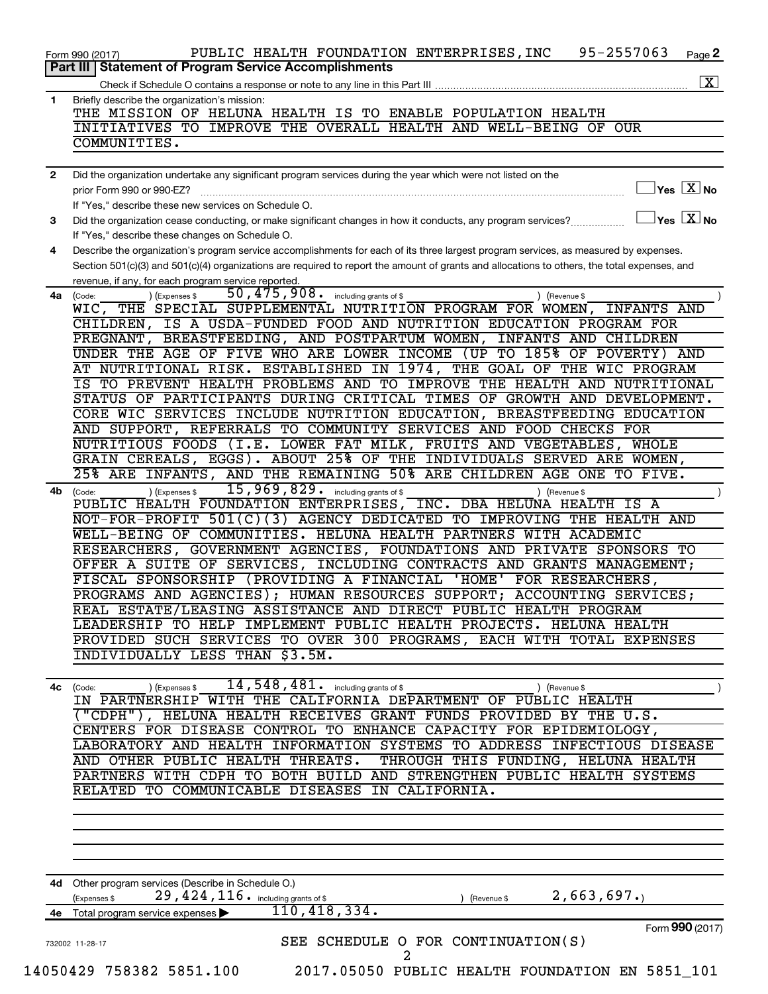|    | 95-2557063<br>PUBLIC HEALTH FOUNDATION ENTERPRISES, INC<br>Page 2<br>Form 990 (2017)                                                                    |
|----|---------------------------------------------------------------------------------------------------------------------------------------------------------|
|    | <b>Statement of Program Service Accomplishments</b><br>Part III                                                                                         |
|    | $\boxed{\textbf{X}}$                                                                                                                                    |
| 1  | Briefly describe the organization's mission:<br>THE MISSION OF HELUNA HEALTH IS TO ENABLE POPULATION HEALTH                                             |
|    | INITIATIVES TO IMPROVE THE OVERALL HEALTH AND WELL-BEING OF OUR                                                                                         |
|    | COMMUNITIES.                                                                                                                                            |
|    |                                                                                                                                                         |
| 2  | Did the organization undertake any significant program services during the year which were not listed on the                                            |
|    | $\overline{\ }$ Yes $\overline{\rm X}$ No<br>prior Form 990 or 990-EZ?                                                                                  |
|    | If "Yes," describe these new services on Schedule O.                                                                                                    |
| 3  | $\Box$ Yes $[\overline{\mathrm{X}}]$ No<br>Did the organization cease conducting, or make significant changes in how it conducts, any program services? |
|    | If "Yes," describe these changes on Schedule O.                                                                                                         |
| 4  | Describe the organization's program service accomplishments for each of its three largest program services, as measured by expenses.                    |
|    | Section 501(c)(3) and 501(c)(4) organizations are required to report the amount of grants and allocations to others, the total expenses, and            |
|    | revenue, if any, for each program service reported.                                                                                                     |
| 4a | 50, 475, 908. including grants of \$<br>) (Expenses \$<br>(Code:<br>Revenue \$                                                                          |
|    | WIC, THE SPECIAL SUPPLEMENTAL NUTRITION PROGRAM FOR WOMEN, INFANTS AND                                                                                  |
|    | CHILDREN, IS A USDA-FUNDED FOOD AND NUTRITION EDUCATION PROGRAM FOR                                                                                     |
|    | PREGNANT, BREASTFEEDING, AND POSTPARTUM WOMEN, INFANTS AND CHILDREN                                                                                     |
|    | UNDER THE AGE OF FIVE WHO ARE LOWER INCOME (UP TO 185% OF POVERTY) AND                                                                                  |
|    | AT NUTRITIONAL RISK. ESTABLISHED IN 1974, THE GOAL OF THE WIC PROGRAM                                                                                   |
|    | IS TO PREVENT HEALTH PROBLEMS AND TO IMPROVE THE HEALTH AND NUTRITIONAL                                                                                 |
|    | STATUS OF PARTICIPANTS DURING CRITICAL TIMES OF GROWTH AND DEVELOPMENT.                                                                                 |
|    | CORE WIC SERVICES INCLUDE NUTRITION EDUCATION, BREASTFEEDING EDUCATION                                                                                  |
|    | AND SUPPORT, REFERRALS TO COMMUNITY SERVICES AND FOOD CHECKS FOR                                                                                        |
|    | NUTRITIOUS FOODS (I.E. LOWER FAT MILK, FRUITS AND VEGETABLES, WHOLE                                                                                     |
|    | GRAIN CEREALS, EGGS). ABOUT 25% OF THE INDIVIDUALS SERVED ARE WOMEN,                                                                                    |
|    | 25% ARE INFANTS, AND THE REMAINING 50% ARE CHILDREN AGE ONE TO FIVE.                                                                                    |
| 4b | $15,969,829$ . including grants of \$<br>) (Expenses \$<br>(Code:<br>(Revenue \$                                                                        |
|    | PUBLIC HEALTH FOUNDATION ENTERPRISES, INC. DBA HELUNA HEALTH IS A                                                                                       |
|    | NOT-FOR-PROFIT 501(C)(3) AGENCY DEDICATED TO IMPROVING THE HEALTH AND                                                                                   |
|    | WELL-BEING OF COMMUNITIES. HELUNA HEALTH PARTNERS WITH ACADEMIC                                                                                         |
|    | RESEARCHERS, GOVERNMENT AGENCIES, FOUNDATIONS AND PRIVATE SPONSORS TO                                                                                   |
|    | OFFER A SUITE OF SERVICES, INCLUDING CONTRACTS AND GRANTS MANAGEMENT;<br>FISCAL SPONSORSHIP (PROVIDING A FINANCIAL 'HOME' FOR RESEARCHERS,              |
|    | PROGRAMS AND AGENCIES); HUMAN RESOURCES SUPPORT; ACCOUNTING SERVICES;                                                                                   |
|    | REAL ESTATE/LEASING ASSISTANCE AND DIRECT PUBLIC HEALTH PROGRAM                                                                                         |
|    | LEADERSHIP TO HELP IMPLEMENT PUBLIC HEALTH PROJECTS. HELUNA HEALTH                                                                                      |
|    | PROVIDED SUCH SERVICES TO OVER 300 PROGRAMS, EACH WITH TOTAL EXPENSES                                                                                   |
|    | INDIVIDUALLY LESS THAN \$3.5M.                                                                                                                          |
|    |                                                                                                                                                         |
|    | 14, 548, 481. including grants of \$                                                                                                                    |
| 4с | ) (Expenses \$<br>(Code:<br>(Revenue \$<br>IN PARTNERSHIP WITH THE CALIFORNIA DEPARTMENT OF PUBLIC HEALTH                                               |
|    | ("CDPH"), HELUNA HEALTH RECEIVES GRANT FUNDS PROVIDED BY THE U.S.                                                                                       |
|    | CENTERS FOR DISEASE CONTROL TO ENHANCE CAPACITY FOR EPIDEMIOLOGY,                                                                                       |
|    | LABORATORY AND HEALTH INFORMATION SYSTEMS TO ADDRESS INFECTIOUS DISEASE                                                                                 |
|    | AND OTHER PUBLIC HEALTH THREATS.<br>THROUGH THIS FUNDING, HELUNA HEALTH                                                                                 |
|    | PARTNERS WITH CDPH TO BOTH BUILD AND STRENGTHEN PUBLIC HEALTH SYSTEMS                                                                                   |
|    | RELATED TO COMMUNICABLE DISEASES IN CALIFORNIA.                                                                                                         |
|    |                                                                                                                                                         |
|    |                                                                                                                                                         |
|    |                                                                                                                                                         |
|    |                                                                                                                                                         |
|    |                                                                                                                                                         |
|    | 4d Other program services (Describe in Schedule O.)                                                                                                     |
|    | 29, 424, 116. including grants of \$<br>2,663,697.<br>(Expenses \$<br>(Revenue \$                                                                       |
|    | 110, 418, 334.<br>4e Total program service expenses                                                                                                     |
|    | Form 990 (2017)                                                                                                                                         |
|    | SEE SCHEDULE O FOR CONTINUATION(S)                                                                                                                      |
|    | 732002 11-28-17<br>$\overline{a}$                                                                                                                       |
|    | 14050429 758382 5851.100 2017.05050 PUBLIC HEALTH FOUNDATION EN 5851_101                                                                                |
|    |                                                                                                                                                         |
|    |                                                                                                                                                         |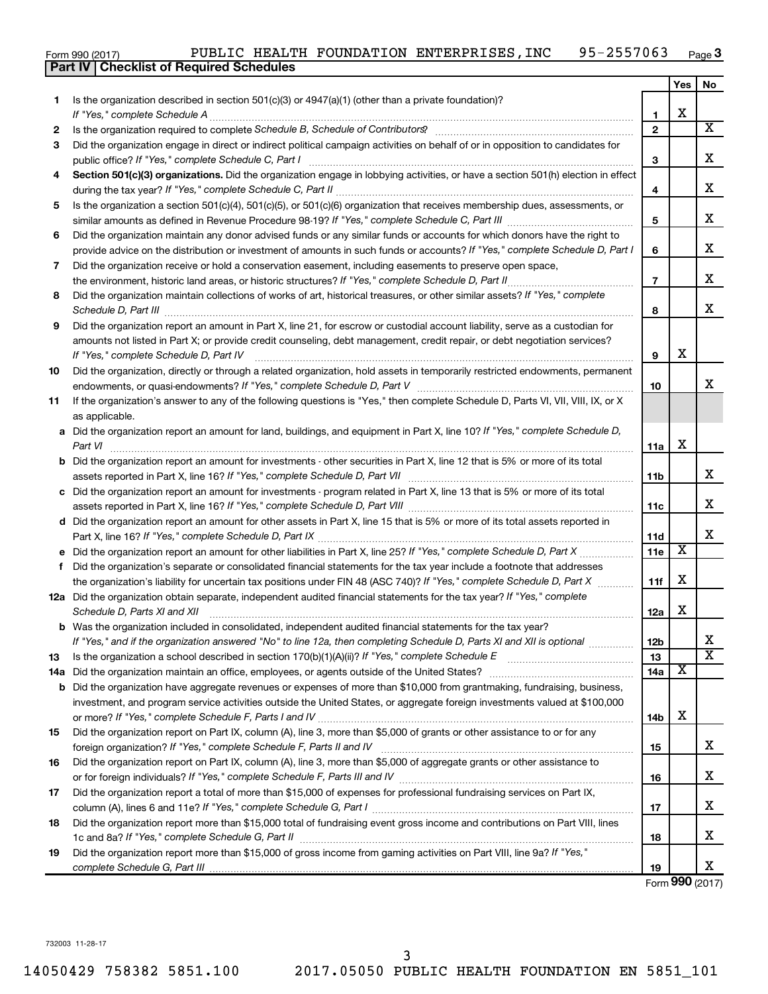| Form 990 (2017) |  |  |  | PUBLIC HEALTH FOUNDATION ENTERPRISES, INC | 95-2557063 | Page |
|-----------------|--|--|--|-------------------------------------------|------------|------|
|-----------------|--|--|--|-------------------------------------------|------------|------|

|     | Part IV   Checklist of Required Schedules                                                                                                                                                                                                  |                 |                         |                         |
|-----|--------------------------------------------------------------------------------------------------------------------------------------------------------------------------------------------------------------------------------------------|-----------------|-------------------------|-------------------------|
|     |                                                                                                                                                                                                                                            |                 | Yes                     | No                      |
| 1   | Is the organization described in section 501(c)(3) or $4947(a)(1)$ (other than a private foundation)?                                                                                                                                      |                 |                         |                         |
|     |                                                                                                                                                                                                                                            | 1               | X                       |                         |
| 2   |                                                                                                                                                                                                                                            | $\mathbf{2}$    |                         | $\overline{\mathbf{x}}$ |
| 3   | Did the organization engage in direct or indirect political campaign activities on behalf of or in opposition to candidates for                                                                                                            |                 |                         |                         |
|     |                                                                                                                                                                                                                                            | 3               |                         | x                       |
| 4   | Section 501(c)(3) organizations. Did the organization engage in lobbying activities, or have a section 501(h) election in effect                                                                                                           |                 |                         | X                       |
|     |                                                                                                                                                                                                                                            | 4               |                         |                         |
| 5   | Is the organization a section 501(c)(4), 501(c)(5), or 501(c)(6) organization that receives membership dues, assessments, or                                                                                                               | 5               |                         | х                       |
| 6   | Did the organization maintain any donor advised funds or any similar funds or accounts for which donors have the right to                                                                                                                  |                 |                         |                         |
|     | provide advice on the distribution or investment of amounts in such funds or accounts? If "Yes," complete Schedule D, Part I                                                                                                               | 6               |                         | х                       |
| 7   | Did the organization receive or hold a conservation easement, including easements to preserve open space,                                                                                                                                  |                 |                         |                         |
|     | the environment, historic land areas, or historic structures? If "Yes," complete Schedule D, Part II                                                                                                                                       | $\overline{7}$  |                         | х                       |
| 8   | Did the organization maintain collections of works of art, historical treasures, or other similar assets? If "Yes," complete                                                                                                               |                 |                         |                         |
|     | Schedule D, Part III <b>Markov Markov Alexander Alexander Schedule D</b> , Part III <b>Markov Markov Markov Markov Markov Markov Markov Markov Markov Markov Markov Markov Markov Markov Markov Markov Markov Markov Markov Markov Mar</b> | 8               |                         | х                       |
| 9   | Did the organization report an amount in Part X, line 21, for escrow or custodial account liability, serve as a custodian for                                                                                                              |                 |                         |                         |
|     | amounts not listed in Part X; or provide credit counseling, debt management, credit repair, or debt negotiation services?<br>If "Yes," complete Schedule D, Part IV                                                                        | 9               | X                       |                         |
| 10  | Did the organization, directly or through a related organization, hold assets in temporarily restricted endowments, permanent                                                                                                              |                 |                         |                         |
|     |                                                                                                                                                                                                                                            | 10              |                         | х                       |
| 11  | If the organization's answer to any of the following questions is "Yes," then complete Schedule D, Parts VI, VII, VIII, IX, or X                                                                                                           |                 |                         |                         |
|     | as applicable.                                                                                                                                                                                                                             |                 |                         |                         |
|     | a Did the organization report an amount for land, buildings, and equipment in Part X, line 10? If "Yes," complete Schedule D,                                                                                                              |                 |                         |                         |
|     | Part VI                                                                                                                                                                                                                                    | 11a             | X                       |                         |
|     | <b>b</b> Did the organization report an amount for investments - other securities in Part X, line 12 that is 5% or more of its total                                                                                                       |                 |                         |                         |
|     |                                                                                                                                                                                                                                            | 11b             |                         | x                       |
|     | c Did the organization report an amount for investments - program related in Part X, line 13 that is 5% or more of its total                                                                                                               |                 |                         |                         |
|     |                                                                                                                                                                                                                                            | 11c             |                         | x                       |
|     | d Did the organization report an amount for other assets in Part X, line 15 that is 5% or more of its total assets reported in                                                                                                             |                 |                         |                         |
|     |                                                                                                                                                                                                                                            | 11d             |                         | х                       |
|     | e Did the organization report an amount for other liabilities in Part X, line 25? If "Yes," complete Schedule D, Part X                                                                                                                    | 11e             | $\overline{\textbf{x}}$ |                         |
| f.  | Did the organization's separate or consolidated financial statements for the tax year include a footnote that addresses                                                                                                                    |                 |                         |                         |
|     | the organization's liability for uncertain tax positions under FIN 48 (ASC 740)? If "Yes," complete Schedule D, Part X                                                                                                                     | 11f             | X                       |                         |
|     | 12a Did the organization obtain separate, independent audited financial statements for the tax year? If "Yes," complete                                                                                                                    |                 |                         |                         |
|     | Schedule D, Parts XI and XII                                                                                                                                                                                                               | 12a             | X                       |                         |
| b   | Was the organization included in consolidated, independent audited financial statements for the tax year?                                                                                                                                  |                 |                         |                         |
|     | If "Yes," and if the organization answered "No" to line 12a, then completing Schedule D, Parts XI and XII is optional                                                                                                                      | 12 <sub>b</sub> |                         | х                       |
| 13  |                                                                                                                                                                                                                                            | 13              |                         | $\overline{\text{X}}$   |
| 14a |                                                                                                                                                                                                                                            | 14a             | X                       |                         |
| b   | Did the organization have aggregate revenues or expenses of more than \$10,000 from grantmaking, fundraising, business,                                                                                                                    |                 |                         |                         |
|     | investment, and program service activities outside the United States, or aggregate foreign investments valued at \$100,000                                                                                                                 |                 |                         |                         |
|     |                                                                                                                                                                                                                                            | 14b             | X                       |                         |
| 15  | Did the organization report on Part IX, column (A), line 3, more than \$5,000 of grants or other assistance to or for any                                                                                                                  |                 |                         |                         |
|     |                                                                                                                                                                                                                                            | 15              |                         | x                       |
| 16  | Did the organization report on Part IX, column (A), line 3, more than \$5,000 of aggregate grants or other assistance to                                                                                                                   |                 |                         |                         |
|     |                                                                                                                                                                                                                                            | 16              |                         | x                       |
| 17  | Did the organization report a total of more than \$15,000 of expenses for professional fundraising services on Part IX,                                                                                                                    |                 |                         |                         |
|     |                                                                                                                                                                                                                                            | 17              |                         | х                       |
| 18  | Did the organization report more than \$15,000 total of fundraising event gross income and contributions on Part VIII, lines                                                                                                               |                 |                         |                         |
|     |                                                                                                                                                                                                                                            | 18              |                         | х                       |
| 19  | Did the organization report more than \$15,000 of gross income from gaming activities on Part VIII, line 9a? If "Yes,"                                                                                                                     |                 |                         |                         |
|     |                                                                                                                                                                                                                                            | 19              |                         | x                       |

Form (2017) **990**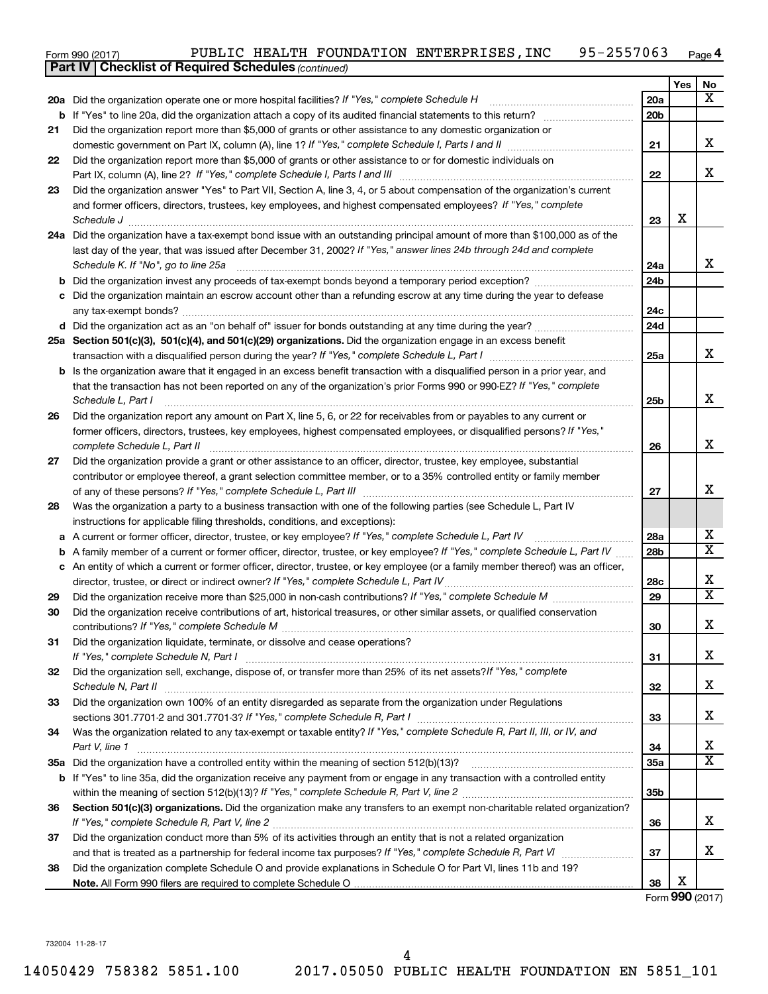| Form 990 (2017) | PUBLIC |  | HEALTH FOUNDATION ENTERPRISES, INC | $-2557063$<br>$QF -$ | Page 4 |
|-----------------|--------|--|------------------------------------|----------------------|--------|
|-----------------|--------|--|------------------------------------|----------------------|--------|

| Yes<br>No<br>X<br>20a<br>20a Did the organization operate one or more hospital facilities? If "Yes," complete Schedule H<br>20 <sub>b</sub><br>b<br>Did the organization report more than \$5,000 of grants or other assistance to any domestic organization or<br>21<br>х<br>21<br>Did the organization report more than \$5,000 of grants or other assistance to or for domestic individuals on<br>22<br>x<br>22<br>Did the organization answer "Yes" to Part VII, Section A, line 3, 4, or 5 about compensation of the organization's current<br>23<br>and former officers, directors, trustees, key employees, and highest compensated employees? If "Yes," complete<br>X<br>Schedule J <b>Execute J Execute 2 Constant Constant Constant Constant Constant Constant Constant Constant Constant Constant Constant Constant Constant Constant Constant Constant Constant Constant Constant Constant Consta</b><br>23<br>24a Did the organization have a tax-exempt bond issue with an outstanding principal amount of more than \$100,000 as of the<br>last day of the year, that was issued after December 31, 2002? If "Yes," answer lines 24b through 24d and complete<br>x<br>Schedule K. If "No", go to line 25a<br>24a<br>24 <sub>b</sub><br>b<br>c Did the organization maintain an escrow account other than a refunding escrow at any time during the year to defease<br>24с<br>24d<br>25a Section 501(c)(3), 501(c)(4), and 501(c)(29) organizations. Did the organization engage in an excess benefit<br>x<br>25a<br><b>b</b> Is the organization aware that it engaged in an excess benefit transaction with a disqualified person in a prior year, and<br>that the transaction has not been reported on any of the organization's prior Forms 990 or 990-EZ? If "Yes," complete<br>X<br>Schedule L, Part I<br>25b<br>Did the organization report any amount on Part X, line 5, 6, or 22 for receivables from or payables to any current or<br>26<br>former officers, directors, trustees, key employees, highest compensated employees, or disqualified persons? If "Yes,"<br>x<br>26<br>Did the organization provide a grant or other assistance to an officer, director, trustee, key employee, substantial<br>27<br>contributor or employee thereof, a grant selection committee member, or to a 35% controlled entity or family member<br>x<br>27<br>Was the organization a party to a business transaction with one of the following parties (see Schedule L, Part IV<br>28<br>instructions for applicable filing thresholds, conditions, and exceptions):<br>х<br>A current or former officer, director, trustee, or key employee? If "Yes," complete Schedule L, Part IV<br>28a<br>а<br>$\overline{\mathbf{X}}$<br>A family member of a current or former officer, director, trustee, or key employee? If "Yes," complete Schedule L, Part IV<br>28b<br>b<br>c An entity of which a current or former officer, director, trustee, or key employee (or a family member thereof) was an officer,<br>х<br>director, trustee, or direct or indirect owner? If "Yes," complete Schedule L, Part IV<br>28c<br>$\overline{\mathbf{X}}$<br>29<br>29<br>Did the organization receive contributions of art, historical treasures, or other similar assets, or qualified conservation<br>30<br>Y<br>30<br>ᅀ<br>Did the organization liquidate, terminate, or dissolve and cease operations?<br>31<br>x<br>31<br>Did the organization sell, exchange, dispose of, or transfer more than 25% of its net assets? If "Yes," complete<br>32<br>х<br>Schedule N, Part II<br>32<br>Did the organization own 100% of an entity disregarded as separate from the organization under Regulations<br>33<br>х<br>33<br>Was the organization related to any tax-exempt or taxable entity? If "Yes," complete Schedule R, Part II, III, or IV, and<br>34<br>x<br>Part V, line 1<br>34<br>$\overline{\textbf{X}}$<br>35a<br>If "Yes" to line 35a, did the organization receive any payment from or engage in any transaction with a controlled entity<br>b<br>35b<br>Section 501(c)(3) organizations. Did the organization make any transfers to an exempt non-charitable related organization?<br>36<br>x<br>36<br>Did the organization conduct more than 5% of its activities through an entity that is not a related organization<br>37<br>х<br>37<br>Did the organization complete Schedule O and provide explanations in Schedule O for Part VI, lines 11b and 19?<br>38<br>Х<br>38<br>Form 990 (2017) | <b>Part IV   Checklist of Required Schedules (continued)</b> |  |  |
|----------------------------------------------------------------------------------------------------------------------------------------------------------------------------------------------------------------------------------------------------------------------------------------------------------------------------------------------------------------------------------------------------------------------------------------------------------------------------------------------------------------------------------------------------------------------------------------------------------------------------------------------------------------------------------------------------------------------------------------------------------------------------------------------------------------------------------------------------------------------------------------------------------------------------------------------------------------------------------------------------------------------------------------------------------------------------------------------------------------------------------------------------------------------------------------------------------------------------------------------------------------------------------------------------------------------------------------------------------------------------------------------------------------------------------------------------------------------------------------------------------------------------------------------------------------------------------------------------------------------------------------------------------------------------------------------------------------------------------------------------------------------------------------------------------------------------------------------------------------------------------------------------------------------------------------------------------------------------------------------------------------------------------------------------------------------------------------------------------------------------------------------------------------------------------------------------------------------------------------------------------------------------------------------------------------------------------------------------------------------------------------------------------------------------------------------------------------------------------------------------------------------------------------------------------------------------------------------------------------------------------------------------------------------------------------------------------------------------------------------------------------------------------------------------------------------------------------------------------------------------------------------------------------------------------------------------------------------------------------------------------------------------------------------------------------------------------------------------------------------------------------------------------------------------------------------------------------------------------------------------------------------------------------------------------------------------------------------------------------------------------------------------------------------------------------------------------------------------------------------------------------------------------------------------------------------------------------------------------------------------------------------------------------------------------------------------------------------------------------------------------------------------------------------------------------------------------------------------------------------------------------------------------------------------------------------------------------------------------------------------------------------------------------------------------------------------------------------------------------------------------------------------------------------------------------------------------------------------------------------------------------------------------------------------------------------------------------------------------------------------------------------------------------------------------------------------------------------------------------------------------|--------------------------------------------------------------|--|--|
|                                                                                                                                                                                                                                                                                                                                                                                                                                                                                                                                                                                                                                                                                                                                                                                                                                                                                                                                                                                                                                                                                                                                                                                                                                                                                                                                                                                                                                                                                                                                                                                                                                                                                                                                                                                                                                                                                                                                                                                                                                                                                                                                                                                                                                                                                                                                                                                                                                                                                                                                                                                                                                                                                                                                                                                                                                                                                                                                                                                                                                                                                                                                                                                                                                                                                                                                                                                                                                                                                                                                                                                                                                                                                                                                                                                                                                                                                                                                                                                                                                                                                                                                                                                                                                                                                                                                                                                                                                                                                                          |                                                              |  |  |
|                                                                                                                                                                                                                                                                                                                                                                                                                                                                                                                                                                                                                                                                                                                                                                                                                                                                                                                                                                                                                                                                                                                                                                                                                                                                                                                                                                                                                                                                                                                                                                                                                                                                                                                                                                                                                                                                                                                                                                                                                                                                                                                                                                                                                                                                                                                                                                                                                                                                                                                                                                                                                                                                                                                                                                                                                                                                                                                                                                                                                                                                                                                                                                                                                                                                                                                                                                                                                                                                                                                                                                                                                                                                                                                                                                                                                                                                                                                                                                                                                                                                                                                                                                                                                                                                                                                                                                                                                                                                                                          |                                                              |  |  |
|                                                                                                                                                                                                                                                                                                                                                                                                                                                                                                                                                                                                                                                                                                                                                                                                                                                                                                                                                                                                                                                                                                                                                                                                                                                                                                                                                                                                                                                                                                                                                                                                                                                                                                                                                                                                                                                                                                                                                                                                                                                                                                                                                                                                                                                                                                                                                                                                                                                                                                                                                                                                                                                                                                                                                                                                                                                                                                                                                                                                                                                                                                                                                                                                                                                                                                                                                                                                                                                                                                                                                                                                                                                                                                                                                                                                                                                                                                                                                                                                                                                                                                                                                                                                                                                                                                                                                                                                                                                                                                          |                                                              |  |  |
|                                                                                                                                                                                                                                                                                                                                                                                                                                                                                                                                                                                                                                                                                                                                                                                                                                                                                                                                                                                                                                                                                                                                                                                                                                                                                                                                                                                                                                                                                                                                                                                                                                                                                                                                                                                                                                                                                                                                                                                                                                                                                                                                                                                                                                                                                                                                                                                                                                                                                                                                                                                                                                                                                                                                                                                                                                                                                                                                                                                                                                                                                                                                                                                                                                                                                                                                                                                                                                                                                                                                                                                                                                                                                                                                                                                                                                                                                                                                                                                                                                                                                                                                                                                                                                                                                                                                                                                                                                                                                                          |                                                              |  |  |
|                                                                                                                                                                                                                                                                                                                                                                                                                                                                                                                                                                                                                                                                                                                                                                                                                                                                                                                                                                                                                                                                                                                                                                                                                                                                                                                                                                                                                                                                                                                                                                                                                                                                                                                                                                                                                                                                                                                                                                                                                                                                                                                                                                                                                                                                                                                                                                                                                                                                                                                                                                                                                                                                                                                                                                                                                                                                                                                                                                                                                                                                                                                                                                                                                                                                                                                                                                                                                                                                                                                                                                                                                                                                                                                                                                                                                                                                                                                                                                                                                                                                                                                                                                                                                                                                                                                                                                                                                                                                                                          |                                                              |  |  |
|                                                                                                                                                                                                                                                                                                                                                                                                                                                                                                                                                                                                                                                                                                                                                                                                                                                                                                                                                                                                                                                                                                                                                                                                                                                                                                                                                                                                                                                                                                                                                                                                                                                                                                                                                                                                                                                                                                                                                                                                                                                                                                                                                                                                                                                                                                                                                                                                                                                                                                                                                                                                                                                                                                                                                                                                                                                                                                                                                                                                                                                                                                                                                                                                                                                                                                                                                                                                                                                                                                                                                                                                                                                                                                                                                                                                                                                                                                                                                                                                                                                                                                                                                                                                                                                                                                                                                                                                                                                                                                          |                                                              |  |  |
|                                                                                                                                                                                                                                                                                                                                                                                                                                                                                                                                                                                                                                                                                                                                                                                                                                                                                                                                                                                                                                                                                                                                                                                                                                                                                                                                                                                                                                                                                                                                                                                                                                                                                                                                                                                                                                                                                                                                                                                                                                                                                                                                                                                                                                                                                                                                                                                                                                                                                                                                                                                                                                                                                                                                                                                                                                                                                                                                                                                                                                                                                                                                                                                                                                                                                                                                                                                                                                                                                                                                                                                                                                                                                                                                                                                                                                                                                                                                                                                                                                                                                                                                                                                                                                                                                                                                                                                                                                                                                                          |                                                              |  |  |
|                                                                                                                                                                                                                                                                                                                                                                                                                                                                                                                                                                                                                                                                                                                                                                                                                                                                                                                                                                                                                                                                                                                                                                                                                                                                                                                                                                                                                                                                                                                                                                                                                                                                                                                                                                                                                                                                                                                                                                                                                                                                                                                                                                                                                                                                                                                                                                                                                                                                                                                                                                                                                                                                                                                                                                                                                                                                                                                                                                                                                                                                                                                                                                                                                                                                                                                                                                                                                                                                                                                                                                                                                                                                                                                                                                                                                                                                                                                                                                                                                                                                                                                                                                                                                                                                                                                                                                                                                                                                                                          |                                                              |  |  |
|                                                                                                                                                                                                                                                                                                                                                                                                                                                                                                                                                                                                                                                                                                                                                                                                                                                                                                                                                                                                                                                                                                                                                                                                                                                                                                                                                                                                                                                                                                                                                                                                                                                                                                                                                                                                                                                                                                                                                                                                                                                                                                                                                                                                                                                                                                                                                                                                                                                                                                                                                                                                                                                                                                                                                                                                                                                                                                                                                                                                                                                                                                                                                                                                                                                                                                                                                                                                                                                                                                                                                                                                                                                                                                                                                                                                                                                                                                                                                                                                                                                                                                                                                                                                                                                                                                                                                                                                                                                                                                          |                                                              |  |  |
|                                                                                                                                                                                                                                                                                                                                                                                                                                                                                                                                                                                                                                                                                                                                                                                                                                                                                                                                                                                                                                                                                                                                                                                                                                                                                                                                                                                                                                                                                                                                                                                                                                                                                                                                                                                                                                                                                                                                                                                                                                                                                                                                                                                                                                                                                                                                                                                                                                                                                                                                                                                                                                                                                                                                                                                                                                                                                                                                                                                                                                                                                                                                                                                                                                                                                                                                                                                                                                                                                                                                                                                                                                                                                                                                                                                                                                                                                                                                                                                                                                                                                                                                                                                                                                                                                                                                                                                                                                                                                                          |                                                              |  |  |
|                                                                                                                                                                                                                                                                                                                                                                                                                                                                                                                                                                                                                                                                                                                                                                                                                                                                                                                                                                                                                                                                                                                                                                                                                                                                                                                                                                                                                                                                                                                                                                                                                                                                                                                                                                                                                                                                                                                                                                                                                                                                                                                                                                                                                                                                                                                                                                                                                                                                                                                                                                                                                                                                                                                                                                                                                                                                                                                                                                                                                                                                                                                                                                                                                                                                                                                                                                                                                                                                                                                                                                                                                                                                                                                                                                                                                                                                                                                                                                                                                                                                                                                                                                                                                                                                                                                                                                                                                                                                                                          |                                                              |  |  |
|                                                                                                                                                                                                                                                                                                                                                                                                                                                                                                                                                                                                                                                                                                                                                                                                                                                                                                                                                                                                                                                                                                                                                                                                                                                                                                                                                                                                                                                                                                                                                                                                                                                                                                                                                                                                                                                                                                                                                                                                                                                                                                                                                                                                                                                                                                                                                                                                                                                                                                                                                                                                                                                                                                                                                                                                                                                                                                                                                                                                                                                                                                                                                                                                                                                                                                                                                                                                                                                                                                                                                                                                                                                                                                                                                                                                                                                                                                                                                                                                                                                                                                                                                                                                                                                                                                                                                                                                                                                                                                          |                                                              |  |  |
|                                                                                                                                                                                                                                                                                                                                                                                                                                                                                                                                                                                                                                                                                                                                                                                                                                                                                                                                                                                                                                                                                                                                                                                                                                                                                                                                                                                                                                                                                                                                                                                                                                                                                                                                                                                                                                                                                                                                                                                                                                                                                                                                                                                                                                                                                                                                                                                                                                                                                                                                                                                                                                                                                                                                                                                                                                                                                                                                                                                                                                                                                                                                                                                                                                                                                                                                                                                                                                                                                                                                                                                                                                                                                                                                                                                                                                                                                                                                                                                                                                                                                                                                                                                                                                                                                                                                                                                                                                                                                                          |                                                              |  |  |
|                                                                                                                                                                                                                                                                                                                                                                                                                                                                                                                                                                                                                                                                                                                                                                                                                                                                                                                                                                                                                                                                                                                                                                                                                                                                                                                                                                                                                                                                                                                                                                                                                                                                                                                                                                                                                                                                                                                                                                                                                                                                                                                                                                                                                                                                                                                                                                                                                                                                                                                                                                                                                                                                                                                                                                                                                                                                                                                                                                                                                                                                                                                                                                                                                                                                                                                                                                                                                                                                                                                                                                                                                                                                                                                                                                                                                                                                                                                                                                                                                                                                                                                                                                                                                                                                                                                                                                                                                                                                                                          |                                                              |  |  |
|                                                                                                                                                                                                                                                                                                                                                                                                                                                                                                                                                                                                                                                                                                                                                                                                                                                                                                                                                                                                                                                                                                                                                                                                                                                                                                                                                                                                                                                                                                                                                                                                                                                                                                                                                                                                                                                                                                                                                                                                                                                                                                                                                                                                                                                                                                                                                                                                                                                                                                                                                                                                                                                                                                                                                                                                                                                                                                                                                                                                                                                                                                                                                                                                                                                                                                                                                                                                                                                                                                                                                                                                                                                                                                                                                                                                                                                                                                                                                                                                                                                                                                                                                                                                                                                                                                                                                                                                                                                                                                          |                                                              |  |  |
|                                                                                                                                                                                                                                                                                                                                                                                                                                                                                                                                                                                                                                                                                                                                                                                                                                                                                                                                                                                                                                                                                                                                                                                                                                                                                                                                                                                                                                                                                                                                                                                                                                                                                                                                                                                                                                                                                                                                                                                                                                                                                                                                                                                                                                                                                                                                                                                                                                                                                                                                                                                                                                                                                                                                                                                                                                                                                                                                                                                                                                                                                                                                                                                                                                                                                                                                                                                                                                                                                                                                                                                                                                                                                                                                                                                                                                                                                                                                                                                                                                                                                                                                                                                                                                                                                                                                                                                                                                                                                                          |                                                              |  |  |
|                                                                                                                                                                                                                                                                                                                                                                                                                                                                                                                                                                                                                                                                                                                                                                                                                                                                                                                                                                                                                                                                                                                                                                                                                                                                                                                                                                                                                                                                                                                                                                                                                                                                                                                                                                                                                                                                                                                                                                                                                                                                                                                                                                                                                                                                                                                                                                                                                                                                                                                                                                                                                                                                                                                                                                                                                                                                                                                                                                                                                                                                                                                                                                                                                                                                                                                                                                                                                                                                                                                                                                                                                                                                                                                                                                                                                                                                                                                                                                                                                                                                                                                                                                                                                                                                                                                                                                                                                                                                                                          |                                                              |  |  |
|                                                                                                                                                                                                                                                                                                                                                                                                                                                                                                                                                                                                                                                                                                                                                                                                                                                                                                                                                                                                                                                                                                                                                                                                                                                                                                                                                                                                                                                                                                                                                                                                                                                                                                                                                                                                                                                                                                                                                                                                                                                                                                                                                                                                                                                                                                                                                                                                                                                                                                                                                                                                                                                                                                                                                                                                                                                                                                                                                                                                                                                                                                                                                                                                                                                                                                                                                                                                                                                                                                                                                                                                                                                                                                                                                                                                                                                                                                                                                                                                                                                                                                                                                                                                                                                                                                                                                                                                                                                                                                          |                                                              |  |  |
|                                                                                                                                                                                                                                                                                                                                                                                                                                                                                                                                                                                                                                                                                                                                                                                                                                                                                                                                                                                                                                                                                                                                                                                                                                                                                                                                                                                                                                                                                                                                                                                                                                                                                                                                                                                                                                                                                                                                                                                                                                                                                                                                                                                                                                                                                                                                                                                                                                                                                                                                                                                                                                                                                                                                                                                                                                                                                                                                                                                                                                                                                                                                                                                                                                                                                                                                                                                                                                                                                                                                                                                                                                                                                                                                                                                                                                                                                                                                                                                                                                                                                                                                                                                                                                                                                                                                                                                                                                                                                                          |                                                              |  |  |
|                                                                                                                                                                                                                                                                                                                                                                                                                                                                                                                                                                                                                                                                                                                                                                                                                                                                                                                                                                                                                                                                                                                                                                                                                                                                                                                                                                                                                                                                                                                                                                                                                                                                                                                                                                                                                                                                                                                                                                                                                                                                                                                                                                                                                                                                                                                                                                                                                                                                                                                                                                                                                                                                                                                                                                                                                                                                                                                                                                                                                                                                                                                                                                                                                                                                                                                                                                                                                                                                                                                                                                                                                                                                                                                                                                                                                                                                                                                                                                                                                                                                                                                                                                                                                                                                                                                                                                                                                                                                                                          |                                                              |  |  |
|                                                                                                                                                                                                                                                                                                                                                                                                                                                                                                                                                                                                                                                                                                                                                                                                                                                                                                                                                                                                                                                                                                                                                                                                                                                                                                                                                                                                                                                                                                                                                                                                                                                                                                                                                                                                                                                                                                                                                                                                                                                                                                                                                                                                                                                                                                                                                                                                                                                                                                                                                                                                                                                                                                                                                                                                                                                                                                                                                                                                                                                                                                                                                                                                                                                                                                                                                                                                                                                                                                                                                                                                                                                                                                                                                                                                                                                                                                                                                                                                                                                                                                                                                                                                                                                                                                                                                                                                                                                                                                          |                                                              |  |  |
|                                                                                                                                                                                                                                                                                                                                                                                                                                                                                                                                                                                                                                                                                                                                                                                                                                                                                                                                                                                                                                                                                                                                                                                                                                                                                                                                                                                                                                                                                                                                                                                                                                                                                                                                                                                                                                                                                                                                                                                                                                                                                                                                                                                                                                                                                                                                                                                                                                                                                                                                                                                                                                                                                                                                                                                                                                                                                                                                                                                                                                                                                                                                                                                                                                                                                                                                                                                                                                                                                                                                                                                                                                                                                                                                                                                                                                                                                                                                                                                                                                                                                                                                                                                                                                                                                                                                                                                                                                                                                                          |                                                              |  |  |
|                                                                                                                                                                                                                                                                                                                                                                                                                                                                                                                                                                                                                                                                                                                                                                                                                                                                                                                                                                                                                                                                                                                                                                                                                                                                                                                                                                                                                                                                                                                                                                                                                                                                                                                                                                                                                                                                                                                                                                                                                                                                                                                                                                                                                                                                                                                                                                                                                                                                                                                                                                                                                                                                                                                                                                                                                                                                                                                                                                                                                                                                                                                                                                                                                                                                                                                                                                                                                                                                                                                                                                                                                                                                                                                                                                                                                                                                                                                                                                                                                                                                                                                                                                                                                                                                                                                                                                                                                                                                                                          |                                                              |  |  |
|                                                                                                                                                                                                                                                                                                                                                                                                                                                                                                                                                                                                                                                                                                                                                                                                                                                                                                                                                                                                                                                                                                                                                                                                                                                                                                                                                                                                                                                                                                                                                                                                                                                                                                                                                                                                                                                                                                                                                                                                                                                                                                                                                                                                                                                                                                                                                                                                                                                                                                                                                                                                                                                                                                                                                                                                                                                                                                                                                                                                                                                                                                                                                                                                                                                                                                                                                                                                                                                                                                                                                                                                                                                                                                                                                                                                                                                                                                                                                                                                                                                                                                                                                                                                                                                                                                                                                                                                                                                                                                          |                                                              |  |  |
|                                                                                                                                                                                                                                                                                                                                                                                                                                                                                                                                                                                                                                                                                                                                                                                                                                                                                                                                                                                                                                                                                                                                                                                                                                                                                                                                                                                                                                                                                                                                                                                                                                                                                                                                                                                                                                                                                                                                                                                                                                                                                                                                                                                                                                                                                                                                                                                                                                                                                                                                                                                                                                                                                                                                                                                                                                                                                                                                                                                                                                                                                                                                                                                                                                                                                                                                                                                                                                                                                                                                                                                                                                                                                                                                                                                                                                                                                                                                                                                                                                                                                                                                                                                                                                                                                                                                                                                                                                                                                                          |                                                              |  |  |
|                                                                                                                                                                                                                                                                                                                                                                                                                                                                                                                                                                                                                                                                                                                                                                                                                                                                                                                                                                                                                                                                                                                                                                                                                                                                                                                                                                                                                                                                                                                                                                                                                                                                                                                                                                                                                                                                                                                                                                                                                                                                                                                                                                                                                                                                                                                                                                                                                                                                                                                                                                                                                                                                                                                                                                                                                                                                                                                                                                                                                                                                                                                                                                                                                                                                                                                                                                                                                                                                                                                                                                                                                                                                                                                                                                                                                                                                                                                                                                                                                                                                                                                                                                                                                                                                                                                                                                                                                                                                                                          |                                                              |  |  |
|                                                                                                                                                                                                                                                                                                                                                                                                                                                                                                                                                                                                                                                                                                                                                                                                                                                                                                                                                                                                                                                                                                                                                                                                                                                                                                                                                                                                                                                                                                                                                                                                                                                                                                                                                                                                                                                                                                                                                                                                                                                                                                                                                                                                                                                                                                                                                                                                                                                                                                                                                                                                                                                                                                                                                                                                                                                                                                                                                                                                                                                                                                                                                                                                                                                                                                                                                                                                                                                                                                                                                                                                                                                                                                                                                                                                                                                                                                                                                                                                                                                                                                                                                                                                                                                                                                                                                                                                                                                                                                          |                                                              |  |  |
|                                                                                                                                                                                                                                                                                                                                                                                                                                                                                                                                                                                                                                                                                                                                                                                                                                                                                                                                                                                                                                                                                                                                                                                                                                                                                                                                                                                                                                                                                                                                                                                                                                                                                                                                                                                                                                                                                                                                                                                                                                                                                                                                                                                                                                                                                                                                                                                                                                                                                                                                                                                                                                                                                                                                                                                                                                                                                                                                                                                                                                                                                                                                                                                                                                                                                                                                                                                                                                                                                                                                                                                                                                                                                                                                                                                                                                                                                                                                                                                                                                                                                                                                                                                                                                                                                                                                                                                                                                                                                                          |                                                              |  |  |
|                                                                                                                                                                                                                                                                                                                                                                                                                                                                                                                                                                                                                                                                                                                                                                                                                                                                                                                                                                                                                                                                                                                                                                                                                                                                                                                                                                                                                                                                                                                                                                                                                                                                                                                                                                                                                                                                                                                                                                                                                                                                                                                                                                                                                                                                                                                                                                                                                                                                                                                                                                                                                                                                                                                                                                                                                                                                                                                                                                                                                                                                                                                                                                                                                                                                                                                                                                                                                                                                                                                                                                                                                                                                                                                                                                                                                                                                                                                                                                                                                                                                                                                                                                                                                                                                                                                                                                                                                                                                                                          |                                                              |  |  |
|                                                                                                                                                                                                                                                                                                                                                                                                                                                                                                                                                                                                                                                                                                                                                                                                                                                                                                                                                                                                                                                                                                                                                                                                                                                                                                                                                                                                                                                                                                                                                                                                                                                                                                                                                                                                                                                                                                                                                                                                                                                                                                                                                                                                                                                                                                                                                                                                                                                                                                                                                                                                                                                                                                                                                                                                                                                                                                                                                                                                                                                                                                                                                                                                                                                                                                                                                                                                                                                                                                                                                                                                                                                                                                                                                                                                                                                                                                                                                                                                                                                                                                                                                                                                                                                                                                                                                                                                                                                                                                          |                                                              |  |  |
|                                                                                                                                                                                                                                                                                                                                                                                                                                                                                                                                                                                                                                                                                                                                                                                                                                                                                                                                                                                                                                                                                                                                                                                                                                                                                                                                                                                                                                                                                                                                                                                                                                                                                                                                                                                                                                                                                                                                                                                                                                                                                                                                                                                                                                                                                                                                                                                                                                                                                                                                                                                                                                                                                                                                                                                                                                                                                                                                                                                                                                                                                                                                                                                                                                                                                                                                                                                                                                                                                                                                                                                                                                                                                                                                                                                                                                                                                                                                                                                                                                                                                                                                                                                                                                                                                                                                                                                                                                                                                                          |                                                              |  |  |
|                                                                                                                                                                                                                                                                                                                                                                                                                                                                                                                                                                                                                                                                                                                                                                                                                                                                                                                                                                                                                                                                                                                                                                                                                                                                                                                                                                                                                                                                                                                                                                                                                                                                                                                                                                                                                                                                                                                                                                                                                                                                                                                                                                                                                                                                                                                                                                                                                                                                                                                                                                                                                                                                                                                                                                                                                                                                                                                                                                                                                                                                                                                                                                                                                                                                                                                                                                                                                                                                                                                                                                                                                                                                                                                                                                                                                                                                                                                                                                                                                                                                                                                                                                                                                                                                                                                                                                                                                                                                                                          |                                                              |  |  |
|                                                                                                                                                                                                                                                                                                                                                                                                                                                                                                                                                                                                                                                                                                                                                                                                                                                                                                                                                                                                                                                                                                                                                                                                                                                                                                                                                                                                                                                                                                                                                                                                                                                                                                                                                                                                                                                                                                                                                                                                                                                                                                                                                                                                                                                                                                                                                                                                                                                                                                                                                                                                                                                                                                                                                                                                                                                                                                                                                                                                                                                                                                                                                                                                                                                                                                                                                                                                                                                                                                                                                                                                                                                                                                                                                                                                                                                                                                                                                                                                                                                                                                                                                                                                                                                                                                                                                                                                                                                                                                          |                                                              |  |  |
|                                                                                                                                                                                                                                                                                                                                                                                                                                                                                                                                                                                                                                                                                                                                                                                                                                                                                                                                                                                                                                                                                                                                                                                                                                                                                                                                                                                                                                                                                                                                                                                                                                                                                                                                                                                                                                                                                                                                                                                                                                                                                                                                                                                                                                                                                                                                                                                                                                                                                                                                                                                                                                                                                                                                                                                                                                                                                                                                                                                                                                                                                                                                                                                                                                                                                                                                                                                                                                                                                                                                                                                                                                                                                                                                                                                                                                                                                                                                                                                                                                                                                                                                                                                                                                                                                                                                                                                                                                                                                                          |                                                              |  |  |
|                                                                                                                                                                                                                                                                                                                                                                                                                                                                                                                                                                                                                                                                                                                                                                                                                                                                                                                                                                                                                                                                                                                                                                                                                                                                                                                                                                                                                                                                                                                                                                                                                                                                                                                                                                                                                                                                                                                                                                                                                                                                                                                                                                                                                                                                                                                                                                                                                                                                                                                                                                                                                                                                                                                                                                                                                                                                                                                                                                                                                                                                                                                                                                                                                                                                                                                                                                                                                                                                                                                                                                                                                                                                                                                                                                                                                                                                                                                                                                                                                                                                                                                                                                                                                                                                                                                                                                                                                                                                                                          |                                                              |  |  |
|                                                                                                                                                                                                                                                                                                                                                                                                                                                                                                                                                                                                                                                                                                                                                                                                                                                                                                                                                                                                                                                                                                                                                                                                                                                                                                                                                                                                                                                                                                                                                                                                                                                                                                                                                                                                                                                                                                                                                                                                                                                                                                                                                                                                                                                                                                                                                                                                                                                                                                                                                                                                                                                                                                                                                                                                                                                                                                                                                                                                                                                                                                                                                                                                                                                                                                                                                                                                                                                                                                                                                                                                                                                                                                                                                                                                                                                                                                                                                                                                                                                                                                                                                                                                                                                                                                                                                                                                                                                                                                          |                                                              |  |  |
|                                                                                                                                                                                                                                                                                                                                                                                                                                                                                                                                                                                                                                                                                                                                                                                                                                                                                                                                                                                                                                                                                                                                                                                                                                                                                                                                                                                                                                                                                                                                                                                                                                                                                                                                                                                                                                                                                                                                                                                                                                                                                                                                                                                                                                                                                                                                                                                                                                                                                                                                                                                                                                                                                                                                                                                                                                                                                                                                                                                                                                                                                                                                                                                                                                                                                                                                                                                                                                                                                                                                                                                                                                                                                                                                                                                                                                                                                                                                                                                                                                                                                                                                                                                                                                                                                                                                                                                                                                                                                                          |                                                              |  |  |
|                                                                                                                                                                                                                                                                                                                                                                                                                                                                                                                                                                                                                                                                                                                                                                                                                                                                                                                                                                                                                                                                                                                                                                                                                                                                                                                                                                                                                                                                                                                                                                                                                                                                                                                                                                                                                                                                                                                                                                                                                                                                                                                                                                                                                                                                                                                                                                                                                                                                                                                                                                                                                                                                                                                                                                                                                                                                                                                                                                                                                                                                                                                                                                                                                                                                                                                                                                                                                                                                                                                                                                                                                                                                                                                                                                                                                                                                                                                                                                                                                                                                                                                                                                                                                                                                                                                                                                                                                                                                                                          |                                                              |  |  |
|                                                                                                                                                                                                                                                                                                                                                                                                                                                                                                                                                                                                                                                                                                                                                                                                                                                                                                                                                                                                                                                                                                                                                                                                                                                                                                                                                                                                                                                                                                                                                                                                                                                                                                                                                                                                                                                                                                                                                                                                                                                                                                                                                                                                                                                                                                                                                                                                                                                                                                                                                                                                                                                                                                                                                                                                                                                                                                                                                                                                                                                                                                                                                                                                                                                                                                                                                                                                                                                                                                                                                                                                                                                                                                                                                                                                                                                                                                                                                                                                                                                                                                                                                                                                                                                                                                                                                                                                                                                                                                          |                                                              |  |  |
|                                                                                                                                                                                                                                                                                                                                                                                                                                                                                                                                                                                                                                                                                                                                                                                                                                                                                                                                                                                                                                                                                                                                                                                                                                                                                                                                                                                                                                                                                                                                                                                                                                                                                                                                                                                                                                                                                                                                                                                                                                                                                                                                                                                                                                                                                                                                                                                                                                                                                                                                                                                                                                                                                                                                                                                                                                                                                                                                                                                                                                                                                                                                                                                                                                                                                                                                                                                                                                                                                                                                                                                                                                                                                                                                                                                                                                                                                                                                                                                                                                                                                                                                                                                                                                                                                                                                                                                                                                                                                                          |                                                              |  |  |
|                                                                                                                                                                                                                                                                                                                                                                                                                                                                                                                                                                                                                                                                                                                                                                                                                                                                                                                                                                                                                                                                                                                                                                                                                                                                                                                                                                                                                                                                                                                                                                                                                                                                                                                                                                                                                                                                                                                                                                                                                                                                                                                                                                                                                                                                                                                                                                                                                                                                                                                                                                                                                                                                                                                                                                                                                                                                                                                                                                                                                                                                                                                                                                                                                                                                                                                                                                                                                                                                                                                                                                                                                                                                                                                                                                                                                                                                                                                                                                                                                                                                                                                                                                                                                                                                                                                                                                                                                                                                                                          |                                                              |  |  |
|                                                                                                                                                                                                                                                                                                                                                                                                                                                                                                                                                                                                                                                                                                                                                                                                                                                                                                                                                                                                                                                                                                                                                                                                                                                                                                                                                                                                                                                                                                                                                                                                                                                                                                                                                                                                                                                                                                                                                                                                                                                                                                                                                                                                                                                                                                                                                                                                                                                                                                                                                                                                                                                                                                                                                                                                                                                                                                                                                                                                                                                                                                                                                                                                                                                                                                                                                                                                                                                                                                                                                                                                                                                                                                                                                                                                                                                                                                                                                                                                                                                                                                                                                                                                                                                                                                                                                                                                                                                                                                          |                                                              |  |  |
|                                                                                                                                                                                                                                                                                                                                                                                                                                                                                                                                                                                                                                                                                                                                                                                                                                                                                                                                                                                                                                                                                                                                                                                                                                                                                                                                                                                                                                                                                                                                                                                                                                                                                                                                                                                                                                                                                                                                                                                                                                                                                                                                                                                                                                                                                                                                                                                                                                                                                                                                                                                                                                                                                                                                                                                                                                                                                                                                                                                                                                                                                                                                                                                                                                                                                                                                                                                                                                                                                                                                                                                                                                                                                                                                                                                                                                                                                                                                                                                                                                                                                                                                                                                                                                                                                                                                                                                                                                                                                                          |                                                              |  |  |
|                                                                                                                                                                                                                                                                                                                                                                                                                                                                                                                                                                                                                                                                                                                                                                                                                                                                                                                                                                                                                                                                                                                                                                                                                                                                                                                                                                                                                                                                                                                                                                                                                                                                                                                                                                                                                                                                                                                                                                                                                                                                                                                                                                                                                                                                                                                                                                                                                                                                                                                                                                                                                                                                                                                                                                                                                                                                                                                                                                                                                                                                                                                                                                                                                                                                                                                                                                                                                                                                                                                                                                                                                                                                                                                                                                                                                                                                                                                                                                                                                                                                                                                                                                                                                                                                                                                                                                                                                                                                                                          |                                                              |  |  |
|                                                                                                                                                                                                                                                                                                                                                                                                                                                                                                                                                                                                                                                                                                                                                                                                                                                                                                                                                                                                                                                                                                                                                                                                                                                                                                                                                                                                                                                                                                                                                                                                                                                                                                                                                                                                                                                                                                                                                                                                                                                                                                                                                                                                                                                                                                                                                                                                                                                                                                                                                                                                                                                                                                                                                                                                                                                                                                                                                                                                                                                                                                                                                                                                                                                                                                                                                                                                                                                                                                                                                                                                                                                                                                                                                                                                                                                                                                                                                                                                                                                                                                                                                                                                                                                                                                                                                                                                                                                                                                          |                                                              |  |  |
|                                                                                                                                                                                                                                                                                                                                                                                                                                                                                                                                                                                                                                                                                                                                                                                                                                                                                                                                                                                                                                                                                                                                                                                                                                                                                                                                                                                                                                                                                                                                                                                                                                                                                                                                                                                                                                                                                                                                                                                                                                                                                                                                                                                                                                                                                                                                                                                                                                                                                                                                                                                                                                                                                                                                                                                                                                                                                                                                                                                                                                                                                                                                                                                                                                                                                                                                                                                                                                                                                                                                                                                                                                                                                                                                                                                                                                                                                                                                                                                                                                                                                                                                                                                                                                                                                                                                                                                                                                                                                                          |                                                              |  |  |
|                                                                                                                                                                                                                                                                                                                                                                                                                                                                                                                                                                                                                                                                                                                                                                                                                                                                                                                                                                                                                                                                                                                                                                                                                                                                                                                                                                                                                                                                                                                                                                                                                                                                                                                                                                                                                                                                                                                                                                                                                                                                                                                                                                                                                                                                                                                                                                                                                                                                                                                                                                                                                                                                                                                                                                                                                                                                                                                                                                                                                                                                                                                                                                                                                                                                                                                                                                                                                                                                                                                                                                                                                                                                                                                                                                                                                                                                                                                                                                                                                                                                                                                                                                                                                                                                                                                                                                                                                                                                                                          |                                                              |  |  |
|                                                                                                                                                                                                                                                                                                                                                                                                                                                                                                                                                                                                                                                                                                                                                                                                                                                                                                                                                                                                                                                                                                                                                                                                                                                                                                                                                                                                                                                                                                                                                                                                                                                                                                                                                                                                                                                                                                                                                                                                                                                                                                                                                                                                                                                                                                                                                                                                                                                                                                                                                                                                                                                                                                                                                                                                                                                                                                                                                                                                                                                                                                                                                                                                                                                                                                                                                                                                                                                                                                                                                                                                                                                                                                                                                                                                                                                                                                                                                                                                                                                                                                                                                                                                                                                                                                                                                                                                                                                                                                          |                                                              |  |  |
|                                                                                                                                                                                                                                                                                                                                                                                                                                                                                                                                                                                                                                                                                                                                                                                                                                                                                                                                                                                                                                                                                                                                                                                                                                                                                                                                                                                                                                                                                                                                                                                                                                                                                                                                                                                                                                                                                                                                                                                                                                                                                                                                                                                                                                                                                                                                                                                                                                                                                                                                                                                                                                                                                                                                                                                                                                                                                                                                                                                                                                                                                                                                                                                                                                                                                                                                                                                                                                                                                                                                                                                                                                                                                                                                                                                                                                                                                                                                                                                                                                                                                                                                                                                                                                                                                                                                                                                                                                                                                                          |                                                              |  |  |
|                                                                                                                                                                                                                                                                                                                                                                                                                                                                                                                                                                                                                                                                                                                                                                                                                                                                                                                                                                                                                                                                                                                                                                                                                                                                                                                                                                                                                                                                                                                                                                                                                                                                                                                                                                                                                                                                                                                                                                                                                                                                                                                                                                                                                                                                                                                                                                                                                                                                                                                                                                                                                                                                                                                                                                                                                                                                                                                                                                                                                                                                                                                                                                                                                                                                                                                                                                                                                                                                                                                                                                                                                                                                                                                                                                                                                                                                                                                                                                                                                                                                                                                                                                                                                                                                                                                                                                                                                                                                                                          |                                                              |  |  |
|                                                                                                                                                                                                                                                                                                                                                                                                                                                                                                                                                                                                                                                                                                                                                                                                                                                                                                                                                                                                                                                                                                                                                                                                                                                                                                                                                                                                                                                                                                                                                                                                                                                                                                                                                                                                                                                                                                                                                                                                                                                                                                                                                                                                                                                                                                                                                                                                                                                                                                                                                                                                                                                                                                                                                                                                                                                                                                                                                                                                                                                                                                                                                                                                                                                                                                                                                                                                                                                                                                                                                                                                                                                                                                                                                                                                                                                                                                                                                                                                                                                                                                                                                                                                                                                                                                                                                                                                                                                                                                          |                                                              |  |  |
|                                                                                                                                                                                                                                                                                                                                                                                                                                                                                                                                                                                                                                                                                                                                                                                                                                                                                                                                                                                                                                                                                                                                                                                                                                                                                                                                                                                                                                                                                                                                                                                                                                                                                                                                                                                                                                                                                                                                                                                                                                                                                                                                                                                                                                                                                                                                                                                                                                                                                                                                                                                                                                                                                                                                                                                                                                                                                                                                                                                                                                                                                                                                                                                                                                                                                                                                                                                                                                                                                                                                                                                                                                                                                                                                                                                                                                                                                                                                                                                                                                                                                                                                                                                                                                                                                                                                                                                                                                                                                                          |                                                              |  |  |
|                                                                                                                                                                                                                                                                                                                                                                                                                                                                                                                                                                                                                                                                                                                                                                                                                                                                                                                                                                                                                                                                                                                                                                                                                                                                                                                                                                                                                                                                                                                                                                                                                                                                                                                                                                                                                                                                                                                                                                                                                                                                                                                                                                                                                                                                                                                                                                                                                                                                                                                                                                                                                                                                                                                                                                                                                                                                                                                                                                                                                                                                                                                                                                                                                                                                                                                                                                                                                                                                                                                                                                                                                                                                                                                                                                                                                                                                                                                                                                                                                                                                                                                                                                                                                                                                                                                                                                                                                                                                                                          |                                                              |  |  |
|                                                                                                                                                                                                                                                                                                                                                                                                                                                                                                                                                                                                                                                                                                                                                                                                                                                                                                                                                                                                                                                                                                                                                                                                                                                                                                                                                                                                                                                                                                                                                                                                                                                                                                                                                                                                                                                                                                                                                                                                                                                                                                                                                                                                                                                                                                                                                                                                                                                                                                                                                                                                                                                                                                                                                                                                                                                                                                                                                                                                                                                                                                                                                                                                                                                                                                                                                                                                                                                                                                                                                                                                                                                                                                                                                                                                                                                                                                                                                                                                                                                                                                                                                                                                                                                                                                                                                                                                                                                                                                          |                                                              |  |  |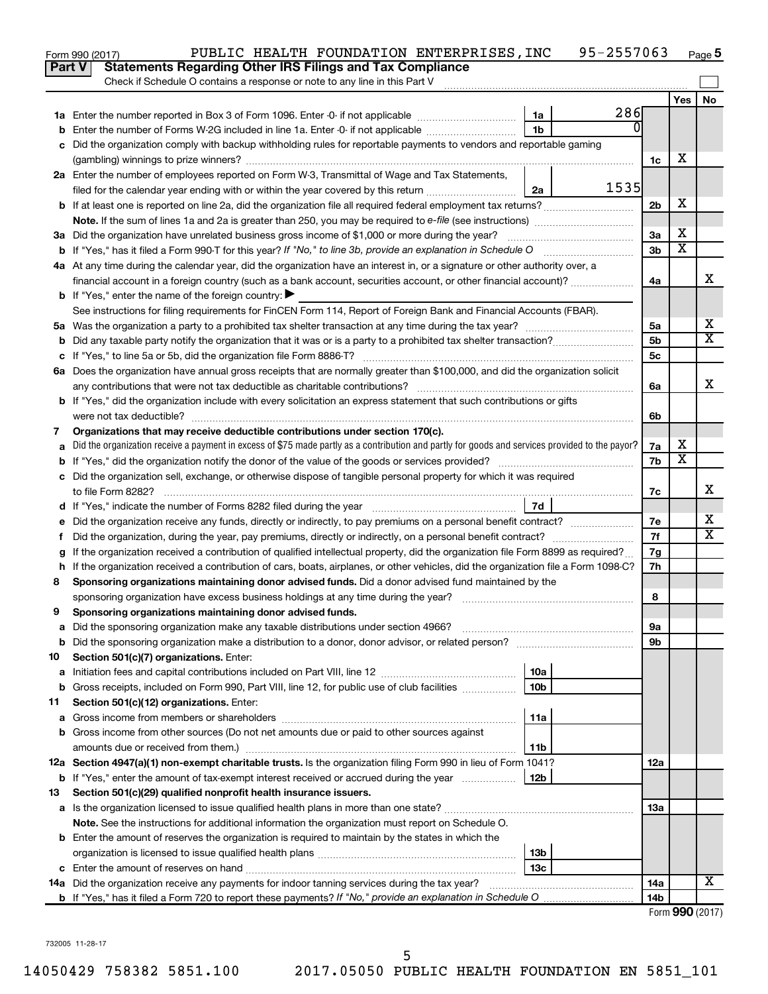|               | 95-2557063<br>PUBLIC HEALTH FOUNDATION ENTERPRISES, INC<br>Form 990 (2017)                                                                      |                 |                         | Page 5 |
|---------------|-------------------------------------------------------------------------------------------------------------------------------------------------|-----------------|-------------------------|--------|
| <b>Part V</b> | <b>Statements Regarding Other IRS Filings and Tax Compliance</b>                                                                                |                 |                         |        |
|               | Check if Schedule O contains a response or note to any line in this Part V                                                                      |                 |                         |        |
|               |                                                                                                                                                 |                 | Yes                     | No     |
|               | 286<br>1a                                                                                                                                       |                 |                         |        |
| b             | 01<br>1 <sub>b</sub><br>Enter the number of Forms W-2G included in line 1a. Enter -0- if not applicable                                         |                 |                         |        |
| c             | Did the organization comply with backup withholding rules for reportable payments to vendors and reportable gaming                              |                 |                         |        |
|               |                                                                                                                                                 | 1c              | х                       |        |
|               | 2a Enter the number of employees reported on Form W-3, Transmittal of Wage and Tax Statements,                                                  |                 |                         |        |
|               | 1535<br>filed for the calendar year ending with or within the year covered by this return<br>2a                                                 |                 |                         |        |
|               |                                                                                                                                                 | 2 <sub>b</sub>  | X                       |        |
|               |                                                                                                                                                 |                 |                         |        |
|               |                                                                                                                                                 | 3a              | х                       |        |
|               |                                                                                                                                                 | 3 <sub>b</sub>  | $\overline{\mathbf{X}}$ |        |
|               | 4a At any time during the calendar year, did the organization have an interest in, or a signature or other authority over, a                    |                 |                         |        |
|               | financial account in a foreign country (such as a bank account, securities account, or other financial account)?                                | 4a              |                         | X      |
|               | <b>b</b> If "Yes," enter the name of the foreign country: $\blacktriangleright$                                                                 |                 |                         |        |
|               | See instructions for filing requirements for FinCEN Form 114, Report of Foreign Bank and Financial Accounts (FBAR).                             |                 |                         |        |
|               |                                                                                                                                                 | 5a              |                         | х      |
| b             |                                                                                                                                                 | 5 <sub>b</sub>  |                         | X      |
|               |                                                                                                                                                 | 5c              |                         |        |
|               | 6a Does the organization have annual gross receipts that are normally greater than \$100,000, and did the organization solicit                  |                 |                         |        |
|               |                                                                                                                                                 | 6a              |                         | X      |
|               | <b>b</b> If "Yes," did the organization include with every solicitation an express statement that such contributions or gifts                   |                 |                         |        |
|               |                                                                                                                                                 | 6b              |                         |        |
| 7             | Organizations that may receive deductible contributions under section 170(c).                                                                   |                 |                         |        |
| a             | Did the organization receive a payment in excess of \$75 made partly as a contribution and partly for goods and services provided to the payor? | 7a              | х                       |        |
| b             |                                                                                                                                                 | 7b              | X                       |        |
|               | c Did the organization sell, exchange, or otherwise dispose of tangible personal property for which it was required                             |                 |                         |        |
|               |                                                                                                                                                 | 7с              |                         | х      |
|               | 7d                                                                                                                                              |                 |                         |        |
|               |                                                                                                                                                 | 7e              |                         | х      |
| Ť.            | Did the organization, during the year, pay premiums, directly or indirectly, on a personal benefit contract?                                    | 7f              |                         | X      |
| g             | If the organization received a contribution of qualified intellectual property, did the organization file Form 8899 as required?                | 7g              |                         |        |
|               | h If the organization received a contribution of cars, boats, airplanes, or other vehicles, did the organization file a Form 1098-C?            | 7h              |                         |        |
| 8             | Sponsoring organizations maintaining donor advised funds. Did a donor advised fund maintained by the                                            |                 |                         |        |
|               |                                                                                                                                                 | 8               |                         |        |
|               | Sponsoring organizations maintaining donor advised funds.                                                                                       |                 |                         |        |
| а             | Did the sponsoring organization make any taxable distributions under section 4966?                                                              | 9а              |                         |        |
| b             | Did the sponsoring organization make a distribution to a donor, donor advisor, or related person?                                               | 9b              |                         |        |
| 10            | Section 501(c)(7) organizations. Enter:                                                                                                         |                 |                         |        |
| a             | 10a                                                                                                                                             |                 |                         |        |
| b             | 10 <sub>b</sub><br>Gross receipts, included on Form 990, Part VIII, line 12, for public use of club facilities                                  |                 |                         |        |
| 11            | Section 501(c)(12) organizations. Enter:                                                                                                        |                 |                         |        |
| а             | 11a                                                                                                                                             |                 |                         |        |
| b             | Gross income from other sources (Do not net amounts due or paid to other sources against                                                        |                 |                         |        |
|               | amounts due or received from them.)<br>11b                                                                                                      |                 |                         |        |
|               | 12a Section 4947(a)(1) non-exempt charitable trusts. Is the organization filing Form 990 in lieu of Form 1041?                                  | 12a             |                         |        |
|               | <b>b</b> If "Yes," enter the amount of tax-exempt interest received or accrued during the year<br>12b                                           |                 |                         |        |
| 13            | Section 501(c)(29) qualified nonprofit health insurance issuers.                                                                                |                 |                         |        |
| а             | Is the organization licensed to issue qualified health plans in more than one state?                                                            | 13a             |                         |        |
|               | Note. See the instructions for additional information the organization must report on Schedule O.                                               |                 |                         |        |
|               | <b>b</b> Enter the amount of reserves the organization is required to maintain by the states in which the                                       |                 |                         |        |
|               | 13b                                                                                                                                             |                 |                         |        |
| c             | 13c                                                                                                                                             |                 |                         |        |
|               | 14a Did the organization receive any payments for indoor tanning services during the tax year?                                                  | 14a             |                         | x      |
|               |                                                                                                                                                 | 14 <sub>b</sub> |                         |        |
|               |                                                                                                                                                 |                 | Form 990 (2017)         |        |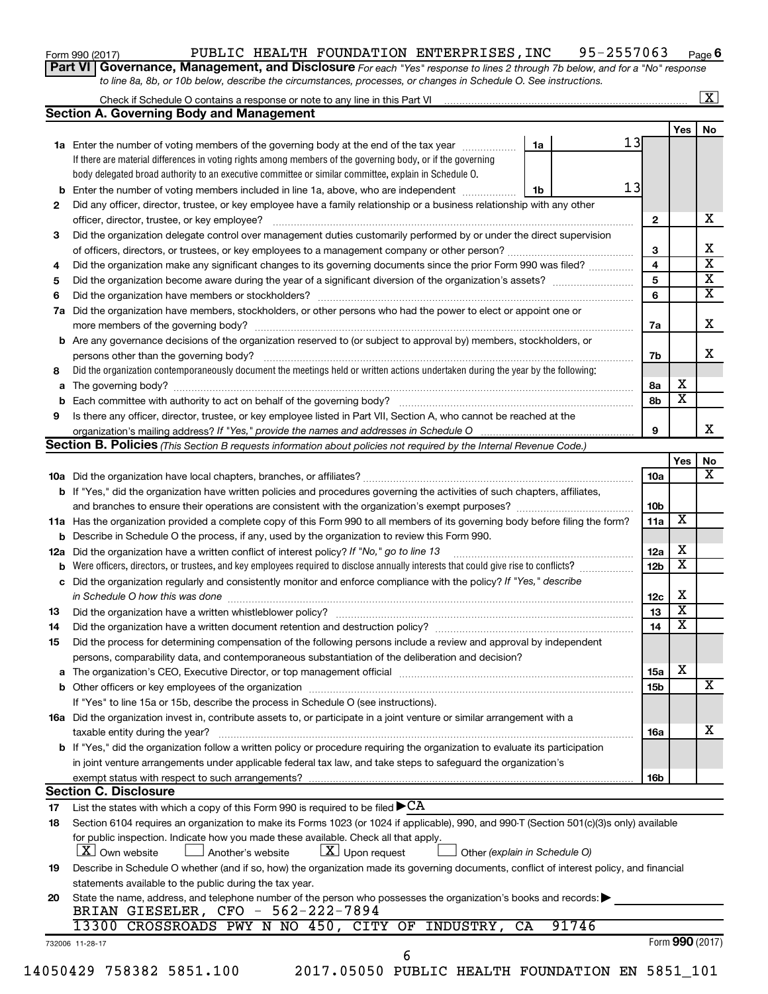### Form 990 (2017) Page PUBLIC HEALTH FOUNDATION ENTERPRISES,INC 95-2557063

**6**

**Part VI** Governance, Management, and Disclosure For each "Yes" response to lines 2 through 7b below, and for a "No" response *to line 8a, 8b, or 10b below, describe the circumstances, processes, or changes in Schedule O. See instructions.*

|        | Check if Schedule O contains a response or note to any line in this Part VI [11] [12] [12] Check if Schedule O contains a response or note to any line in this Part VI |    |       |                         |                         | $\overline{\mathbf{X}}$ |
|--------|------------------------------------------------------------------------------------------------------------------------------------------------------------------------|----|-------|-------------------------|-------------------------|-------------------------|
|        | <b>Section A. Governing Body and Management</b>                                                                                                                        |    |       |                         |                         |                         |
|        |                                                                                                                                                                        |    |       |                         | Yes                     | No                      |
|        | 1a Enter the number of voting members of the governing body at the end of the tax year                                                                                 | 1a |       | 13                      |                         |                         |
|        | If there are material differences in voting rights among members of the governing body, or if the governing                                                            |    |       |                         |                         |                         |
|        | body delegated broad authority to an executive committee or similar committee, explain in Schedule O.                                                                  |    |       |                         |                         |                         |
|        | <b>b</b> Enter the number of voting members included in line 1a, above, who are independent <i>manameron</i>                                                           | 1b | 13    |                         |                         |                         |
| 2      | Did any officer, director, trustee, or key employee have a family relationship or a business relationship with any other                                               |    |       |                         |                         |                         |
|        | officer, director, trustee, or key employee?                                                                                                                           |    |       | $\mathbf{2}$            |                         | x                       |
| 3      | Did the organization delegate control over management duties customarily performed by or under the direct supervision                                                  |    |       |                         |                         |                         |
|        |                                                                                                                                                                        |    |       | 3                       |                         |                         |
| 4      | Did the organization make any significant changes to its governing documents since the prior Form 990 was filed?                                                       |    |       | 4                       |                         |                         |
| 5      |                                                                                                                                                                        |    |       | $\overline{\mathbf{5}}$ |                         |                         |
| 6      |                                                                                                                                                                        |    |       | 6                       |                         |                         |
| 7a     | Did the organization have members, stockholders, or other persons who had the power to elect or appoint one or                                                         |    |       |                         |                         |                         |
|        |                                                                                                                                                                        |    |       | 7a                      |                         |                         |
|        | <b>b</b> Are any governance decisions of the organization reserved to (or subject to approval by) members, stockholders, or                                            |    |       |                         |                         |                         |
|        | persons other than the governing body?                                                                                                                                 |    |       | 7b                      |                         |                         |
| 8      | Did the organization contemporaneously document the meetings held or written actions undertaken during the year by the following:                                      |    |       |                         |                         |                         |
|        |                                                                                                                                                                        |    |       | 8a                      | x                       |                         |
|        |                                                                                                                                                                        |    |       | 8b                      | $\overline{\mathbf{x}}$ |                         |
| b<br>9 |                                                                                                                                                                        |    |       |                         |                         |                         |
|        | Is there any officer, director, trustee, or key employee listed in Part VII, Section A, who cannot be reached at the                                                   |    |       | 9                       |                         |                         |
|        | Section B. Policies (This Section B requests information about policies not required by the Internal Revenue Code.)                                                    |    |       |                         |                         |                         |
|        |                                                                                                                                                                        |    |       |                         |                         |                         |
|        |                                                                                                                                                                        |    |       |                         | Yes                     |                         |
|        |                                                                                                                                                                        |    |       | 10a                     |                         |                         |
|        | <b>b</b> If "Yes," did the organization have written policies and procedures governing the activities of such chapters, affiliates,                                    |    |       |                         |                         |                         |
|        |                                                                                                                                                                        |    |       | 10 <sub>b</sub>         |                         |                         |
|        | 11a Has the organization provided a complete copy of this Form 990 to all members of its governing body before filing the form?                                        |    |       | 11a                     | X                       |                         |
|        | <b>b</b> Describe in Schedule O the process, if any, used by the organization to review this Form 990.                                                                 |    |       |                         |                         |                         |
| 12a    | Did the organization have a written conflict of interest policy? If "No," go to line 13                                                                                |    |       | 12a                     | x                       |                         |
| b      | Were officers, directors, or trustees, and key employees required to disclose annually interests that could give rise to conflicts?                                    |    |       | 12 <sub>b</sub>         | $\overline{\textbf{x}}$ |                         |
|        | c Did the organization regularly and consistently monitor and enforce compliance with the policy? If "Yes," describe                                                   |    |       |                         |                         |                         |
|        | in Schedule O how this was done manufactured and continuum and contact the way to the set of the set of the schedule O how this was done                               |    |       | 12c                     | х                       |                         |
| 13     |                                                                                                                                                                        |    |       | 13                      | $\overline{\textbf{x}}$ |                         |
| 14     | Did the organization have a written document retention and destruction policy? [11] manufaction manufaction in                                                         |    |       | 14                      | $\overline{\textbf{x}}$ |                         |
| 15     | Did the process for determining compensation of the following persons include a review and approval by independent                                                     |    |       |                         |                         |                         |
|        | persons, comparability data, and contemporaneous substantiation of the deliberation and decision?                                                                      |    |       |                         |                         |                         |
|        |                                                                                                                                                                        |    |       | <b>15a</b>              | х                       |                         |
|        |                                                                                                                                                                        |    |       | 15b                     |                         |                         |
|        | If "Yes" to line 15a or 15b, describe the process in Schedule O (see instructions).                                                                                    |    |       |                         |                         |                         |
|        | 16a Did the organization invest in, contribute assets to, or participate in a joint venture or similar arrangement with a                                              |    |       |                         |                         |                         |
|        |                                                                                                                                                                        |    |       |                         |                         |                         |
|        | taxable entity during the year?<br>b If "Yes," did the organization follow a written policy or procedure requiring the organization to evaluate its participation      |    |       | 16a                     |                         |                         |
|        |                                                                                                                                                                        |    |       |                         |                         |                         |
|        | in joint venture arrangements under applicable federal tax law, and take steps to safeguard the organization's                                                         |    |       |                         |                         |                         |
|        | exempt status with respect to such arrangements?                                                                                                                       |    |       | 16b                     |                         |                         |
|        | <b>Section C. Disclosure</b>                                                                                                                                           |    |       |                         |                         |                         |
| 17     | List the states with which a copy of this Form 990 is required to be filed $\blacktriangleright$ CA                                                                    |    |       |                         |                         |                         |
| 18     | Section 6104 requires an organization to make its Forms 1023 (or 1024 if applicable), 990, and 990-T (Section 501(c)(3)s only) available                               |    |       |                         |                         |                         |
|        | for public inspection. Indicate how you made these available. Check all that apply.                                                                                    |    |       |                         |                         |                         |
|        | $X$ Own website<br>$\lfloor x \rfloor$ Upon request<br>Another's website<br>Other (explain in Schedule O)                                                              |    |       |                         |                         |                         |
| 19     | Describe in Schedule O whether (and if so, how) the organization made its governing documents, conflict of interest policy, and financial                              |    |       |                         |                         |                         |
|        | statements available to the public during the tax year.                                                                                                                |    |       |                         |                         |                         |
| 20     | State the name, address, and telephone number of the person who possesses the organization's books and records:                                                        |    |       |                         |                         |                         |
|        | BRIAN GIESELER, CFO - 562-222-7894                                                                                                                                     |    |       |                         |                         |                         |
|        | 13300 CROSSROADS PWY N NO 450, CITY OF INDUSTRY,                                                                                                                       | CA | 91746 |                         |                         |                         |
|        | 732006 11-28-17                                                                                                                                                        |    |       |                         | Form 990 (2017)         |                         |
|        | 6                                                                                                                                                                      |    |       |                         |                         |                         |
|        | 14050429 758382 5851.100<br>2017.05050 PUBLIC HEALTH FOUNDATION EN 5851_101                                                                                            |    |       |                         |                         |                         |
|        |                                                                                                                                                                        |    |       |                         |                         |                         |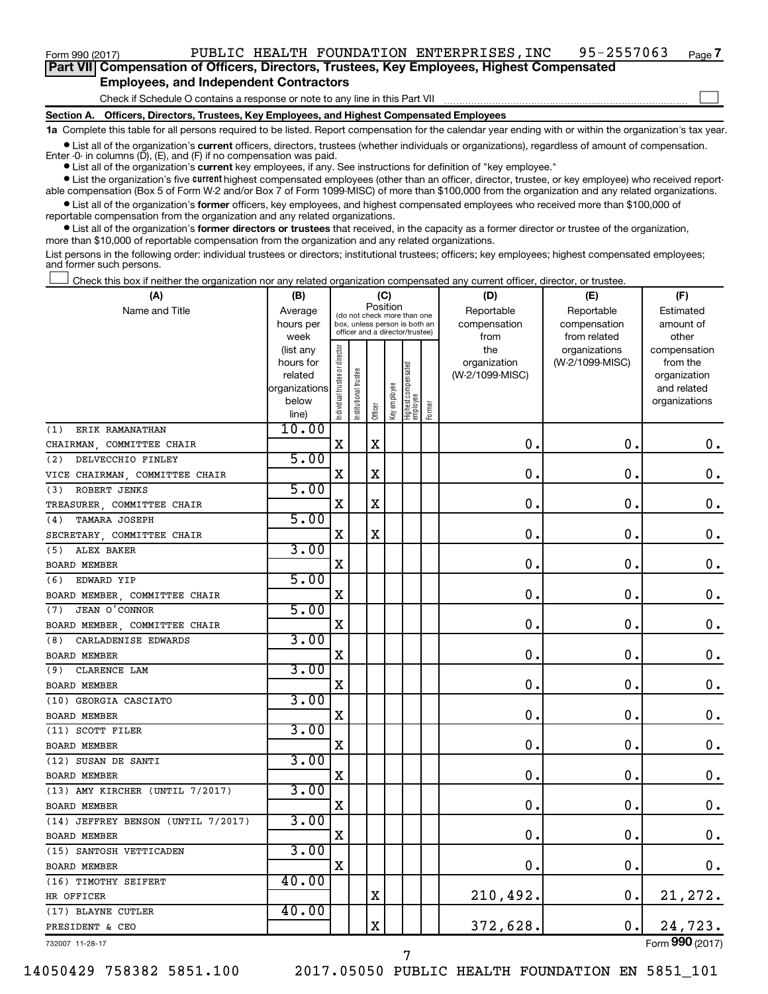$\Box$ 

**Part VII Compensation of Officers, Directors, Trustees, Key Employees, Highest Compensated Employees, and Independent Contractors**

Check if Schedule O contains a response or note to any line in this Part VII

**Section A. Officers, Directors, Trustees, Key Employees, and Highest Compensated Employees**

**1a**  Complete this table for all persons required to be listed. Report compensation for the calendar year ending with or within the organization's tax year.

**•** List all of the organization's current officers, directors, trustees (whether individuals or organizations), regardless of amount of compensation. Enter -0- in columns  $(D)$ ,  $(E)$ , and  $(F)$  if no compensation was paid.

**•** List all of the organization's **current** key employees, if any. See instructions for definition of "key employee."

**•** List the organization's five current highest compensated employees (other than an officer, director, trustee, or key employee) who received reportable compensation (Box 5 of Form W-2 and/or Box 7 of Form 1099-MISC) of more than \$100,000 from the organization and any related organizations.

**•** List all of the organization's former officers, key employees, and highest compensated employees who received more than \$100,000 of reportable compensation from the organization and any related organizations.

**•** List all of the organization's former directors or trustees that received, in the capacity as a former director or trustee of the organization, more than \$10,000 of reportable compensation from the organization and any related organizations.

List persons in the following order: individual trustees or directors; institutional trustees; officers; key employees; highest compensated employees; and former such persons.

Check this box if neither the organization nor any related organization compensated any current officer, director, or trustee.  $\Box$ 

| (A)                                | (B)                    |                               |                                                                  |             | (C)          |                                   |        | (D)                             | (E)             | (F)                      |
|------------------------------------|------------------------|-------------------------------|------------------------------------------------------------------|-------------|--------------|-----------------------------------|--------|---------------------------------|-----------------|--------------------------|
| Name and Title                     | Average                |                               | (do not check more than one                                      | Position    |              |                                   |        | Reportable                      | Reportable      | Estimated                |
|                                    | hours per              |                               | box, unless person is both an<br>officer and a director/trustee) |             |              |                                   |        | compensation                    | compensation    | amount of                |
|                                    | week                   |                               |                                                                  |             |              |                                   |        | from                            | from related    | other                    |
|                                    | (list any<br>hours for | ndividual trustee or director |                                                                  |             |              |                                   |        | the                             | organizations   | compensation<br>from the |
|                                    | related                |                               |                                                                  |             |              |                                   |        | organization<br>(W-2/1099-MISC) | (W-2/1099-MISC) | organization             |
|                                    | organizations          |                               | nstitutional trustee                                             |             |              |                                   |        |                                 |                 | and related              |
|                                    | below                  |                               |                                                                  |             | Key employee |                                   |        |                                 |                 | organizations            |
|                                    | line)                  |                               |                                                                  | Officer     |              | Highest compensated<br>  employee | Former |                                 |                 |                          |
| ERIK RAMANATHAN<br>(1)             | 10.00                  |                               |                                                                  |             |              |                                   |        |                                 |                 |                          |
| CHAIRMAN, COMMITTEE CHAIR          |                        | X                             |                                                                  | X           |              |                                   |        | о.                              | $\mathbf 0$ .   | $0$ .                    |
| DELVECCHIO FINLEY<br>(2)           | 5.00                   |                               |                                                                  |             |              |                                   |        |                                 |                 |                          |
| VICE CHAIRMAN, COMMITTEE CHAIR     |                        | X                             |                                                                  | $\mathbf X$ |              |                                   |        | $\mathbf 0$ .                   | $\mathbf 0$ .   | $\boldsymbol{0}$ .       |
| ROBERT JENKS<br>(3)                | 5.00                   |                               |                                                                  |             |              |                                   |        |                                 |                 |                          |
| TREASURER, COMMITTEE CHAIR         |                        | X                             |                                                                  | X           |              |                                   |        | $\mathbf 0$                     | 0.              | $\boldsymbol{0}$ .       |
| TAMARA JOSEPH<br>(4)               | 5.00                   |                               |                                                                  |             |              |                                   |        |                                 |                 |                          |
| SECRETARY, COMMITTEE CHAIR         |                        | X                             |                                                                  | $\mathbf X$ |              |                                   |        | $\mathbf 0$                     | $\mathbf 0$ .   | $\mathbf 0$ .            |
| ALEX BAKER<br>(5)                  | 3.00                   |                               |                                                                  |             |              |                                   |        |                                 |                 |                          |
| BOARD MEMBER                       |                        | X                             |                                                                  |             |              |                                   |        | $\mathbf 0$                     | $\mathbf 0$ .   | 0.                       |
| (6) EDWARD YIP                     | 5.00                   |                               |                                                                  |             |              |                                   |        |                                 |                 |                          |
| BOARD MEMBER, COMMITTEE CHAIR      |                        | X                             |                                                                  |             |              |                                   |        | $\mathbf 0$                     | $\mathbf 0$ .   | $\boldsymbol{0}$ .       |
| JEAN O'CONNOR<br>(7)               | 5.00                   |                               |                                                                  |             |              |                                   |        |                                 |                 |                          |
| BOARD MEMBER, COMMITTEE CHAIR      |                        | X                             |                                                                  |             |              |                                   |        | $\mathbf 0$                     | $\mathbf 0$     | $\boldsymbol{0}$ .       |
| CARLADENISE EDWARDS<br>(8)         | 3.00                   |                               |                                                                  |             |              |                                   |        |                                 |                 |                          |
| <b>BOARD MEMBER</b>                |                        | X                             |                                                                  |             |              |                                   |        | 0                               | $\mathbf 0$ .   | $\mathbf 0$ .            |
| CLARENCE LAM<br>(9)                | 3.00                   |                               |                                                                  |             |              |                                   |        |                                 |                 |                          |
| <b>BOARD MEMBER</b>                |                        | X                             |                                                                  |             |              |                                   |        | 0.                              | $\mathbf 0$ .   | $\boldsymbol{0}$ .       |
| (10) GEORGIA CASCIATO              | 3.00                   |                               |                                                                  |             |              |                                   |        |                                 |                 |                          |
| <b>BOARD MEMBER</b>                |                        | X                             |                                                                  |             |              |                                   |        | $\mathbf 0$ .                   | $\mathbf 0$ .   | 0.                       |
| (11) SCOTT FILER                   | 3.00                   |                               |                                                                  |             |              |                                   |        |                                 |                 |                          |
| BOARD MEMBER                       |                        | $\mathbf X$                   |                                                                  |             |              |                                   |        | $\mathbf 0$                     | $\mathbf 0$     | $\mathbf 0$ .            |
| (12) SUSAN DE SANTI                | 3.00                   |                               |                                                                  |             |              |                                   |        |                                 |                 |                          |
| <b>BOARD MEMBER</b>                |                        | X                             |                                                                  |             |              |                                   |        | $\mathbf 0$                     | $\mathbf 0$ .   | 0.                       |
| (13) AMY KIRCHER (UNTIL 7/2017)    | 3.00                   |                               |                                                                  |             |              |                                   |        |                                 |                 |                          |
| <b>BOARD MEMBER</b>                |                        | X                             |                                                                  |             |              |                                   |        | $\mathbf 0$                     | $\mathbf 0$ .   | $\boldsymbol{0}$ .       |
| (14) JEFFREY BENSON (UNTIL 7/2017) | 3.00                   |                               |                                                                  |             |              |                                   |        |                                 |                 |                          |
| <b>BOARD MEMBER</b>                |                        | X                             |                                                                  |             |              |                                   |        | $\mathbf 0$ .                   | $\mathbf 0$ .   | 0.                       |
| (15) SANTOSH VETTICADEN            | 3.00                   |                               |                                                                  |             |              |                                   |        |                                 |                 |                          |
| <b>BOARD MEMBER</b>                |                        | х                             |                                                                  |             |              |                                   |        | $\mathbf 0$                     | $\mathbf 0$ .   | $0$ .                    |
| (16) TIMOTHY SEIFERT               | 40.00                  |                               |                                                                  |             |              |                                   |        |                                 |                 |                          |
| HR OFFICER                         |                        |                               |                                                                  | X           |              |                                   |        | 210,492.                        | $\mathbf 0$ .   | 21, 272.                 |
| (17) BLAYNE CUTLER                 | 40.00                  |                               |                                                                  |             |              |                                   |        |                                 |                 |                          |
| PRESIDENT & CEO                    |                        |                               |                                                                  | X           |              |                                   |        | 372,628.                        | 0.              | 24,723.                  |
| 732007 11-28-17                    |                        |                               |                                                                  |             |              |                                   |        |                                 |                 | Form 990 (2017)          |

14050429 758382 5851.100 2017.05050 PUBLIC HEALTH FOUNDATION EN 5851\_101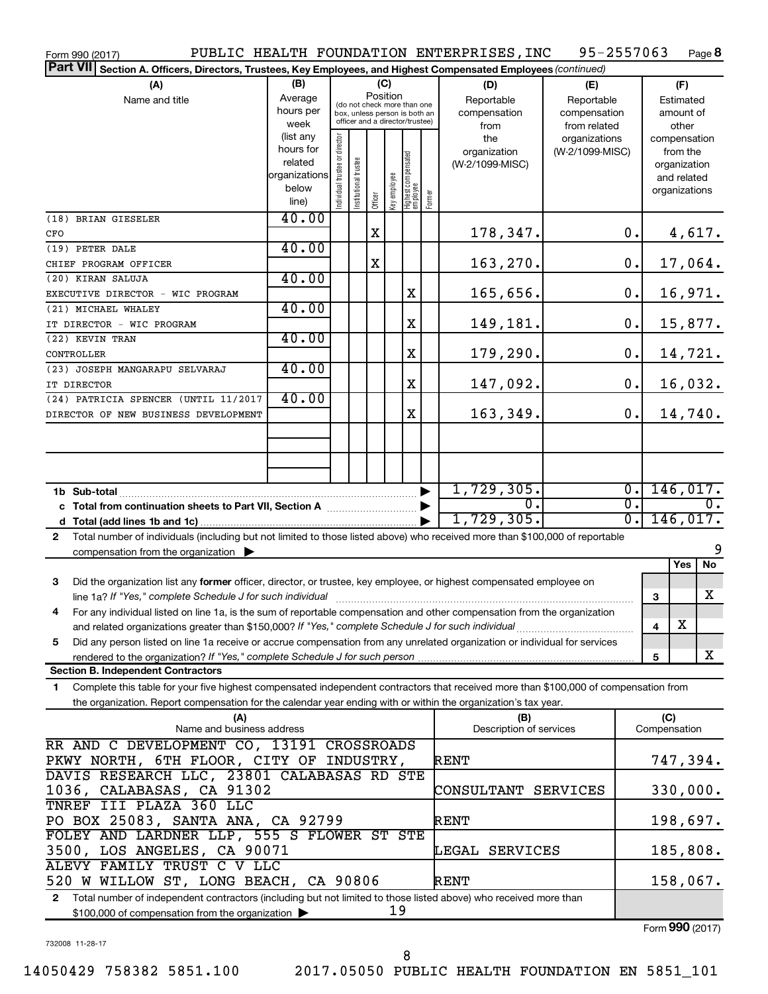| PUBLIC HEALTH FOUNDATION ENTERPRISES, INC<br>95-2557063<br>Page 8<br>Form 990 (2017)                                                         |                        |                                |                       |                                                                  |              |                                   |                          |                                 |                 |                  |              |                          |
|----------------------------------------------------------------------------------------------------------------------------------------------|------------------------|--------------------------------|-----------------------|------------------------------------------------------------------|--------------|-----------------------------------|--------------------------|---------------------------------|-----------------|------------------|--------------|--------------------------|
| <b>Part VII</b><br>Section A. Officers, Directors, Trustees, Key Employees, and Highest Compensated Employees (continued)                    |                        |                                |                       |                                                                  |              |                                   |                          |                                 |                 |                  |              |                          |
| (B)<br>(C)<br>(A)                                                                                                                            |                        |                                |                       |                                                                  |              |                                   |                          | (D)<br>(E)                      |                 |                  |              | (F)                      |
| Name and title                                                                                                                               | Average                |                                |                       | Position<br>(do not check more than one                          |              |                                   |                          | Reportable                      | Reportable      | Estimated        |              |                          |
|                                                                                                                                              | hours per              |                                |                       | box, unless person is both an<br>officer and a director/trustee) |              |                                   |                          | compensation                    | compensation    |                  |              | amount of                |
|                                                                                                                                              | week                   |                                |                       |                                                                  |              |                                   |                          | from                            | from related    |                  |              | other                    |
|                                                                                                                                              | (list any<br>hours for |                                |                       |                                                                  |              |                                   |                          | the                             | organizations   |                  |              | compensation             |
|                                                                                                                                              | related                |                                |                       |                                                                  |              |                                   |                          | organization<br>(W-2/1099-MISC) | (W-2/1099-MISC) |                  |              | from the<br>organization |
|                                                                                                                                              | organizations          |                                |                       |                                                                  |              |                                   |                          |                                 |                 |                  |              | and related              |
|                                                                                                                                              | below                  |                                |                       |                                                                  |              |                                   |                          |                                 |                 |                  |              | organizations            |
|                                                                                                                                              | line)                  | Individual trustee or director | Institutional trustee | Officer                                                          | Key employee | Highest compensated<br>  employee | Former                   |                                 |                 |                  |              |                          |
| (18) BRIAN GIESELER                                                                                                                          | 40.00                  |                                |                       |                                                                  |              |                                   |                          |                                 |                 |                  |              |                          |
| CFO                                                                                                                                          |                        |                                |                       | $\mathbf X$                                                      |              |                                   |                          | 178,347.                        |                 | 0.               |              | 4,617.                   |
| (19) PETER DALE                                                                                                                              | 40.00                  |                                |                       |                                                                  |              |                                   |                          |                                 |                 |                  |              |                          |
| CHIEF PROGRAM OFFICER                                                                                                                        |                        |                                |                       | X                                                                |              |                                   |                          | 163,270.                        |                 | $\mathbf 0$ .    |              | 17,064.                  |
| (20) KIRAN SALUJA                                                                                                                            | 40.00                  |                                |                       |                                                                  |              |                                   |                          |                                 |                 |                  |              |                          |
| EXECUTIVE DIRECTOR - WIC PROGRAM                                                                                                             |                        |                                |                       |                                                                  |              | X                                 |                          | 165,656.                        |                 | 0.               |              | 16,971.                  |
| (21) MICHAEL WHALEY                                                                                                                          | 40.00                  |                                |                       |                                                                  |              |                                   |                          |                                 |                 |                  |              |                          |
| IT DIRECTOR - WIC PROGRAM                                                                                                                    |                        |                                |                       |                                                                  |              | X                                 |                          | 149,181.                        |                 | 0.               |              | 15,877.                  |
| (22) KEVIN TRAN                                                                                                                              | 40.00                  |                                |                       |                                                                  |              |                                   |                          |                                 |                 |                  |              |                          |
| CONTROLLER                                                                                                                                   |                        |                                |                       |                                                                  |              | X                                 |                          | 179,290.                        |                 | 0.               |              | 14,721.                  |
| (23) JOSEPH MANGARAPU SELVARAJ                                                                                                               | 40.00                  |                                |                       |                                                                  |              |                                   |                          |                                 |                 |                  |              |                          |
| IT DIRECTOR                                                                                                                                  |                        |                                |                       |                                                                  |              | X                                 |                          | 147,092.                        |                 | $\mathbf 0$ .    |              | 16,032.                  |
| (24) PATRICIA SPENCER (UNTIL 11/2017                                                                                                         | 40.00                  |                                |                       |                                                                  |              |                                   |                          |                                 |                 |                  |              |                          |
| DIRECTOR OF NEW BUSINESS DEVELOPMENT                                                                                                         |                        |                                |                       |                                                                  |              | X                                 |                          | 163,349.                        |                 | 0.               |              | 14,740.                  |
|                                                                                                                                              |                        |                                |                       |                                                                  |              |                                   |                          |                                 |                 |                  |              |                          |
|                                                                                                                                              |                        |                                |                       |                                                                  |              |                                   |                          |                                 |                 |                  |              |                          |
|                                                                                                                                              |                        |                                |                       |                                                                  |              |                                   |                          |                                 |                 |                  |              |                          |
|                                                                                                                                              |                        |                                |                       |                                                                  |              |                                   |                          |                                 |                 |                  |              |                          |
| 1b Sub-total                                                                                                                                 |                        |                                |                       |                                                                  |              |                                   |                          | 1,729,305.                      |                 | $\overline{0}$ . |              | 146,017.                 |
| c Total from continuation sheets to Part VII, Section A <b>manual</b> Section A                                                              |                        |                                |                       |                                                                  |              |                                   |                          | σ.                              |                 | σ.               |              |                          |
|                                                                                                                                              |                        |                                |                       |                                                                  |              |                                   |                          | 1,729,305.                      |                 | $\overline{0}$ . |              | 146,017.                 |
| Total number of individuals (including but not limited to those listed above) who received more than \$100,000 of reportable<br>$\mathbf{2}$ |                        |                                |                       |                                                                  |              |                                   |                          |                                 |                 |                  |              |                          |
| compensation from the organization $\blacktriangleright$                                                                                     |                        |                                |                       |                                                                  |              |                                   |                          |                                 |                 |                  |              | 9                        |
|                                                                                                                                              |                        |                                |                       |                                                                  |              |                                   |                          |                                 |                 |                  |              | Yes<br>No                |
| Did the organization list any former officer, director, or trustee, key employee, or highest compensated employee on<br>3                    |                        |                                |                       |                                                                  |              |                                   |                          |                                 |                 |                  |              |                          |
|                                                                                                                                              |                        |                                |                       |                                                                  |              |                                   |                          |                                 |                 |                  | 3            | X                        |
| For any individual listed on line 1a, is the sum of reportable compensation and other compensation from the organization                     |                        |                                |                       |                                                                  |              |                                   |                          |                                 |                 |                  |              |                          |
| and related organizations greater than \$150,000? If "Yes," complete Schedule J for such individual                                          |                        |                                |                       |                                                                  |              |                                   |                          |                                 |                 |                  | 4            | Χ                        |
| Did any person listed on line 1a receive or accrue compensation from any unrelated organization or individual for services<br>5              |                        |                                |                       |                                                                  |              |                                   |                          |                                 |                 |                  |              |                          |
|                                                                                                                                              |                        |                                |                       |                                                                  |              |                                   |                          |                                 |                 |                  | 5            | X                        |
| <b>Section B. Independent Contractors</b>                                                                                                    |                        |                                |                       |                                                                  |              |                                   |                          |                                 |                 |                  |              |                          |
| Complete this table for your five highest compensated independent contractors that received more than \$100,000 of compensation from<br>1.   |                        |                                |                       |                                                                  |              |                                   |                          |                                 |                 |                  |              |                          |
| the organization. Report compensation for the calendar year ending with or within the organization's tax year.                               |                        |                                |                       |                                                                  |              |                                   |                          |                                 |                 |                  |              |                          |
| (A)                                                                                                                                          |                        |                                |                       |                                                                  |              |                                   |                          | (B)                             |                 |                  | (C)          |                          |
| Name and business address                                                                                                                    |                        |                                |                       |                                                                  |              |                                   |                          | Description of services         |                 |                  | Compensation |                          |
| RR AND C DEVELOPMENT CO, 13191 CROSSROADS                                                                                                    |                        |                                |                       |                                                                  |              |                                   |                          |                                 |                 |                  |              |                          |
| PKWY NORTH, 6TH FLOOR, CITY OF INDUSTRY,                                                                                                     |                        |                                |                       |                                                                  |              |                                   |                          | RENT                            |                 |                  |              | 747,394.                 |
| DAVIS RESEARCH LLC, 23801 CALABASAS RD STE                                                                                                   |                        |                                |                       |                                                                  |              |                                   |                          |                                 |                 |                  |              |                          |
| 1036, CALABASAS, CA 91302<br>CONSULTANT SERVICES                                                                                             |                        |                                |                       |                                                                  |              |                                   |                          |                                 |                 | 330,000.         |              |                          |
| TNREF III PLAZA 360 LLC                                                                                                                      |                        |                                |                       |                                                                  |              |                                   |                          |                                 |                 |                  |              |                          |
| PO BOX 25083, SANTA ANA, CA 92799                                                                                                            |                        |                                |                       |                                                                  |              |                                   | RENT                     |                                 |                 |                  | 198,697.     |                          |
| FOLEY AND LARDNER LLP, 555 S FLOWER ST STE                                                                                                   |                        |                                |                       |                                                                  |              |                                   |                          |                                 |                 |                  |              |                          |
| 3500, LOS ANGELES, CA 90071                                                                                                                  |                        |                                |                       |                                                                  |              |                                   | LEGAL<br><b>SERVICES</b> |                                 |                 |                  | 185,808.     |                          |
| ALEVY FAMILY TRUST C V LLC                                                                                                                   |                        |                                |                       |                                                                  |              |                                   |                          |                                 |                 |                  |              |                          |
| 520 W WILLOW ST, LONG BEACH, CA 90806<br>RENT                                                                                                |                        |                                |                       |                                                                  |              |                                   | 158,067.                 |                                 |                 |                  |              |                          |
| Total number of independent contractors (including but not limited to those listed above) who received more than<br>2                        |                        |                                |                       |                                                                  |              |                                   |                          |                                 |                 |                  |              |                          |
| \$100,000 of compensation from the organization                                                                                              |                        |                                |                       |                                                                  | 19           |                                   |                          |                                 |                 |                  |              |                          |

732008 11-28-17

Form (2017) **990**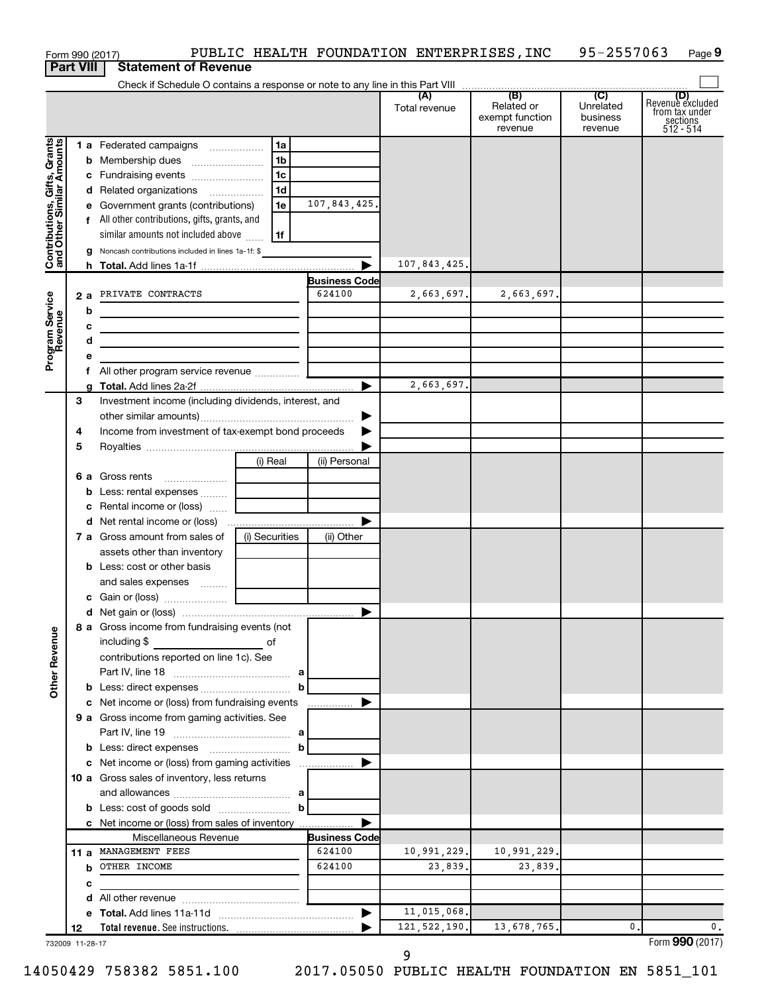|                                                           |                  | Form 990 (2017)                                                                                                       |                |                                | PUBLIC HEALTH FOUNDATION ENTERPRISES, INC |                                          | 95-2557063                              | Page 9                                                      |
|-----------------------------------------------------------|------------------|-----------------------------------------------------------------------------------------------------------------------|----------------|--------------------------------|-------------------------------------------|------------------------------------------|-----------------------------------------|-------------------------------------------------------------|
|                                                           | <b>Part VIII</b> | <b>Statement of Revenue</b>                                                                                           |                |                                |                                           |                                          |                                         |                                                             |
|                                                           |                  |                                                                                                                       |                |                                |                                           | (B)                                      |                                         |                                                             |
|                                                           |                  |                                                                                                                       |                |                                | (A)<br>Total revenue                      | Related or<br>exempt function<br>revenue | (C)<br>Unrelated<br>business<br>revenue | Revenue excluded<br>from tax under<br>sections<br>512 - 514 |
|                                                           |                  | 1 a Federated campaigns                                                                                               | 1a             |                                |                                           |                                          |                                         |                                                             |
| Contributions, Gifts, Grants<br>and Other Similar Amounts |                  |                                                                                                                       | 1 <sub>b</sub> |                                |                                           |                                          |                                         |                                                             |
|                                                           |                  | c Fundraising events                                                                                                  | 1 <sub>c</sub> |                                |                                           |                                          |                                         |                                                             |
|                                                           |                  | d Related organizations                                                                                               | 1 <sub>d</sub> |                                |                                           |                                          |                                         |                                                             |
|                                                           |                  | e Government grants (contributions)                                                                                   | 1e             | 107,843,425.                   |                                           |                                          |                                         |                                                             |
|                                                           |                  | f All other contributions, gifts, grants, and                                                                         |                |                                |                                           |                                          |                                         |                                                             |
|                                                           |                  | similar amounts not included above                                                                                    | 1f             |                                |                                           |                                          |                                         |                                                             |
|                                                           |                  | <b>g</b> Noncash contributions included in lines 1a-1f: \$                                                            |                |                                |                                           |                                          |                                         |                                                             |
|                                                           |                  |                                                                                                                       |                |                                | 107,843,425.                              |                                          |                                         |                                                             |
|                                                           |                  |                                                                                                                       |                | <b>Business Code</b>           |                                           |                                          |                                         |                                                             |
|                                                           |                  | 2 a PRIVATE CONTRACTS                                                                                                 |                | 624100                         | 2,663,697.                                | 2,663,697.                               |                                         |                                                             |
|                                                           | b                | <u> 1980 - Johann Barbara, martin amerikan basar dan berasal dan berasal dalam basar dalam basar dalam basar dala</u> |                |                                |                                           |                                          |                                         |                                                             |
|                                                           | с                |                                                                                                                       |                |                                |                                           |                                          |                                         |                                                             |
|                                                           | d                |                                                                                                                       |                |                                |                                           |                                          |                                         |                                                             |
| Program Service<br>Revenue                                | е                |                                                                                                                       |                |                                |                                           |                                          |                                         |                                                             |
|                                                           | f                | All other program service revenue                                                                                     |                |                                | 2,663,697.                                |                                          |                                         |                                                             |
|                                                           | 3                |                                                                                                                       |                |                                |                                           |                                          |                                         |                                                             |
|                                                           |                  | Investment income (including dividends, interest, and                                                                 |                |                                |                                           |                                          |                                         |                                                             |
|                                                           | 4                | Income from investment of tax-exempt bond proceeds                                                                    |                |                                |                                           |                                          |                                         |                                                             |
|                                                           | 5                |                                                                                                                       |                |                                |                                           |                                          |                                         |                                                             |
|                                                           |                  |                                                                                                                       | (i) Real       | (ii) Personal                  |                                           |                                          |                                         |                                                             |
|                                                           |                  | <b>6 a</b> Gross rents                                                                                                |                |                                |                                           |                                          |                                         |                                                             |
|                                                           |                  |                                                                                                                       |                |                                |                                           |                                          |                                         |                                                             |
|                                                           |                  | c Rental income or (loss)                                                                                             |                |                                |                                           |                                          |                                         |                                                             |
|                                                           |                  |                                                                                                                       |                | ▶                              |                                           |                                          |                                         |                                                             |
|                                                           |                  | 7 a Gross amount from sales of                                                                                        | (i) Securities | (ii) Other                     |                                           |                                          |                                         |                                                             |
|                                                           |                  | assets other than inventory                                                                                           |                |                                |                                           |                                          |                                         |                                                             |
|                                                           |                  | <b>b</b> Less: cost or other basis                                                                                    |                |                                |                                           |                                          |                                         |                                                             |
|                                                           |                  | and sales expenses  [ ____________                                                                                    |                |                                |                                           |                                          |                                         |                                                             |
|                                                           |                  |                                                                                                                       |                |                                |                                           |                                          |                                         |                                                             |
|                                                           |                  |                                                                                                                       |                |                                |                                           |                                          |                                         |                                                             |
| <b>Other Revenue</b>                                      |                  | 8 a Gross income from fundraising events (not<br>including \$<br><u>of</u> of                                         |                |                                |                                           |                                          |                                         |                                                             |
|                                                           |                  | contributions reported on line 1c). See                                                                               |                |                                |                                           |                                          |                                         |                                                             |
|                                                           |                  |                                                                                                                       |                |                                |                                           |                                          |                                         |                                                             |
|                                                           |                  |                                                                                                                       | b              |                                |                                           |                                          |                                         |                                                             |
|                                                           |                  | c Net income or (loss) from fundraising events                                                                        |                |                                |                                           |                                          |                                         |                                                             |
|                                                           |                  | 9 a Gross income from gaming activities. See                                                                          |                |                                |                                           |                                          |                                         |                                                             |
|                                                           |                  |                                                                                                                       |                |                                |                                           |                                          |                                         |                                                             |
|                                                           |                  |                                                                                                                       | $\mathbf b$    |                                |                                           |                                          |                                         |                                                             |
|                                                           |                  |                                                                                                                       |                |                                |                                           |                                          |                                         |                                                             |
|                                                           |                  | 10 a Gross sales of inventory, less returns                                                                           |                |                                |                                           |                                          |                                         |                                                             |
|                                                           |                  |                                                                                                                       |                |                                |                                           |                                          |                                         |                                                             |
|                                                           |                  |                                                                                                                       |                |                                |                                           |                                          |                                         |                                                             |
|                                                           |                  | c Net income or (loss) from sales of inventory                                                                        |                |                                |                                           |                                          |                                         |                                                             |
|                                                           |                  | Miscellaneous Revenue<br>11 a MANAGEMENT FEES                                                                         |                | <b>Business Code</b><br>624100 | 10,991,229.                               | 10,991,229.                              |                                         |                                                             |
|                                                           |                  | <b>b</b> OTHER INCOME                                                                                                 |                | 624100                         | 23,839.                                   | 23,839.                                  |                                         |                                                             |
|                                                           | c                |                                                                                                                       |                |                                |                                           |                                          |                                         |                                                             |
|                                                           |                  |                                                                                                                       |                |                                |                                           |                                          |                                         |                                                             |
|                                                           |                  |                                                                                                                       |                |                                | 11,015,068.                               |                                          |                                         |                                                             |
|                                                           | 12               |                                                                                                                       |                |                                | 121, 522, 190.                            | 13,678,765.                              | $\mathbf{0}$ .                          | 0.                                                          |
| 732009 11-28-17                                           |                  |                                                                                                                       |                |                                |                                           |                                          |                                         | Form 990 (2017)                                             |

732009 11-28-17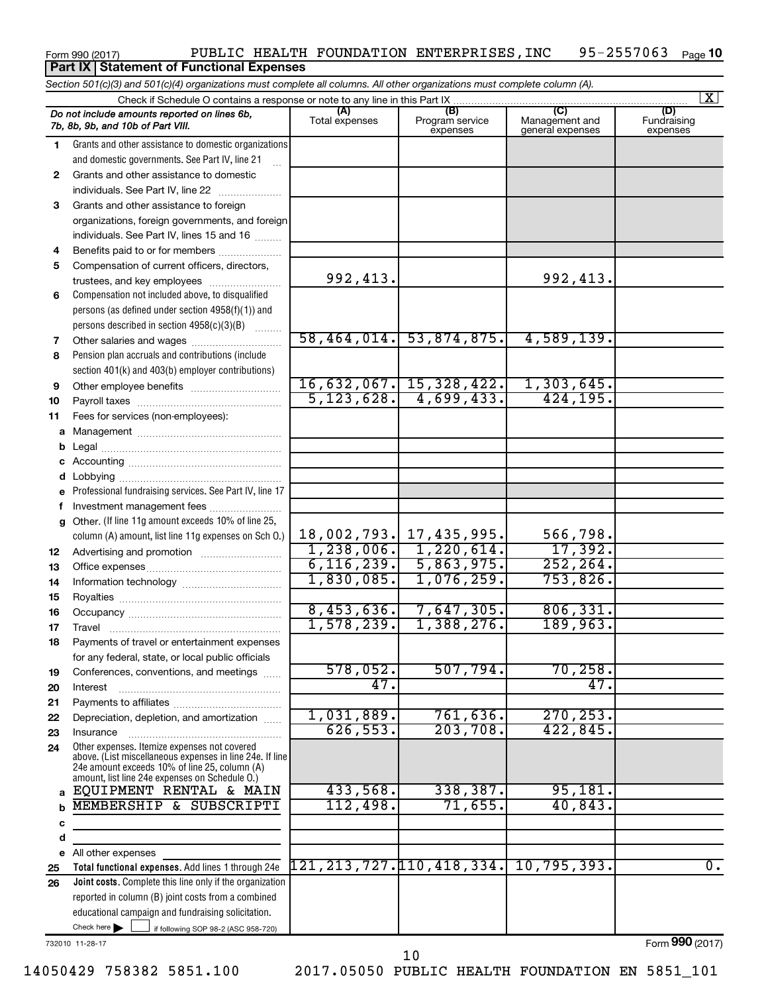### Form 990 (2017) Page PUBLIC HEALTH FOUNDATION ENTERPRISES,INC 95-2557063 95-2557063 <sub>Page</sub> 10 **Part IX | Statement of Functional Expenses**

**Total functional expenses.**  Add lines 1 through 24e **Joint costs.** Complete this line only if the organization **(A) (B) (C) (D)** Fundraising **1 2 3** Grants and other assistance to foreign **4 5 6 7 8 9 10 11 a** Management ~~~~~~~~~~~~~~~~ **b c d e f g 12 13 14 15 16 17 18 19 20 21 22 23 24 a b c d e 25 26** *Section 501(c)(3) and 501(c)(4) organizations must complete all columns. All other organizations must complete column (A).* Grants and other assistance to domestic organizations and domestic governments. See Part IV, line 21 Compensation not included above, to disqualified persons (as defined under section 4958(f)(1)) and persons described in section  $4958(c)(3)(B)$   $\ldots$ Pension plan accruals and contributions (include section 401(k) and 403(b) employer contributions) Professional fundraising services. See Part IV, line 17 Other. (If line 11g amount exceeds 10% of line 25, column (A) amount, list line 11g expenses on Sch O.) Other expenses. Itemize expenses not covered above. (List miscellaneous expenses in line 24e. If line 24e amount exceeds 10% of line 25, column (A) amount, list line 24e expenses on Schedule O.) reported in column (B) joint costs from a combined educational campaign and fundraising solicitation. Check if Schedule O contains a response or note to any line in this Part IX Total expenses Program service expenses Management and general expenses expenses .<br>... Grants and other assistance to domestic  $individuals. See Part IV, line 22$  ............ organizations, foreign governments, and foreign individuals. See Part IV, lines 15 and 16  $\ldots$ Benefits paid to or for members .................... Compensation of current officers, directors, trustees, and key employees ........................ Other salaries and wages ~~~~~~~~~~ Other employee benefits ~~~~~~~~~~ Payroll taxes ~~~~~~~~~~~~~~~~ Fees for services (non-employees): Legal ~~~~~~~~~~~~~~~~~~~~ Accounting ~~~~~~~~~~~~~~~~~ Lobbying ~~~~~~~~~~~~~~~~~~ Investment management fees ....................... Advertising and promotion ........................... Office expenses ~~~~~~~~~~~~~~~ Information technology ~~~~~~~~~~~ Royalties ~~~~~~~~~~~~~~~~~~ Occupancy ~~~~~~~~~~~~~~~~~ Travel ………………………………………………… Payments of travel or entertainment expenses for any federal, state, or local public officials Conferences, conventions, and meetings Interest ~~~~~~~~~~~~~~~~~~ Payments to affiliates ~~~~~~~~~~~~ Depreciation, depletion, and amortization ...... Insurance ~~~~~~~~~~~~~~~~~ All other expenses *Do not include amounts reported on lines 6b, 7b, 8b, 9b, and 10b of Part VIII.*  $\boxed{\text{X}}$ 992,413. 58,464,014. 53,874,875. 4,589,139. 16,632,067. 15,328,422. 1,303,645. 5,123,628. 4,699,433. 424,195. 18,002,793. 17,435,995. 566,798. 1,238,006. 1,220,614. 17,392. 6,116,239. 5,863,975. 252,264. 1,830,085. 1,076,259. 753,826. 8,453,636. 7,647,305. 806,331. 1,578,239. 1,388,276. 189,963. 578,052. 507,794. 70,258. 47. 47. 1,031,889. 761,636. 270,253. 626,553. 203,708. 422,845. EQUIPMENT RENTAL & MAIN | 433,568. 338,387. 95,181. MEMBERSHIP & SUBSCRIPTI | 112,498. 71,655. 40,843. 121,213,727.110,418,334. 10,795,393. 0.

732010 11-28-17

Check here  $\blacktriangleright$ 

Form (2017) **990**

Check here  $\begin{array}{c} \begin{array}{|c} \hline \end{array} \end{array}$  if following SOP 98-2 (ASC 958-720)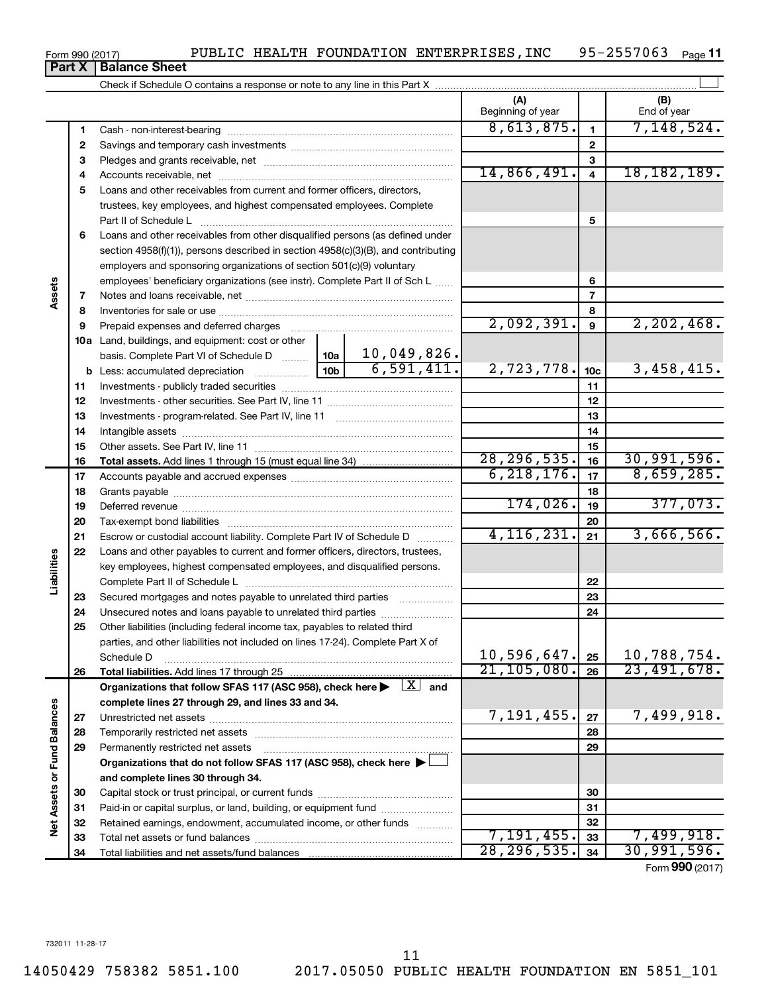Form 990 (2017) **Part X** | Balance Sheet

|                             |    |                                                                                                                                                          |  |                         | (A)<br>Beginning of year      |                 | (B)<br>End of year        |  |
|-----------------------------|----|----------------------------------------------------------------------------------------------------------------------------------------------------------|--|-------------------------|-------------------------------|-----------------|---------------------------|--|
|                             | 1  |                                                                                                                                                          |  |                         | 8,613,875.                    | $\mathbf{1}$    | 7,148,524.                |  |
|                             | 2  |                                                                                                                                                          |  | $\mathbf{2}$            |                               |                 |                           |  |
|                             | 3  |                                                                                                                                                          |  | 3                       |                               |                 |                           |  |
|                             | 4  |                                                                                                                                                          |  | 14,866,491.             | $\overline{4}$                | 18, 182, 189.   |                           |  |
|                             | 5  | Loans and other receivables from current and former officers, directors,                                                                                 |  |                         |                               |                 |                           |  |
|                             |    | trustees, key employees, and highest compensated employees. Complete                                                                                     |  |                         |                               |                 |                           |  |
|                             |    |                                                                                                                                                          |  |                         |                               | 5               |                           |  |
|                             | 6  | Loans and other receivables from other disqualified persons (as defined under                                                                            |  |                         |                               |                 |                           |  |
|                             |    | section 4958(f)(1)), persons described in section 4958(c)(3)(B), and contributing                                                                        |  |                         |                               |                 |                           |  |
|                             |    | employers and sponsoring organizations of section 501(c)(9) voluntary                                                                                    |  |                         |                               |                 |                           |  |
|                             |    | employees' beneficiary organizations (see instr). Complete Part II of Sch L                                                                              |  |                         |                               | 6               |                           |  |
| Assets                      | 7  |                                                                                                                                                          |  |                         |                               | $\overline{7}$  |                           |  |
|                             | 8  |                                                                                                                                                          |  |                         |                               | 8               |                           |  |
|                             | 9  | Prepaid expenses and deferred charges [11] [11] Prepaid expenses and deferred charges [11] [11] All and the Pr                                           |  |                         | 2,092,391.                    | 9               | 2, 202, 468.              |  |
|                             |    | 10a Land, buildings, and equipment: cost or other                                                                                                        |  |                         |                               |                 |                           |  |
|                             |    | basis. Complete Part VI of Schedule D  10a                                                                                                               |  | $10,049,826$ .          |                               |                 |                           |  |
|                             |    |                                                                                                                                                          |  | $\overline{6,591,411.}$ | 2,723,778.                    | 10 <sub>c</sub> | 3,458,415.                |  |
|                             | 11 |                                                                                                                                                          |  |                         |                               | 11              |                           |  |
|                             | 12 |                                                                                                                                                          |  |                         |                               | 12              |                           |  |
|                             | 13 |                                                                                                                                                          |  |                         |                               | 13              |                           |  |
|                             | 14 |                                                                                                                                                          |  |                         |                               | 14              |                           |  |
|                             | 15 |                                                                                                                                                          |  |                         |                               | 15              |                           |  |
|                             | 16 |                                                                                                                                                          |  |                         | 28, 296, 535.<br>6, 218, 176. | 16              | 30,991,596.<br>8,659,285. |  |
|                             | 17 |                                                                                                                                                          |  |                         |                               | 17              |                           |  |
|                             | 18 |                                                                                                                                                          |  |                         | 174,026.                      | 18              | 377,073.                  |  |
|                             | 19 |                                                                                                                                                          |  |                         |                               | 19              |                           |  |
|                             | 20 |                                                                                                                                                          |  |                         | 4, 116, 231.                  | 20              | 3,666,566.                |  |
|                             | 21 | Escrow or custodial account liability. Complete Part IV of Schedule D                                                                                    |  |                         |                               | 21              |                           |  |
| Liabilities                 | 22 | Loans and other payables to current and former officers, directors, trustees,<br>key employees, highest compensated employees, and disqualified persons. |  |                         |                               |                 |                           |  |
|                             |    |                                                                                                                                                          |  |                         |                               | 22              |                           |  |
|                             | 23 | Secured mortgages and notes payable to unrelated third parties                                                                                           |  |                         |                               | 23              |                           |  |
|                             | 24 | Unsecured notes and loans payable to unrelated third parties                                                                                             |  |                         |                               | 24              |                           |  |
|                             | 25 | Other liabilities (including federal income tax, payables to related third                                                                               |  |                         |                               |                 |                           |  |
|                             |    | parties, and other liabilities not included on lines 17-24). Complete Part X of                                                                          |  |                         |                               |                 |                           |  |
|                             |    | Schedule D                                                                                                                                               |  |                         | 10,596,647.                   | 25              | 10,788,754.               |  |
|                             | 26 | Total liabilities. Add lines 17 through 25                                                                                                               |  |                         | 21, 105, 080.                 | 26              | 23,491,678.               |  |
|                             |    | Organizations that follow SFAS 117 (ASC 958), check here $\blacktriangleright \begin{array}{c} \boxed{X} \\ \end{array}$ and                             |  |                         |                               |                 |                           |  |
|                             |    | complete lines 27 through 29, and lines 33 and 34.                                                                                                       |  |                         |                               |                 |                           |  |
|                             | 27 |                                                                                                                                                          |  |                         | 7,191,455.                    | 27              | 7,499,918.                |  |
|                             | 28 | Temporarily restricted net assets                                                                                                                        |  |                         |                               | 28              |                           |  |
|                             | 29 | Permanently restricted net assets                                                                                                                        |  |                         |                               | 29              |                           |  |
|                             |    | Organizations that do not follow SFAS 117 (ASC 958), check here ▶ □                                                                                      |  |                         |                               |                 |                           |  |
|                             |    | and complete lines 30 through 34.                                                                                                                        |  |                         |                               |                 |                           |  |
|                             | 30 |                                                                                                                                                          |  |                         |                               | 30              |                           |  |
|                             | 31 | Paid-in or capital surplus, or land, building, or equipment fund                                                                                         |  |                         |                               | 31              |                           |  |
| Net Assets or Fund Balances | 32 | Retained earnings, endowment, accumulated income, or other funds                                                                                         |  |                         |                               | 32              |                           |  |
|                             | 33 |                                                                                                                                                          |  |                         | 7, 191, 455.                  | 33              | 7,499,918.                |  |
|                             | 34 |                                                                                                                                                          |  |                         | 28, 296, 535.                 | 34              | 30,991,596.               |  |

Form (2017) **990**

 $\overline{\phantom{1}}$ 

| - <b>-</b> |
|------------|
|            |
|            |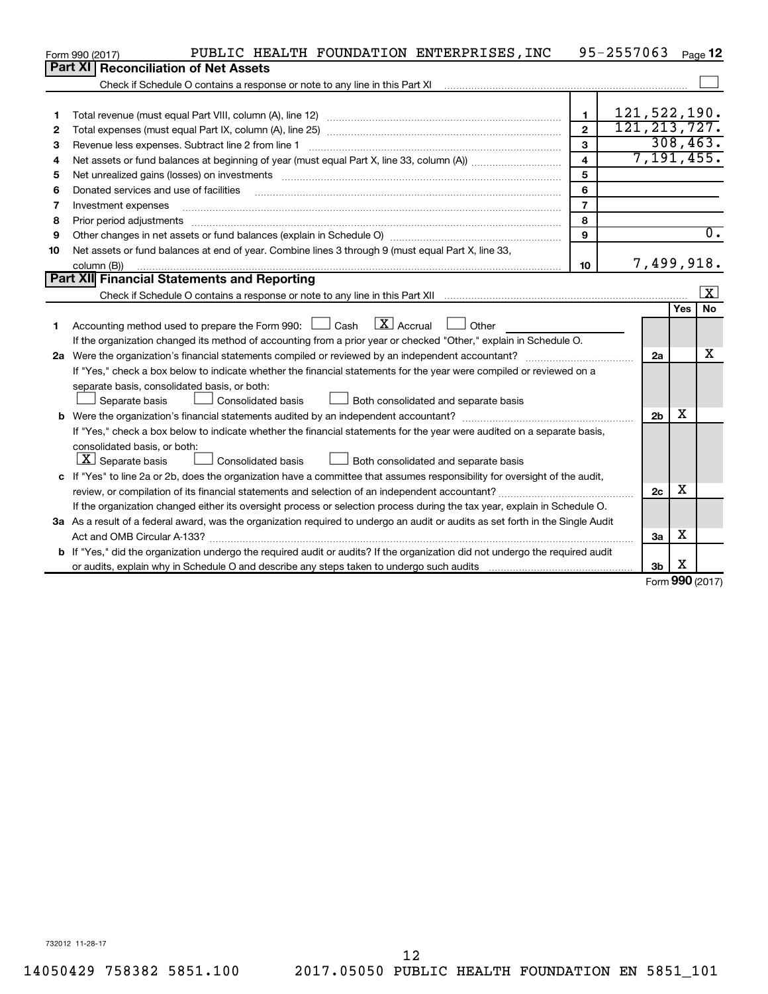|    | PUBLIC HEALTH FOUNDATION ENTERPRISES, INC<br>Form 990 (2017)                                                                    |                         | 95-2557063     |                |            | Page 12              |
|----|---------------------------------------------------------------------------------------------------------------------------------|-------------------------|----------------|----------------|------------|----------------------|
|    | Part XI   Reconciliation of Net Assets                                                                                          |                         |                |                |            |                      |
|    |                                                                                                                                 |                         |                |                |            |                      |
|    |                                                                                                                                 |                         |                |                |            |                      |
| 1  |                                                                                                                                 | $\mathbf{1}$            | 121,522,190.   |                |            |                      |
| 2  |                                                                                                                                 | $\mathbf{2}$            | 121, 213, 727. |                |            |                      |
| 3  | Revenue less expenses. Subtract line 2 from line 1                                                                              | 3                       |                |                |            | 308, 463.            |
| 4  |                                                                                                                                 | $\overline{\mathbf{4}}$ |                |                |            | 7, 191, 455.         |
| 5  |                                                                                                                                 | 5                       |                |                |            |                      |
| 6  | Donated services and use of facilities                                                                                          | 6                       |                |                |            |                      |
| 7  | Investment expenses                                                                                                             | $\overline{7}$          |                |                |            |                      |
| 8  | Prior period adjustments                                                                                                        | 8                       |                |                |            |                      |
| 9  |                                                                                                                                 | 9                       |                |                |            | 0.                   |
| 10 | Net assets or fund balances at end of year. Combine lines 3 through 9 (must equal Part X, line 33,                              |                         |                |                |            |                      |
|    | column (B))                                                                                                                     | 10                      |                | 7,499,918.     |            |                      |
|    | Part XII Financial Statements and Reporting                                                                                     |                         |                |                |            |                      |
|    |                                                                                                                                 |                         |                |                |            | $\boxed{\textbf{X}}$ |
|    |                                                                                                                                 |                         |                |                | <b>Yes</b> | <b>No</b>            |
| 1  | Accounting method used to prepare the Form 990: $\Box$ Cash $\Box$ Accrual<br>$\Box$ Other                                      |                         |                |                |            |                      |
|    | If the organization changed its method of accounting from a prior year or checked "Other," explain in Schedule O.               |                         |                |                |            |                      |
|    |                                                                                                                                 |                         |                | 2a             |            | x                    |
|    | If "Yes," check a box below to indicate whether the financial statements for the year were compiled or reviewed on a            |                         |                |                |            |                      |
|    | separate basis, consolidated basis, or both:                                                                                    |                         |                |                |            |                      |
|    | Both consolidated and separate basis<br>Separate basis<br>Consolidated basis                                                    |                         |                |                |            |                      |
|    |                                                                                                                                 |                         |                | 2 <sub>b</sub> | х          |                      |
|    | If "Yes," check a box below to indicate whether the financial statements for the year were audited on a separate basis,         |                         |                |                |            |                      |
|    | consolidated basis, or both:                                                                                                    |                         |                |                |            |                      |
|    | $\lfloor x \rfloor$ Separate basis<br>Consolidated basis<br>Both consolidated and separate basis                                |                         |                |                |            |                      |
|    | c If "Yes" to line 2a or 2b, does the organization have a committee that assumes responsibility for oversight of the audit,     |                         |                |                |            |                      |
|    | review, or compilation of its financial statements and selection of an independent accountant?                                  |                         |                | 2c             | х          |                      |
|    | If the organization changed either its oversight process or selection process during the tax year, explain in Schedule O.       |                         |                |                |            |                      |
|    | 3a As a result of a federal award, was the organization required to undergo an audit or audits as set forth in the Single Audit |                         |                |                |            |                      |
|    | Act and OMB Circular A-133?                                                                                                     |                         |                | За             | x          |                      |
|    | b If "Yes," did the organization undergo the required audit or audits? If the organization did not undergo the required audit   |                         |                |                |            |                      |
|    |                                                                                                                                 |                         |                | 3b             | X<br>nnn   |                      |

Form (2017) **990**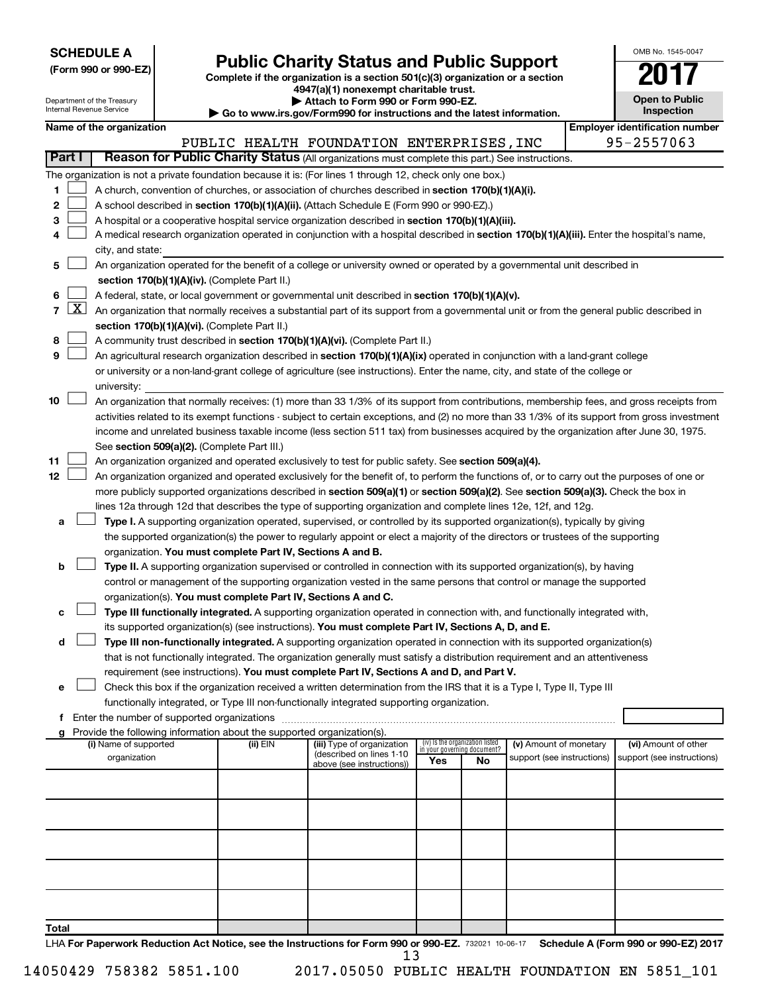| <b>SCHEDULE A</b> |  |
|-------------------|--|
|-------------------|--|

Form 990 or 990-EZ)<br>
Complete if the organization is a section 501(c)(3) organization or a section<br> **Public Charity Status and Public Support 4947(a)(1) nonexempt charitable trust.**

**| Attach to Form 990 or Form 990-EZ.** 

| <b>Open to Public</b><br>Inspection |
|-------------------------------------|

OMB No. 1545-0047

| Department of the Treasury<br>Internal Revenue Service |                     |  |                       |                                             |                                                                                    | ▶ Attach to Form 990 or Form 990-EZ.                                                                                                                                                                                                                 |     |                                   |                            |  | <b>Open to Public</b><br>Inspection   |  |
|--------------------------------------------------------|---------------------|--|-----------------------|---------------------------------------------|------------------------------------------------------------------------------------|------------------------------------------------------------------------------------------------------------------------------------------------------------------------------------------------------------------------------------------------------|-----|-----------------------------------|----------------------------|--|---------------------------------------|--|
| Name of the organization                               |                     |  |                       |                                             | ► Go to www.irs.gov/Form990 for instructions and the latest information.           |                                                                                                                                                                                                                                                      |     |                                   |                            |  | <b>Employer identification number</b> |  |
|                                                        |                     |  |                       |                                             |                                                                                    | PUBLIC HEALTH FOUNDATION ENTERPRISES, INC                                                                                                                                                                                                            |     |                                   |                            |  | 95-2557063                            |  |
| Part I                                                 |                     |  |                       |                                             |                                                                                    | Reason for Public Charity Status (All organizations must complete this part.) See instructions.                                                                                                                                                      |     |                                   |                            |  |                                       |  |
|                                                        |                     |  |                       |                                             |                                                                                    | The organization is not a private foundation because it is: (For lines 1 through 12, check only one box.)                                                                                                                                            |     |                                   |                            |  |                                       |  |
| 1                                                      |                     |  |                       |                                             |                                                                                    | A church, convention of churches, or association of churches described in section 170(b)(1)(A)(i).                                                                                                                                                   |     |                                   |                            |  |                                       |  |
| 2                                                      |                     |  |                       |                                             |                                                                                    | A school described in section 170(b)(1)(A)(ii). (Attach Schedule E (Form 990 or 990-EZ).)                                                                                                                                                            |     |                                   |                            |  |                                       |  |
| 3                                                      |                     |  |                       |                                             |                                                                                    | A hospital or a cooperative hospital service organization described in section 170(b)(1)(A)(iii).                                                                                                                                                    |     |                                   |                            |  |                                       |  |
| 4                                                      |                     |  |                       |                                             |                                                                                    | A medical research organization operated in conjunction with a hospital described in section 170(b)(1)(A)(iii). Enter the hospital's name,                                                                                                           |     |                                   |                            |  |                                       |  |
|                                                        |                     |  | city, and state:      |                                             |                                                                                    |                                                                                                                                                                                                                                                      |     |                                   |                            |  |                                       |  |
| 5                                                      |                     |  |                       |                                             |                                                                                    | An organization operated for the benefit of a college or university owned or operated by a governmental unit described in                                                                                                                            |     |                                   |                            |  |                                       |  |
|                                                        |                     |  |                       |                                             | section 170(b)(1)(A)(iv). (Complete Part II.)                                      |                                                                                                                                                                                                                                                      |     |                                   |                            |  |                                       |  |
| 6                                                      |                     |  |                       |                                             |                                                                                    | A federal, state, or local government or governmental unit described in section 170(b)(1)(A)(v).                                                                                                                                                     |     |                                   |                            |  |                                       |  |
| $\overline{7}$                                         | $\lfloor x \rfloor$ |  |                       |                                             |                                                                                    | An organization that normally receives a substantial part of its support from a governmental unit or from the general public described in                                                                                                            |     |                                   |                            |  |                                       |  |
|                                                        |                     |  |                       |                                             | section 170(b)(1)(A)(vi). (Complete Part II.)                                      |                                                                                                                                                                                                                                                      |     |                                   |                            |  |                                       |  |
| 8                                                      |                     |  |                       |                                             |                                                                                    | A community trust described in section 170(b)(1)(A)(vi). (Complete Part II.)                                                                                                                                                                         |     |                                   |                            |  |                                       |  |
| 9                                                      |                     |  |                       |                                             |                                                                                    | An agricultural research organization described in section 170(b)(1)(A)(ix) operated in conjunction with a land-grant college                                                                                                                        |     |                                   |                            |  |                                       |  |
|                                                        |                     |  |                       |                                             |                                                                                    | or university or a non-land-grant college of agriculture (see instructions). Enter the name, city, and state of the college or                                                                                                                       |     |                                   |                            |  |                                       |  |
|                                                        |                     |  | university:           |                                             |                                                                                    |                                                                                                                                                                                                                                                      |     |                                   |                            |  |                                       |  |
| 10                                                     |                     |  |                       |                                             |                                                                                    | An organization that normally receives: (1) more than 33 1/3% of its support from contributions, membership fees, and gross receipts from                                                                                                            |     |                                   |                            |  |                                       |  |
|                                                        |                     |  |                       |                                             |                                                                                    | activities related to its exempt functions - subject to certain exceptions, and (2) no more than 33 1/3% of its support from gross investment                                                                                                        |     |                                   |                            |  |                                       |  |
|                                                        |                     |  |                       |                                             |                                                                                    | income and unrelated business taxable income (less section 511 tax) from businesses acquired by the organization after June 30, 1975.                                                                                                                |     |                                   |                            |  |                                       |  |
|                                                        |                     |  |                       |                                             | See section 509(a)(2). (Complete Part III.)                                        |                                                                                                                                                                                                                                                      |     |                                   |                            |  |                                       |  |
| 11                                                     |                     |  |                       |                                             |                                                                                    | An organization organized and operated exclusively to test for public safety. See section 509(a)(4).                                                                                                                                                 |     |                                   |                            |  |                                       |  |
| 12                                                     |                     |  |                       |                                             |                                                                                    | An organization organized and operated exclusively for the benefit of, to perform the functions of, or to carry out the purposes of one or                                                                                                           |     |                                   |                            |  |                                       |  |
|                                                        |                     |  |                       |                                             |                                                                                    | more publicly supported organizations described in section 509(a)(1) or section 509(a)(2). See section 509(a)(3). Check the box in<br>lines 12a through 12d that describes the type of supporting organization and complete lines 12e, 12f, and 12g. |     |                                   |                            |  |                                       |  |
| а                                                      |                     |  |                       |                                             |                                                                                    | Type I. A supporting organization operated, supervised, or controlled by its supported organization(s), typically by giving                                                                                                                          |     |                                   |                            |  |                                       |  |
|                                                        |                     |  |                       |                                             |                                                                                    | the supported organization(s) the power to regularly appoint or elect a majority of the directors or trustees of the supporting                                                                                                                      |     |                                   |                            |  |                                       |  |
|                                                        |                     |  |                       |                                             | organization. You must complete Part IV, Sections A and B.                         |                                                                                                                                                                                                                                                      |     |                                   |                            |  |                                       |  |
| b                                                      |                     |  |                       |                                             |                                                                                    | Type II. A supporting organization supervised or controlled in connection with its supported organization(s), by having                                                                                                                              |     |                                   |                            |  |                                       |  |
|                                                        |                     |  |                       |                                             |                                                                                    | control or management of the supporting organization vested in the same persons that control or manage the supported                                                                                                                                 |     |                                   |                            |  |                                       |  |
|                                                        |                     |  |                       |                                             | organization(s). You must complete Part IV, Sections A and C.                      |                                                                                                                                                                                                                                                      |     |                                   |                            |  |                                       |  |
| с                                                      |                     |  |                       |                                             |                                                                                    | Type III functionally integrated. A supporting organization operated in connection with, and functionally integrated with,                                                                                                                           |     |                                   |                            |  |                                       |  |
|                                                        |                     |  |                       |                                             |                                                                                    | its supported organization(s) (see instructions). You must complete Part IV, Sections A, D, and E.                                                                                                                                                   |     |                                   |                            |  |                                       |  |
| d                                                      |                     |  |                       |                                             |                                                                                    | Type III non-functionally integrated. A supporting organization operated in connection with its supported organization(s)                                                                                                                            |     |                                   |                            |  |                                       |  |
|                                                        |                     |  |                       |                                             |                                                                                    | that is not functionally integrated. The organization generally must satisfy a distribution requirement and an attentiveness                                                                                                                         |     |                                   |                            |  |                                       |  |
|                                                        |                     |  |                       |                                             |                                                                                    | requirement (see instructions). You must complete Part IV, Sections A and D, and Part V.                                                                                                                                                             |     |                                   |                            |  |                                       |  |
| е                                                      |                     |  |                       |                                             |                                                                                    | Check this box if the organization received a written determination from the IRS that it is a Type I, Type II, Type III                                                                                                                              |     |                                   |                            |  |                                       |  |
|                                                        |                     |  |                       |                                             |                                                                                    | functionally integrated, or Type III non-functionally integrated supporting organization.                                                                                                                                                            |     |                                   |                            |  |                                       |  |
|                                                        |                     |  |                       | Enter the number of supported organizations |                                                                                    |                                                                                                                                                                                                                                                      |     |                                   |                            |  |                                       |  |
|                                                        |                     |  | (i) Name of supported |                                             | Provide the following information about the supported organization(s).<br>(ii) EIN | (iii) Type of organization                                                                                                                                                                                                                           |     | (iv) Is the organization listed   | (v) Amount of monetary     |  | (vi) Amount of other                  |  |
|                                                        |                     |  | organization          |                                             |                                                                                    | (described on lines 1-10                                                                                                                                                                                                                             | Yes | in your governing document?<br>No | support (see instructions) |  | support (see instructions)            |  |
|                                                        |                     |  |                       |                                             |                                                                                    | above (see instructions))                                                                                                                                                                                                                            |     |                                   |                            |  |                                       |  |
|                                                        |                     |  |                       |                                             |                                                                                    |                                                                                                                                                                                                                                                      |     |                                   |                            |  |                                       |  |
|                                                        |                     |  |                       |                                             |                                                                                    |                                                                                                                                                                                                                                                      |     |                                   |                            |  |                                       |  |
|                                                        |                     |  |                       |                                             |                                                                                    |                                                                                                                                                                                                                                                      |     |                                   |                            |  |                                       |  |
|                                                        |                     |  |                       |                                             |                                                                                    |                                                                                                                                                                                                                                                      |     |                                   |                            |  |                                       |  |
|                                                        |                     |  |                       |                                             |                                                                                    |                                                                                                                                                                                                                                                      |     |                                   |                            |  |                                       |  |
|                                                        |                     |  |                       |                                             |                                                                                    |                                                                                                                                                                                                                                                      |     |                                   |                            |  |                                       |  |
|                                                        |                     |  |                       |                                             |                                                                                    |                                                                                                                                                                                                                                                      |     |                                   |                            |  |                                       |  |
|                                                        |                     |  |                       |                                             |                                                                                    |                                                                                                                                                                                                                                                      |     |                                   |                            |  |                                       |  |
|                                                        |                     |  |                       |                                             |                                                                                    |                                                                                                                                                                                                                                                      |     |                                   |                            |  |                                       |  |

**Total**

LHA For Paperwork Reduction Act Notice, see the Instructions for Form 990 or 990-EZ. 732021 10-06-17 Schedule A (Form 990 or 990-EZ) 2017 13

14050429 758382 5851.100 2017.05050 PUBLIC HEALTH FOUNDATION EN 5851\_101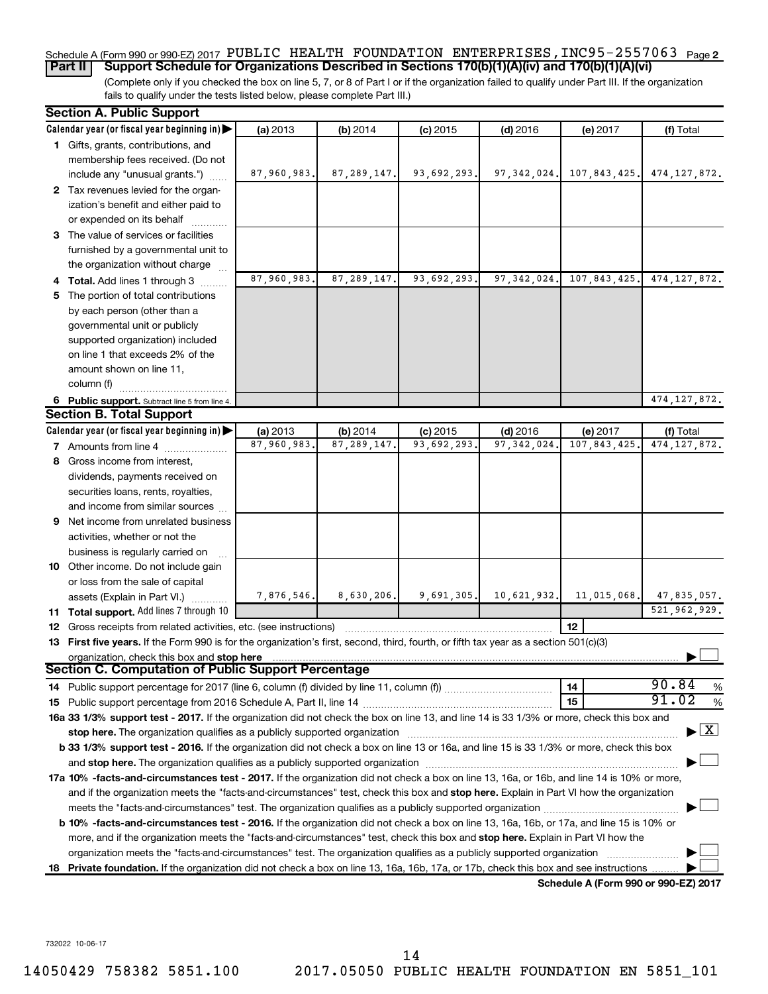### Schedule A (Form 990 or 990-EZ) 2017 PUBLIC HEALTH FOUNDATION ENTERPRISES , INC95-2557063 <sub>Page 2</sub> **Part II Support Schedule for Organizations Described in Sections 170(b)(1)(A)(iv) and 170(b)(1)(A)(vi)**

(Complete only if you checked the box on line 5, 7, or 8 of Part I or if the organization failed to qualify under Part III. If the organization fails to qualify under the tests listed below, please complete Part III.)

|    | <b>Section A. Public Support</b>                                                                                                                                                                                               |             |               |             |               |                                      |                     |
|----|--------------------------------------------------------------------------------------------------------------------------------------------------------------------------------------------------------------------------------|-------------|---------------|-------------|---------------|--------------------------------------|---------------------|
|    | Calendar year (or fiscal year beginning in)                                                                                                                                                                                    | (a) 2013    | (b) 2014      | $(c)$ 2015  | $(d)$ 2016    | (e) 2017                             | (f) Total           |
|    | 1 Gifts, grants, contributions, and                                                                                                                                                                                            |             |               |             |               |                                      |                     |
|    | membership fees received. (Do not                                                                                                                                                                                              |             |               |             |               |                                      |                     |
|    | include any "unusual grants.")                                                                                                                                                                                                 | 87,960,983. | 87, 289, 147. | 93,692,293. | 97, 342, 024. | 107,843,425.                         | 474, 127, 872.      |
|    | 2 Tax revenues levied for the organ-                                                                                                                                                                                           |             |               |             |               |                                      |                     |
|    | ization's benefit and either paid to                                                                                                                                                                                           |             |               |             |               |                                      |                     |
|    | or expended on its behalf                                                                                                                                                                                                      |             |               |             |               |                                      |                     |
|    | 3 The value of services or facilities                                                                                                                                                                                          |             |               |             |               |                                      |                     |
|    | furnished by a governmental unit to                                                                                                                                                                                            |             |               |             |               |                                      |                     |
|    | the organization without charge                                                                                                                                                                                                |             |               |             |               |                                      |                     |
|    | 4 Total. Add lines 1 through 3                                                                                                                                                                                                 | 87,960,983. | 87, 289, 147. | 93,692,293. | 97, 342, 024. | 107,843,425.                         | 474, 127, 872.      |
| 5. | The portion of total contributions                                                                                                                                                                                             |             |               |             |               |                                      |                     |
|    | by each person (other than a                                                                                                                                                                                                   |             |               |             |               |                                      |                     |
|    | governmental unit or publicly                                                                                                                                                                                                  |             |               |             |               |                                      |                     |
|    | supported organization) included                                                                                                                                                                                               |             |               |             |               |                                      |                     |
|    | on line 1 that exceeds 2% of the                                                                                                                                                                                               |             |               |             |               |                                      |                     |
|    | amount shown on line 11,                                                                                                                                                                                                       |             |               |             |               |                                      |                     |
|    | column (f)                                                                                                                                                                                                                     |             |               |             |               |                                      |                     |
|    | 6 Public support. Subtract line 5 from line 4.                                                                                                                                                                                 |             |               |             |               |                                      | 474, 127, 872.      |
|    | <b>Section B. Total Support</b>                                                                                                                                                                                                |             |               |             |               |                                      |                     |
|    | Calendar year (or fiscal year beginning in) $\blacktriangleright$                                                                                                                                                              | (a) 2013    | (b) 2014      | $(c)$ 2015  | $(d)$ 2016    | (e) 2017                             | (f) Total           |
|    | <b>7</b> Amounts from line 4                                                                                                                                                                                                   | 87,960,983  | 87, 289, 147. | 93,692,293  | 97, 342, 024  | 107,843,425                          | 474, 127, 872.      |
| 8  | Gross income from interest,                                                                                                                                                                                                    |             |               |             |               |                                      |                     |
|    | dividends, payments received on                                                                                                                                                                                                |             |               |             |               |                                      |                     |
|    | securities loans, rents, royalties,                                                                                                                                                                                            |             |               |             |               |                                      |                     |
|    | and income from similar sources                                                                                                                                                                                                |             |               |             |               |                                      |                     |
| 9  | Net income from unrelated business                                                                                                                                                                                             |             |               |             |               |                                      |                     |
|    | activities, whether or not the                                                                                                                                                                                                 |             |               |             |               |                                      |                     |
|    | business is regularly carried on                                                                                                                                                                                               |             |               |             |               |                                      |                     |
|    | 10 Other income. Do not include gain                                                                                                                                                                                           |             |               |             |               |                                      |                     |
|    | or loss from the sale of capital                                                                                                                                                                                               |             |               |             |               |                                      |                     |
|    | assets (Explain in Part VI.)                                                                                                                                                                                                   | 7,876,546.  | 8,630,206.    | 9,691,305.  | 10,621,932.   | 11,015,068.                          | 47,835,057.         |
|    | 11 Total support. Add lines 7 through 10                                                                                                                                                                                       |             |               |             |               |                                      | 521, 962, 929.      |
|    | <b>12</b> Gross receipts from related activities, etc. (see instructions)                                                                                                                                                      |             |               |             |               | 12                                   |                     |
|    | 13 First five years. If the Form 990 is for the organization's first, second, third, fourth, or fifth tax year as a section 501(c)(3)                                                                                          |             |               |             |               |                                      |                     |
|    | organization, check this box and stop here                                                                                                                                                                                     |             |               |             |               |                                      |                     |
|    | <b>Section C. Computation of Public Support Percentage</b>                                                                                                                                                                     |             |               |             |               |                                      |                     |
|    | 14 Public support percentage for 2017 (line 6, column (f) divided by line 11, column (f) <i>mummumumum</i>                                                                                                                     |             |               |             |               | 14                                   | 90.84<br>%<br>91.02 |
|    |                                                                                                                                                                                                                                |             |               |             |               | 15                                   | $\%$                |
|    | 16a 33 1/3% support test - 2017. If the organization did not check the box on line 13, and line 14 is 33 1/3% or more, check this box and                                                                                      |             |               |             |               |                                      |                     |
|    | stop here. The organization qualifies as a publicly supported organization [11] manuscription manuscription manuscription of the original state of the original state of the state of the state of the state of the state of t |             |               |             |               |                                      | X                   |
|    | b 33 1/3% support test - 2016. If the organization did not check a box on line 13 or 16a, and line 15 is 33 1/3% or more, check this box                                                                                       |             |               |             |               |                                      |                     |
|    |                                                                                                                                                                                                                                |             |               |             |               |                                      |                     |
|    | 17a 10% -facts-and-circumstances test - 2017. If the organization did not check a box on line 13, 16a, or 16b, and line 14 is 10% or more,                                                                                     |             |               |             |               |                                      |                     |
|    | and if the organization meets the "facts-and-circumstances" test, check this box and stop here. Explain in Part VI how the organization                                                                                        |             |               |             |               |                                      |                     |
|    |                                                                                                                                                                                                                                |             |               |             |               |                                      |                     |
|    | b 10% -facts-and-circumstances test - 2016. If the organization did not check a box on line 13, 16a, 16b, or 17a, and line 15 is 10% or                                                                                        |             |               |             |               |                                      |                     |
|    | more, and if the organization meets the "facts-and-circumstances" test, check this box and stop here. Explain in Part VI how the                                                                                               |             |               |             |               |                                      |                     |
|    | organization meets the "facts-and-circumstances" test. The organization qualifies as a publicly supported organization                                                                                                         |             |               |             |               |                                      |                     |
| 18 | Private foundation. If the organization did not check a box on line 13, 16a, 16b, 17a, or 17b, check this box and see instructions                                                                                             |             |               |             |               |                                      |                     |
|    |                                                                                                                                                                                                                                |             |               |             |               | Schedule A (Form 990 or 990-EZ) 2017 |                     |

732022 10-06-17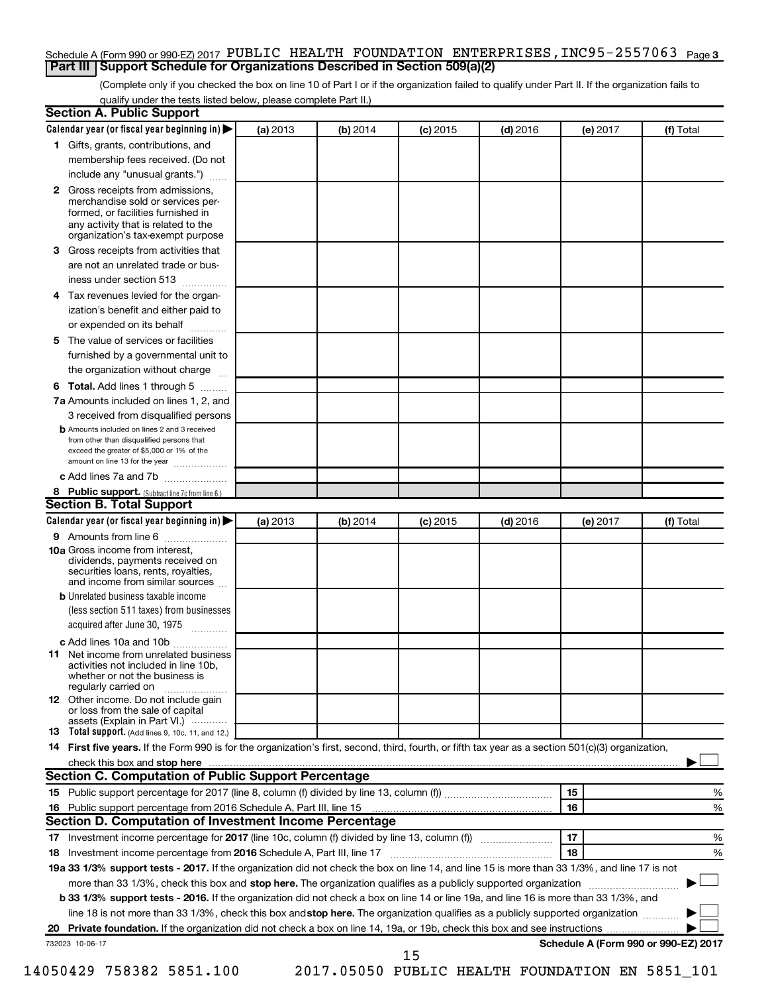### Schedule A (Form 990 or 990-EZ) 2017 PUBLIC HEALTH FOUNDATION ENTERPRISES , INC95-2557063 <sub>Page 3</sub> **Part III Support Schedule for Organizations Described in Section 509(a)(2)**

(Complete only if you checked the box on line 10 of Part I or if the organization failed to qualify under Part II. If the organization fails to qualify under the tests listed below, please complete Part II.)

| <b>Section A. Public Support</b>                                                                                                                                                                                                    |          |          |            |            |          |                                      |
|-------------------------------------------------------------------------------------------------------------------------------------------------------------------------------------------------------------------------------------|----------|----------|------------|------------|----------|--------------------------------------|
| Calendar year (or fiscal year beginning in)                                                                                                                                                                                         | (a) 2013 | (b) 2014 | $(c)$ 2015 | $(d)$ 2016 | (e) 2017 | (f) Total                            |
| 1 Gifts, grants, contributions, and                                                                                                                                                                                                 |          |          |            |            |          |                                      |
| membership fees received. (Do not                                                                                                                                                                                                   |          |          |            |            |          |                                      |
| include any "unusual grants.")                                                                                                                                                                                                      |          |          |            |            |          |                                      |
| 2 Gross receipts from admissions,<br>merchandise sold or services per-<br>formed, or facilities furnished in<br>any activity that is related to the                                                                                 |          |          |            |            |          |                                      |
| organization's tax-exempt purpose                                                                                                                                                                                                   |          |          |            |            |          |                                      |
| <b>3</b> Gross receipts from activities that                                                                                                                                                                                        |          |          |            |            |          |                                      |
| are not an unrelated trade or bus-                                                                                                                                                                                                  |          |          |            |            |          |                                      |
| iness under section 513                                                                                                                                                                                                             |          |          |            |            |          |                                      |
| 4 Tax revenues levied for the organ-                                                                                                                                                                                                |          |          |            |            |          |                                      |
| ization's benefit and either paid to                                                                                                                                                                                                |          |          |            |            |          |                                      |
| or expended on its behalf                                                                                                                                                                                                           |          |          |            |            |          |                                      |
| 5 The value of services or facilities                                                                                                                                                                                               |          |          |            |            |          |                                      |
| furnished by a governmental unit to                                                                                                                                                                                                 |          |          |            |            |          |                                      |
| the organization without charge                                                                                                                                                                                                     |          |          |            |            |          |                                      |
| <b>6 Total.</b> Add lines 1 through 5                                                                                                                                                                                               |          |          |            |            |          |                                      |
| 7a Amounts included on lines 1, 2, and                                                                                                                                                                                              |          |          |            |            |          |                                      |
| 3 received from disqualified persons<br><b>b</b> Amounts included on lines 2 and 3 received<br>from other than disqualified persons that<br>exceed the greater of \$5,000 or 1% of the<br>amount on line 13 for the year            |          |          |            |            |          |                                      |
| c Add lines 7a and 7b                                                                                                                                                                                                               |          |          |            |            |          |                                      |
| 8 Public support. (Subtract line 7c from line 6.)                                                                                                                                                                                   |          |          |            |            |          |                                      |
| <b>Section B. Total Support</b>                                                                                                                                                                                                     |          |          |            |            |          |                                      |
| Calendar year (or fiscal year beginning in) $\blacktriangleright$                                                                                                                                                                   | (a) 2013 | (b) 2014 | $(c)$ 2015 | $(d)$ 2016 | (e) 2017 | (f) Total                            |
| 9 Amounts from line 6                                                                                                                                                                                                               |          |          |            |            |          |                                      |
| <b>10a</b> Gross income from interest,<br>dividends, payments received on<br>securities loans, rents, royalties,<br>and income from similar sources                                                                                 |          |          |            |            |          |                                      |
| <b>b</b> Unrelated business taxable income                                                                                                                                                                                          |          |          |            |            |          |                                      |
| (less section 511 taxes) from businesses<br>acquired after June 30, 1975<br>$\overline{\phantom{a}}$                                                                                                                                |          |          |            |            |          |                                      |
| c Add lines 10a and 10b                                                                                                                                                                                                             |          |          |            |            |          |                                      |
| <b>11</b> Net income from unrelated business<br>activities not included in line 10b.<br>whether or not the business is<br>regularly carried on                                                                                      |          |          |            |            |          |                                      |
| <b>12</b> Other income. Do not include gain<br>or loss from the sale of capital<br>assets (Explain in Part VI.)                                                                                                                     |          |          |            |            |          |                                      |
| <b>13</b> Total support. (Add lines 9, 10c, 11, and 12.)                                                                                                                                                                            |          |          |            |            |          |                                      |
| 14 First five years. If the Form 990 is for the organization's first, second, third, fourth, or fifth tax year as a section 501(c)(3) organization,                                                                                 |          |          |            |            |          |                                      |
| check this box and stop here <i>macuum content and a content and a content and stop here</i> and stop here and stop here and stop here and stop the state of the state of the state of the state of the state of the state of the s |          |          |            |            |          |                                      |
| Section C. Computation of Public Support Percentage                                                                                                                                                                                 |          |          |            |            |          |                                      |
|                                                                                                                                                                                                                                     |          |          |            |            | 15       | %                                    |
| 16 Public support percentage from 2016 Schedule A, Part III, line 15                                                                                                                                                                |          |          |            |            | 16       | %                                    |
| Section D. Computation of Investment Income Percentage                                                                                                                                                                              |          |          |            |            |          |                                      |
|                                                                                                                                                                                                                                     |          |          |            |            | 17       | %                                    |
| 18 Investment income percentage from 2016 Schedule A, Part III, line 17                                                                                                                                                             |          |          |            |            | 18       | %                                    |
| 19a 33 1/3% support tests - 2017. If the organization did not check the box on line 14, and line 15 is more than 33 1/3%, and line 17 is not                                                                                        |          |          |            |            |          |                                      |
| more than 33 1/3%, check this box and stop here. The organization qualifies as a publicly supported organization                                                                                                                    |          |          |            |            |          |                                      |
| b 33 1/3% support tests - 2016. If the organization did not check a box on line 14 or line 19a, and line 16 is more than 33 1/3%, and                                                                                               |          |          |            |            |          |                                      |
| line 18 is not more than 33 1/3%, check this box and stop here. The organization qualifies as a publicly supported organization                                                                                                     |          |          |            |            |          |                                      |
|                                                                                                                                                                                                                                     |          |          |            |            |          |                                      |
| 732023 10-06-17                                                                                                                                                                                                                     |          |          | 15         |            |          | Schedule A (Form 990 or 990-EZ) 2017 |

14050429 758382 5851.100 2017.05050 PUBLIC HEALTH FOUNDATION EN 5851\_101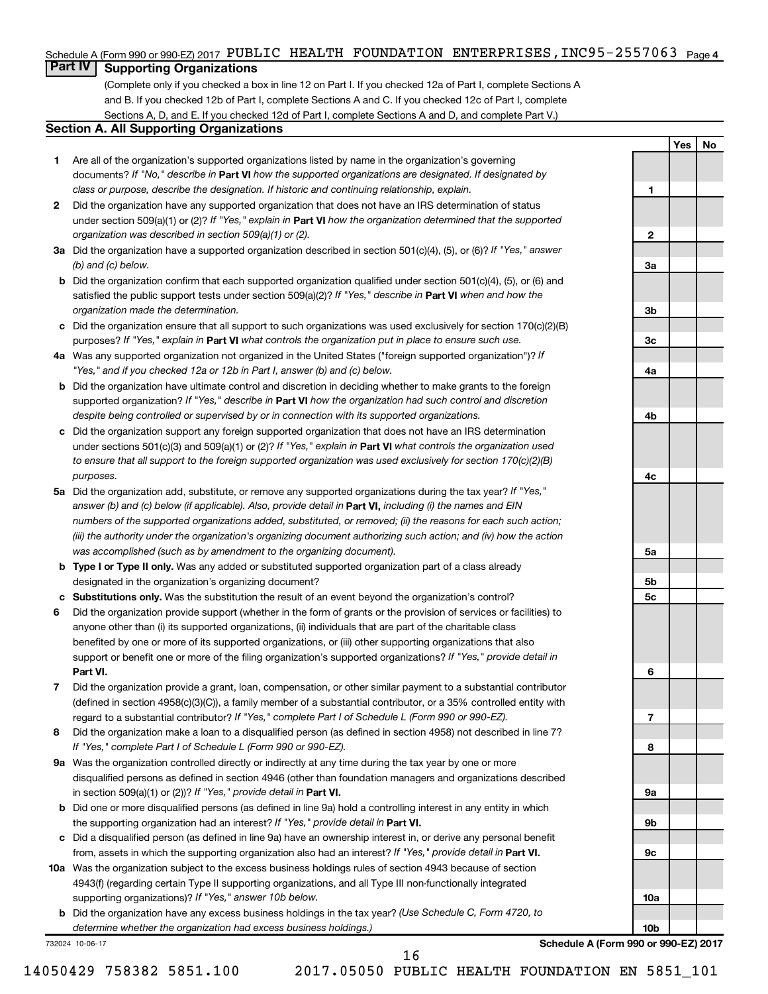### Schedule A (Form 990 or 990-EZ) 2017 PUBLIC HEALTH FOUNDATION ENTERPRISES , INC95-2557063 <sub>Page 4</sub>

# **Part IV Supporting Organizations**

(Complete only if you checked a box in line 12 on Part I. If you checked 12a of Part I, complete Sections A and B. If you checked 12b of Part I, complete Sections A and C. If you checked 12c of Part I, complete Sections A, D, and E. If you checked 12d of Part I, complete Sections A and D, and complete Part V.)

### **Section A. All Supporting Organizations**

- **1** Are all of the organization's supported organizations listed by name in the organization's governing documents? If "No," describe in Part VI how the supported organizations are designated. If designated by *class or purpose, describe the designation. If historic and continuing relationship, explain.*
- **2** Did the organization have any supported organization that does not have an IRS determination of status under section 509(a)(1) or (2)? If "Yes," explain in Part **VI** how the organization determined that the supported *organization was described in section 509(a)(1) or (2).*
- **3a** Did the organization have a supported organization described in section 501(c)(4), (5), or (6)? If "Yes," answer *(b) and (c) below.*
- **b** Did the organization confirm that each supported organization qualified under section 501(c)(4), (5), or (6) and satisfied the public support tests under section 509(a)(2)? If "Yes," describe in Part VI when and how the *organization made the determination.*
- **c** Did the organization ensure that all support to such organizations was used exclusively for section 170(c)(2)(B) purposes? If "Yes," explain in Part VI what controls the organization put in place to ensure such use.
- **4 a** *If* Was any supported organization not organized in the United States ("foreign supported organization")? *"Yes," and if you checked 12a or 12b in Part I, answer (b) and (c) below.*
- **b** Did the organization have ultimate control and discretion in deciding whether to make grants to the foreign supported organization? If "Yes," describe in Part VI how the organization had such control and discretion *despite being controlled or supervised by or in connection with its supported organizations.*
- **c** Did the organization support any foreign supported organization that does not have an IRS determination under sections 501(c)(3) and 509(a)(1) or (2)? If "Yes," explain in Part VI what controls the organization used *to ensure that all support to the foreign supported organization was used exclusively for section 170(c)(2)(B) purposes.*
- **5a** Did the organization add, substitute, or remove any supported organizations during the tax year? If "Yes," answer (b) and (c) below (if applicable). Also, provide detail in **Part VI,** including (i) the names and EIN *numbers of the supported organizations added, substituted, or removed; (ii) the reasons for each such action; (iii) the authority under the organization's organizing document authorizing such action; and (iv) how the action was accomplished (such as by amendment to the organizing document).*
- **b Type I or Type II only.** Was any added or substituted supported organization part of a class already designated in the organization's organizing document?
- **c Substitutions only.**  Was the substitution the result of an event beyond the organization's control?
- **6** Did the organization provide support (whether in the form of grants or the provision of services or facilities) to **Part VI.** support or benefit one or more of the filing organization's supported organizations? If "Yes," provide detail in anyone other than (i) its supported organizations, (ii) individuals that are part of the charitable class benefited by one or more of its supported organizations, or (iii) other supporting organizations that also
- **7** Did the organization provide a grant, loan, compensation, or other similar payment to a substantial contributor regard to a substantial contributor? If "Yes," complete Part I of Schedule L (Form 990 or 990-EZ). (defined in section 4958(c)(3)(C)), a family member of a substantial contributor, or a 35% controlled entity with
- **8** Did the organization make a loan to a disqualified person (as defined in section 4958) not described in line 7? *If "Yes," complete Part I of Schedule L (Form 990 or 990-EZ).*
- **9 a** Was the organization controlled directly or indirectly at any time during the tax year by one or more in section 509(a)(1) or (2))? If "Yes," provide detail in **Part VI.** disqualified persons as defined in section 4946 (other than foundation managers and organizations described
- **b** Did one or more disqualified persons (as defined in line 9a) hold a controlling interest in any entity in which the supporting organization had an interest? If "Yes," provide detail in Part VI.
- **c** Did a disqualified person (as defined in line 9a) have an ownership interest in, or derive any personal benefit from, assets in which the supporting organization also had an interest? If "Yes," provide detail in Part VI.
- **10 a** Was the organization subject to the excess business holdings rules of section 4943 because of section supporting organizations)? If "Yes," answer 10b below. 4943(f) (regarding certain Type II supporting organizations, and all Type III non-functionally integrated
	- **b** Did the organization have any excess business holdings in the tax year? (Use Schedule C, Form 4720, to *determine whether the organization had excess business holdings.)*

732024 10-06-17

**Schedule A (Form 990 or 990-EZ) 2017**

16

**2 3a 3b 3c 4a 4b 4c 5a 5b 5c 6 7 8 9a 9b 9c 10a 10b**

**Yes No**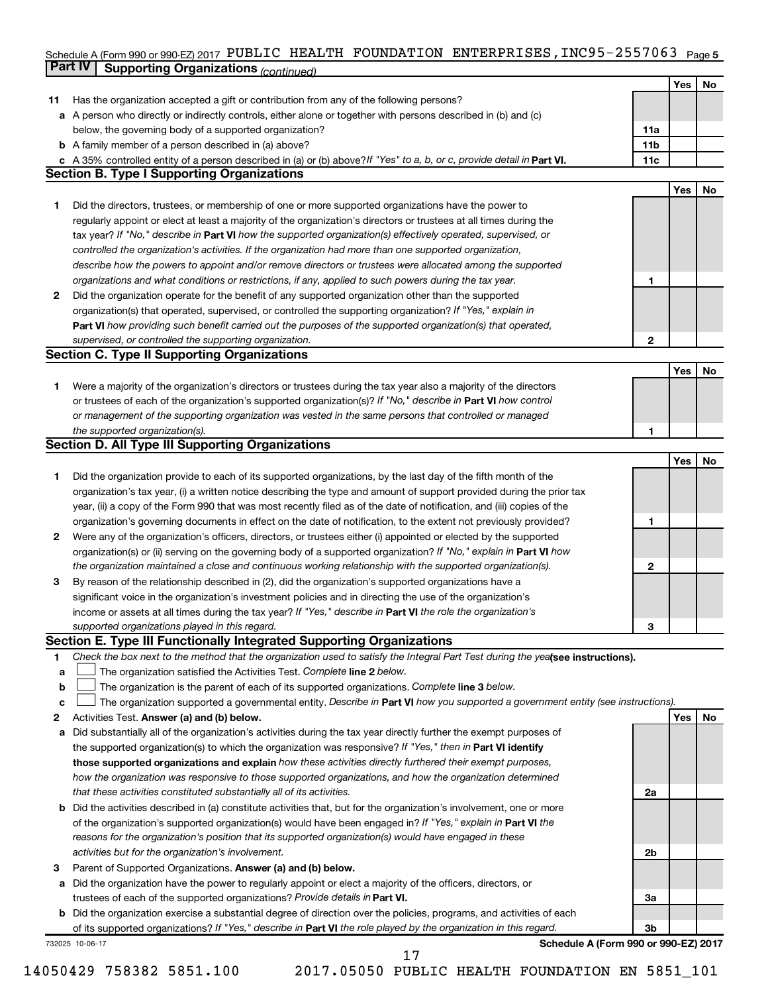### Schedule A (Form 990 or 990-EZ) 2017 PUBLIC HEALTH FOUNDATION ENTERPRISES **,** INC95-255 /U63 <sub>Page 5</sub> **Part IV Supporting Organizations** *(continued)* PUBLIC HEALTH FOUNDATION ENTERPRISES,INC95-2557063

|              | <i>continued) continued in a gamzations</i>                                                                                     |                 |     |    |
|--------------|---------------------------------------------------------------------------------------------------------------------------------|-----------------|-----|----|
|              |                                                                                                                                 |                 | Yes | No |
| 11           | Has the organization accepted a gift or contribution from any of the following persons?                                         |                 |     |    |
|              | a A person who directly or indirectly controls, either alone or together with persons described in (b) and (c)                  |                 |     |    |
|              | below, the governing body of a supported organization?                                                                          | 11a             |     |    |
|              | <b>b</b> A family member of a person described in (a) above?                                                                    | 11 <sub>b</sub> |     |    |
|              | c A 35% controlled entity of a person described in (a) or (b) above? If "Yes" to a, b, or c, provide detail in Part VI.         | 11c             |     |    |
|              | <b>Section B. Type I Supporting Organizations</b>                                                                               |                 |     |    |
|              |                                                                                                                                 |                 | Yes | No |
| 1.           | Did the directors, trustees, or membership of one or more supported organizations have the power to                             |                 |     |    |
|              | regularly appoint or elect at least a majority of the organization's directors or trustees at all times during the              |                 |     |    |
|              | tax year? If "No," describe in Part VI how the supported organization(s) effectively operated, supervised, or                   |                 |     |    |
|              | controlled the organization's activities. If the organization had more than one supported organization,                         |                 |     |    |
|              | describe how the powers to appoint and/or remove directors or trustees were allocated among the supported                       |                 |     |    |
|              | organizations and what conditions or restrictions, if any, applied to such powers during the tax year.                          | 1               |     |    |
| $\mathbf{2}$ | Did the organization operate for the benefit of any supported organization other than the supported                             |                 |     |    |
|              | organization(s) that operated, supervised, or controlled the supporting organization? If "Yes," explain in                      |                 |     |    |
|              | Part VI how providing such benefit carried out the purposes of the supported organization(s) that operated,                     |                 |     |    |
|              | supervised, or controlled the supporting organization.                                                                          | 2               |     |    |
|              | <b>Section C. Type II Supporting Organizations</b>                                                                              |                 |     |    |
|              |                                                                                                                                 |                 | Yes | No |
| 1.           | Were a majority of the organization's directors or trustees during the tax year also a majority of the directors                |                 |     |    |
|              | or trustees of each of the organization's supported organization(s)? If "No," describe in <b>Part VI</b> how control            |                 |     |    |
|              | or management of the supporting organization was vested in the same persons that controlled or managed                          |                 |     |    |
|              | the supported organization(s).                                                                                                  | 1               |     |    |
|              | <b>Section D. All Type III Supporting Organizations</b>                                                                         |                 |     |    |
|              |                                                                                                                                 |                 | Yes | No |
| 1.           | Did the organization provide to each of its supported organizations, by the last day of the fifth month of the                  |                 |     |    |
|              | organization's tax year, (i) a written notice describing the type and amount of support provided during the prior tax           |                 |     |    |
|              | year, (ii) a copy of the Form 990 that was most recently filed as of the date of notification, and (iii) copies of the          |                 |     |    |
|              | organization's governing documents in effect on the date of notification, to the extent not previously provided?                | 1               |     |    |
| $\mathbf{2}$ | Were any of the organization's officers, directors, or trustees either (i) appointed or elected by the supported                |                 |     |    |
|              | organization(s) or (ii) serving on the governing body of a supported organization? If "No," explain in Part VI how              |                 |     |    |
|              | the organization maintained a close and continuous working relationship with the supported organization(s).                     | 2               |     |    |
| 3            | By reason of the relationship described in (2), did the organization's supported organizations have a                           |                 |     |    |
|              | significant voice in the organization's investment policies and in directing the use of the organization's                      |                 |     |    |
|              | income or assets at all times during the tax year? If "Yes," describe in Part VI the role the organization's                    |                 |     |    |
|              | supported organizations played in this regard.                                                                                  | 3               |     |    |
|              | Section E. Type III Functionally Integrated Supporting Organizations                                                            |                 |     |    |
| 1            | Check the box next to the method that the organization used to satisfy the Integral Part Test during the yealsee instructions). |                 |     |    |
| a            | The organization satisfied the Activities Test. Complete line 2 below.                                                          |                 |     |    |
| b            | The organization is the parent of each of its supported organizations. Complete line 3 below.                                   |                 |     |    |
| c            | The organization supported a governmental entity. Describe in Part VI how you supported a government entity (see instructions). |                 |     |    |
| 2            | Activities Test. Answer (a) and (b) below.                                                                                      |                 | Yes | No |
| a            | Did substantially all of the organization's activities during the tax year directly further the exempt purposes of              |                 |     |    |
|              | the supported organization(s) to which the organization was responsive? If "Yes," then in Part VI identify                      |                 |     |    |
|              | those supported organizations and explain how these activities directly furthered their exempt purposes,                        |                 |     |    |
|              | how the organization was responsive to those supported organizations, and how the organization determined                       |                 |     |    |
|              | that these activities constituted substantially all of its activities.                                                          | 2a              |     |    |
| b            | Did the activities described in (a) constitute activities that, but for the organization's involvement, one or more             |                 |     |    |
|              | of the organization's supported organization(s) would have been engaged in? If "Yes," explain in Part VI the                    |                 |     |    |
|              | reasons for the organization's position that its supported organization(s) would have engaged in these                          |                 |     |    |
|              | activities but for the organization's involvement.                                                                              | 2b              |     |    |
| 3            | Parent of Supported Organizations. Answer (a) and (b) below.                                                                    |                 |     |    |
| а            | Did the organization have the power to regularly appoint or elect a majority of the officers, directors, or                     |                 |     |    |
|              | trustees of each of the supported organizations? Provide details in Part VI.                                                    | За              |     |    |
| b            | Did the organization exercise a substantial degree of direction over the policies, programs, and activities of each             |                 |     |    |
|              | of its supported organizations? If "Yes," describe in Part VI the role played by the organization in this regard.               | 3 <sub>b</sub>  |     |    |
|              | Schedule A (Form 990 or 990-EZ) 2017<br>732025 10-06-17                                                                         |                 |     |    |
|              | 17                                                                                                                              |                 |     |    |

14050429 758382 5851.100 2017.05050 PUBLIC HEALTH FOUNDATION EN 5851\_101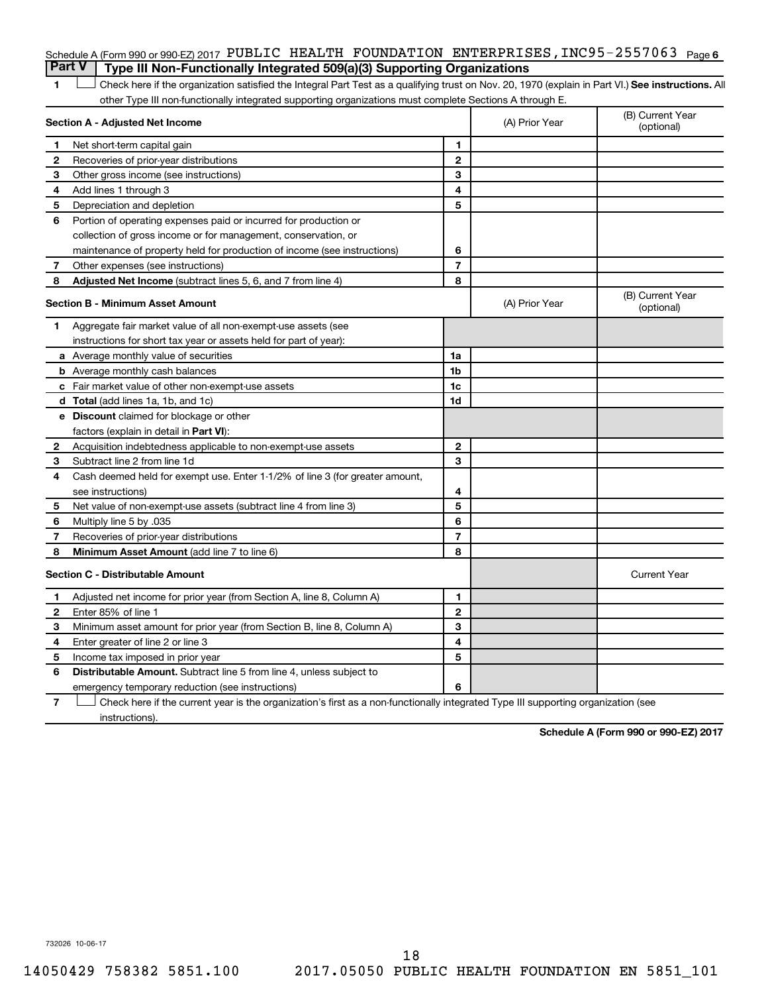### Schedule A (Form 990 or 990-EZ) 2017 PUBLIC HEALTH FOUNDATION ENTERPRISES , INC95-2557063 <sub>Page 6</sub> **Part V Type III Non-Functionally Integrated 509(a)(3) Supporting Organizations**

1 **Letter See instructions.** All Check here if the organization satisfied the Integral Part Test as a qualifying trust on Nov. 20, 1970 (explain in Part VI.) See instructions. All other Type III non-functionally integrated supporting organizations must complete Sections A through E.

|    | Section A - Adjusted Net Income                                              | (A) Prior Year | (B) Current Year<br>(optional) |                                |
|----|------------------------------------------------------------------------------|----------------|--------------------------------|--------------------------------|
| 1  | Net short-term capital gain                                                  | 1              |                                |                                |
| 2  | Recoveries of prior-year distributions                                       | $\mathbf{2}$   |                                |                                |
| 3  | Other gross income (see instructions)                                        | 3              |                                |                                |
| 4  | Add lines 1 through 3                                                        | 4              |                                |                                |
| 5  | Depreciation and depletion                                                   | 5              |                                |                                |
| 6  | Portion of operating expenses paid or incurred for production or             |                |                                |                                |
|    | collection of gross income or for management, conservation, or               |                |                                |                                |
|    | maintenance of property held for production of income (see instructions)     | 6              |                                |                                |
| 7  | Other expenses (see instructions)                                            | $\overline{7}$ |                                |                                |
| 8  | Adjusted Net Income (subtract lines 5, 6, and 7 from line 4)                 | 8              |                                |                                |
|    | <b>Section B - Minimum Asset Amount</b>                                      |                | (A) Prior Year                 | (B) Current Year<br>(optional) |
| 1. | Aggregate fair market value of all non-exempt-use assets (see                |                |                                |                                |
|    | instructions for short tax year or assets held for part of year):            |                |                                |                                |
|    | a Average monthly value of securities                                        | 1a             |                                |                                |
|    | <b>b</b> Average monthly cash balances                                       | 1b             |                                |                                |
|    | <b>c</b> Fair market value of other non-exempt-use assets                    | 1c             |                                |                                |
|    | d Total (add lines 1a, 1b, and 1c)                                           | 1 <sub>d</sub> |                                |                                |
|    | e Discount claimed for blockage or other                                     |                |                                |                                |
|    | factors (explain in detail in Part VI):                                      |                |                                |                                |
| 2  | Acquisition indebtedness applicable to non-exempt-use assets                 | $\mathbf{2}$   |                                |                                |
| З  | Subtract line 2 from line 1d                                                 | 3              |                                |                                |
| 4  | Cash deemed held for exempt use. Enter 1-1/2% of line 3 (for greater amount, |                |                                |                                |
|    | see instructions)                                                            | 4              |                                |                                |
| 5  | Net value of non-exempt-use assets (subtract line 4 from line 3)             | 5              |                                |                                |
| 6  | Multiply line 5 by .035                                                      | 6              |                                |                                |
| 7  | Recoveries of prior-year distributions                                       | $\overline{7}$ |                                |                                |
| 8  | Minimum Asset Amount (add line 7 to line 6)                                  | 8              |                                |                                |
|    | <b>Section C - Distributable Amount</b>                                      |                |                                | <b>Current Year</b>            |
| 1  | Adjusted net income for prior year (from Section A, line 8, Column A)        | 1              |                                |                                |
| 2  | Enter 85% of line 1                                                          | $\overline{2}$ |                                |                                |
| 3  | Minimum asset amount for prior year (from Section B, line 8, Column A)       | 3              |                                |                                |
| 4  | Enter greater of line 2 or line 3                                            | 4              |                                |                                |
| 5  | Income tax imposed in prior year                                             | 5              |                                |                                |
| 6  | <b>Distributable Amount.</b> Subtract line 5 from line 4, unless subject to  |                |                                |                                |
|    | emergency temporary reduction (see instructions)                             | 6              |                                |                                |
|    |                                                                              |                |                                |                                |

**7** Check here if the current year is the organization's first as a non-functionally integrated Type III supporting organization (see † instructions).

**Schedule A (Form 990 or 990-EZ) 2017**

732026 10-06-17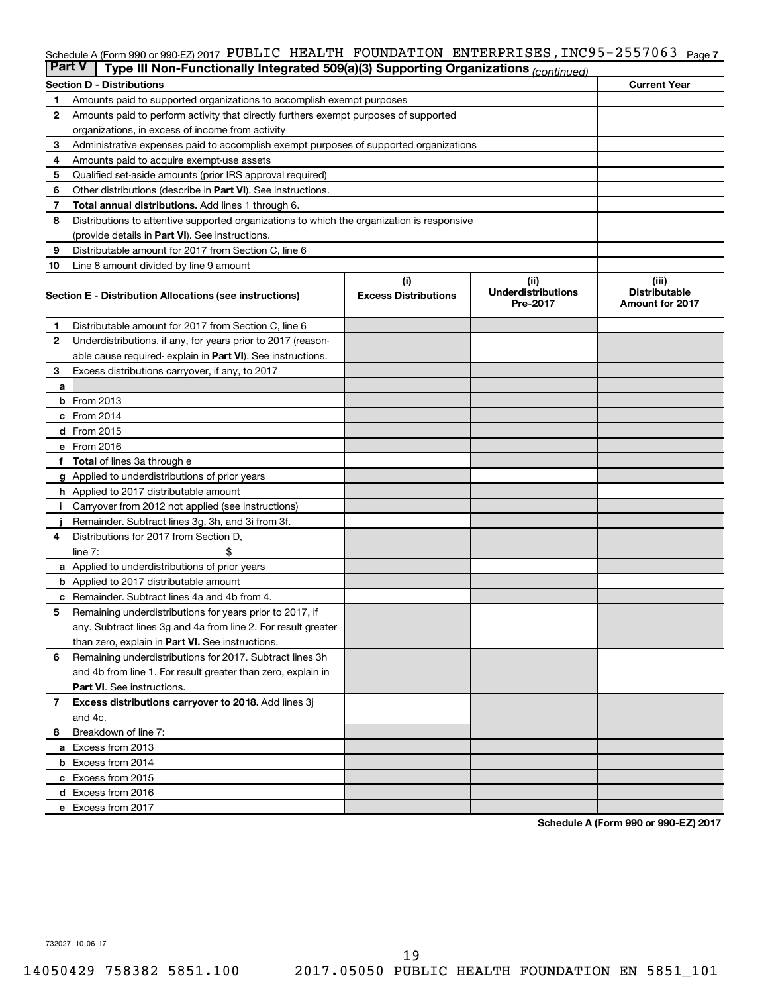### Schedule A (Form 990 or 990-EZ) 2017 PUBLIC HEALTH FOUNDATION ENTERPRISES , INC95-2557063 <sub>Page 7</sub>

|              | <b>Part V</b><br>Type III Non-Functionally Integrated 509(a)(3) Supporting Organizations (continued) |                             |                                       |                                                |  |  |  |  |  |
|--------------|------------------------------------------------------------------------------------------------------|-----------------------------|---------------------------------------|------------------------------------------------|--|--|--|--|--|
|              | <b>Current Year</b><br><b>Section D - Distributions</b>                                              |                             |                                       |                                                |  |  |  |  |  |
| 1            | Amounts paid to supported organizations to accomplish exempt purposes                                |                             |                                       |                                                |  |  |  |  |  |
| $\mathbf{2}$ | Amounts paid to perform activity that directly furthers exempt purposes of supported                 |                             |                                       |                                                |  |  |  |  |  |
|              | organizations, in excess of income from activity                                                     |                             |                                       |                                                |  |  |  |  |  |
| 3            | Administrative expenses paid to accomplish exempt purposes of supported organizations                |                             |                                       |                                                |  |  |  |  |  |
| 4            | Amounts paid to acquire exempt-use assets                                                            |                             |                                       |                                                |  |  |  |  |  |
| 5            | Qualified set-aside amounts (prior IRS approval required)                                            |                             |                                       |                                                |  |  |  |  |  |
| 6            | Other distributions (describe in <b>Part VI</b> ). See instructions.                                 |                             |                                       |                                                |  |  |  |  |  |
| 7            | Total annual distributions. Add lines 1 through 6.                                                   |                             |                                       |                                                |  |  |  |  |  |
| 8            | Distributions to attentive supported organizations to which the organization is responsive           |                             |                                       |                                                |  |  |  |  |  |
|              | (provide details in Part VI). See instructions.                                                      |                             |                                       |                                                |  |  |  |  |  |
| 9            | Distributable amount for 2017 from Section C, line 6                                                 |                             |                                       |                                                |  |  |  |  |  |
| 10           | Line 8 amount divided by line 9 amount                                                               |                             |                                       |                                                |  |  |  |  |  |
|              |                                                                                                      | (i)                         | (ii)                                  | (iii)                                          |  |  |  |  |  |
|              | Section E - Distribution Allocations (see instructions)                                              | <b>Excess Distributions</b> | <b>Underdistributions</b><br>Pre-2017 | <b>Distributable</b><br><b>Amount for 2017</b> |  |  |  |  |  |
| 1            | Distributable amount for 2017 from Section C, line 6                                                 |                             |                                       |                                                |  |  |  |  |  |
| $\mathbf{2}$ | Underdistributions, if any, for years prior to 2017 (reason-                                         |                             |                                       |                                                |  |  |  |  |  |
|              | able cause required- explain in Part VI). See instructions.                                          |                             |                                       |                                                |  |  |  |  |  |
| 3            | Excess distributions carryover, if any, to 2017                                                      |                             |                                       |                                                |  |  |  |  |  |
| a            |                                                                                                      |                             |                                       |                                                |  |  |  |  |  |
|              | <b>b</b> From 2013                                                                                   |                             |                                       |                                                |  |  |  |  |  |
|              | c From 2014                                                                                          |                             |                                       |                                                |  |  |  |  |  |
|              | d From 2015                                                                                          |                             |                                       |                                                |  |  |  |  |  |
|              | e From 2016                                                                                          |                             |                                       |                                                |  |  |  |  |  |
|              | f Total of lines 3a through e                                                                        |                             |                                       |                                                |  |  |  |  |  |
|              | <b>g</b> Applied to underdistributions of prior years                                                |                             |                                       |                                                |  |  |  |  |  |
|              | h Applied to 2017 distributable amount                                                               |                             |                                       |                                                |  |  |  |  |  |
| Ť.           | Carryover from 2012 not applied (see instructions)                                                   |                             |                                       |                                                |  |  |  |  |  |
|              | Remainder. Subtract lines 3g, 3h, and 3i from 3f.                                                    |                             |                                       |                                                |  |  |  |  |  |
| 4            | Distributions for 2017 from Section D,                                                               |                             |                                       |                                                |  |  |  |  |  |
|              | line $7:$                                                                                            |                             |                                       |                                                |  |  |  |  |  |
|              | a Applied to underdistributions of prior years                                                       |                             |                                       |                                                |  |  |  |  |  |
|              | <b>b</b> Applied to 2017 distributable amount                                                        |                             |                                       |                                                |  |  |  |  |  |
| с            | Remainder. Subtract lines 4a and 4b from 4.                                                          |                             |                                       |                                                |  |  |  |  |  |
| 5            | Remaining underdistributions for years prior to 2017, if                                             |                             |                                       |                                                |  |  |  |  |  |
|              | any. Subtract lines 3g and 4a from line 2. For result greater                                        |                             |                                       |                                                |  |  |  |  |  |
|              | than zero, explain in Part VI. See instructions.                                                     |                             |                                       |                                                |  |  |  |  |  |
| 6            | Remaining underdistributions for 2017. Subtract lines 3h                                             |                             |                                       |                                                |  |  |  |  |  |
|              | and 4b from line 1. For result greater than zero, explain in                                         |                             |                                       |                                                |  |  |  |  |  |
|              | <b>Part VI.</b> See instructions.                                                                    |                             |                                       |                                                |  |  |  |  |  |
| $\mathbf{7}$ | Excess distributions carryover to 2018. Add lines 3j                                                 |                             |                                       |                                                |  |  |  |  |  |
|              | and 4c.                                                                                              |                             |                                       |                                                |  |  |  |  |  |
| 8            | Breakdown of line 7:                                                                                 |                             |                                       |                                                |  |  |  |  |  |
|              | a Excess from 2013                                                                                   |                             |                                       |                                                |  |  |  |  |  |
|              | <b>b</b> Excess from 2014                                                                            |                             |                                       |                                                |  |  |  |  |  |
|              | c Excess from 2015                                                                                   |                             |                                       |                                                |  |  |  |  |  |
|              | d Excess from 2016                                                                                   |                             |                                       |                                                |  |  |  |  |  |
|              | e Excess from 2017                                                                                   |                             |                                       |                                                |  |  |  |  |  |

**Schedule A (Form 990 or 990-EZ) 2017**

732027 10-06-17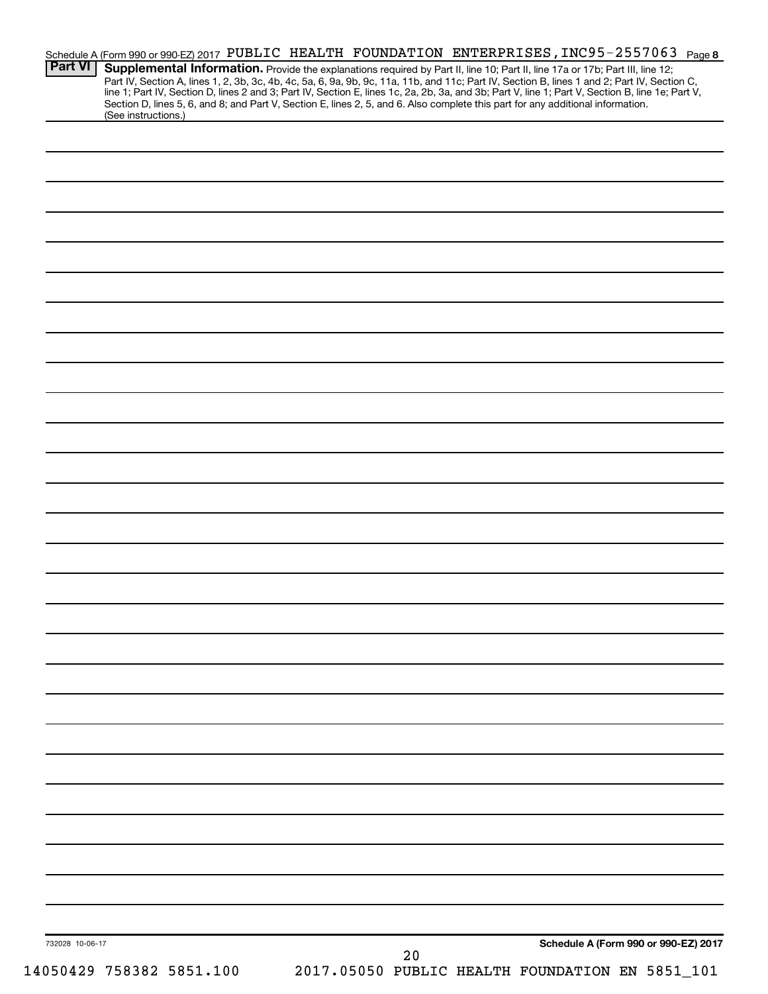| <b>Part VI</b><br>(See instructions.) | Schedule A (Form 990 or 990-EZ) 2017 PUBLIC HEALTH FOUNDATION ENTERPRISES, INC95-2557063 Page 8<br>Supplemental Information. Provide the explanations required by Part II, line 10; Part II, line 17a or 17b; Part III, line 12;<br>Part IV, Section A, lines 1, 2, 3b, 3c, 4b, 4c, 5a, 6, 9a, 9b, 9c, 11a, 11b, and 11c; Part IV, Section B, lines 1 and 2; Part IV, Section C,<br>line 1; Part IV, Section D, lines 2 and 3; Part IV, Section E, lines 1c, 2a, 2b,<br>Section D, lines 5, 6, and 8; and Part V, Section E, lines 2, 5, and 6. Also complete this part for any additional information. |
|---------------------------------------|---------------------------------------------------------------------------------------------------------------------------------------------------------------------------------------------------------------------------------------------------------------------------------------------------------------------------------------------------------------------------------------------------------------------------------------------------------------------------------------------------------------------------------------------------------------------------------------------------------|
|                                       |                                                                                                                                                                                                                                                                                                                                                                                                                                                                                                                                                                                                         |
|                                       |                                                                                                                                                                                                                                                                                                                                                                                                                                                                                                                                                                                                         |
|                                       |                                                                                                                                                                                                                                                                                                                                                                                                                                                                                                                                                                                                         |
|                                       |                                                                                                                                                                                                                                                                                                                                                                                                                                                                                                                                                                                                         |
|                                       |                                                                                                                                                                                                                                                                                                                                                                                                                                                                                                                                                                                                         |
|                                       |                                                                                                                                                                                                                                                                                                                                                                                                                                                                                                                                                                                                         |
|                                       |                                                                                                                                                                                                                                                                                                                                                                                                                                                                                                                                                                                                         |
|                                       |                                                                                                                                                                                                                                                                                                                                                                                                                                                                                                                                                                                                         |
|                                       |                                                                                                                                                                                                                                                                                                                                                                                                                                                                                                                                                                                                         |
|                                       |                                                                                                                                                                                                                                                                                                                                                                                                                                                                                                                                                                                                         |
|                                       |                                                                                                                                                                                                                                                                                                                                                                                                                                                                                                                                                                                                         |
|                                       |                                                                                                                                                                                                                                                                                                                                                                                                                                                                                                                                                                                                         |
|                                       |                                                                                                                                                                                                                                                                                                                                                                                                                                                                                                                                                                                                         |
|                                       |                                                                                                                                                                                                                                                                                                                                                                                                                                                                                                                                                                                                         |
|                                       |                                                                                                                                                                                                                                                                                                                                                                                                                                                                                                                                                                                                         |
|                                       |                                                                                                                                                                                                                                                                                                                                                                                                                                                                                                                                                                                                         |
|                                       |                                                                                                                                                                                                                                                                                                                                                                                                                                                                                                                                                                                                         |
|                                       |                                                                                                                                                                                                                                                                                                                                                                                                                                                                                                                                                                                                         |
|                                       |                                                                                                                                                                                                                                                                                                                                                                                                                                                                                                                                                                                                         |
|                                       |                                                                                                                                                                                                                                                                                                                                                                                                                                                                                                                                                                                                         |
|                                       |                                                                                                                                                                                                                                                                                                                                                                                                                                                                                                                                                                                                         |
|                                       |                                                                                                                                                                                                                                                                                                                                                                                                                                                                                                                                                                                                         |
|                                       |                                                                                                                                                                                                                                                                                                                                                                                                                                                                                                                                                                                                         |
|                                       |                                                                                                                                                                                                                                                                                                                                                                                                                                                                                                                                                                                                         |
| 732028 10-06-17                       | Schedule A (Form 990 or 990-EZ) 2017                                                                                                                                                                                                                                                                                                                                                                                                                                                                                                                                                                    |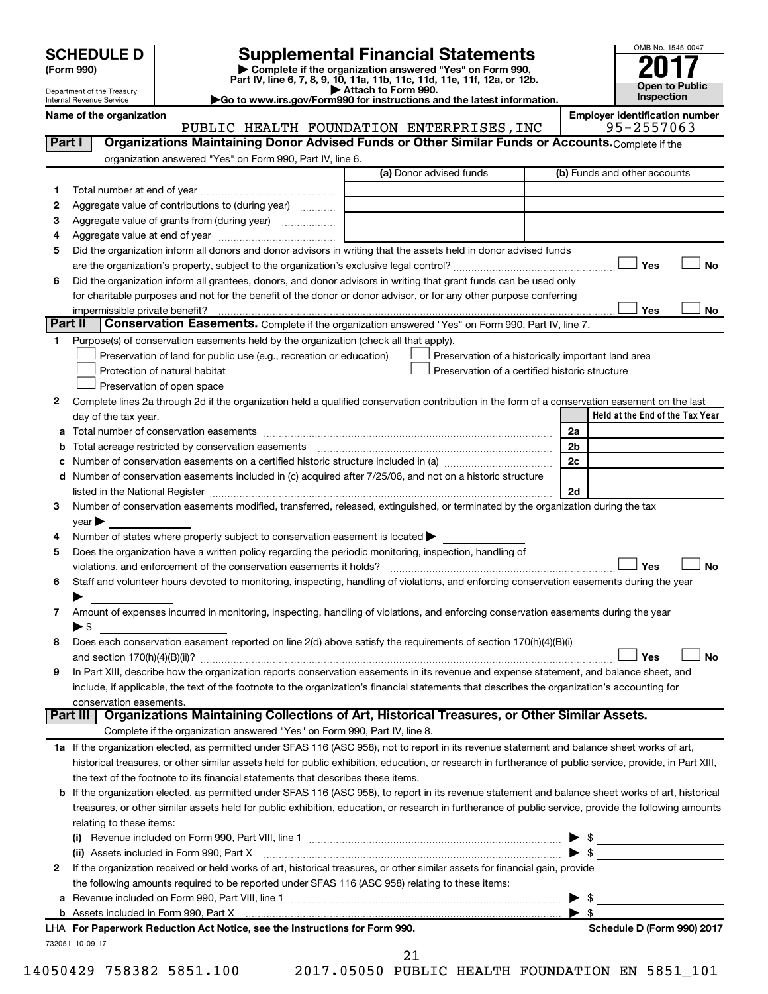Department of the Treasury Internal Revenue Service

| (Form 990) |  |
|------------|--|
|------------|--|

# **SCHEDULE D Supplemental Financial Statements**<br> **Form 990 2017**<br> **Part IV** line 6.7.8.9.10, 11a, 11b, 11d, 11d, 11d, 11d, 11d, 12a, 0r, 12b

**(Form 990) | Complete if the organization answered "Yes" on Form 990, Part IV, line 6, 7, 8, 9, 10, 11a, 11b, 11c, 11d, 11e, 11f, 12a, or 12b.**

**| Attach to Form 990. |Go to www.irs.gov/Form990 for instructions and the latest information.**



Name of the organization<br>**PUBLIC HEALTH FOUNDATION ENTERPRISES, INC** 95-2557063 PUBLIC HEALTH FOUNDATION ENTERPRISES, INC

| Part I  | Organizations Maintaining Donor Advised Funds or Other Similar Funds or Accounts. Complete if the                                                                                                                              |                                                    |                         |                                 |
|---------|--------------------------------------------------------------------------------------------------------------------------------------------------------------------------------------------------------------------------------|----------------------------------------------------|-------------------------|---------------------------------|
|         | organization answered "Yes" on Form 990, Part IV, line 6.                                                                                                                                                                      |                                                    |                         |                                 |
|         |                                                                                                                                                                                                                                | (a) Donor advised funds                            |                         | (b) Funds and other accounts    |
| 1.      |                                                                                                                                                                                                                                |                                                    |                         |                                 |
| 2       | Aggregate value of contributions to (during year)                                                                                                                                                                              |                                                    |                         |                                 |
| З       | Aggregate value of grants from (during year)                                                                                                                                                                                   |                                                    |                         |                                 |
| 4       |                                                                                                                                                                                                                                |                                                    |                         |                                 |
| 5       | Did the organization inform all donors and donor advisors in writing that the assets held in donor advised funds                                                                                                               |                                                    |                         |                                 |
|         |                                                                                                                                                                                                                                |                                                    |                         | Yes<br>No                       |
| 6       | Did the organization inform all grantees, donors, and donor advisors in writing that grant funds can be used only                                                                                                              |                                                    |                         |                                 |
|         | for charitable purposes and not for the benefit of the donor or donor advisor, or for any other purpose conferring                                                                                                             |                                                    |                         |                                 |
|         | impermissible private benefit?                                                                                                                                                                                                 |                                                    |                         | Yes<br>No                       |
| Part II | Conservation Easements. Complete if the organization answered "Yes" on Form 990, Part IV, line 7.                                                                                                                              |                                                    |                         |                                 |
| 1.      | Purpose(s) of conservation easements held by the organization (check all that apply).                                                                                                                                          |                                                    |                         |                                 |
|         | Preservation of land for public use (e.g., recreation or education)                                                                                                                                                            | Preservation of a historically important land area |                         |                                 |
|         | Protection of natural habitat                                                                                                                                                                                                  | Preservation of a certified historic structure     |                         |                                 |
|         | Preservation of open space                                                                                                                                                                                                     |                                                    |                         |                                 |
| 2       | Complete lines 2a through 2d if the organization held a qualified conservation contribution in the form of a conservation easement on the last                                                                                 |                                                    |                         |                                 |
|         | day of the tax year.                                                                                                                                                                                                           |                                                    |                         | Held at the End of the Tax Year |
|         |                                                                                                                                                                                                                                |                                                    | 2a                      |                                 |
|         |                                                                                                                                                                                                                                |                                                    | 2b                      |                                 |
|         |                                                                                                                                                                                                                                |                                                    | 2c                      |                                 |
| d       | Number of conservation easements included in (c) acquired after 7/25/06, and not on a historic structure                                                                                                                       |                                                    |                         |                                 |
|         | listed in the National Register [111] in the National Register [11] in the National Register [11] in the National Register [11] in the National Register [11] in the National Register [11] in the National Register [11] in t |                                                    | 2d                      |                                 |
| З       | Number of conservation easements modified, transferred, released, extinguished, or terminated by the organization during the tax                                                                                               |                                                    |                         |                                 |
|         | $year \blacktriangleright$                                                                                                                                                                                                     |                                                    |                         |                                 |
| 4       | Number of states where property subject to conservation easement is located >                                                                                                                                                  |                                                    |                         |                                 |
| 5       | Does the organization have a written policy regarding the periodic monitoring, inspection, handling of                                                                                                                         |                                                    |                         |                                 |
|         | violations, and enforcement of the conservation easements it holds?                                                                                                                                                            |                                                    |                         | Yes<br><b>No</b>                |
| 6       | Staff and volunteer hours devoted to monitoring, inspecting, handling of violations, and enforcing conservation easements during the year                                                                                      |                                                    |                         |                                 |
|         |                                                                                                                                                                                                                                |                                                    |                         |                                 |
| 7       | Amount of expenses incurred in monitoring, inspecting, handling of violations, and enforcing conservation easements during the year                                                                                            |                                                    |                         |                                 |
|         | $\blacktriangleright$ \$<br>Does each conservation easement reported on line 2(d) above satisfy the requirements of section 170(h)(4)(B)(i)                                                                                    |                                                    |                         |                                 |
| 8       |                                                                                                                                                                                                                                |                                                    |                         | <b>No</b><br>Yes                |
| 9       | In Part XIII, describe how the organization reports conservation easements in its revenue and expense statement, and balance sheet, and                                                                                        |                                                    |                         |                                 |
|         | include, if applicable, the text of the footnote to the organization's financial statements that describes the organization's accounting for                                                                                   |                                                    |                         |                                 |
|         | conservation easements.                                                                                                                                                                                                        |                                                    |                         |                                 |
|         | Organizations Maintaining Collections of Art, Historical Treasures, or Other Similar Assets.<br>Part III                                                                                                                       |                                                    |                         |                                 |
|         | Complete if the organization answered "Yes" on Form 990, Part IV, line 8.                                                                                                                                                      |                                                    |                         |                                 |
|         | 1a If the organization elected, as permitted under SFAS 116 (ASC 958), not to report in its revenue statement and balance sheet works of art,                                                                                  |                                                    |                         |                                 |
|         | historical treasures, or other similar assets held for public exhibition, education, or research in furtherance of public service, provide, in Part XIII,                                                                      |                                                    |                         |                                 |
|         | the text of the footnote to its financial statements that describes these items.                                                                                                                                               |                                                    |                         |                                 |
|         | <b>b</b> If the organization elected, as permitted under SFAS 116 (ASC 958), to report in its revenue statement and balance sheet works of art, historical                                                                     |                                                    |                         |                                 |
|         | treasures, or other similar assets held for public exhibition, education, or research in furtherance of public service, provide the following amounts                                                                          |                                                    |                         |                                 |
|         | relating to these items:                                                                                                                                                                                                       |                                                    |                         |                                 |
|         |                                                                                                                                                                                                                                |                                                    |                         | \$                              |
|         | (ii) Assets included in Form 990, Part X                                                                                                                                                                                       |                                                    |                         | $\blacktriangleright$ \$        |
| 2       | If the organization received or held works of art, historical treasures, or other similar assets for financial gain, provide                                                                                                   |                                                    |                         |                                 |
|         | the following amounts required to be reported under SFAS 116 (ASC 958) relating to these items:                                                                                                                                |                                                    |                         |                                 |
|         |                                                                                                                                                                                                                                |                                                    | ▶                       | \$                              |
|         | b Assets included in Form 990, Part X [111] [12] Assets included in Form 990, Part X [12] Assets included in Form 990, Part X [12] [12] Assets included in Form 990, Part X [12] [12] Assets included in Form 1990, Part X [12 |                                                    | $\blacktriangleright$ s |                                 |
|         | LHA For Paperwork Reduction Act Notice, see the Instructions for Form 990.                                                                                                                                                     |                                                    |                         | Schedule D (Form 990) 2017      |
|         | 732051 10-09-17                                                                                                                                                                                                                |                                                    |                         |                                 |

14050429 758382 5851.100 2017.05050 PUBLIC HEALTH FOUNDATION EN 5851\_101 21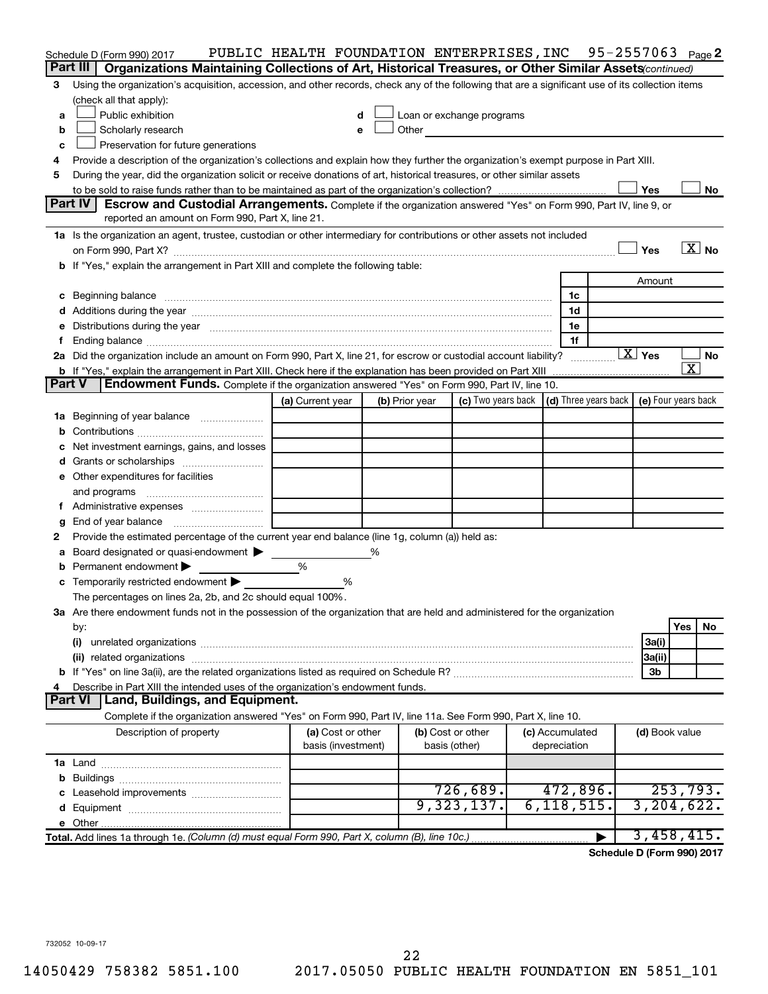|        | Schedule D (Form 990) 2017                                                                                                                                                                                                     | PUBLIC HEALTH FOUNDATION ENTERPRISES, INC 95-2557063 Page2 |                |                                                                                                                                                                                                                                |  |                                 |   |                                                   |                         |
|--------|--------------------------------------------------------------------------------------------------------------------------------------------------------------------------------------------------------------------------------|------------------------------------------------------------|----------------|--------------------------------------------------------------------------------------------------------------------------------------------------------------------------------------------------------------------------------|--|---------------------------------|---|---------------------------------------------------|-------------------------|
|        | Part III<br>Organizations Maintaining Collections of Art, Historical Treasures, or Other Similar Assets (continued)                                                                                                            |                                                            |                |                                                                                                                                                                                                                                |  |                                 |   |                                                   |                         |
| З      | Using the organization's acquisition, accession, and other records, check any of the following that are a significant use of its collection items                                                                              |                                                            |                |                                                                                                                                                                                                                                |  |                                 |   |                                                   |                         |
|        | (check all that apply):                                                                                                                                                                                                        |                                                            |                |                                                                                                                                                                                                                                |  |                                 |   |                                                   |                         |
| a      | Public exhibition                                                                                                                                                                                                              | d                                                          |                | Loan or exchange programs                                                                                                                                                                                                      |  |                                 |   |                                                   |                         |
| b      | Scholarly research                                                                                                                                                                                                             | е                                                          |                | Other and the control of the control of the control of the control of the control of the control of the control of the control of the control of the control of the control of the control of the control of the control of th |  |                                 |   |                                                   |                         |
| C      | Preservation for future generations                                                                                                                                                                                            |                                                            |                |                                                                                                                                                                                                                                |  |                                 |   |                                                   |                         |
| 4      | Provide a description of the organization's collections and explain how they further the organization's exempt purpose in Part XIII.                                                                                           |                                                            |                |                                                                                                                                                                                                                                |  |                                 |   |                                                   |                         |
| 5      | During the year, did the organization solicit or receive donations of art, historical treasures, or other similar assets                                                                                                       |                                                            |                |                                                                                                                                                                                                                                |  |                                 |   |                                                   |                         |
|        |                                                                                                                                                                                                                                |                                                            |                |                                                                                                                                                                                                                                |  |                                 |   | Yes                                               | No                      |
|        | Part IV<br>Escrow and Custodial Arrangements. Complete if the organization answered "Yes" on Form 990, Part IV, line 9, or                                                                                                     |                                                            |                |                                                                                                                                                                                                                                |  |                                 |   |                                                   |                         |
|        | reported an amount on Form 990, Part X, line 21.                                                                                                                                                                               |                                                            |                |                                                                                                                                                                                                                                |  |                                 |   |                                                   |                         |
|        | 1a Is the organization an agent, trustee, custodian or other intermediary for contributions or other assets not included                                                                                                       |                                                            |                |                                                                                                                                                                                                                                |  |                                 |   |                                                   |                         |
|        |                                                                                                                                                                                                                                |                                                            |                |                                                                                                                                                                                                                                |  |                                 |   | Yes                                               | $\boxed{\text{X}}$ No   |
|        | b If "Yes," explain the arrangement in Part XIII and complete the following table:                                                                                                                                             |                                                            |                |                                                                                                                                                                                                                                |  |                                 |   |                                                   |                         |
|        |                                                                                                                                                                                                                                |                                                            |                |                                                                                                                                                                                                                                |  |                                 |   | Amount                                            |                         |
|        | c Beginning balance measurements and the contract of the contract of the contract of the contract of the contract of the contract of the contract of the contract of the contract of the contract of the contract of the contr |                                                            |                |                                                                                                                                                                                                                                |  | 1c                              |   |                                                   |                         |
|        |                                                                                                                                                                                                                                |                                                            |                |                                                                                                                                                                                                                                |  | 1d                              |   |                                                   |                         |
| е      | Distributions during the year manufactured and an account of the year manufactured and the year manufactured and the year manufactured and the year manufactured and the year manufactured and the year manufactured and the y | 1e                                                         |                |                                                                                                                                                                                                                                |  |                                 |   |                                                   |                         |
| f      |                                                                                                                                                                                                                                |                                                            |                |                                                                                                                                                                                                                                |  | 1f                              |   |                                                   |                         |
|        | 2a Did the organization include an amount on Form 990, Part X, line 21, for escrow or custodial account liability?                                                                                                             |                                                            |                |                                                                                                                                                                                                                                |  |                                 |   | $\overline{X}$ Yes                                | No                      |
|        | <b>b</b> If "Yes," explain the arrangement in Part XIII. Check here if the explanation has been provided on Part XIII                                                                                                          |                                                            |                |                                                                                                                                                                                                                                |  |                                 |   |                                                   | $\overline{\textbf{X}}$ |
| Part V | Endowment Funds. Complete if the organization answered "Yes" on Form 990, Part IV, line 10.                                                                                                                                    |                                                            |                |                                                                                                                                                                                                                                |  |                                 |   |                                                   |                         |
|        |                                                                                                                                                                                                                                | (a) Current year                                           | (b) Prior year | (c) Two years back                                                                                                                                                                                                             |  |                                 |   | $(d)$ Three years back $\mid$ (e) Four years back |                         |
|        |                                                                                                                                                                                                                                |                                                            |                |                                                                                                                                                                                                                                |  |                                 |   |                                                   |                         |
| b      |                                                                                                                                                                                                                                |                                                            |                |                                                                                                                                                                                                                                |  |                                 |   |                                                   |                         |
|        | Net investment earnings, gains, and losses                                                                                                                                                                                     |                                                            |                |                                                                                                                                                                                                                                |  |                                 |   |                                                   |                         |
|        |                                                                                                                                                                                                                                |                                                            |                |                                                                                                                                                                                                                                |  |                                 |   |                                                   |                         |
|        | e Other expenditures for facilities                                                                                                                                                                                            |                                                            |                |                                                                                                                                                                                                                                |  |                                 |   |                                                   |                         |
|        | and programs                                                                                                                                                                                                                   |                                                            |                |                                                                                                                                                                                                                                |  |                                 |   |                                                   |                         |
| Ť.     |                                                                                                                                                                                                                                |                                                            |                |                                                                                                                                                                                                                                |  |                                 |   |                                                   |                         |
| g      | End of year balance                                                                                                                                                                                                            |                                                            |                |                                                                                                                                                                                                                                |  |                                 |   |                                                   |                         |
| 2      | Provide the estimated percentage of the current year end balance (line 1g, column (a)) held as:                                                                                                                                |                                                            |                |                                                                                                                                                                                                                                |  |                                 |   |                                                   |                         |
| а      | Board designated or quasi-endowment >                                                                                                                                                                                          |                                                            | ℅              |                                                                                                                                                                                                                                |  |                                 |   |                                                   |                         |
| b      | Permanent endowment                                                                                                                                                                                                            | %                                                          |                |                                                                                                                                                                                                                                |  |                                 |   |                                                   |                         |
|        | c Temporarily restricted endowment $\blacktriangleright$                                                                                                                                                                       | %                                                          |                |                                                                                                                                                                                                                                |  |                                 |   |                                                   |                         |
|        | The percentages on lines 2a, 2b, and 2c should equal 100%.                                                                                                                                                                     |                                                            |                |                                                                                                                                                                                                                                |  |                                 |   |                                                   |                         |
|        | 3a Are there endowment funds not in the possession of the organization that are held and administered for the organization                                                                                                     |                                                            |                |                                                                                                                                                                                                                                |  |                                 |   |                                                   |                         |
|        | by:                                                                                                                                                                                                                            |                                                            |                |                                                                                                                                                                                                                                |  |                                 |   | Yes                                               | No                      |
|        | (i)                                                                                                                                                                                                                            |                                                            |                |                                                                                                                                                                                                                                |  |                                 |   | 3a(i)                                             |                         |
|        |                                                                                                                                                                                                                                |                                                            |                |                                                                                                                                                                                                                                |  |                                 |   | 3a(ii)                                            |                         |
|        | Describe in Part XIII the intended uses of the organization's endowment funds.                                                                                                                                                 |                                                            |                |                                                                                                                                                                                                                                |  |                                 |   | 3 <sub>b</sub>                                    |                         |
|        | <b>Part VI</b><br>Land, Buildings, and Equipment.                                                                                                                                                                              |                                                            |                |                                                                                                                                                                                                                                |  |                                 |   |                                                   |                         |
|        | Complete if the organization answered "Yes" on Form 990, Part IV, line 11a. See Form 990, Part X, line 10.                                                                                                                     |                                                            |                |                                                                                                                                                                                                                                |  |                                 |   |                                                   |                         |
|        |                                                                                                                                                                                                                                | (a) Cost or other                                          |                |                                                                                                                                                                                                                                |  |                                 |   | (d) Book value                                    |                         |
|        | Description of property                                                                                                                                                                                                        | basis (investment)                                         |                | (b) Cost or other<br>basis (other)                                                                                                                                                                                             |  | (c) Accumulated<br>depreciation |   |                                                   |                         |
|        |                                                                                                                                                                                                                                |                                                            |                |                                                                                                                                                                                                                                |  |                                 |   |                                                   |                         |
|        |                                                                                                                                                                                                                                |                                                            |                |                                                                                                                                                                                                                                |  |                                 |   |                                                   |                         |
|        |                                                                                                                                                                                                                                |                                                            |                | 726,689.                                                                                                                                                                                                                       |  | 472,896.                        |   |                                                   | 253,793.                |
|        |                                                                                                                                                                                                                                |                                                            |                | 9,323,137.                                                                                                                                                                                                                     |  | 6, 118, 515.                    |   | 3, 204, 622.                                      |                         |
|        |                                                                                                                                                                                                                                |                                                            |                |                                                                                                                                                                                                                                |  |                                 |   |                                                   |                         |
|        | Total. Add lines 1a through 1e. (Column (d) must equal Form 990, Part X, column (B), line 10c.)                                                                                                                                |                                                            |                |                                                                                                                                                                                                                                |  |                                 | ▶ | 3,458,415.                                        |                         |
|        |                                                                                                                                                                                                                                |                                                            |                |                                                                                                                                                                                                                                |  |                                 |   |                                                   |                         |

**Schedule D (Form 990) 2017**

732052 10-09-17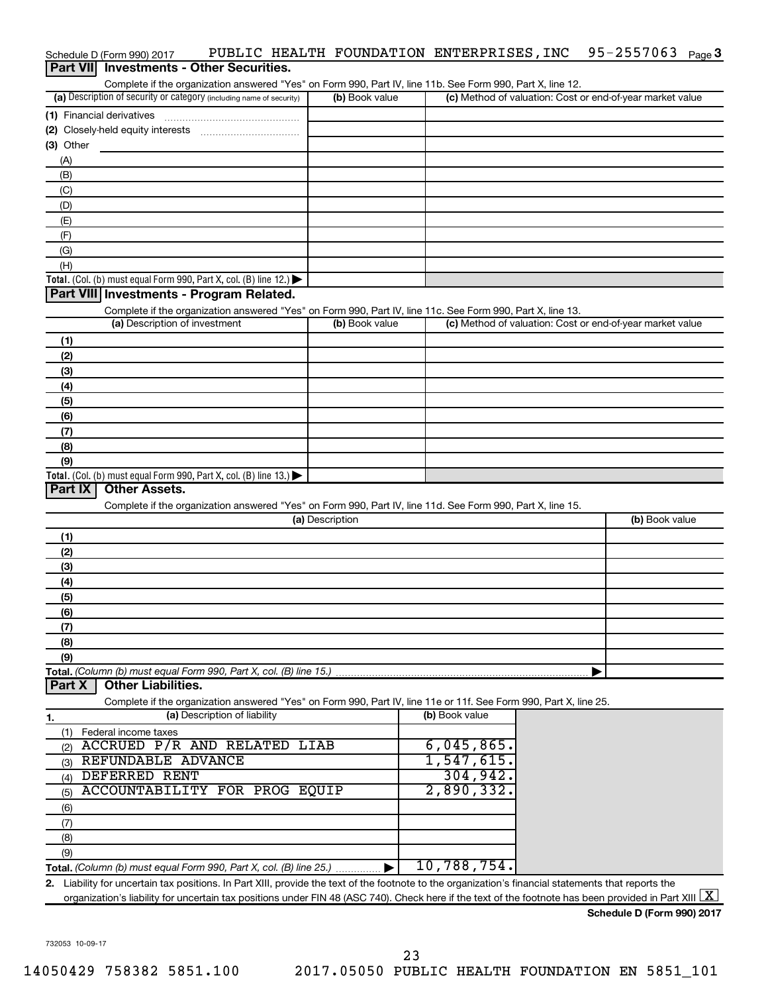|                  | Schedule D (Form 990) 2017                                           |                              |                 |                | PUBLIC HEALTH FOUNDATION ENTERPRISES, INC                                                                         | 95-2557063 $_{Page}$ 3                                    |  |
|------------------|----------------------------------------------------------------------|------------------------------|-----------------|----------------|-------------------------------------------------------------------------------------------------------------------|-----------------------------------------------------------|--|
| <b>Part VIII</b> | <b>Investments - Other Securities.</b>                               |                              |                 |                |                                                                                                                   |                                                           |  |
|                  |                                                                      |                              |                 |                | Complete if the organization answered "Yes" on Form 990, Part IV, line 11b. See Form 990, Part X, line 12.        |                                                           |  |
|                  | (a) Description of security or category (including name of security) |                              |                 | (b) Book value |                                                                                                                   | (c) Method of valuation: Cost or end-of-year market value |  |
|                  | (1) Financial derivatives                                            |                              |                 |                |                                                                                                                   |                                                           |  |
|                  | (2) Closely-held equity interests                                    |                              |                 |                |                                                                                                                   |                                                           |  |
| $(3)$ Other      |                                                                      |                              |                 |                |                                                                                                                   |                                                           |  |
| (A)              |                                                                      |                              |                 |                |                                                                                                                   |                                                           |  |
| (B)              |                                                                      |                              |                 |                |                                                                                                                   |                                                           |  |
| (C)              |                                                                      |                              |                 |                |                                                                                                                   |                                                           |  |
| (D)              |                                                                      |                              |                 |                |                                                                                                                   |                                                           |  |
| (E)              |                                                                      |                              |                 |                |                                                                                                                   |                                                           |  |
| (F)              |                                                                      |                              |                 |                |                                                                                                                   |                                                           |  |
| (G)              |                                                                      |                              |                 |                |                                                                                                                   |                                                           |  |
| (H)              |                                                                      |                              |                 |                |                                                                                                                   |                                                           |  |
|                  | Total. (Col. (b) must equal Form 990, Part X, col. (B) line 12.)     |                              |                 |                |                                                                                                                   |                                                           |  |
|                  | Part VIII Investments - Program Related.                             |                              |                 |                |                                                                                                                   |                                                           |  |
|                  |                                                                      |                              |                 |                | Complete if the organization answered "Yes" on Form 990, Part IV, line 11c. See Form 990, Part X, line 13.        |                                                           |  |
|                  | (a) Description of investment                                        |                              |                 | (b) Book value |                                                                                                                   | (c) Method of valuation: Cost or end-of-year market value |  |
| (1)              |                                                                      |                              |                 |                |                                                                                                                   |                                                           |  |
| (2)              |                                                                      |                              |                 |                |                                                                                                                   |                                                           |  |
| (3)              |                                                                      |                              |                 |                |                                                                                                                   |                                                           |  |
| (4)              |                                                                      |                              |                 |                |                                                                                                                   |                                                           |  |
| (5)              |                                                                      |                              |                 |                |                                                                                                                   |                                                           |  |
| (6)              |                                                                      |                              |                 |                |                                                                                                                   |                                                           |  |
| (7)              |                                                                      |                              |                 |                |                                                                                                                   |                                                           |  |
| (8)              |                                                                      |                              |                 |                |                                                                                                                   |                                                           |  |
| (9)              |                                                                      |                              |                 |                |                                                                                                                   |                                                           |  |
|                  | Total. (Col. (b) must equal Form 990, Part X, col. (B) line 13.)     |                              |                 |                |                                                                                                                   |                                                           |  |
| Part IX          | <b>Other Assets.</b>                                                 |                              |                 |                |                                                                                                                   |                                                           |  |
|                  |                                                                      |                              |                 |                | Complete if the organization answered "Yes" on Form 990, Part IV, line 11d. See Form 990, Part X, line 15.        |                                                           |  |
|                  |                                                                      |                              | (a) Description |                |                                                                                                                   | (b) Book value                                            |  |
| (1)              |                                                                      |                              |                 |                |                                                                                                                   |                                                           |  |
| (2)              |                                                                      |                              |                 |                |                                                                                                                   |                                                           |  |
| (3)              |                                                                      |                              |                 |                |                                                                                                                   |                                                           |  |
| (4)              |                                                                      |                              |                 |                |                                                                                                                   |                                                           |  |
| (5)              |                                                                      |                              |                 |                |                                                                                                                   |                                                           |  |
| (6)              |                                                                      |                              |                 |                |                                                                                                                   |                                                           |  |
| (7)              |                                                                      |                              |                 |                |                                                                                                                   |                                                           |  |
| (8)              |                                                                      |                              |                 |                |                                                                                                                   |                                                           |  |
| (9)              |                                                                      |                              |                 |                |                                                                                                                   |                                                           |  |
|                  | Total. (Column (b) must equal Form 990, Part X, col. (B) line 15.)   |                              |                 |                |                                                                                                                   |                                                           |  |
| Part X           | <b>Other Liabilities.</b>                                            |                              |                 |                |                                                                                                                   |                                                           |  |
|                  |                                                                      |                              |                 |                | Complete if the organization answered "Yes" on Form 990, Part IV, line 11e or 11f. See Form 990, Part X, line 25. |                                                           |  |
| 1.               |                                                                      | (a) Description of liability |                 |                | (b) Book value                                                                                                    |                                                           |  |
|                  | (1) Federal income taxes                                             |                              |                 |                |                                                                                                                   |                                                           |  |
| (2)              | <b>ACCRUED P/R AND RELATED LIAB</b>                                  |                              |                 |                | 6,045,865.                                                                                                        |                                                           |  |
| (3)              | REFUNDABLE ADVANCE                                                   |                              |                 |                | 1,547,615.                                                                                                        |                                                           |  |
|                  | <b>DEFERRED RENT</b>                                                 |                              |                 |                | 304,942.                                                                                                          |                                                           |  |
| (4)              | ACCOUNTABILITY FOR PROG EQUIP                                        |                              |                 |                | 2,890,332.                                                                                                        |                                                           |  |
| (5)              |                                                                      |                              |                 |                |                                                                                                                   |                                                           |  |
| (6)              |                                                                      |                              |                 |                |                                                                                                                   |                                                           |  |
| (7)              |                                                                      |                              |                 |                |                                                                                                                   |                                                           |  |
| (8)              |                                                                      |                              |                 |                |                                                                                                                   |                                                           |  |
| (9)              |                                                                      |                              |                 |                | 10,788,754.                                                                                                       |                                                           |  |
|                  | Total. (Column (b) must equal Form 990, Part X, col. (B) line 25.)   |                              |                 |                |                                                                                                                   |                                                           |  |

**2.** Liability for uncertain tax positions. In Part XIII, provide the text of the footnote to the organization's financial statements that reports the organization's liability for uncertain tax positions under FIN 48 (ASC 740). Check here if the text of the footnote has been provided in Part XIII  $\boxed{\text{X}}$ 

732053 10-09-17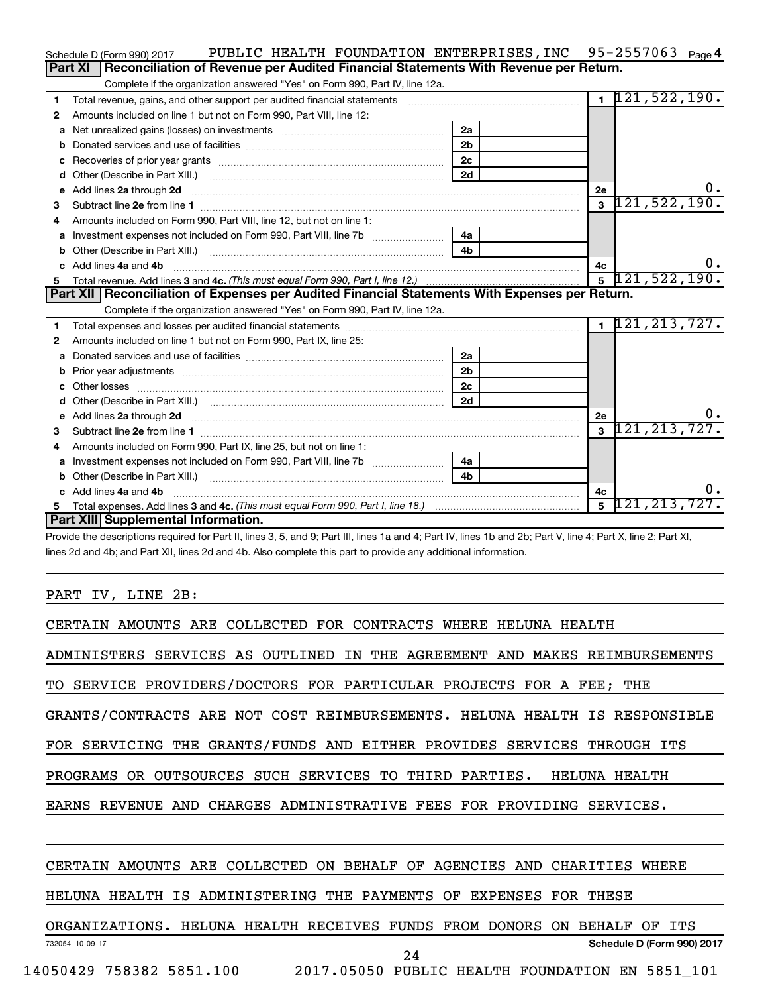|    | PUBLIC HEALTH FOUNDATION ENTERPRISES, INC 95-2557063 Page 4<br>Schedule D (Form 990) 2017                                                                                                                                           |                |                |                    |
|----|-------------------------------------------------------------------------------------------------------------------------------------------------------------------------------------------------------------------------------------|----------------|----------------|--------------------|
|    | Reconciliation of Revenue per Audited Financial Statements With Revenue per Return.<br>Part XI                                                                                                                                      |                |                |                    |
|    | Complete if the organization answered "Yes" on Form 990, Part IV, line 12a.                                                                                                                                                         |                |                |                    |
| 1  | Total revenue, gains, and other support per audited financial statements [111] [11] Total revenue, gains, and other support per audited financial statements                                                                        |                | $\overline{1}$ | 121, 522, 190.     |
| 2  | Amounts included on line 1 but not on Form 990, Part VIII, line 12:                                                                                                                                                                 |                |                |                    |
| a  | Net unrealized gains (losses) on investments [111] [12] matter contracts and the unrealized gains (losses) on investments [11] matter contracts and the unrealized gains (losses) on investments [11] matter contracts and the      | 2a             |                |                    |
| b  |                                                                                                                                                                                                                                     | 2 <sub>b</sub> |                |                    |
| c  |                                                                                                                                                                                                                                     | 2 <sub>c</sub> |                |                    |
| d  |                                                                                                                                                                                                                                     | 2d             |                |                    |
| е  | Add lines 2a through 2d <b>contained a contained a contained a contained a</b> contained a contained a contact the set                                                                                                              |                | 2е             | Ο.                 |
| З  |                                                                                                                                                                                                                                     |                | $\mathbf{3}$   | 121, 522, 190.     |
| 4  | Amounts included on Form 990, Part VIII, line 12, but not on line 1:                                                                                                                                                                |                |                |                    |
|    |                                                                                                                                                                                                                                     | 4a             |                |                    |
| b  |                                                                                                                                                                                                                                     | 4 <sub>b</sub> |                |                    |
| c. | Add lines 4a and 4b                                                                                                                                                                                                                 |                | 4с             | υ.                 |
| 5  |                                                                                                                                                                                                                                     |                | $\overline{5}$ | 121, 522, 190.     |
|    |                                                                                                                                                                                                                                     |                |                |                    |
|    | Part XII   Reconciliation of Expenses per Audited Financial Statements With Expenses per Return.                                                                                                                                    |                |                |                    |
|    | Complete if the organization answered "Yes" on Form 990, Part IV, line 12a.                                                                                                                                                         |                |                |                    |
| 1  |                                                                                                                                                                                                                                     |                |                | $1$ 121, 213, 727. |
| 2  | Amounts included on line 1 but not on Form 990, Part IX, line 25:                                                                                                                                                                   |                |                |                    |
| a  |                                                                                                                                                                                                                                     | 2a             |                |                    |
|    |                                                                                                                                                                                                                                     | 2 <sub>b</sub> |                |                    |
| c. |                                                                                                                                                                                                                                     | 2 <sub>c</sub> |                |                    |
|    |                                                                                                                                                                                                                                     | 2d             |                |                    |
| е  | Add lines 2a through 2d <b>contained a contained a contained a contained a</b> contained a contained a contained a contained a contained a contained a contained a contained a contained a contained a contained a contained a cont |                | 2е             | Ο.                 |
| З  |                                                                                                                                                                                                                                     |                | $\mathbf{a}$   | 121, 213, 727.     |
| 4  | Amounts included on Form 990, Part IX, line 25, but not on line 1:                                                                                                                                                                  |                |                |                    |
| а  |                                                                                                                                                                                                                                     | 4a             |                |                    |
| b  |                                                                                                                                                                                                                                     | 4 <sub>h</sub> |                |                    |
|    | Add lines 4a and 4b                                                                                                                                                                                                                 |                | 4c             | 0.                 |
|    | Part XIII Supplemental Information.                                                                                                                                                                                                 |                | 5              | $121, 213, 727$ .  |

Provide the descriptions required for Part II, lines 3, 5, and 9; Part III, lines 1a and 4; Part IV, lines 1b and 2b; Part V, line 4; Part X, line 2; Part XI, lines 2d and 4b; and Part XII, lines 2d and 4b. Also complete this part to provide any additional information.

# PART IV, LINE 2B:

| CERTAIN AMOUNTS ARE COLLECTED FOR CONTRACTS WHERE HELUNA HEALTH            |
|----------------------------------------------------------------------------|
| ADMINISTERS SERVICES AS OUTLINED IN THE AGREEMENT AND MAKES REIMBURSEMENTS |
| TO SERVICE PROVIDERS/DOCTORS FOR PARTICULAR PROJECTS FOR A FEE; THE        |
| GRANTS/CONTRACTS ARE NOT COST REIMBURSEMENTS. HELUNA HEALTH IS RESPONSIBLE |
| FOR SERVICING THE GRANTS/FUNDS AND EITHER PROVIDES SERVICES THROUGH ITS    |
| PROGRAMS OR OUTSOURCES SUCH SERVICES TO THIRD PARTIES. HELUNA HEALTH       |
| EARNS REVENUE AND CHARGES ADMINISTRATIVE FEES FOR PROVIDING SERVICES.      |
|                                                                            |
| CERTAIN AMOUNTS ARE COLLECTED ON BEHALF OF AGENCIES AND CHARITIES WHERE    |
| HELUNA HEALTH IS ADMINISTERING THE PAYMENTS OF EXPENSES FOR THESE          |
| ORGANIZATIONS. HELUNA HEALTH RECEIVES FUNDS FROM DONORS ON BEHALF OF ITS   |
| Schedule D (Form 990) 2017<br>732054 10-09-17<br>24                        |
| 14050429 758382 5851.100 2017.05050 PUBLIC HEALTH FOUNDATION EN 5851_101   |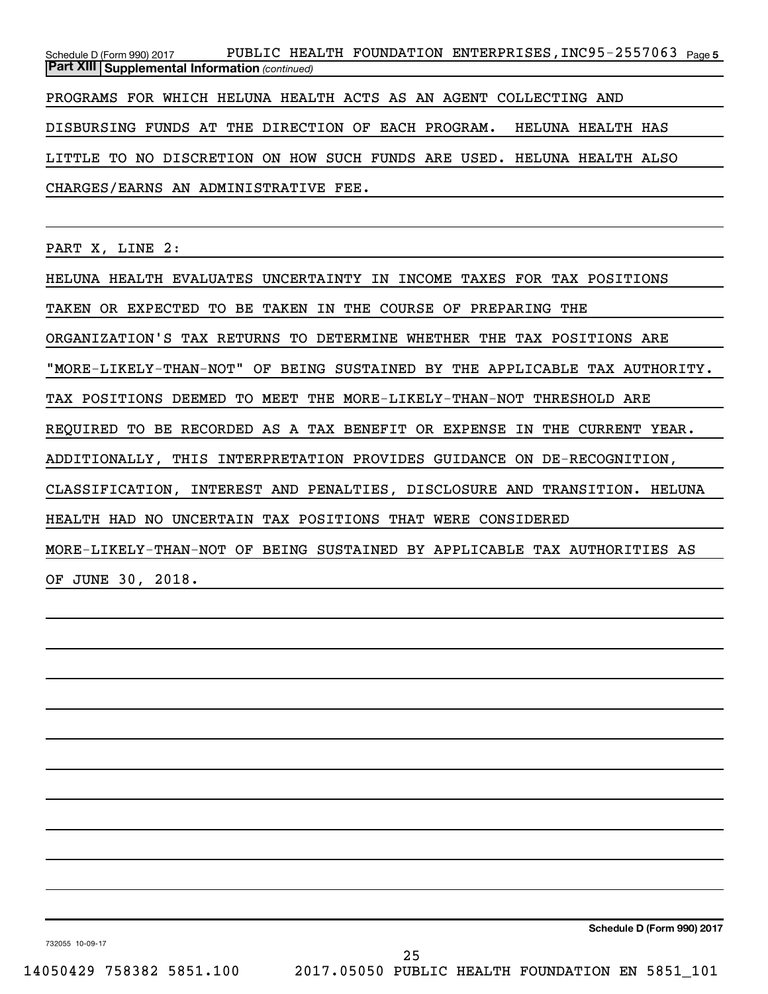Schedule D (Form 990) 2017 PUBLIC HEALTH FOUNDATION ENTERPRISES , INC95-2557063 <sub>Page 5</sub> *(continued)* **Part XIII Supplemental Information**  PROGRAMS FOR WHICH HELUNA HEALTH ACTS AS AN AGENT COLLECTING AND DISBURSING FUNDS AT THE DIRECTION OF EACH PROGRAM. HELUNA HEALTH HAS LITTLE TO NO DISCRETION ON HOW SUCH FUNDS ARE USED. HELUNA HEALTH ALSO CHARGES/EARNS AN ADMINISTRATIVE FEE.

PART X, LINE 2:

HELUNA HEALTH EVALUATES UNCERTAINTY IN INCOME TAXES FOR TAX POSITIONS TAKEN OR EXPECTED TO BE TAKEN IN THE COURSE OF PREPARING THE ORGANIZATION'S TAX RETURNS TO DETERMINE WHETHER THE TAX POSITIONS ARE "MORE-LIKELY-THAN-NOT" OF BEING SUSTAINED BY THE APPLICABLE TAX AUTHORITY. TAX POSITIONS DEEMED TO MEET THE MORE-LIKELY-THAN-NOT THRESHOLD ARE REQUIRED TO BE RECORDED AS A TAX BENEFIT OR EXPENSE IN THE CURRENT YEAR. ADDITIONALLY, THIS INTERPRETATION PROVIDES GUIDANCE ON DE-RECOGNITION, CLASSIFICATION, INTEREST AND PENALTIES, DISCLOSURE AND TRANSITION. HELUNA HEALTH HAD NO UNCERTAIN TAX POSITIONS THAT WERE CONSIDERED MORE-LIKELY-THAN-NOT OF BEING SUSTAINED BY APPLICABLE TAX AUTHORITIES AS OF JUNE 30, 2018.

**Schedule D (Form 990) 2017**

732055 10-09-17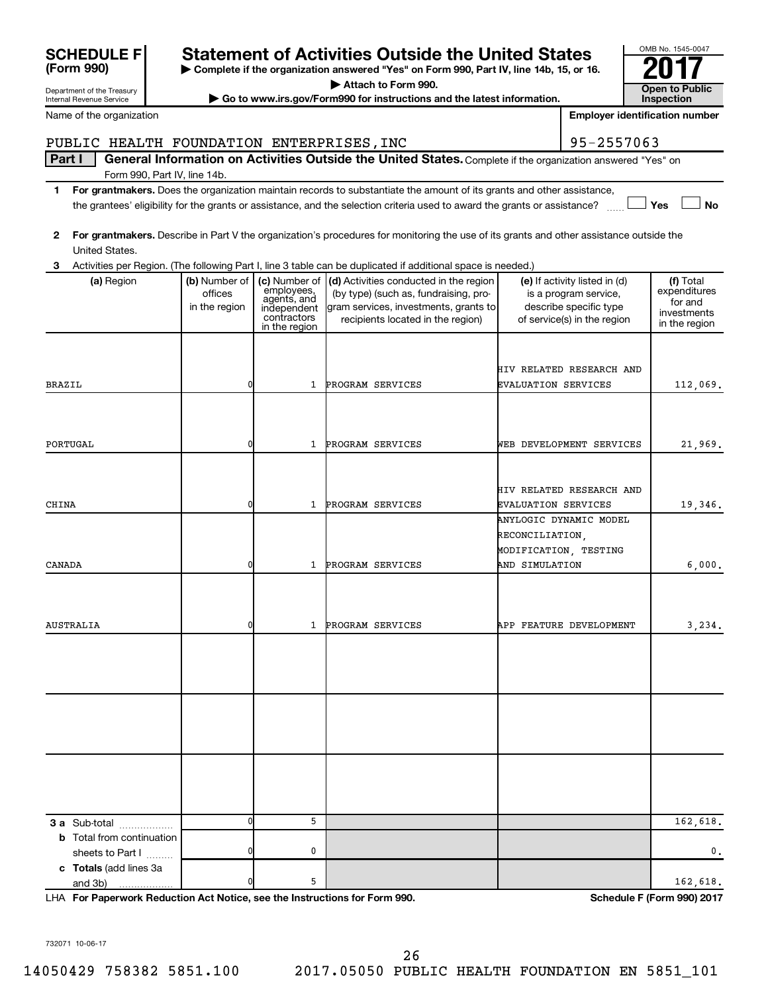| <b>SCHEDULE F</b>                                     |                                           |                                                                                           | <b>Statement of Activities Outside the United States</b>                                                                                                                                                                                             |                     |                                                                                                                 | OMB No. 1545-0047                                                    |
|-------------------------------------------------------|-------------------------------------------|-------------------------------------------------------------------------------------------|------------------------------------------------------------------------------------------------------------------------------------------------------------------------------------------------------------------------------------------------------|---------------------|-----------------------------------------------------------------------------------------------------------------|----------------------------------------------------------------------|
| (Form 990)                                            |                                           |                                                                                           | Complete if the organization answered "Yes" on Form 990, Part IV, line 14b, 15, or 16.                                                                                                                                                               |                     |                                                                                                                 |                                                                      |
| Department of the Treasury                            |                                           |                                                                                           | Attach to Form 990.                                                                                                                                                                                                                                  |                     |                                                                                                                 | Open to Public                                                       |
| Internal Revenue Service                              |                                           |                                                                                           | Go to www.irs.gov/Form990 for instructions and the latest information.                                                                                                                                                                               |                     |                                                                                                                 | <b>Inspection</b>                                                    |
| Name of the organization                              |                                           |                                                                                           |                                                                                                                                                                                                                                                      |                     |                                                                                                                 | <b>Employer identification number</b>                                |
| PUBLIC HEALTH FOUNDATION ENTERPRISES, INC             |                                           |                                                                                           |                                                                                                                                                                                                                                                      |                     | 95-2557063                                                                                                      |                                                                      |
| Part I                                                |                                           |                                                                                           | General Information on Activities Outside the United States. Complete if the organization answered "Yes" on                                                                                                                                          |                     |                                                                                                                 |                                                                      |
|                                                       | Form 990, Part IV, line 14b.              |                                                                                           |                                                                                                                                                                                                                                                      |                     |                                                                                                                 |                                                                      |
| 1                                                     |                                           |                                                                                           | For grantmakers. Does the organization maintain records to substantiate the amount of its grants and other assistance,<br>the grantees' eligibility for the grants or assistance, and the selection criteria used to award the grants or assistance? |                     |                                                                                                                 | Yes<br><b>No</b>                                                     |
| 2<br>United States.                                   |                                           |                                                                                           | For grantmakers. Describe in Part V the organization's procedures for monitoring the use of its grants and other assistance outside the                                                                                                              |                     |                                                                                                                 |                                                                      |
| З                                                     |                                           |                                                                                           | Activities per Region. (The following Part I, line 3 table can be duplicated if additional space is needed.)                                                                                                                                         |                     |                                                                                                                 |                                                                      |
| (a) Region                                            | (b) Number of<br>offices<br>in the region | (c) Number of<br>employees,<br>agents, and<br>independent<br>contractors<br>in the region | (d) Activities conducted in the region<br>(by type) (such as, fundraising, pro-<br>gram services, investments, grants to<br>recipients located in the region)                                                                                        |                     | (e) If activity listed in (d)<br>is a program service,<br>describe specific type<br>of service(s) in the region | (f) Total<br>expenditures<br>for and<br>investments<br>in the region |
|                                                       |                                           |                                                                                           |                                                                                                                                                                                                                                                      |                     | HIV RELATED RESEARCH AND                                                                                        |                                                                      |
| <b>BRAZIL</b>                                         | 0                                         | 1                                                                                         | PROGRAM SERVICES                                                                                                                                                                                                                                     | EVALUATION SERVICES |                                                                                                                 | 112,069.                                                             |
|                                                       |                                           |                                                                                           |                                                                                                                                                                                                                                                      |                     |                                                                                                                 |                                                                      |
| PORTUGAL                                              | 0                                         | 1                                                                                         | PROGRAM SERVICES                                                                                                                                                                                                                                     |                     | WEB DEVELOPMENT SERVICES                                                                                        | 21,969.                                                              |
| CHINA                                                 | 0                                         | 1                                                                                         | PROGRAM SERVICES                                                                                                                                                                                                                                     | EVALUATION SERVICES | HIV RELATED RESEARCH AND                                                                                        | 19,346.                                                              |
|                                                       |                                           |                                                                                           |                                                                                                                                                                                                                                                      | RECONCILIATION,     | ANYLOGIC DYNAMIC MODEL<br>MODIFICATION, TESTING                                                                 |                                                                      |
| CANADA                                                | 0                                         | 1                                                                                         | PROGRAM SERVICES                                                                                                                                                                                                                                     | AND SIMULATION      |                                                                                                                 | 6,000.                                                               |
| AUSTRALIA                                             | 0                                         | $\mathbf{1}$                                                                              | PROGRAM SERVICES                                                                                                                                                                                                                                     |                     | APP FEATURE DEVELOPMENT                                                                                         | 3,234.                                                               |
|                                                       |                                           |                                                                                           |                                                                                                                                                                                                                                                      |                     |                                                                                                                 |                                                                      |
|                                                       |                                           |                                                                                           |                                                                                                                                                                                                                                                      |                     |                                                                                                                 |                                                                      |
|                                                       |                                           |                                                                                           |                                                                                                                                                                                                                                                      |                     |                                                                                                                 |                                                                      |
| 3 a Sub-total                                         | O                                         | 5                                                                                         |                                                                                                                                                                                                                                                      |                     |                                                                                                                 | 162,618.                                                             |
| <b>b</b> Total from continuation                      |                                           |                                                                                           |                                                                                                                                                                                                                                                      |                     |                                                                                                                 |                                                                      |
| sheets to Part I<br>c Totals (add lines 3a<br>and 3b) | 0                                         | 0<br>5                                                                                    |                                                                                                                                                                                                                                                      |                     |                                                                                                                 | 0.<br>162,618.                                                       |

**For Paperwork Reduction Act Notice, see the Instructions for Form 990. Schedule F (Form 990) 2017** LHA

732071 10-06-17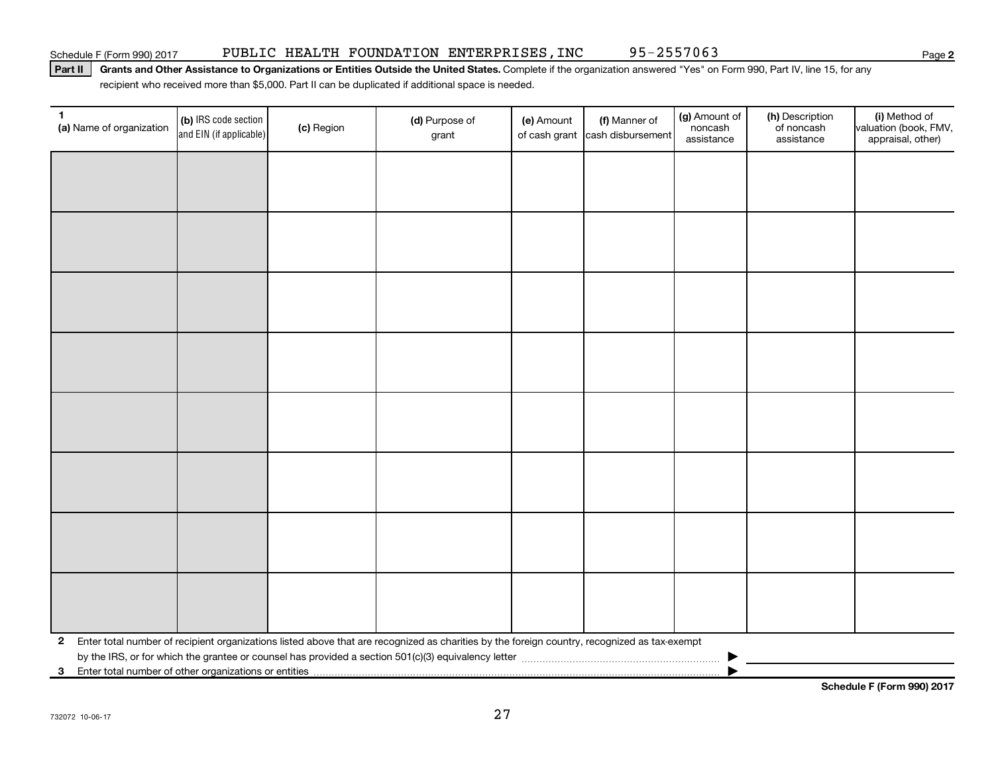Schedule F (Form 990) 2017 PUBLIC HEALTH FOUNDATION ENTERPRISES , INC 95-2557063

Part II | Grants and Other Assistance to Organizations or Entities Outside the United States. Complete if the organization answered "Yes" on Form 990, Part IV, line 15, for any recipient who received more than \$5,000. Part II can be duplicated if additional space is needed.

| $\mathbf{1}$<br>(a) Name of organization                | (b) IRS code section<br>and EIN (if applicable) | (c) Region | (d) Purpose of<br>grant                                                                                                                      | (e) Amount | (f) Manner of<br>of cash grant cash disbursement | (g) Amount of<br>noncash<br>assistance | (h) Description<br>of noncash<br>assistance | (i) Method of<br>valuation (book, FMV,<br>appraisal, other) |
|---------------------------------------------------------|-------------------------------------------------|------------|----------------------------------------------------------------------------------------------------------------------------------------------|------------|--------------------------------------------------|----------------------------------------|---------------------------------------------|-------------------------------------------------------------|
|                                                         |                                                 |            |                                                                                                                                              |            |                                                  |                                        |                                             |                                                             |
|                                                         |                                                 |            |                                                                                                                                              |            |                                                  |                                        |                                             |                                                             |
|                                                         |                                                 |            |                                                                                                                                              |            |                                                  |                                        |                                             |                                                             |
|                                                         |                                                 |            |                                                                                                                                              |            |                                                  |                                        |                                             |                                                             |
|                                                         |                                                 |            |                                                                                                                                              |            |                                                  |                                        |                                             |                                                             |
|                                                         |                                                 |            |                                                                                                                                              |            |                                                  |                                        |                                             |                                                             |
|                                                         |                                                 |            |                                                                                                                                              |            |                                                  |                                        |                                             |                                                             |
|                                                         |                                                 |            |                                                                                                                                              |            |                                                  |                                        |                                             |                                                             |
|                                                         |                                                 |            |                                                                                                                                              |            |                                                  |                                        |                                             |                                                             |
|                                                         |                                                 |            |                                                                                                                                              |            |                                                  |                                        |                                             |                                                             |
|                                                         |                                                 |            |                                                                                                                                              |            |                                                  |                                        |                                             |                                                             |
|                                                         |                                                 |            |                                                                                                                                              |            |                                                  |                                        |                                             |                                                             |
|                                                         |                                                 |            |                                                                                                                                              |            |                                                  |                                        |                                             |                                                             |
|                                                         |                                                 |            |                                                                                                                                              |            |                                                  |                                        |                                             |                                                             |
|                                                         |                                                 |            |                                                                                                                                              |            |                                                  |                                        |                                             |                                                             |
|                                                         |                                                 |            |                                                                                                                                              |            |                                                  |                                        |                                             |                                                             |
| $\mathbf{2}$                                            |                                                 |            | Enter total number of recipient organizations listed above that are recognized as charities by the foreign country, recognized as tax-exempt |            |                                                  |                                        |                                             |                                                             |
| 3 Enter total number of other organizations or entities |                                                 |            |                                                                                                                                              |            |                                                  |                                        |                                             |                                                             |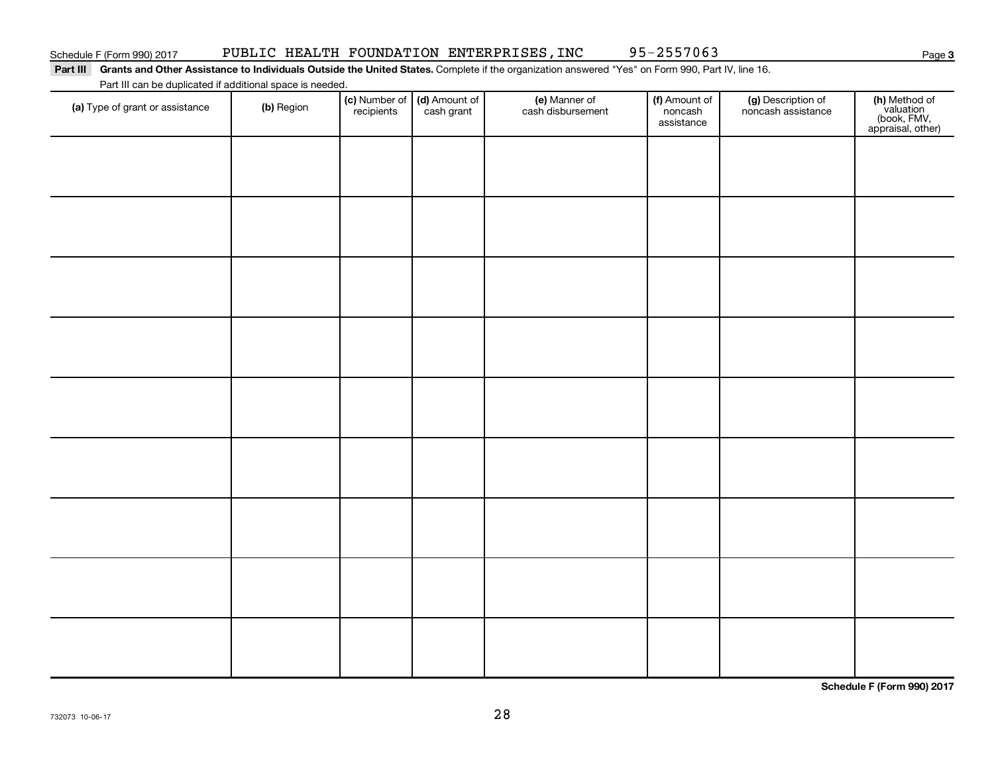**3**

### Part III Grants and Other Assistance to Individuals Outside the United States. Complete if the organization answered "Yes" on Form 990, Part IV, line 16. Part III can be duplicated if additional space is needed.

| Fait in car be duplicated if additional space is needed.<br>(a) Type of grant or assistance | (b) Region | (c) Number of<br>recipients | (d) Amount of<br>cash grant | (e) Manner of<br>cash disbursement | (f) Amount of<br>noncash<br>assistance | (g) Description of<br>noncash assistance | (h) Method of<br>valuation<br>(book, FMV,<br>appraisal, other) |
|---------------------------------------------------------------------------------------------|------------|-----------------------------|-----------------------------|------------------------------------|----------------------------------------|------------------------------------------|----------------------------------------------------------------|
|                                                                                             |            |                             |                             |                                    |                                        |                                          |                                                                |
|                                                                                             |            |                             |                             |                                    |                                        |                                          |                                                                |
|                                                                                             |            |                             |                             |                                    |                                        |                                          |                                                                |
|                                                                                             |            |                             |                             |                                    |                                        |                                          |                                                                |
|                                                                                             |            |                             |                             |                                    |                                        |                                          |                                                                |
|                                                                                             |            |                             |                             |                                    |                                        |                                          |                                                                |
|                                                                                             |            |                             |                             |                                    |                                        |                                          |                                                                |
|                                                                                             |            |                             |                             |                                    |                                        |                                          |                                                                |
|                                                                                             |            |                             |                             |                                    |                                        |                                          |                                                                |
|                                                                                             |            |                             |                             |                                    |                                        |                                          |                                                                |
|                                                                                             |            |                             |                             |                                    |                                        |                                          |                                                                |
|                                                                                             |            |                             |                             |                                    |                                        |                                          |                                                                |

**Schedule F (Form 990) 2017**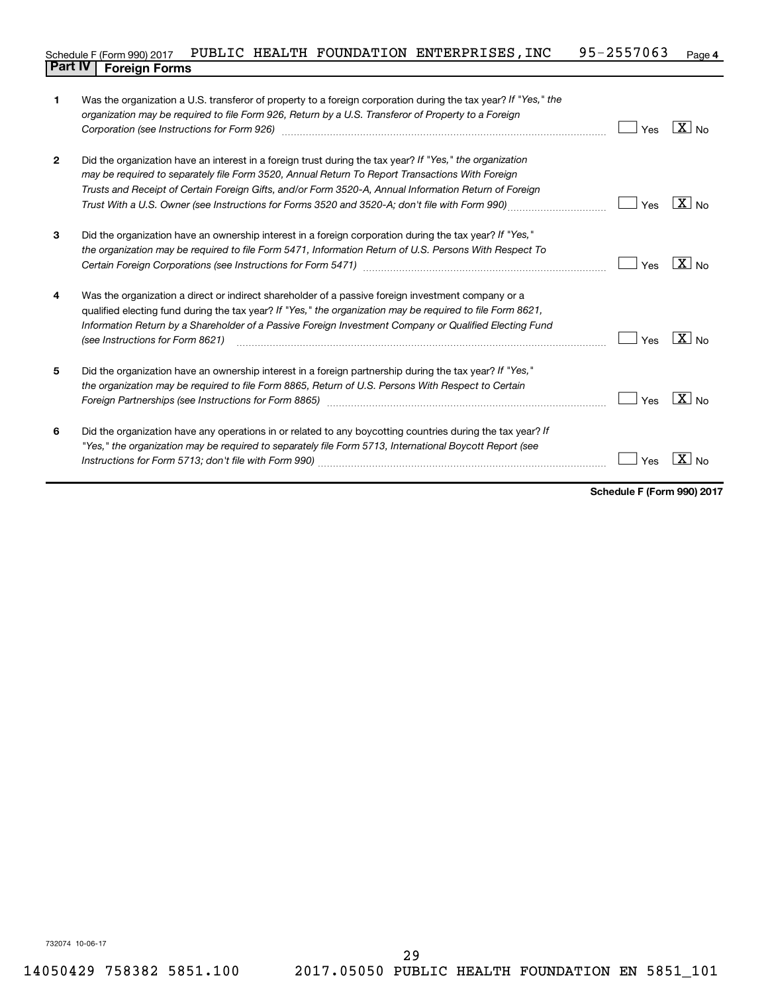### **4** Schedule F (Form 990) 2017 PUBLIC HEALTH FOUNDATION ENTERPRISES, INC 95-2557063 Page **Part IV F** (Form 990) 2017 **Part IV Foreign Forms**

| 1            | Was the organization a U.S. transferor of property to a foreign corporation during the tax year? If "Yes," the<br>organization may be required to file Form 926, Return by a U.S. Transferor of Property to a Foreign |     |                   |
|--------------|-----------------------------------------------------------------------------------------------------------------------------------------------------------------------------------------------------------------------|-----|-------------------|
|              | Corporation (see Instructions for Form 926) manufactured controller controller to the control of the control o                                                                                                        | Yes | $X_{N0}$          |
| $\mathbf{2}$ | Did the organization have an interest in a foreign trust during the tax year? If "Yes," the organization                                                                                                              |     |                   |
|              | may be required to separately file Form 3520, Annual Return To Report Transactions With Foreign                                                                                                                       |     |                   |
|              | Trusts and Receipt of Certain Foreign Gifts, and/or Form 3520-A, Annual Information Return of Foreign                                                                                                                 |     |                   |
|              | Trust With a U.S. Owner (see Instructions for Forms 3520 and 3520-A; don't file with Form 990)                                                                                                                        | Yes | $\overline{X}$ No |
| 3            | Did the organization have an ownership interest in a foreign corporation during the tax year? If "Yes,"                                                                                                               |     |                   |
|              | the organization may be required to file Form 5471, Information Return of U.S. Persons With Respect To                                                                                                                |     |                   |
|              |                                                                                                                                                                                                                       | Yes | $X _{No}$         |
| 4            | Was the organization a direct or indirect shareholder of a passive foreign investment company or a                                                                                                                    |     |                   |
|              | qualified electing fund during the tax year? If "Yes," the organization may be required to file Form 8621,                                                                                                            |     |                   |
|              | Information Return by a Shareholder of a Passive Foreign Investment Company or Qualified Electing Fund<br>(see Instructions for Form 8621)                                                                            | Yes | $X _{\text{No}}$  |
| 5            | Did the organization have an ownership interest in a foreign partnership during the tax year? If "Yes,"                                                                                                               |     |                   |
|              | the organization may be required to file Form 8865, Return of U.S. Persons With Respect to Certain                                                                                                                    |     |                   |
|              | Foreign Partnerships (see Instructions for Form 8865)                                                                                                                                                                 | Yes | $X _{No}$         |
| 6            | Did the organization have any operations in or related to any boycotting countries during the tax year? If                                                                                                            |     |                   |
|              | "Yes," the organization may be required to separately file Form 5713, International Boycott Report (see                                                                                                               |     |                   |
|              |                                                                                                                                                                                                                       | Yes |                   |
|              |                                                                                                                                                                                                                       |     |                   |

**Schedule F (Form 990) 2017**

732074 10-06-17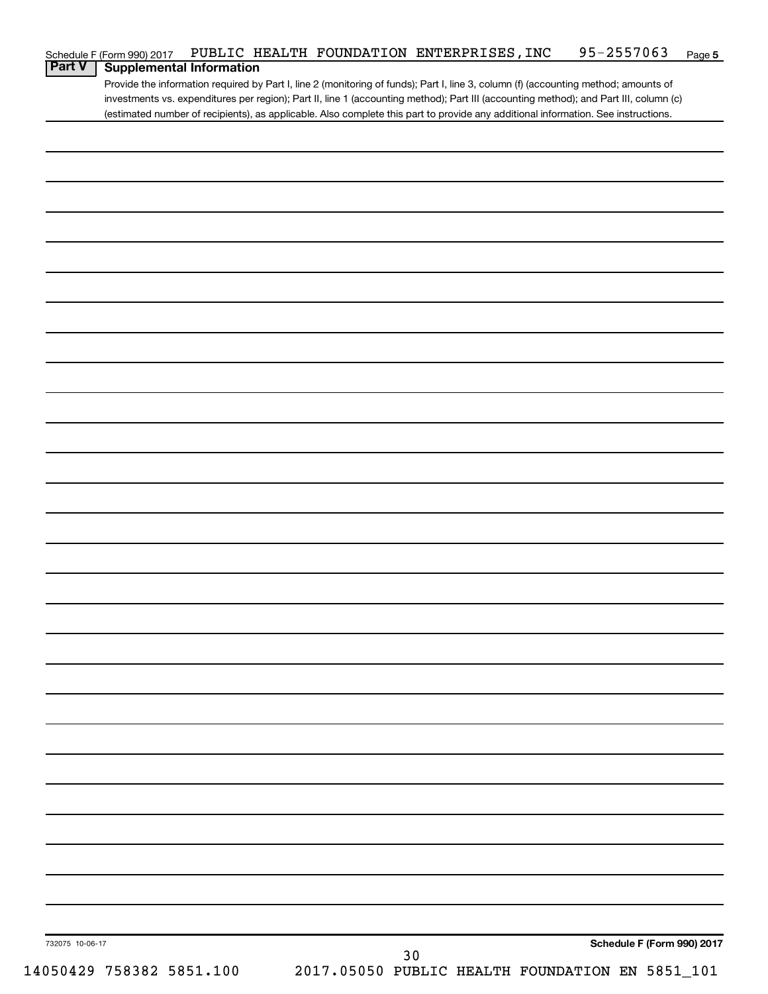| <b>Part V</b> | Schedule F (Form 990) 2017<br><b>Supplemental Information</b> |  |  | PUBLIC HEALTH FOUNDATION ENTERPRISES, INC | $95 - 2557063$                                                                                                                        | Page 5 |
|---------------|---------------------------------------------------------------|--|--|-------------------------------------------|---------------------------------------------------------------------------------------------------------------------------------------|--------|
|               |                                                               |  |  |                                           | Provide the information required by Part I, line 2 (monitoring of funds); Part I, line 3, column (f) (accounting method; amounts of   |        |
|               |                                                               |  |  |                                           | investments vs. expenditures per region); Part II, line 1 (accounting method); Part III (accounting method); and Part III, column (c) |        |
|               |                                                               |  |  |                                           | (estimated number of recipients), as applicable. Also complete this part to provide any additional information. See instructions.     |        |
|               |                                                               |  |  |                                           |                                                                                                                                       |        |
|               |                                                               |  |  |                                           |                                                                                                                                       |        |
|               |                                                               |  |  |                                           |                                                                                                                                       |        |
|               |                                                               |  |  |                                           |                                                                                                                                       |        |
|               |                                                               |  |  |                                           |                                                                                                                                       |        |
|               |                                                               |  |  |                                           |                                                                                                                                       |        |
|               |                                                               |  |  |                                           |                                                                                                                                       |        |
|               |                                                               |  |  |                                           |                                                                                                                                       |        |
|               |                                                               |  |  |                                           |                                                                                                                                       |        |
|               |                                                               |  |  |                                           |                                                                                                                                       |        |
|               |                                                               |  |  |                                           |                                                                                                                                       |        |
|               |                                                               |  |  |                                           |                                                                                                                                       |        |
|               |                                                               |  |  |                                           |                                                                                                                                       |        |
|               |                                                               |  |  |                                           |                                                                                                                                       |        |
|               |                                                               |  |  |                                           |                                                                                                                                       |        |
|               |                                                               |  |  |                                           |                                                                                                                                       |        |
|               |                                                               |  |  |                                           |                                                                                                                                       |        |
|               |                                                               |  |  |                                           |                                                                                                                                       |        |
|               |                                                               |  |  |                                           |                                                                                                                                       |        |
|               |                                                               |  |  |                                           |                                                                                                                                       |        |
|               |                                                               |  |  |                                           |                                                                                                                                       |        |
|               |                                                               |  |  |                                           |                                                                                                                                       |        |
|               |                                                               |  |  |                                           |                                                                                                                                       |        |
|               |                                                               |  |  |                                           |                                                                                                                                       |        |
|               |                                                               |  |  |                                           |                                                                                                                                       |        |
|               |                                                               |  |  |                                           |                                                                                                                                       |        |
|               |                                                               |  |  |                                           |                                                                                                                                       |        |
|               |                                                               |  |  |                                           |                                                                                                                                       |        |
|               |                                                               |  |  |                                           |                                                                                                                                       |        |
|               |                                                               |  |  |                                           |                                                                                                                                       |        |
|               |                                                               |  |  |                                           |                                                                                                                                       |        |
|               |                                                               |  |  |                                           |                                                                                                                                       |        |
|               |                                                               |  |  |                                           |                                                                                                                                       |        |
|               |                                                               |  |  |                                           |                                                                                                                                       |        |
|               |                                                               |  |  |                                           |                                                                                                                                       |        |
|               |                                                               |  |  |                                           |                                                                                                                                       |        |
|               |                                                               |  |  |                                           |                                                                                                                                       |        |
|               |                                                               |  |  |                                           |                                                                                                                                       |        |
|               |                                                               |  |  |                                           |                                                                                                                                       |        |
|               |                                                               |  |  |                                           |                                                                                                                                       |        |
|               |                                                               |  |  |                                           |                                                                                                                                       |        |
|               |                                                               |  |  |                                           |                                                                                                                                       |        |
|               |                                                               |  |  |                                           |                                                                                                                                       |        |
|               |                                                               |  |  |                                           |                                                                                                                                       |        |
|               |                                                               |  |  |                                           |                                                                                                                                       |        |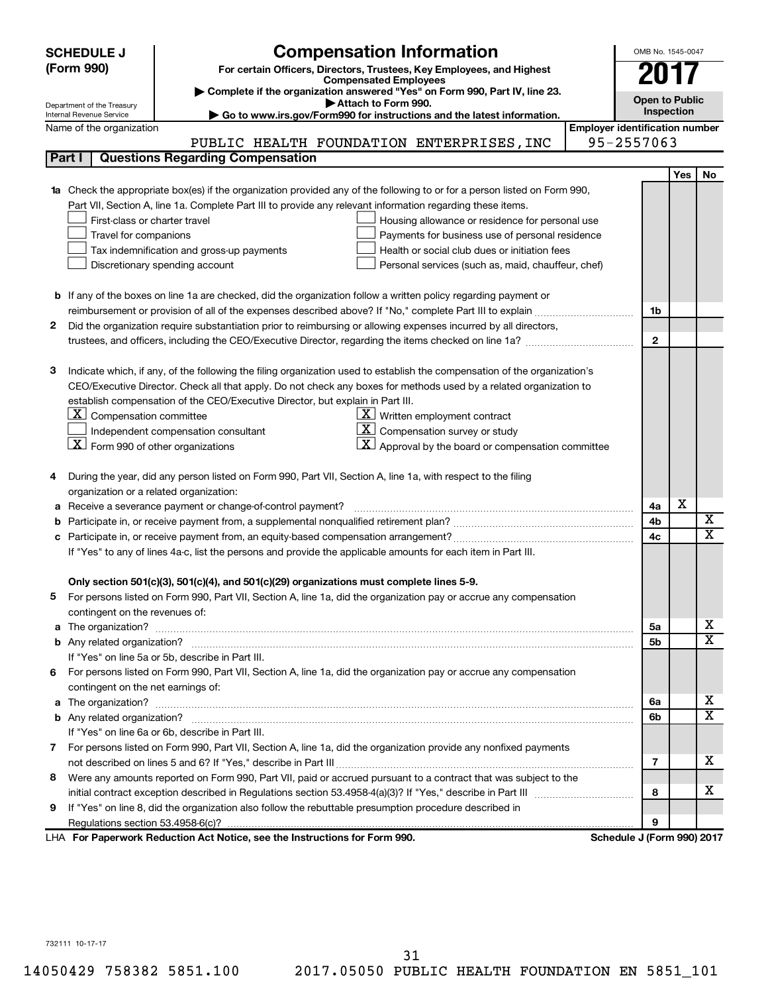| (Form 990)<br>For certain Officers, Directors, Trustees, Key Employees, and Highest<br><b>Compensated Employees</b><br>Complete if the organization answered "Yes" on Form 990, Part IV, line 23.<br><b>Open to Public</b><br>Attach to Form 990.<br>Department of the Treasury<br>Inspection<br>Go to www.irs.gov/Form990 for instructions and the latest information.<br>Internal Revenue Service<br><b>Employer identification number</b><br>Name of the organization<br>95-2557063<br>PUBLIC HEALTH FOUNDATION ENTERPRISES, INC<br><b>Questions Regarding Compensation</b><br>Part I<br><b>Yes</b><br>No<br>Check the appropriate box(es) if the organization provided any of the following to or for a person listed on Form 990,<br>Part VII, Section A, line 1a. Complete Part III to provide any relevant information regarding these items.<br>First-class or charter travel<br>Housing allowance or residence for personal use<br>Travel for companions<br>Payments for business use of personal residence<br>Health or social club dues or initiation fees<br>Tax indemnification and gross-up payments<br>Discretionary spending account<br>Personal services (such as, maid, chauffeur, chef)<br><b>b</b> If any of the boxes on line 1a are checked, did the organization follow a written policy regarding payment or<br>1b<br>Did the organization require substantiation prior to reimbursing or allowing expenses incurred by all directors,<br>2<br>$\mathbf{2}$<br>Indicate which, if any, of the following the filing organization used to establish the compensation of the organization's<br>з<br>CEO/Executive Director. Check all that apply. Do not check any boxes for methods used by a related organization to<br>establish compensation of the CEO/Executive Director, but explain in Part III.<br>$\lfloor \underline{\textbf{X}} \rfloor$ Compensation committee<br>$\underline{\mathbf{X}}$ Written employment contract<br>$ \mathbf{X} $ Compensation survey or study<br>Independent compensation consultant<br>$\lfloor \underline{X} \rfloor$ Form 990 of other organizations<br>$\mathbf{X}$ Approval by the board or compensation committee<br>During the year, did any person listed on Form 990, Part VII, Section A, line 1a, with respect to the filing<br>organization or a related organization:<br>х<br>Receive a severance payment or change-of-control payment?<br>4a<br>а<br>X<br>4b<br>b<br>X<br>4c<br>Participate in, or receive payment from, an equity-based compensation arrangement?<br>If "Yes" to any of lines 4a-c, list the persons and provide the applicable amounts for each item in Part III.<br>Only section 501(c)(3), 501(c)(4), and 501(c)(29) organizations must complete lines 5-9.<br>For persons listed on Form 990, Part VII, Section A, line 1a, did the organization pay or accrue any compensation<br>5<br>contingent on the revenues of:<br>x<br>5a<br>a<br>X<br>5b<br>If "Yes" on line 5a or 5b, describe in Part III.<br>6 For persons listed on Form 990, Part VII, Section A, line 1a, did the organization pay or accrue any compensation | <b>SCHEDULE J</b> | <b>Compensation Information</b> | OMB No. 1545-0047 |  |  |  |  |
|---------------------------------------------------------------------------------------------------------------------------------------------------------------------------------------------------------------------------------------------------------------------------------------------------------------------------------------------------------------------------------------------------------------------------------------------------------------------------------------------------------------------------------------------------------------------------------------------------------------------------------------------------------------------------------------------------------------------------------------------------------------------------------------------------------------------------------------------------------------------------------------------------------------------------------------------------------------------------------------------------------------------------------------------------------------------------------------------------------------------------------------------------------------------------------------------------------------------------------------------------------------------------------------------------------------------------------------------------------------------------------------------------------------------------------------------------------------------------------------------------------------------------------------------------------------------------------------------------------------------------------------------------------------------------------------------------------------------------------------------------------------------------------------------------------------------------------------------------------------------------------------------------------------------------------------------------------------------------------------------------------------------------------------------------------------------------------------------------------------------------------------------------------------------------------------------------------------------------------------------------------------------------------------------------------------------------------------------------------------------------------------------------------------------------------------------------------------------------------------------------------------------------------------------------------------------------------------------------------------------------------------------------------------------------------------------------------------------------------------------------------------------------------------------------------------------------------------------------------------------------------------------------------------------------------------------------------------------------------------------------------------------------------------------------------------------------------------------------------------------------|-------------------|---------------------------------|-------------------|--|--|--|--|
|                                                                                                                                                                                                                                                                                                                                                                                                                                                                                                                                                                                                                                                                                                                                                                                                                                                                                                                                                                                                                                                                                                                                                                                                                                                                                                                                                                                                                                                                                                                                                                                                                                                                                                                                                                                                                                                                                                                                                                                                                                                                                                                                                                                                                                                                                                                                                                                                                                                                                                                                                                                                                                                                                                                                                                                                                                                                                                                                                                                                                                                                                                                           |                   |                                 |                   |  |  |  |  |
|                                                                                                                                                                                                                                                                                                                                                                                                                                                                                                                                                                                                                                                                                                                                                                                                                                                                                                                                                                                                                                                                                                                                                                                                                                                                                                                                                                                                                                                                                                                                                                                                                                                                                                                                                                                                                                                                                                                                                                                                                                                                                                                                                                                                                                                                                                                                                                                                                                                                                                                                                                                                                                                                                                                                                                                                                                                                                                                                                                                                                                                                                                                           |                   |                                 |                   |  |  |  |  |
|                                                                                                                                                                                                                                                                                                                                                                                                                                                                                                                                                                                                                                                                                                                                                                                                                                                                                                                                                                                                                                                                                                                                                                                                                                                                                                                                                                                                                                                                                                                                                                                                                                                                                                                                                                                                                                                                                                                                                                                                                                                                                                                                                                                                                                                                                                                                                                                                                                                                                                                                                                                                                                                                                                                                                                                                                                                                                                                                                                                                                                                                                                                           |                   |                                 |                   |  |  |  |  |
|                                                                                                                                                                                                                                                                                                                                                                                                                                                                                                                                                                                                                                                                                                                                                                                                                                                                                                                                                                                                                                                                                                                                                                                                                                                                                                                                                                                                                                                                                                                                                                                                                                                                                                                                                                                                                                                                                                                                                                                                                                                                                                                                                                                                                                                                                                                                                                                                                                                                                                                                                                                                                                                                                                                                                                                                                                                                                                                                                                                                                                                                                                                           |                   |                                 |                   |  |  |  |  |
|                                                                                                                                                                                                                                                                                                                                                                                                                                                                                                                                                                                                                                                                                                                                                                                                                                                                                                                                                                                                                                                                                                                                                                                                                                                                                                                                                                                                                                                                                                                                                                                                                                                                                                                                                                                                                                                                                                                                                                                                                                                                                                                                                                                                                                                                                                                                                                                                                                                                                                                                                                                                                                                                                                                                                                                                                                                                                                                                                                                                                                                                                                                           |                   |                                 |                   |  |  |  |  |
|                                                                                                                                                                                                                                                                                                                                                                                                                                                                                                                                                                                                                                                                                                                                                                                                                                                                                                                                                                                                                                                                                                                                                                                                                                                                                                                                                                                                                                                                                                                                                                                                                                                                                                                                                                                                                                                                                                                                                                                                                                                                                                                                                                                                                                                                                                                                                                                                                                                                                                                                                                                                                                                                                                                                                                                                                                                                                                                                                                                                                                                                                                                           |                   |                                 |                   |  |  |  |  |
|                                                                                                                                                                                                                                                                                                                                                                                                                                                                                                                                                                                                                                                                                                                                                                                                                                                                                                                                                                                                                                                                                                                                                                                                                                                                                                                                                                                                                                                                                                                                                                                                                                                                                                                                                                                                                                                                                                                                                                                                                                                                                                                                                                                                                                                                                                                                                                                                                                                                                                                                                                                                                                                                                                                                                                                                                                                                                                                                                                                                                                                                                                                           |                   |                                 |                   |  |  |  |  |
|                                                                                                                                                                                                                                                                                                                                                                                                                                                                                                                                                                                                                                                                                                                                                                                                                                                                                                                                                                                                                                                                                                                                                                                                                                                                                                                                                                                                                                                                                                                                                                                                                                                                                                                                                                                                                                                                                                                                                                                                                                                                                                                                                                                                                                                                                                                                                                                                                                                                                                                                                                                                                                                                                                                                                                                                                                                                                                                                                                                                                                                                                                                           |                   |                                 |                   |  |  |  |  |
|                                                                                                                                                                                                                                                                                                                                                                                                                                                                                                                                                                                                                                                                                                                                                                                                                                                                                                                                                                                                                                                                                                                                                                                                                                                                                                                                                                                                                                                                                                                                                                                                                                                                                                                                                                                                                                                                                                                                                                                                                                                                                                                                                                                                                                                                                                                                                                                                                                                                                                                                                                                                                                                                                                                                                                                                                                                                                                                                                                                                                                                                                                                           |                   |                                 |                   |  |  |  |  |
|                                                                                                                                                                                                                                                                                                                                                                                                                                                                                                                                                                                                                                                                                                                                                                                                                                                                                                                                                                                                                                                                                                                                                                                                                                                                                                                                                                                                                                                                                                                                                                                                                                                                                                                                                                                                                                                                                                                                                                                                                                                                                                                                                                                                                                                                                                                                                                                                                                                                                                                                                                                                                                                                                                                                                                                                                                                                                                                                                                                                                                                                                                                           |                   |                                 |                   |  |  |  |  |
|                                                                                                                                                                                                                                                                                                                                                                                                                                                                                                                                                                                                                                                                                                                                                                                                                                                                                                                                                                                                                                                                                                                                                                                                                                                                                                                                                                                                                                                                                                                                                                                                                                                                                                                                                                                                                                                                                                                                                                                                                                                                                                                                                                                                                                                                                                                                                                                                                                                                                                                                                                                                                                                                                                                                                                                                                                                                                                                                                                                                                                                                                                                           |                   |                                 |                   |  |  |  |  |
|                                                                                                                                                                                                                                                                                                                                                                                                                                                                                                                                                                                                                                                                                                                                                                                                                                                                                                                                                                                                                                                                                                                                                                                                                                                                                                                                                                                                                                                                                                                                                                                                                                                                                                                                                                                                                                                                                                                                                                                                                                                                                                                                                                                                                                                                                                                                                                                                                                                                                                                                                                                                                                                                                                                                                                                                                                                                                                                                                                                                                                                                                                                           |                   |                                 |                   |  |  |  |  |
|                                                                                                                                                                                                                                                                                                                                                                                                                                                                                                                                                                                                                                                                                                                                                                                                                                                                                                                                                                                                                                                                                                                                                                                                                                                                                                                                                                                                                                                                                                                                                                                                                                                                                                                                                                                                                                                                                                                                                                                                                                                                                                                                                                                                                                                                                                                                                                                                                                                                                                                                                                                                                                                                                                                                                                                                                                                                                                                                                                                                                                                                                                                           |                   |                                 |                   |  |  |  |  |
|                                                                                                                                                                                                                                                                                                                                                                                                                                                                                                                                                                                                                                                                                                                                                                                                                                                                                                                                                                                                                                                                                                                                                                                                                                                                                                                                                                                                                                                                                                                                                                                                                                                                                                                                                                                                                                                                                                                                                                                                                                                                                                                                                                                                                                                                                                                                                                                                                                                                                                                                                                                                                                                                                                                                                                                                                                                                                                                                                                                                                                                                                                                           |                   |                                 |                   |  |  |  |  |
|                                                                                                                                                                                                                                                                                                                                                                                                                                                                                                                                                                                                                                                                                                                                                                                                                                                                                                                                                                                                                                                                                                                                                                                                                                                                                                                                                                                                                                                                                                                                                                                                                                                                                                                                                                                                                                                                                                                                                                                                                                                                                                                                                                                                                                                                                                                                                                                                                                                                                                                                                                                                                                                                                                                                                                                                                                                                                                                                                                                                                                                                                                                           |                   |                                 |                   |  |  |  |  |
|                                                                                                                                                                                                                                                                                                                                                                                                                                                                                                                                                                                                                                                                                                                                                                                                                                                                                                                                                                                                                                                                                                                                                                                                                                                                                                                                                                                                                                                                                                                                                                                                                                                                                                                                                                                                                                                                                                                                                                                                                                                                                                                                                                                                                                                                                                                                                                                                                                                                                                                                                                                                                                                                                                                                                                                                                                                                                                                                                                                                                                                                                                                           |                   |                                 |                   |  |  |  |  |
|                                                                                                                                                                                                                                                                                                                                                                                                                                                                                                                                                                                                                                                                                                                                                                                                                                                                                                                                                                                                                                                                                                                                                                                                                                                                                                                                                                                                                                                                                                                                                                                                                                                                                                                                                                                                                                                                                                                                                                                                                                                                                                                                                                                                                                                                                                                                                                                                                                                                                                                                                                                                                                                                                                                                                                                                                                                                                                                                                                                                                                                                                                                           |                   |                                 |                   |  |  |  |  |
|                                                                                                                                                                                                                                                                                                                                                                                                                                                                                                                                                                                                                                                                                                                                                                                                                                                                                                                                                                                                                                                                                                                                                                                                                                                                                                                                                                                                                                                                                                                                                                                                                                                                                                                                                                                                                                                                                                                                                                                                                                                                                                                                                                                                                                                                                                                                                                                                                                                                                                                                                                                                                                                                                                                                                                                                                                                                                                                                                                                                                                                                                                                           |                   |                                 |                   |  |  |  |  |
|                                                                                                                                                                                                                                                                                                                                                                                                                                                                                                                                                                                                                                                                                                                                                                                                                                                                                                                                                                                                                                                                                                                                                                                                                                                                                                                                                                                                                                                                                                                                                                                                                                                                                                                                                                                                                                                                                                                                                                                                                                                                                                                                                                                                                                                                                                                                                                                                                                                                                                                                                                                                                                                                                                                                                                                                                                                                                                                                                                                                                                                                                                                           |                   |                                 |                   |  |  |  |  |
|                                                                                                                                                                                                                                                                                                                                                                                                                                                                                                                                                                                                                                                                                                                                                                                                                                                                                                                                                                                                                                                                                                                                                                                                                                                                                                                                                                                                                                                                                                                                                                                                                                                                                                                                                                                                                                                                                                                                                                                                                                                                                                                                                                                                                                                                                                                                                                                                                                                                                                                                                                                                                                                                                                                                                                                                                                                                                                                                                                                                                                                                                                                           |                   |                                 |                   |  |  |  |  |
|                                                                                                                                                                                                                                                                                                                                                                                                                                                                                                                                                                                                                                                                                                                                                                                                                                                                                                                                                                                                                                                                                                                                                                                                                                                                                                                                                                                                                                                                                                                                                                                                                                                                                                                                                                                                                                                                                                                                                                                                                                                                                                                                                                                                                                                                                                                                                                                                                                                                                                                                                                                                                                                                                                                                                                                                                                                                                                                                                                                                                                                                                                                           |                   |                                 |                   |  |  |  |  |
|                                                                                                                                                                                                                                                                                                                                                                                                                                                                                                                                                                                                                                                                                                                                                                                                                                                                                                                                                                                                                                                                                                                                                                                                                                                                                                                                                                                                                                                                                                                                                                                                                                                                                                                                                                                                                                                                                                                                                                                                                                                                                                                                                                                                                                                                                                                                                                                                                                                                                                                                                                                                                                                                                                                                                                                                                                                                                                                                                                                                                                                                                                                           |                   |                                 |                   |  |  |  |  |
|                                                                                                                                                                                                                                                                                                                                                                                                                                                                                                                                                                                                                                                                                                                                                                                                                                                                                                                                                                                                                                                                                                                                                                                                                                                                                                                                                                                                                                                                                                                                                                                                                                                                                                                                                                                                                                                                                                                                                                                                                                                                                                                                                                                                                                                                                                                                                                                                                                                                                                                                                                                                                                                                                                                                                                                                                                                                                                                                                                                                                                                                                                                           |                   |                                 |                   |  |  |  |  |
|                                                                                                                                                                                                                                                                                                                                                                                                                                                                                                                                                                                                                                                                                                                                                                                                                                                                                                                                                                                                                                                                                                                                                                                                                                                                                                                                                                                                                                                                                                                                                                                                                                                                                                                                                                                                                                                                                                                                                                                                                                                                                                                                                                                                                                                                                                                                                                                                                                                                                                                                                                                                                                                                                                                                                                                                                                                                                                                                                                                                                                                                                                                           |                   |                                 |                   |  |  |  |  |
|                                                                                                                                                                                                                                                                                                                                                                                                                                                                                                                                                                                                                                                                                                                                                                                                                                                                                                                                                                                                                                                                                                                                                                                                                                                                                                                                                                                                                                                                                                                                                                                                                                                                                                                                                                                                                                                                                                                                                                                                                                                                                                                                                                                                                                                                                                                                                                                                                                                                                                                                                                                                                                                                                                                                                                                                                                                                                                                                                                                                                                                                                                                           |                   |                                 |                   |  |  |  |  |
|                                                                                                                                                                                                                                                                                                                                                                                                                                                                                                                                                                                                                                                                                                                                                                                                                                                                                                                                                                                                                                                                                                                                                                                                                                                                                                                                                                                                                                                                                                                                                                                                                                                                                                                                                                                                                                                                                                                                                                                                                                                                                                                                                                                                                                                                                                                                                                                                                                                                                                                                                                                                                                                                                                                                                                                                                                                                                                                                                                                                                                                                                                                           |                   |                                 |                   |  |  |  |  |
|                                                                                                                                                                                                                                                                                                                                                                                                                                                                                                                                                                                                                                                                                                                                                                                                                                                                                                                                                                                                                                                                                                                                                                                                                                                                                                                                                                                                                                                                                                                                                                                                                                                                                                                                                                                                                                                                                                                                                                                                                                                                                                                                                                                                                                                                                                                                                                                                                                                                                                                                                                                                                                                                                                                                                                                                                                                                                                                                                                                                                                                                                                                           |                   |                                 |                   |  |  |  |  |
|                                                                                                                                                                                                                                                                                                                                                                                                                                                                                                                                                                                                                                                                                                                                                                                                                                                                                                                                                                                                                                                                                                                                                                                                                                                                                                                                                                                                                                                                                                                                                                                                                                                                                                                                                                                                                                                                                                                                                                                                                                                                                                                                                                                                                                                                                                                                                                                                                                                                                                                                                                                                                                                                                                                                                                                                                                                                                                                                                                                                                                                                                                                           |                   |                                 |                   |  |  |  |  |
|                                                                                                                                                                                                                                                                                                                                                                                                                                                                                                                                                                                                                                                                                                                                                                                                                                                                                                                                                                                                                                                                                                                                                                                                                                                                                                                                                                                                                                                                                                                                                                                                                                                                                                                                                                                                                                                                                                                                                                                                                                                                                                                                                                                                                                                                                                                                                                                                                                                                                                                                                                                                                                                                                                                                                                                                                                                                                                                                                                                                                                                                                                                           |                   |                                 |                   |  |  |  |  |
|                                                                                                                                                                                                                                                                                                                                                                                                                                                                                                                                                                                                                                                                                                                                                                                                                                                                                                                                                                                                                                                                                                                                                                                                                                                                                                                                                                                                                                                                                                                                                                                                                                                                                                                                                                                                                                                                                                                                                                                                                                                                                                                                                                                                                                                                                                                                                                                                                                                                                                                                                                                                                                                                                                                                                                                                                                                                                                                                                                                                                                                                                                                           |                   |                                 |                   |  |  |  |  |
|                                                                                                                                                                                                                                                                                                                                                                                                                                                                                                                                                                                                                                                                                                                                                                                                                                                                                                                                                                                                                                                                                                                                                                                                                                                                                                                                                                                                                                                                                                                                                                                                                                                                                                                                                                                                                                                                                                                                                                                                                                                                                                                                                                                                                                                                                                                                                                                                                                                                                                                                                                                                                                                                                                                                                                                                                                                                                                                                                                                                                                                                                                                           |                   |                                 |                   |  |  |  |  |
|                                                                                                                                                                                                                                                                                                                                                                                                                                                                                                                                                                                                                                                                                                                                                                                                                                                                                                                                                                                                                                                                                                                                                                                                                                                                                                                                                                                                                                                                                                                                                                                                                                                                                                                                                                                                                                                                                                                                                                                                                                                                                                                                                                                                                                                                                                                                                                                                                                                                                                                                                                                                                                                                                                                                                                                                                                                                                                                                                                                                                                                                                                                           |                   |                                 |                   |  |  |  |  |
|                                                                                                                                                                                                                                                                                                                                                                                                                                                                                                                                                                                                                                                                                                                                                                                                                                                                                                                                                                                                                                                                                                                                                                                                                                                                                                                                                                                                                                                                                                                                                                                                                                                                                                                                                                                                                                                                                                                                                                                                                                                                                                                                                                                                                                                                                                                                                                                                                                                                                                                                                                                                                                                                                                                                                                                                                                                                                                                                                                                                                                                                                                                           |                   |                                 |                   |  |  |  |  |
|                                                                                                                                                                                                                                                                                                                                                                                                                                                                                                                                                                                                                                                                                                                                                                                                                                                                                                                                                                                                                                                                                                                                                                                                                                                                                                                                                                                                                                                                                                                                                                                                                                                                                                                                                                                                                                                                                                                                                                                                                                                                                                                                                                                                                                                                                                                                                                                                                                                                                                                                                                                                                                                                                                                                                                                                                                                                                                                                                                                                                                                                                                                           |                   |                                 |                   |  |  |  |  |
|                                                                                                                                                                                                                                                                                                                                                                                                                                                                                                                                                                                                                                                                                                                                                                                                                                                                                                                                                                                                                                                                                                                                                                                                                                                                                                                                                                                                                                                                                                                                                                                                                                                                                                                                                                                                                                                                                                                                                                                                                                                                                                                                                                                                                                                                                                                                                                                                                                                                                                                                                                                                                                                                                                                                                                                                                                                                                                                                                                                                                                                                                                                           |                   |                                 |                   |  |  |  |  |
|                                                                                                                                                                                                                                                                                                                                                                                                                                                                                                                                                                                                                                                                                                                                                                                                                                                                                                                                                                                                                                                                                                                                                                                                                                                                                                                                                                                                                                                                                                                                                                                                                                                                                                                                                                                                                                                                                                                                                                                                                                                                                                                                                                                                                                                                                                                                                                                                                                                                                                                                                                                                                                                                                                                                                                                                                                                                                                                                                                                                                                                                                                                           |                   |                                 |                   |  |  |  |  |
|                                                                                                                                                                                                                                                                                                                                                                                                                                                                                                                                                                                                                                                                                                                                                                                                                                                                                                                                                                                                                                                                                                                                                                                                                                                                                                                                                                                                                                                                                                                                                                                                                                                                                                                                                                                                                                                                                                                                                                                                                                                                                                                                                                                                                                                                                                                                                                                                                                                                                                                                                                                                                                                                                                                                                                                                                                                                                                                                                                                                                                                                                                                           |                   |                                 |                   |  |  |  |  |
|                                                                                                                                                                                                                                                                                                                                                                                                                                                                                                                                                                                                                                                                                                                                                                                                                                                                                                                                                                                                                                                                                                                                                                                                                                                                                                                                                                                                                                                                                                                                                                                                                                                                                                                                                                                                                                                                                                                                                                                                                                                                                                                                                                                                                                                                                                                                                                                                                                                                                                                                                                                                                                                                                                                                                                                                                                                                                                                                                                                                                                                                                                                           |                   |                                 |                   |  |  |  |  |
|                                                                                                                                                                                                                                                                                                                                                                                                                                                                                                                                                                                                                                                                                                                                                                                                                                                                                                                                                                                                                                                                                                                                                                                                                                                                                                                                                                                                                                                                                                                                                                                                                                                                                                                                                                                                                                                                                                                                                                                                                                                                                                                                                                                                                                                                                                                                                                                                                                                                                                                                                                                                                                                                                                                                                                                                                                                                                                                                                                                                                                                                                                                           |                   |                                 |                   |  |  |  |  |
|                                                                                                                                                                                                                                                                                                                                                                                                                                                                                                                                                                                                                                                                                                                                                                                                                                                                                                                                                                                                                                                                                                                                                                                                                                                                                                                                                                                                                                                                                                                                                                                                                                                                                                                                                                                                                                                                                                                                                                                                                                                                                                                                                                                                                                                                                                                                                                                                                                                                                                                                                                                                                                                                                                                                                                                                                                                                                                                                                                                                                                                                                                                           |                   |                                 |                   |  |  |  |  |
|                                                                                                                                                                                                                                                                                                                                                                                                                                                                                                                                                                                                                                                                                                                                                                                                                                                                                                                                                                                                                                                                                                                                                                                                                                                                                                                                                                                                                                                                                                                                                                                                                                                                                                                                                                                                                                                                                                                                                                                                                                                                                                                                                                                                                                                                                                                                                                                                                                                                                                                                                                                                                                                                                                                                                                                                                                                                                                                                                                                                                                                                                                                           |                   |                                 |                   |  |  |  |  |
| contingent on the net earnings of:                                                                                                                                                                                                                                                                                                                                                                                                                                                                                                                                                                                                                                                                                                                                                                                                                                                                                                                                                                                                                                                                                                                                                                                                                                                                                                                                                                                                                                                                                                                                                                                                                                                                                                                                                                                                                                                                                                                                                                                                                                                                                                                                                                                                                                                                                                                                                                                                                                                                                                                                                                                                                                                                                                                                                                                                                                                                                                                                                                                                                                                                                        |                   |                                 |                   |  |  |  |  |
| x<br>6a<br>a                                                                                                                                                                                                                                                                                                                                                                                                                                                                                                                                                                                                                                                                                                                                                                                                                                                                                                                                                                                                                                                                                                                                                                                                                                                                                                                                                                                                                                                                                                                                                                                                                                                                                                                                                                                                                                                                                                                                                                                                                                                                                                                                                                                                                                                                                                                                                                                                                                                                                                                                                                                                                                                                                                                                                                                                                                                                                                                                                                                                                                                                                                              |                   |                                 |                   |  |  |  |  |
| X<br>6b                                                                                                                                                                                                                                                                                                                                                                                                                                                                                                                                                                                                                                                                                                                                                                                                                                                                                                                                                                                                                                                                                                                                                                                                                                                                                                                                                                                                                                                                                                                                                                                                                                                                                                                                                                                                                                                                                                                                                                                                                                                                                                                                                                                                                                                                                                                                                                                                                                                                                                                                                                                                                                                                                                                                                                                                                                                                                                                                                                                                                                                                                                                   |                   |                                 |                   |  |  |  |  |
| If "Yes" on line 6a or 6b, describe in Part III.                                                                                                                                                                                                                                                                                                                                                                                                                                                                                                                                                                                                                                                                                                                                                                                                                                                                                                                                                                                                                                                                                                                                                                                                                                                                                                                                                                                                                                                                                                                                                                                                                                                                                                                                                                                                                                                                                                                                                                                                                                                                                                                                                                                                                                                                                                                                                                                                                                                                                                                                                                                                                                                                                                                                                                                                                                                                                                                                                                                                                                                                          |                   |                                 |                   |  |  |  |  |
| 7 For persons listed on Form 990, Part VII, Section A, line 1a, did the organization provide any nonfixed payments                                                                                                                                                                                                                                                                                                                                                                                                                                                                                                                                                                                                                                                                                                                                                                                                                                                                                                                                                                                                                                                                                                                                                                                                                                                                                                                                                                                                                                                                                                                                                                                                                                                                                                                                                                                                                                                                                                                                                                                                                                                                                                                                                                                                                                                                                                                                                                                                                                                                                                                                                                                                                                                                                                                                                                                                                                                                                                                                                                                                        |                   |                                 |                   |  |  |  |  |
| x<br>7                                                                                                                                                                                                                                                                                                                                                                                                                                                                                                                                                                                                                                                                                                                                                                                                                                                                                                                                                                                                                                                                                                                                                                                                                                                                                                                                                                                                                                                                                                                                                                                                                                                                                                                                                                                                                                                                                                                                                                                                                                                                                                                                                                                                                                                                                                                                                                                                                                                                                                                                                                                                                                                                                                                                                                                                                                                                                                                                                                                                                                                                                                                    |                   |                                 |                   |  |  |  |  |
| Were any amounts reported on Form 990, Part VII, paid or accrued pursuant to a contract that was subject to the                                                                                                                                                                                                                                                                                                                                                                                                                                                                                                                                                                                                                                                                                                                                                                                                                                                                                                                                                                                                                                                                                                                                                                                                                                                                                                                                                                                                                                                                                                                                                                                                                                                                                                                                                                                                                                                                                                                                                                                                                                                                                                                                                                                                                                                                                                                                                                                                                                                                                                                                                                                                                                                                                                                                                                                                                                                                                                                                                                                                           |                   |                                 |                   |  |  |  |  |
| 8<br>x<br>8                                                                                                                                                                                                                                                                                                                                                                                                                                                                                                                                                                                                                                                                                                                                                                                                                                                                                                                                                                                                                                                                                                                                                                                                                                                                                                                                                                                                                                                                                                                                                                                                                                                                                                                                                                                                                                                                                                                                                                                                                                                                                                                                                                                                                                                                                                                                                                                                                                                                                                                                                                                                                                                                                                                                                                                                                                                                                                                                                                                                                                                                                                               |                   |                                 |                   |  |  |  |  |
| If "Yes" on line 8, did the organization also follow the rebuttable presumption procedure described in                                                                                                                                                                                                                                                                                                                                                                                                                                                                                                                                                                                                                                                                                                                                                                                                                                                                                                                                                                                                                                                                                                                                                                                                                                                                                                                                                                                                                                                                                                                                                                                                                                                                                                                                                                                                                                                                                                                                                                                                                                                                                                                                                                                                                                                                                                                                                                                                                                                                                                                                                                                                                                                                                                                                                                                                                                                                                                                                                                                                                    |                   |                                 |                   |  |  |  |  |
| 9<br>9                                                                                                                                                                                                                                                                                                                                                                                                                                                                                                                                                                                                                                                                                                                                                                                                                                                                                                                                                                                                                                                                                                                                                                                                                                                                                                                                                                                                                                                                                                                                                                                                                                                                                                                                                                                                                                                                                                                                                                                                                                                                                                                                                                                                                                                                                                                                                                                                                                                                                                                                                                                                                                                                                                                                                                                                                                                                                                                                                                                                                                                                                                                    |                   |                                 |                   |  |  |  |  |
| LHA For Paperwork Reduction Act Notice, see the Instructions for Form 990.<br>Schedule J (Form 990) 2017                                                                                                                                                                                                                                                                                                                                                                                                                                                                                                                                                                                                                                                                                                                                                                                                                                                                                                                                                                                                                                                                                                                                                                                                                                                                                                                                                                                                                                                                                                                                                                                                                                                                                                                                                                                                                                                                                                                                                                                                                                                                                                                                                                                                                                                                                                                                                                                                                                                                                                                                                                                                                                                                                                                                                                                                                                                                                                                                                                                                                  |                   |                                 |                   |  |  |  |  |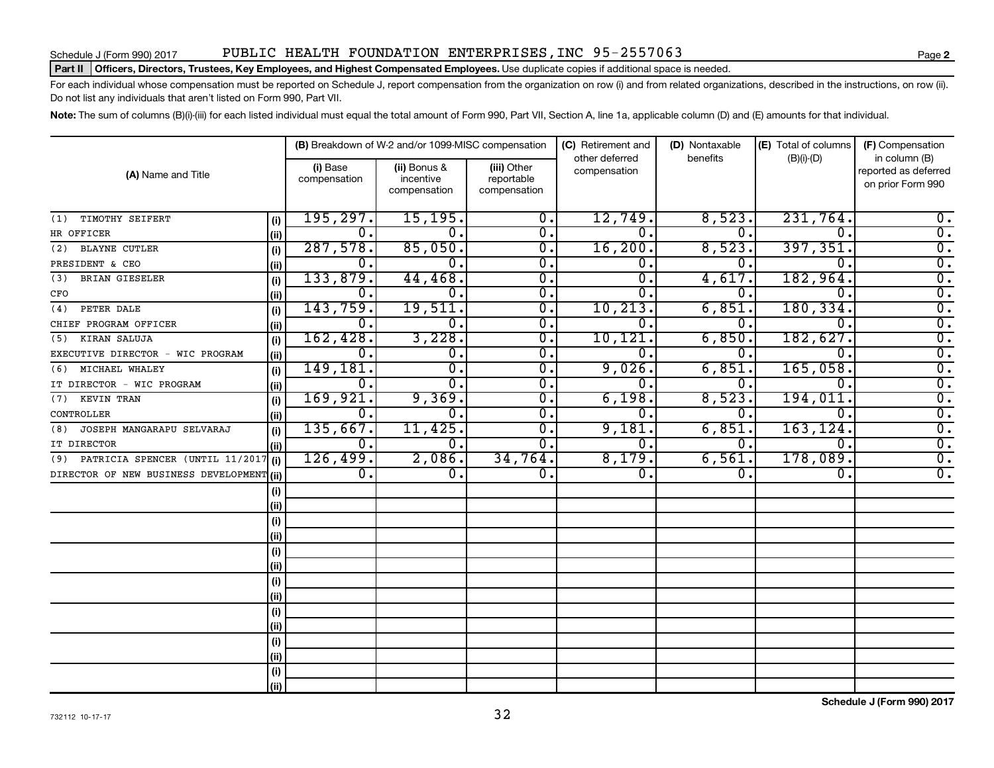### Part II | Officers, Directors, Trustees, Key Employees, and Highest Compensated Employees. Use duplicate copies if additional space is needed.

For each individual whose compensation must be reported on Schedule J, report compensation from the organization on row (i) and from related organizations, described in the instructions, on row (ii). Do not list any individuals that aren't listed on Form 990, Part VII.

Note: The sum of columns (B)(i)-(iii) for each listed individual must equal the total amount of Form 990, Part VII, Section A, line 1a, applicable column (D) and (E) amounts for that individual.

|                                           |       |                          | (B) Breakdown of W-2 and/or 1099-MISC compensation |                                           | (C) Retirement and<br>other deferred | (D) Nontaxable<br>benefits | (E) Total of columns      | (F) Compensation                                           |
|-------------------------------------------|-------|--------------------------|----------------------------------------------------|-------------------------------------------|--------------------------------------|----------------------------|---------------------------|------------------------------------------------------------|
| (A) Name and Title                        |       | (i) Base<br>compensation | (ii) Bonus &<br>incentive<br>compensation          | (iii) Other<br>reportable<br>compensation | compensation                         |                            | $(B)(i)-(D)$              | in column (B)<br>reported as deferred<br>on prior Form 990 |
| TIMOTHY SEIFERT<br>(1)                    | (i)   | 195, 297.                | 15, 195.                                           | 0.                                        | 12,749.                              | 8,523.                     | 231,764.                  | $0$ .                                                      |
| HR OFFICER                                | (iii) | 0.                       | 0.                                                 | 0.                                        | $\overline{0}$ .                     | $\Omega$ .                 | 0.                        | $\overline{0}$ .                                           |
| <b>BLAYNE CUTLER</b><br>(2)               | (i)   | 287,578.                 | 85,050.                                            | 0.                                        | 16, 200.                             | 8,523.                     | 397,351.                  | $\overline{0}$ .                                           |
| PRESIDENT & CEO                           | (ii)  | Ο.                       | 0.                                                 | о.                                        | 0.                                   | 0.                         | 0.                        | $\overline{0}$ .                                           |
| BRIAN GIESELER<br>(3)                     | (i)   | 133,879.                 | 44, 468.                                           | 0.                                        | 0.                                   | 4,617                      | 182,964.                  | $\overline{0}$ .                                           |
| CFO                                       | (ii)  | 0.                       | 0.                                                 | 0.                                        | 0                                    | 0                          | 0                         | $\overline{0}$ .                                           |
| PETER DALE<br>(4)                         | (i)   | 143,759.                 | 19,511.                                            | 0.                                        | 10, 213.                             | 6,851                      | 180, 334.                 | $\overline{0}$ .                                           |
| CHIEF PROGRAM OFFICER                     | (iii) | 0.                       | 0.                                                 | 0.                                        | Ω.                                   | 0                          | 0                         | $\overline{0}$ .                                           |
| KIRAN SALUJA<br>(5)                       | (i)   | 162,428.                 | 3,228.                                             | 0.                                        | 10,121.                              | 6,850                      | 182,627.                  | $\overline{0}$ .                                           |
| EXECUTIVE DIRECTOR - WIC PROGRAM          | (ii)  | 0.                       | 0.                                                 | 0.                                        | 0                                    | 0                          | 0                         | $\overline{0}$ .                                           |
| MICHAEL WHALEY<br>(6)                     | (i)   | 149,181.                 | 0.                                                 | 0.                                        | 9,026.                               | 6,851                      | 165,058.                  | $\overline{0}$ .                                           |
| IT DIRECTOR - WIC PROGRAM                 | (i)   | 0.                       | $\overline{0}$ .                                   | 0.                                        | 0.                                   | 0                          | $\mathbf{0}$ .            | $\overline{0}$ .                                           |
| KEVIN TRAN<br>(7)                         | (i)   | 169,921.                 | 9,369.                                             | 0.                                        | 6,198.                               | 8,523                      | 194,011.                  | $\overline{0}$ .                                           |
| CONTROLLER                                | (ii)  | 0.                       | 0.                                                 | 0.                                        | 0.                                   | 0                          | 0.                        | $\overline{0}$ .                                           |
| JOSEPH MANGARAPU SELVARAJ<br>(8)          | (i)   | 135,667.                 | 11,425.                                            | 0.                                        | 9,181.                               | 6,851                      | 163, 124.                 | $\overline{0}$ .                                           |
| IT DIRECTOR                               | (iii) | 0.                       | 0.                                                 | 0.                                        | 0.                                   | $\Omega$ .                 | $\mathbf 0$ .             | $\overline{0}$ .                                           |
| (9) PATRICIA SPENCER (UNTIL 11/2017       | (i)   | 126,499.                 | 2,086.                                             | 34,764.                                   | 8,179.                               | 6,561                      | 178,089.                  | $\overline{0}$ .                                           |
| DIRECTOR OF NEW BUSINESS DEVELOPMENT (ii) |       | $\overline{0}$ .         | 0.                                                 | $\overline{0}$ .                          | $\overline{0}$ .                     | $\mathbf 0$ .              | $\overline{\mathbf{0}}$ . | $\overline{0}$ .                                           |
|                                           | (i)   |                          |                                                    |                                           |                                      |                            |                           |                                                            |
|                                           | (ii)  |                          |                                                    |                                           |                                      |                            |                           |                                                            |
|                                           | (i)   |                          |                                                    |                                           |                                      |                            |                           |                                                            |
|                                           | (ii)  |                          |                                                    |                                           |                                      |                            |                           |                                                            |
|                                           | (i)   |                          |                                                    |                                           |                                      |                            |                           |                                                            |
|                                           | (i)   |                          |                                                    |                                           |                                      |                            |                           |                                                            |
|                                           | (i)   |                          |                                                    |                                           |                                      |                            |                           |                                                            |
|                                           | (ii)  |                          |                                                    |                                           |                                      |                            |                           |                                                            |
|                                           | (i)   |                          |                                                    |                                           |                                      |                            |                           |                                                            |
|                                           | (ii)  |                          |                                                    |                                           |                                      |                            |                           |                                                            |
|                                           | (i)   |                          |                                                    |                                           |                                      |                            |                           |                                                            |
|                                           | (ii)  |                          |                                                    |                                           |                                      |                            |                           |                                                            |
|                                           | (i)   |                          |                                                    |                                           |                                      |                            |                           |                                                            |
|                                           | (ii)  |                          |                                                    |                                           |                                      |                            |                           |                                                            |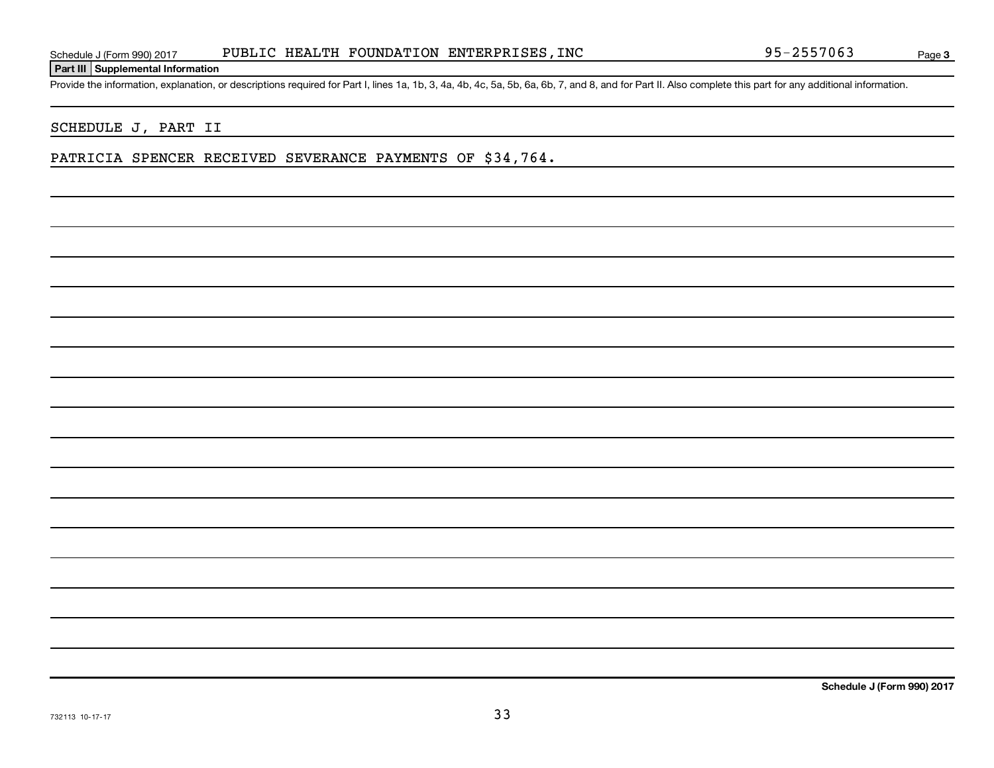### **Part III Supplemental Information**

Provide the information, explanation, or descriptions required for Part I, lines 1a, 1b, 3, 4a, 4b, 4c, 5a, 5b, 6a, 6b, 7, and 8, and for Part II. Also complete this part for any additional information.

### SCHEDULE J, PART II

### PATRICIA SPENCER RECEIVED SEVERANCE PAYMENTS OF \$34,764.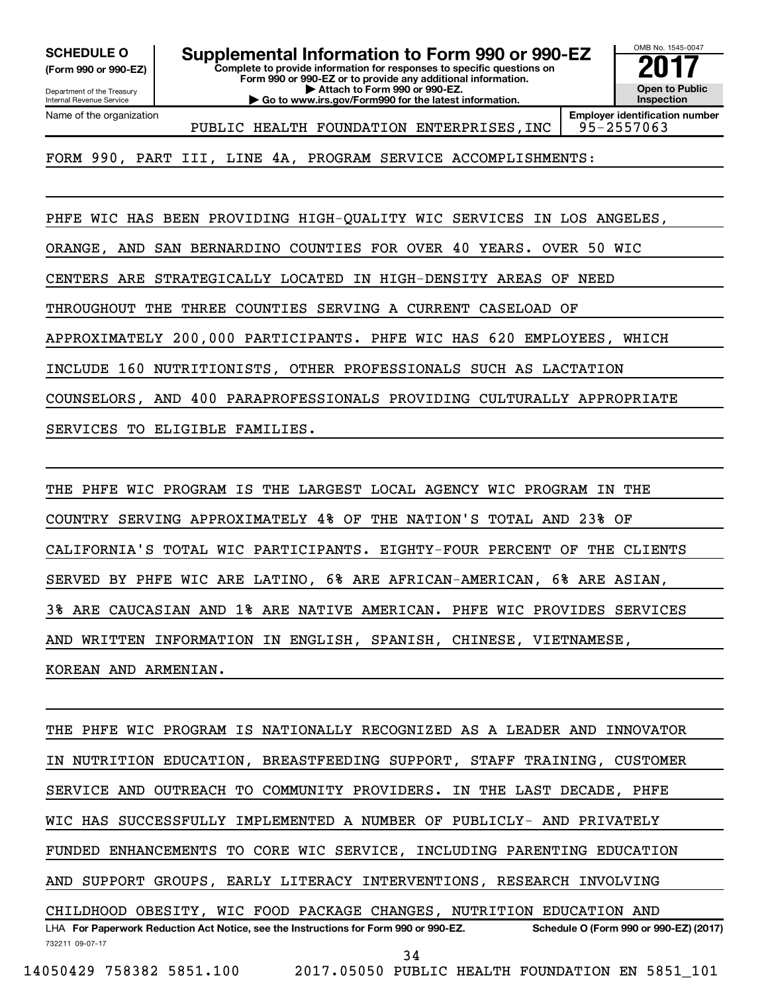**(Form 990 or 990-EZ)**

**Complete to provide information for responses to specific questions on Form 990 or 990-EZ or to provide any additional information. SCHEDULE O Supplemental Information to Form 990 or 990-EZ 2017**<br>(Form 990 or 990-EZ) Complete to provide information for responses to specific questions on

Department of the Treasury Internal Revenue Service Name of the organization

**| Attach to Form 990 or 990-EZ. | Go to www.irs.gov/Form990 for the latest information.** OMB No. 1545-0047 **Open to Public Inspection**

**Employer identification number** PUBLIC HEALTH FOUNDATION ENTERPRISES, INC | 95-2557063

FORM 990, PART III, LINE 4A, PROGRAM SERVICE ACCOMPLISHMENTS:

PHFE WIC HAS BEEN PROVIDING HIGH-QUALITY WIC SERVICES IN LOS ANGELES,

ORANGE, AND SAN BERNARDINO COUNTIES FOR OVER 40 YEARS. OVER 50 WIC

CENTERS ARE STRATEGICALLY LOCATED IN HIGH-DENSITY AREAS OF NEED

THROUGHOUT THE THREE COUNTIES SERVING A CURRENT CASELOAD OF

APPROXIMATELY 200,000 PARTICIPANTS. PHFE WIC HAS 620 EMPLOYEES, WHICH

INCLUDE 160 NUTRITIONISTS, OTHER PROFESSIONALS SUCH AS LACTATION

COUNSELORS, AND 400 PARAPROFESSIONALS PROVIDING CULTURALLY APPROPRIATE

SERVICES TO ELIGIBLE FAMILIES.

THE PHFE WIC PROGRAM IS THE LARGEST LOCAL AGENCY WIC PROGRAM IN THE COUNTRY SERVING APPROXIMATELY 4% OF THE NATION'S TOTAL AND 23% OF CALIFORNIA'S TOTAL WIC PARTICIPANTS. EIGHTY-FOUR PERCENT OF THE CLIENTS SERVED BY PHFE WIC ARE LATINO, 6% ARE AFRICAN-AMERICAN, 6% ARE ASIAN, 3% ARE CAUCASIAN AND 1% ARE NATIVE AMERICAN. PHFE WIC PROVIDES SERVICES AND WRITTEN INFORMATION IN ENGLISH, SPANISH, CHINESE, VIETNAMESE, KOREAN AND ARMENIAN.

732211 09-07-17 LHA For Paperwork Reduction Act Notice, see the Instructions for Form 990 or 990-EZ. Schedule O (Form 990 or 990-EZ) (2017) THE PHFE WIC PROGRAM IS NATIONALLY RECOGNIZED AS A LEADER AND INNOVATOR IN NUTRITION EDUCATION, BREASTFEEDING SUPPORT, STAFF TRAINING, CUSTOMER SERVICE AND OUTREACH TO COMMUNITY PROVIDERS. IN THE LAST DECADE, PHFE WIC HAS SUCCESSFULLY IMPLEMENTED A NUMBER OF PUBLICLY- AND PRIVATELY FUNDED ENHANCEMENTS TO CORE WIC SERVICE, INCLUDING PARENTING EDUCATION AND SUPPORT GROUPS, EARLY LITERACY INTERVENTIONS, RESEARCH INVOLVING CHILDHOOD OBESITY, WIC FOOD PACKAGE CHANGES, NUTRITION EDUCATION AND 34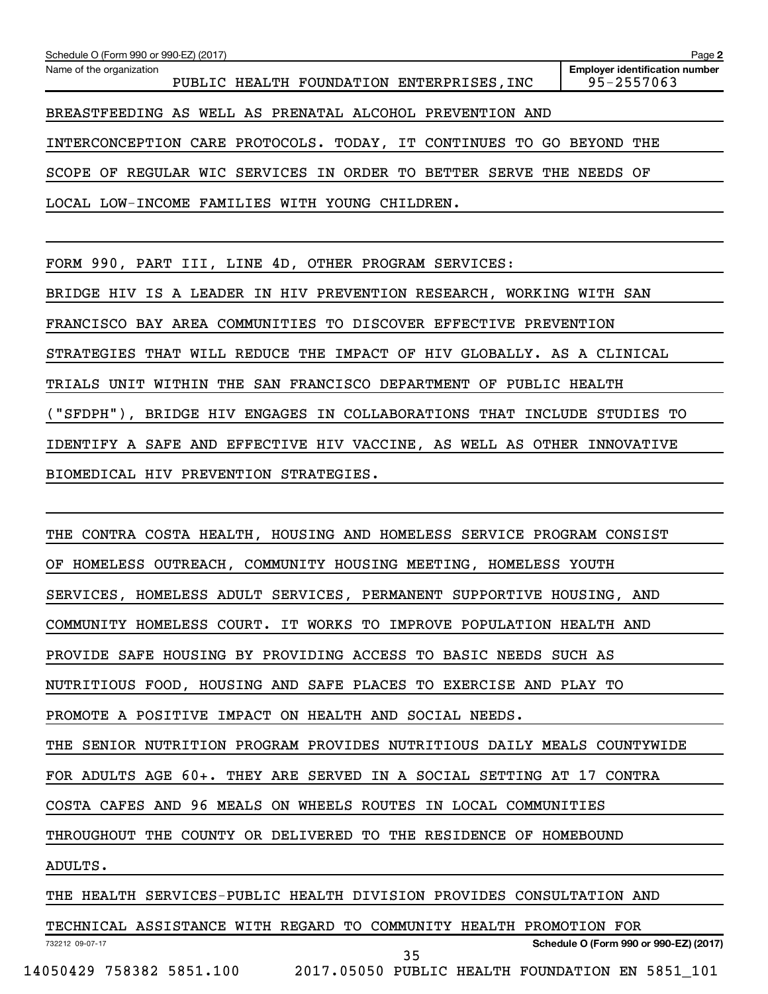| Schedule O (Form 990 or 990-EZ) (2017)                                | Page 2                                              |
|-----------------------------------------------------------------------|-----------------------------------------------------|
| Name of the organization<br>PUBLIC HEALTH FOUNDATION ENTERPRISES, INC | <b>Employer identification number</b><br>95-2557063 |
| BREASTFEEDING AS WELL AS PRENATAL ALCOHOL PREVENTION AND              |                                                     |
| INTERCONCEPTION CARE PROTOCOLS. TODAY, IT CONTINUES TO GO BEYOND      | THE                                                 |
| SCOPE OF REGULAR WIC SERVICES IN ORDER TO BETTER SERVE THE NEEDS OF   |                                                     |
| LOCAL LOW-INCOME FAMILIES WITH YOUNG CHILDREN.                        |                                                     |
|                                                                       |                                                     |

FORM 990, PART III, LINE 4D, OTHER PROGRAM SERVICES:

BRIDGE HIV IS A LEADER IN HIV PREVENTION RESEARCH, WORKING WITH SAN

FRANCISCO BAY AREA COMMUNITIES TO DISCOVER EFFECTIVE PREVENTION

STRATEGIES THAT WILL REDUCE THE IMPACT OF HIV GLOBALLY. AS A CLINICAL

TRIALS UNIT WITHIN THE SAN FRANCISCO DEPARTMENT OF PUBLIC HEALTH

("SFDPH"), BRIDGE HIV ENGAGES IN COLLABORATIONS THAT INCLUDE STUDIES TO

IDENTIFY A SAFE AND EFFECTIVE HIV VACCINE, AS WELL AS OTHER INNOVATIVE

BIOMEDICAL HIV PREVENTION STRATEGIES.

732212 09-07-17 THE CONTRA COSTA HEALTH, HOUSING AND HOMELESS SERVICE PROGRAM CONSIST OF HOMELESS OUTREACH, COMMUNITY HOUSING MEETING, HOMELESS YOUTH SERVICES, HOMELESS ADULT SERVICES, PERMANENT SUPPORTIVE HOUSING, AND COMMUNITY HOMELESS COURT. IT WORKS TO IMPROVE POPULATION HEALTH AND PROVIDE SAFE HOUSING BY PROVIDING ACCESS TO BASIC NEEDS SUCH AS NUTRITIOUS FOOD, HOUSING AND SAFE PLACES TO EXERCISE AND PLAY TO PROMOTE A POSITIVE IMPACT ON HEALTH AND SOCIAL NEEDS. THE SENIOR NUTRITION PROGRAM PROVIDES NUTRITIOUS DAILY MEALS COUNTYWIDE FOR ADULTS AGE 60+. THEY ARE SERVED IN A SOCIAL SETTING AT 17 CONTRA COSTA CAFES AND 96 MEALS ON WHEELS ROUTES IN LOCAL COMMUNITIES THROUGHOUT THE COUNTY OR DELIVERED TO THE RESIDENCE OF HOMEBOUND ADULTS. THE HEALTH SERVICES-PUBLIC HEALTH DIVISION PROVIDES CONSULTATION AND TECHNICAL ASSISTANCE WITH REGARD TO COMMUNITY HEALTH PROMOTION FOR

35

**Schedule O (Form 990 or 990-EZ) (2017)**

14050429 758382 5851.100 2017.05050 PUBLIC HEALTH FOUNDATION EN 5851\_101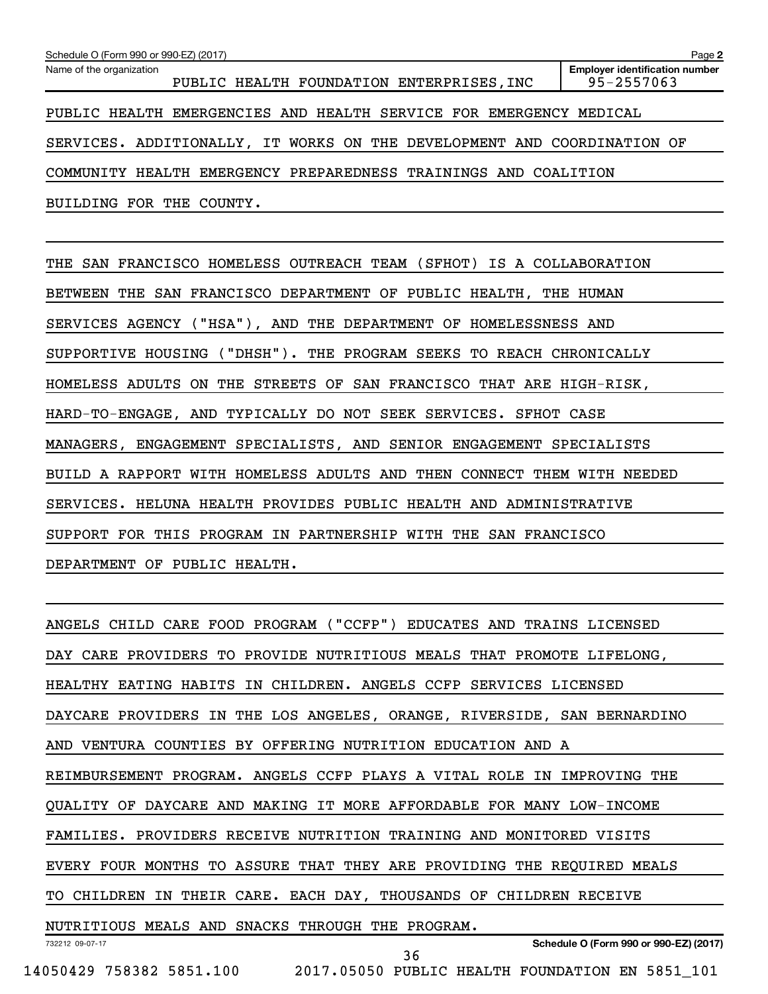| Schedule O (Form 990 or 990-EZ) (2017)                                  | Page 2                                              |
|-------------------------------------------------------------------------|-----------------------------------------------------|
| Name of the organization<br>PUBLIC HEALTH FOUNDATION ENTERPRISES, INC   | <b>Employer identification number</b><br>95-2557063 |
| PUBLIC HEALTH EMERGENCIES AND HEALTH SERVICE FOR EMERGENCY MEDICAL      |                                                     |
| SERVICES. ADDITIONALLY, IT WORKS ON THE DEVELOPMENT AND COORDINATION OF |                                                     |
| COMMUNITY HEALTH EMERGENCY PREPAREDNESS TRAININGS AND COALITION         |                                                     |
| BUILDING FOR THE COUNTY.                                                |                                                     |

THE SAN FRANCISCO HOMELESS OUTREACH TEAM (SFHOT) IS A COLLABORATION BETWEEN THE SAN FRANCISCO DEPARTMENT OF PUBLIC HEALTH, THE HUMAN SERVICES AGENCY ("HSA"), AND THE DEPARTMENT OF HOMELESSNESS AND SUPPORTIVE HOUSING ("DHSH"). THE PROGRAM SEEKS TO REACH CHRONICALLY HOMELESS ADULTS ON THE STREETS OF SAN FRANCISCO THAT ARE HIGH-RISK, HARD-TO-ENGAGE, AND TYPICALLY DO NOT SEEK SERVICES. SFHOT CASE MANAGERS, ENGAGEMENT SPECIALISTS, AND SENIOR ENGAGEMENT SPECIALISTS BUILD A RAPPORT WITH HOMELESS ADULTS AND THEN CONNECT THEM WITH NEEDED SERVICES. HELUNA HEALTH PROVIDES PUBLIC HEALTH AND ADMINISTRATIVE SUPPORT FOR THIS PROGRAM IN PARTNERSHIP WITH THE SAN FRANCISCO DEPARTMENT OF PUBLIC HEALTH.

732212 09-07-17 **Schedule O (Form 990 or 990-EZ) (2017)** ANGELS CHILD CARE FOOD PROGRAM ("CCFP") EDUCATES AND TRAINS LICENSED DAY CARE PROVIDERS TO PROVIDE NUTRITIOUS MEALS THAT PROMOTE LIFELONG, HEALTHY EATING HABITS IN CHILDREN. ANGELS CCFP SERVICES LICENSED DAYCARE PROVIDERS IN THE LOS ANGELES, ORANGE, RIVERSIDE, SAN BERNARDINO AND VENTURA COUNTIES BY OFFERING NUTRITION EDUCATION AND A REIMBURSEMENT PROGRAM. ANGELS CCFP PLAYS A VITAL ROLE IN IMPROVING THE QUALITY OF DAYCARE AND MAKING IT MORE AFFORDABLE FOR MANY LOW-INCOME FAMILIES. PROVIDERS RECEIVE NUTRITION TRAINING AND MONITORED VISITS EVERY FOUR MONTHS TO ASSURE THAT THEY ARE PROVIDING THE REQUIRED MEALS TO CHILDREN IN THEIR CARE. EACH DAY, THOUSANDS OF CHILDREN RECEIVE NUTRITIOUS MEALS AND SNACKS THROUGH THE PROGRAM. 36

14050429 758382 5851.100 2017.05050 PUBLIC HEALTH FOUNDATION EN 5851\_101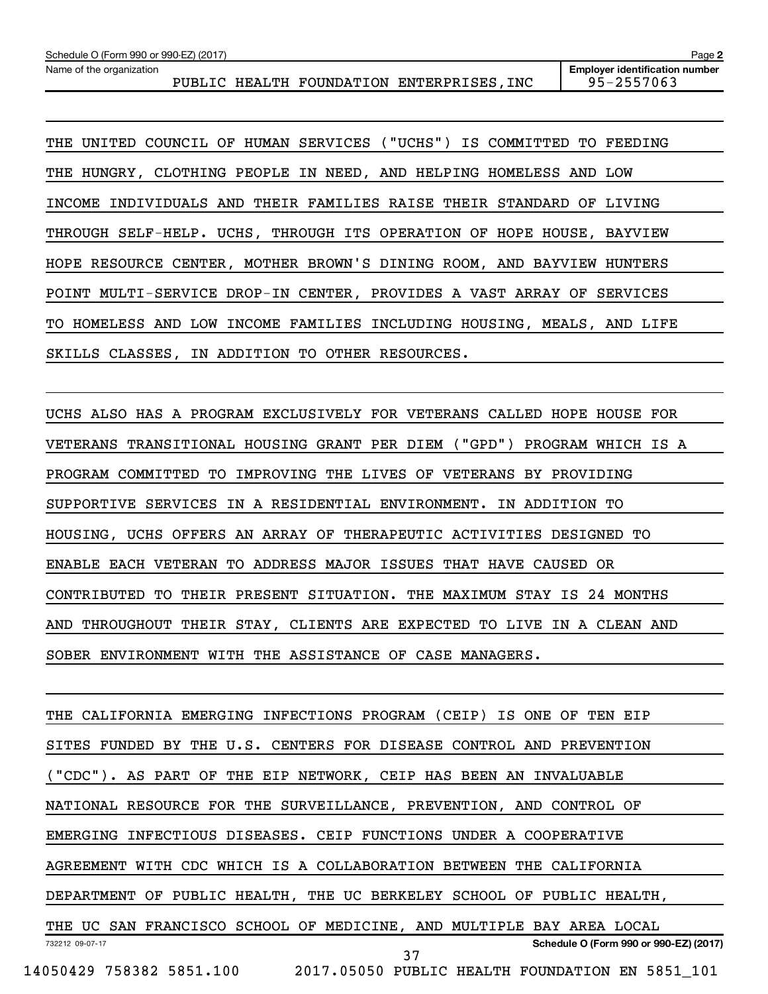Name of the organization

PUBLIC HEALTH FOUNDATION ENTERPRISES, INC 95-2557063

**Employer identification number**

**2**

THE UNITED COUNCIL OF HUMAN SERVICES ("UCHS") IS COMMITTED TO FEEDING THE HUNGRY, CLOTHING PEOPLE IN NEED, AND HELPING HOMELESS AND LOW INCOME INDIVIDUALS AND THEIR FAMILIES RAISE THEIR STANDARD OF LIVING THROUGH SELF-HELP. UCHS, THROUGH ITS OPERATION OF HOPE HOUSE, BAYVIEW HOPE RESOURCE CENTER, MOTHER BROWN'S DINING ROOM, AND BAYVIEW HUNTERS POINT MULTI-SERVICE DROP-IN CENTER, PROVIDES A VAST ARRAY OF SERVICES TO HOMELESS AND LOW INCOME FAMILIES INCLUDING HOUSING, MEALS, AND LIFE SKILLS CLASSES, IN ADDITION TO OTHER RESOURCES.

UCHS ALSO HAS A PROGRAM EXCLUSIVELY FOR VETERANS CALLED HOPE HOUSE FOR VETERANS TRANSITIONAL HOUSING GRANT PER DIEM ("GPD") PROGRAM WHICH IS A PROGRAM COMMITTED TO IMPROVING THE LIVES OF VETERANS BY PROVIDING SUPPORTIVE SERVICES IN A RESIDENTIAL ENVIRONMENT. IN ADDITION TO HOUSING, UCHS OFFERS AN ARRAY OF THERAPEUTIC ACTIVITIES DESIGNED TO ENABLE EACH VETERAN TO ADDRESS MAJOR ISSUES THAT HAVE CAUSED OR CONTRIBUTED TO THEIR PRESENT SITUATION. THE MAXIMUM STAY IS 24 MONTHS AND THROUGHOUT THEIR STAY, CLIENTS ARE EXPECTED TO LIVE IN A CLEAN AND SOBER ENVIRONMENT WITH THE ASSISTANCE OF CASE MANAGERS.

732212 09-07-17 **Schedule O (Form 990 or 990-EZ) (2017)** THE CALIFORNIA EMERGING INFECTIONS PROGRAM (CEIP) IS ONE OF TEN EIP SITES FUNDED BY THE U.S. CENTERS FOR DISEASE CONTROL AND PREVENTION ("CDC"). AS PART OF THE EIP NETWORK, CEIP HAS BEEN AN INVALUABLE NATIONAL RESOURCE FOR THE SURVEILLANCE, PREVENTION, AND CONTROL OF EMERGING INFECTIOUS DISEASES. CEIP FUNCTIONS UNDER A COOPERATIVE AGREEMENT WITH CDC WHICH IS A COLLABORATION BETWEEN THE CALIFORNIA DEPARTMENT OF PUBLIC HEALTH, THE UC BERKELEY SCHOOL OF PUBLIC HEALTH, THE UC SAN FRANCISCO SCHOOL OF MEDICINE, AND MULTIPLE BAY AREA LOCAL 14050429 758382 5851.100 2017.05050 PUBLIC HEALTH FOUNDATION EN 5851\_101 37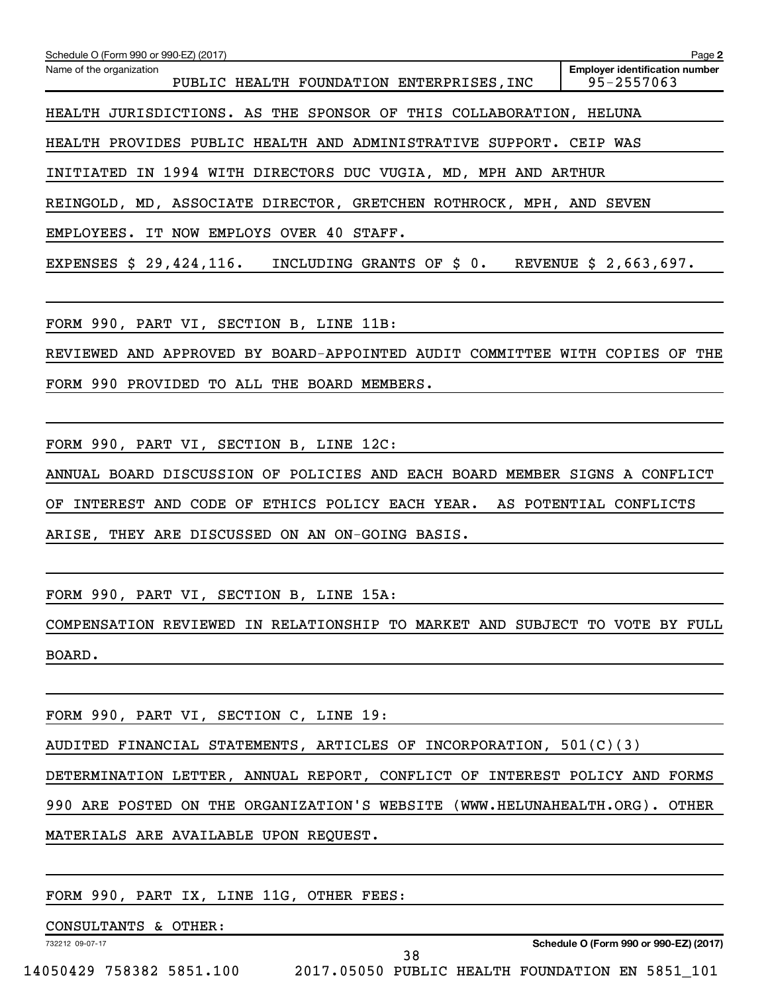| Schedule O (Form 990 or 990-EZ) (2017)                                      | Page 2                                              |
|-----------------------------------------------------------------------------|-----------------------------------------------------|
| Name of the organization<br>PUBLIC HEALTH FOUNDATION ENTERPRISES, INC       | <b>Employer identification number</b><br>95-2557063 |
| HEALTH JURISDICTIONS. AS THE SPONSOR OF THIS COLLABORATION, HELUNA          |                                                     |
| HEALTH PROVIDES PUBLIC HEALTH AND ADMINISTRATIVE SUPPORT. CEIP WAS          |                                                     |
| INITIATED IN 1994 WITH DIRECTORS DUC VUGIA, MD, MPH AND ARTHUR              |                                                     |
| REINGOLD, MD, ASSOCIATE DIRECTOR, GRETCHEN ROTHROCK, MPH, AND SEVEN         |                                                     |
| EMPLOYEES. IT NOW EMPLOYS OVER 40 STAFF.                                    |                                                     |
| EXPENSES $$29,424,116$ . INCLUDING GRANTS OF $$0.$ REVENUE $$2,663,697$ .   |                                                     |
| FORM 990, PART VI, SECTION B, LINE 11B:                                     |                                                     |
| REVIEWED AND APPROVED BY BOARD-APPOINTED AUDIT COMMITTEE WITH COPIES OF THE |                                                     |
| FORM 990 PROVIDED TO ALL THE BOARD MEMBERS.                                 |                                                     |
| FORM 990, PART VI, SECTION B, LINE 12C:                                     |                                                     |
| ANNUAL BOARD DISCUSSION OF POLICIES AND EACH BOARD MEMBER SIGNS A CONFLICT  |                                                     |
| INTEREST AND CODE OF ETHICS POLICY EACH YEAR.<br>OF                         | AS POTENTIAL CONFLICTS                              |
| ARISE, THEY ARE DISCUSSED ON AN ON-GOING BASIS.                             |                                                     |
| FORM 990, PART VI, SECTION B, LINE 15A:                                     |                                                     |
| COMPENSATION REVIEWED IN RELATIONSHIP TO MARKET AND SUBJECT TO VOTE BY FULL |                                                     |
| BOARD.                                                                      |                                                     |
| FORM 990, PART VI, SECTION C, LINE 19:                                      |                                                     |
| AUDITED FINANCIAL STATEMENTS, ARTICLES OF INCORPORATION, 501(C)(3)          |                                                     |
| DETERMINATION LETTER, ANNUAL REPORT, CONFLICT OF INTEREST POLICY AND FORMS  |                                                     |
| 990 ARE POSTED ON THE ORGANIZATION'S WEBSITE (WWW.HELUNAHEALTH.ORG). OTHER  |                                                     |
| MATERIALS ARE AVAILABLE UPON REQUEST.                                       |                                                     |
|                                                                             |                                                     |

### FORM 990, PART IX, LINE 11G, OTHER FEES:

## CONSULTANTS & OTHER:

732212 09-07-17

**Schedule O (Form 990 or 990-EZ) (2017)**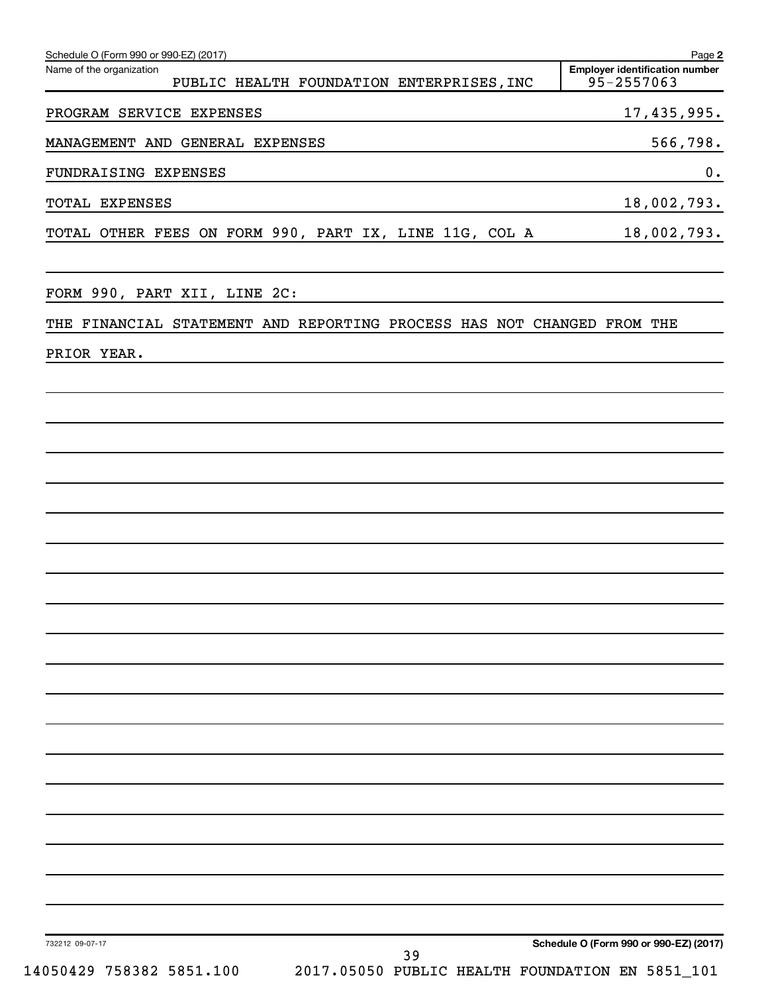| Name of the organization<br><b>Employer identification number</b><br>95-2557063<br>PUBLIC HEALTH FOUNDATION ENTERPRISES, INC<br>17, 435, 995.<br>PROGRAM SERVICE EXPENSES<br>MANAGEMENT AND GENERAL EXPENSES<br>FUNDRAISING EXPENSES<br>18,002,793.<br>TOTAL EXPENSES<br>TOTAL OTHER FEES ON FORM 990, PART IX, LINE 11G, COL A<br>18,002,793.<br>FORM 990, PART XII, LINE 2C:<br>THE FINANCIAL STATEMENT AND REPORTING PROCESS HAS NOT CHANGED FROM THE<br>PRIOR YEAR. |          |
|-------------------------------------------------------------------------------------------------------------------------------------------------------------------------------------------------------------------------------------------------------------------------------------------------------------------------------------------------------------------------------------------------------------------------------------------------------------------------|----------|
|                                                                                                                                                                                                                                                                                                                                                                                                                                                                         |          |
|                                                                                                                                                                                                                                                                                                                                                                                                                                                                         |          |
|                                                                                                                                                                                                                                                                                                                                                                                                                                                                         | 566,798. |
|                                                                                                                                                                                                                                                                                                                                                                                                                                                                         | 0.       |
|                                                                                                                                                                                                                                                                                                                                                                                                                                                                         |          |
|                                                                                                                                                                                                                                                                                                                                                                                                                                                                         |          |
|                                                                                                                                                                                                                                                                                                                                                                                                                                                                         |          |
|                                                                                                                                                                                                                                                                                                                                                                                                                                                                         |          |
|                                                                                                                                                                                                                                                                                                                                                                                                                                                                         |          |
|                                                                                                                                                                                                                                                                                                                                                                                                                                                                         |          |
|                                                                                                                                                                                                                                                                                                                                                                                                                                                                         |          |
|                                                                                                                                                                                                                                                                                                                                                                                                                                                                         |          |
|                                                                                                                                                                                                                                                                                                                                                                                                                                                                         |          |
|                                                                                                                                                                                                                                                                                                                                                                                                                                                                         |          |
|                                                                                                                                                                                                                                                                                                                                                                                                                                                                         |          |
|                                                                                                                                                                                                                                                                                                                                                                                                                                                                         |          |
|                                                                                                                                                                                                                                                                                                                                                                                                                                                                         |          |
|                                                                                                                                                                                                                                                                                                                                                                                                                                                                         |          |
|                                                                                                                                                                                                                                                                                                                                                                                                                                                                         |          |
|                                                                                                                                                                                                                                                                                                                                                                                                                                                                         |          |
|                                                                                                                                                                                                                                                                                                                                                                                                                                                                         |          |
|                                                                                                                                                                                                                                                                                                                                                                                                                                                                         |          |
|                                                                                                                                                                                                                                                                                                                                                                                                                                                                         |          |
|                                                                                                                                                                                                                                                                                                                                                                                                                                                                         |          |
|                                                                                                                                                                                                                                                                                                                                                                                                                                                                         |          |
|                                                                                                                                                                                                                                                                                                                                                                                                                                                                         |          |
| Schedule O (Form 990 or 990-EZ) (2017)<br>732212 09-07-17<br>39<br>14050429 758382 5851.100<br>2017.05050 PUBLIC HEALTH FOUNDATION EN 5851_101                                                                                                                                                                                                                                                                                                                          |          |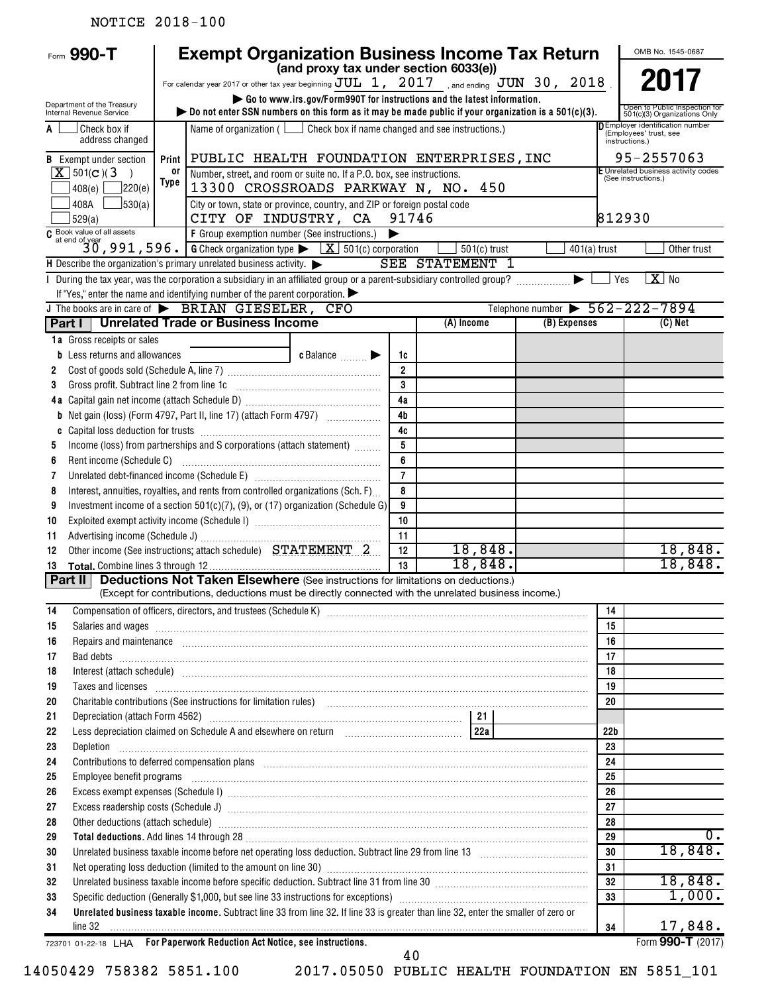# NOTICE 2018-100

|          | Form 990-T                                                                                                                                                                                                                                                                                                                                                                                                                                                                                 |                | <b>Exempt Organization Business Income Tax Return</b>                                                                                                                                                                                |                                                                         |                |                                                            |                                                |                 | OMB No. 1545-0687                                                                                 |
|----------|--------------------------------------------------------------------------------------------------------------------------------------------------------------------------------------------------------------------------------------------------------------------------------------------------------------------------------------------------------------------------------------------------------------------------------------------------------------------------------------------|----------------|--------------------------------------------------------------------------------------------------------------------------------------------------------------------------------------------------------------------------------------|-------------------------------------------------------------------------|----------------|------------------------------------------------------------|------------------------------------------------|-----------------|---------------------------------------------------------------------------------------------------|
|          |                                                                                                                                                                                                                                                                                                                                                                                                                                                                                            |                | For calendar year 2017 or other tax year beginning $\overline{JUL}$ 1, 2017 and ending $\overline{JUN}$ 30, 2018                                                                                                                     | (and proxy tax under section 6033(e))                                   |                |                                                            |                                                |                 |                                                                                                   |
|          |                                                                                                                                                                                                                                                                                                                                                                                                                                                                                            |                |                                                                                                                                                                                                                                      | Go to www.irs.gov/Form990T for instructions and the latest information. |                |                                                            |                                                |                 |                                                                                                   |
|          | Department of the Treasury<br>Internal Revenue Service                                                                                                                                                                                                                                                                                                                                                                                                                                     |                | bo not enter SSN numbers on this form as it may be made public if your organization is a $501(c)(3)$ .                                                                                                                               |                                                                         |                |                                                            |                                                |                 | Open to Public Inspection for<br>501(c)(3) Organizations Only<br>D Employer identification number |
| A        | Check box if<br>address changed                                                                                                                                                                                                                                                                                                                                                                                                                                                            |                | Name of organization ( $\Box$ Check box if name changed and see instructions.)                                                                                                                                                       |                                                                         |                | (Employees' trust, see<br>instructions.)                   |                                                |                 |                                                                                                   |
|          | <b>B</b> Exempt under section                                                                                                                                                                                                                                                                                                                                                                                                                                                              | Print          | PUBLIC HEALTH FOUNDATION ENTERPRISES, INC                                                                                                                                                                                            |                                                                         |                | 95-2557063                                                 |                                                |                 |                                                                                                   |
|          | $X$ 501(c)(3)<br>$\rightarrow$<br>$408(e)$ 220(e)                                                                                                                                                                                                                                                                                                                                                                                                                                          | 0ľ<br>Type     | Number, street, and room or suite no. If a P.O. box, see instructions.<br>13300 CROSSROADS PARKWAY N, NO. 450                                                                                                                        |                                                                         |                | E Unrelated business activity codes<br>(See instructions.) |                                                |                 |                                                                                                   |
|          | 408A<br>$\frac{1}{30(a)}$                                                                                                                                                                                                                                                                                                                                                                                                                                                                  |                | City or town, state or province, country, and ZIP or foreign postal code                                                                                                                                                             |                                                                         |                |                                                            |                                                |                 |                                                                                                   |
|          | 529(a)                                                                                                                                                                                                                                                                                                                                                                                                                                                                                     |                | CITY OF INDUSTRY, CA                                                                                                                                                                                                                 |                                                                         | 91746          |                                                            |                                                | 812930          |                                                                                                   |
|          | $\begin{array}{l l} \hline \texttt{G} & \texttt{Book value of all assets} \\ \hline \texttt{G} & \texttt{if end of year} \\ \hline \texttt{30 , 991 , 596 .} \hline \end{array} \begin{array}{l} \hline \texttt{F} & \texttt{Group segmentation number (See instructions.)} \\ \hline \texttt{G} & \texttt{Check organization type} \end{array} \begin{array}{l} \hline \texttt{K} & \texttt{501(c) corporation} \\ \hline \texttt{K} & \texttt{501(c) corporation} \\ \hline \end{array}$ | $401(a)$ trust | Other trust                                                                                                                                                                                                                          |                                                                         |                |                                                            |                                                |                 |                                                                                                   |
|          |                                                                                                                                                                                                                                                                                                                                                                                                                                                                                            |                | H Describe the organization's primary unrelated business activity. $\blacktriangleright$                                                                                                                                             |                                                                         |                | $501(c)$ trust<br><b>SEE STATEMENT 1</b>                   |                                                |                 |                                                                                                   |
|          |                                                                                                                                                                                                                                                                                                                                                                                                                                                                                            |                | I During the tax year, was the corporation a subsidiary in an affiliated group or a parent-subsidiary controlled group?                                                                                                              |                                                                         |                |                                                            | ▶                                              | Yes             | $X$ No                                                                                            |
|          |                                                                                                                                                                                                                                                                                                                                                                                                                                                                                            |                | If "Yes," enter the name and identifying number of the parent corporation.                                                                                                                                                           |                                                                         |                |                                                            |                                                |                 |                                                                                                   |
|          |                                                                                                                                                                                                                                                                                                                                                                                                                                                                                            |                | J The books are in care of $\triangleright$ BRIAN GIESELER, CFO                                                                                                                                                                      |                                                                         |                |                                                            | Telephone number $\triangleright$ 562-222-7894 |                 |                                                                                                   |
|          |                                                                                                                                                                                                                                                                                                                                                                                                                                                                                            |                | <b>Part I   Unrelated Trade or Business Income</b>                                                                                                                                                                                   |                                                                         |                | (A) Income                                                 | (B) Expenses                                   |                 | (C) Net                                                                                           |
|          | 1a Gross receipts or sales                                                                                                                                                                                                                                                                                                                                                                                                                                                                 |                |                                                                                                                                                                                                                                      |                                                                         |                |                                                            |                                                |                 |                                                                                                   |
|          | <b>b</b> Less returns and allowances                                                                                                                                                                                                                                                                                                                                                                                                                                                       |                |                                                                                                                                                                                                                                      | c Balance <b>Department</b>                                             | 1c             |                                                            |                                                |                 |                                                                                                   |
| 2        |                                                                                                                                                                                                                                                                                                                                                                                                                                                                                            |                |                                                                                                                                                                                                                                      |                                                                         | $\overline{2}$ |                                                            |                                                |                 |                                                                                                   |
| 3        | Gross profit. Subtract line 2 from line 1c                                                                                                                                                                                                                                                                                                                                                                                                                                                 |                |                                                                                                                                                                                                                                      |                                                                         | 3              |                                                            |                                                |                 |                                                                                                   |
|          |                                                                                                                                                                                                                                                                                                                                                                                                                                                                                            |                |                                                                                                                                                                                                                                      |                                                                         | 4a             |                                                            |                                                |                 |                                                                                                   |
|          |                                                                                                                                                                                                                                                                                                                                                                                                                                                                                            |                | <b>b</b> Net gain (loss) (Form 4797, Part II, line 17) (attach Form 4797)                                                                                                                                                            |                                                                         | 4 <sub>b</sub> |                                                            |                                                |                 |                                                                                                   |
| C        |                                                                                                                                                                                                                                                                                                                                                                                                                                                                                            |                |                                                                                                                                                                                                                                      |                                                                         | 4c             |                                                            |                                                |                 |                                                                                                   |
| 5        |                                                                                                                                                                                                                                                                                                                                                                                                                                                                                            |                | Income (loss) from partnerships and S corporations (attach statement)                                                                                                                                                                |                                                                         | 5              |                                                            |                                                |                 |                                                                                                   |
| 6        | Rent income (Schedule C)                                                                                                                                                                                                                                                                                                                                                                                                                                                                   |                |                                                                                                                                                                                                                                      |                                                                         | 6              |                                                            |                                                |                 |                                                                                                   |
| 7        |                                                                                                                                                                                                                                                                                                                                                                                                                                                                                            |                |                                                                                                                                                                                                                                      |                                                                         | $\overline{7}$ |                                                            |                                                |                 |                                                                                                   |
| 8        |                                                                                                                                                                                                                                                                                                                                                                                                                                                                                            |                | Interest, annuities, royalties, and rents from controlled organizations (Sch. F)                                                                                                                                                     |                                                                         | 8              |                                                            |                                                |                 |                                                                                                   |
| 9        |                                                                                                                                                                                                                                                                                                                                                                                                                                                                                            |                | Investment income of a section 501(c)(7), (9), or (17) organization (Schedule G)                                                                                                                                                     |                                                                         | 9<br>10        |                                                            |                                                |                 |                                                                                                   |
| 10       |                                                                                                                                                                                                                                                                                                                                                                                                                                                                                            |                |                                                                                                                                                                                                                                      |                                                                         | 11             |                                                            |                                                |                 |                                                                                                   |
| 11<br>12 |                                                                                                                                                                                                                                                                                                                                                                                                                                                                                            |                |                                                                                                                                                                                                                                      |                                                                         | 12             | 18,848.                                                    |                                                |                 | 18,848.                                                                                           |
| 13       |                                                                                                                                                                                                                                                                                                                                                                                                                                                                                            |                |                                                                                                                                                                                                                                      |                                                                         | 13             | 18,848.                                                    |                                                |                 | 18,848.                                                                                           |
| Part II  |                                                                                                                                                                                                                                                                                                                                                                                                                                                                                            |                | <b>Deductions Not Taken Elsewhere</b> (See instructions for limitations on deductions.)                                                                                                                                              |                                                                         |                |                                                            |                                                |                 |                                                                                                   |
|          |                                                                                                                                                                                                                                                                                                                                                                                                                                                                                            |                | (Except for contributions, deductions must be directly connected with the unrelated business income.)                                                                                                                                |                                                                         |                |                                                            |                                                |                 |                                                                                                   |
| 14       |                                                                                                                                                                                                                                                                                                                                                                                                                                                                                            |                |                                                                                                                                                                                                                                      |                                                                         |                |                                                            |                                                | 14              |                                                                                                   |
| 15       |                                                                                                                                                                                                                                                                                                                                                                                                                                                                                            |                | Salaries and wages <b>with the contract of the contract of the contract of the contract of the contract of the contract of the contract of the contract of the contract of the contract of the contract of the contract of the c</b> |                                                                         |                |                                                            |                                                | 15              |                                                                                                   |
| 16       |                                                                                                                                                                                                                                                                                                                                                                                                                                                                                            |                | Repairs and maintenance <i>maintenance</i> and construction of the construction of the construction of the construction of the construction of the construction of the construction of the construction of the construction of the   |                                                                         |                |                                                            |                                                | 16              |                                                                                                   |
| 17       |                                                                                                                                                                                                                                                                                                                                                                                                                                                                                            |                |                                                                                                                                                                                                                                      |                                                                         |                |                                                            |                                                | 17              |                                                                                                   |
| 18       |                                                                                                                                                                                                                                                                                                                                                                                                                                                                                            |                | Interest (attach schedule) www.androiden.com/androident/androident/androident/androident/androident/androident                                                                                                                       |                                                                         |                |                                                            |                                                | 18              |                                                                                                   |
| 19       |                                                                                                                                                                                                                                                                                                                                                                                                                                                                                            |                | Taxes and licenses <b>construction and construction of the construction</b> and construction of the construction of the construction of the construction of the construction of the construction of the construction of the constru  |                                                                         |                |                                                            |                                                | 19              |                                                                                                   |
| 20       |                                                                                                                                                                                                                                                                                                                                                                                                                                                                                            |                | Charitable contributions (See instructions for limitation rules) [11] manufacture in the contributions (See instructions for limitation rules) [11] manufacture in the contributions (See instructions for limitation rules) [       |                                                                         |                |                                                            |                                                | 20              |                                                                                                   |
| 21       |                                                                                                                                                                                                                                                                                                                                                                                                                                                                                            |                |                                                                                                                                                                                                                                      |                                                                         |                |                                                            |                                                |                 |                                                                                                   |
| 22       |                                                                                                                                                                                                                                                                                                                                                                                                                                                                                            |                |                                                                                                                                                                                                                                      |                                                                         |                |                                                            |                                                | 22 <sub>b</sub> |                                                                                                   |
| 23       | Depletion                                                                                                                                                                                                                                                                                                                                                                                                                                                                                  |                |                                                                                                                                                                                                                                      |                                                                         |                |                                                            |                                                | 23              |                                                                                                   |
| 24       |                                                                                                                                                                                                                                                                                                                                                                                                                                                                                            |                | Contributions to deferred compensation plans [11] manufactured contributions to deferred compensation plans [11] manufactured compensation plans [11] manufactured compensation plans [11] manufactured contributions to defer       |                                                                         |                |                                                            |                                                | 24              |                                                                                                   |
| 25       | Employee benefit programs                                                                                                                                                                                                                                                                                                                                                                                                                                                                  |                |                                                                                                                                                                                                                                      |                                                                         |                |                                                            |                                                | 25              |                                                                                                   |
| 26       |                                                                                                                                                                                                                                                                                                                                                                                                                                                                                            |                |                                                                                                                                                                                                                                      |                                                                         |                |                                                            |                                                | 26              |                                                                                                   |
| 27       |                                                                                                                                                                                                                                                                                                                                                                                                                                                                                            |                |                                                                                                                                                                                                                                      |                                                                         |                |                                                            |                                                | 27              |                                                                                                   |
| 28<br>29 |                                                                                                                                                                                                                                                                                                                                                                                                                                                                                            |                | Other deductions (attach schedule) manufactured and contract and contract and contract and contract and contract and contract and contract and contract and contract and contract and contract and contract and contract and c       |                                                                         |                |                                                            |                                                | 28<br>29        | 0.                                                                                                |
| 30       |                                                                                                                                                                                                                                                                                                                                                                                                                                                                                            |                | Total deductions. Add lines 14 through 28 [11] Manuscritt Anna Manuscritt Add deductions. Add lines 14 through 28                                                                                                                    |                                                                         |                |                                                            |                                                | 30              | 18,848.                                                                                           |
| 31       |                                                                                                                                                                                                                                                                                                                                                                                                                                                                                            |                |                                                                                                                                                                                                                                      |                                                                         |                |                                                            |                                                | 31              |                                                                                                   |
| 32       |                                                                                                                                                                                                                                                                                                                                                                                                                                                                                            |                | Unrelated business taxable income before specific deduction. Subtract line 31 from line 30 [11] manuscripts taxable income before specific deduction. Subtract line 31 from line 30 [11] manuscripts taxable income                  |                                                                         |                |                                                            |                                                | 32              | 18,848.                                                                                           |
| 33       |                                                                                                                                                                                                                                                                                                                                                                                                                                                                                            |                |                                                                                                                                                                                                                                      |                                                                         |                |                                                            |                                                | 33              | 1,000.                                                                                            |
| 34       |                                                                                                                                                                                                                                                                                                                                                                                                                                                                                            |                | Unrelated business taxable income. Subtract line 33 from line 32. If line 33 is greater than line 32, enter the smaller of zero or                                                                                                   |                                                                         |                |                                                            |                                                |                 |                                                                                                   |
|          | line 32                                                                                                                                                                                                                                                                                                                                                                                                                                                                                    |                |                                                                                                                                                                                                                                      |                                                                         |                |                                                            |                                                | 34              | 17,848.                                                                                           |
|          |                                                                                                                                                                                                                                                                                                                                                                                                                                                                                            |                | 723701 01-22-18 LHA For Paperwork Reduction Act Notice, see instructions.                                                                                                                                                            |                                                                         | 40             |                                                            |                                                |                 | Form 990-T (2017)                                                                                 |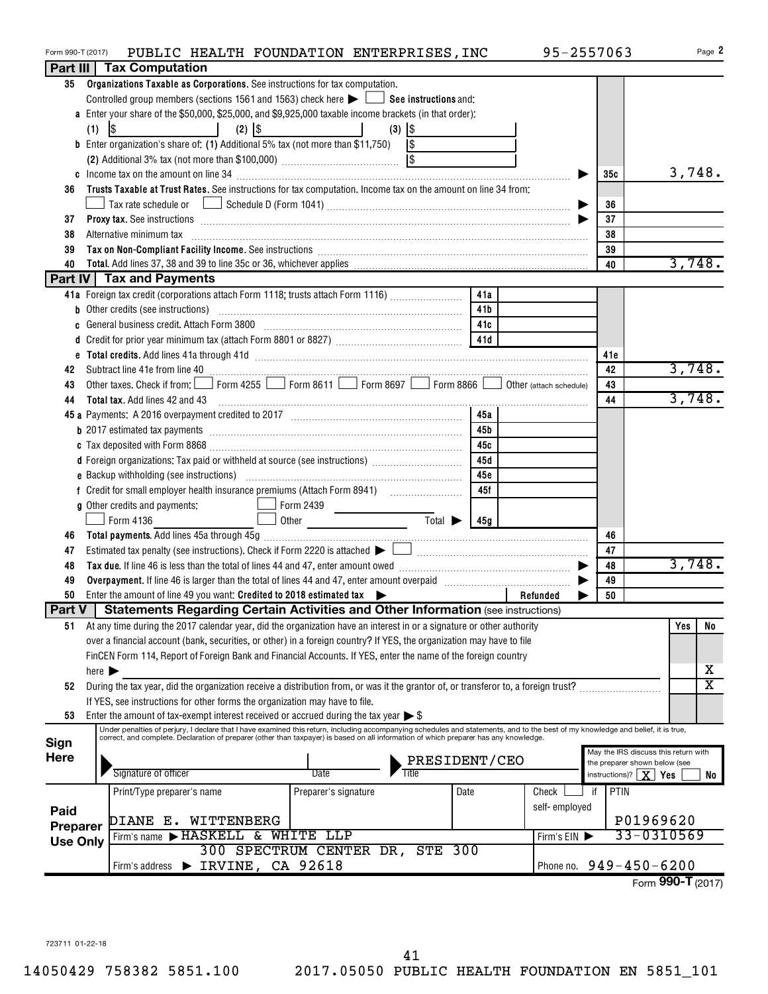| Form 990-T (2017) |                                                                                                                                                                                                                                |                                                                                                                                                                                                                                                                                                                                                    | PUBLIC HEALTH FOUNDATION ENTERPRISES, INC |       |                      |                                   |                             |      |  | 95-2557063              |     |                                                                   |     | Page 2                     |
|-------------------|--------------------------------------------------------------------------------------------------------------------------------------------------------------------------------------------------------------------------------|----------------------------------------------------------------------------------------------------------------------------------------------------------------------------------------------------------------------------------------------------------------------------------------------------------------------------------------------------|-------------------------------------------|-------|----------------------|-----------------------------------|-----------------------------|------|--|-------------------------|-----|-------------------------------------------------------------------|-----|----------------------------|
| Part III          |                                                                                                                                                                                                                                | Tax Computation                                                                                                                                                                                                                                                                                                                                    |                                           |       |                      |                                   |                             |      |  |                         |     |                                                                   |     |                            |
| 35                |                                                                                                                                                                                                                                | Organizations Taxable as Corporations. See instructions for tax computation.                                                                                                                                                                                                                                                                       |                                           |       |                      |                                   |                             |      |  |                         |     |                                                                   |     |                            |
|                   |                                                                                                                                                                                                                                | Controlled group members (sections 1561 and 1563) check here $\blacktriangleright$ $\Box$ See instructions and:                                                                                                                                                                                                                                    |                                           |       |                      |                                   |                             |      |  |                         |     |                                                                   |     |                            |
|                   | a Enter your share of the \$50,000, \$25,000, and \$9,925,000 taxable income brackets (in that order):                                                                                                                         |                                                                                                                                                                                                                                                                                                                                                    |                                           |       |                      |                                   |                             |      |  |                         |     |                                                                   |     |                            |
|                   | (1)                                                                                                                                                                                                                            | \$                                                                                                                                                                                                                                                                                                                                                 | $(2)$ $ $ \$                              |       |                      | $(3)$ $ $ \$                      |                             |      |  |                         |     |                                                                   |     |                            |
|                   | <b>b</b> Enter organization's share of: (1) Additional 5% tax (not more than \$11,750) $\sqrt{\$}$                                                                                                                             |                                                                                                                                                                                                                                                                                                                                                    |                                           |       |                      |                                   |                             |      |  |                         |     |                                                                   |     |                            |
|                   |                                                                                                                                                                                                                                |                                                                                                                                                                                                                                                                                                                                                    |                                           |       |                      |                                   |                             |      |  |                         |     |                                                                   |     |                            |
|                   |                                                                                                                                                                                                                                |                                                                                                                                                                                                                                                                                                                                                    |                                           |       |                      |                                   |                             |      |  |                         | 35c |                                                                   |     | 3,748.                     |
| 36                | Trusts Taxable at Trust Rates. See instructions for tax computation. Income tax on the amount on line 34 from:                                                                                                                 |                                                                                                                                                                                                                                                                                                                                                    |                                           |       |                      |                                   |                             |      |  |                         |     |                                                                   |     |                            |
|                   |                                                                                                                                                                                                                                |                                                                                                                                                                                                                                                                                                                                                    |                                           |       |                      |                                   |                             |      |  |                         |     | 36                                                                |     |                            |
| 37                | Proxy tax. See instructions information and contact the contract of the contract of the contract of the contract of the contract of the contract of the contract of the contract of the contract of the contract of the contra |                                                                                                                                                                                                                                                                                                                                                    |                                           |       |                      |                                   |                             |      |  |                         |     | 37                                                                |     |                            |
| 38                | Alternative minimum tax                                                                                                                                                                                                        |                                                                                                                                                                                                                                                                                                                                                    |                                           |       |                      |                                   |                             |      |  |                         | 38  |                                                                   |     |                            |
| 39                |                                                                                                                                                                                                                                | Tax on Non-Compliant Facility Income. See instructions [111] [12] Tax on Non-Compliant Facility Income. See instructions [11] [12] Tax on Non-Compliant Facility Income. See instructions [11] Tax on Non-Compliant Facility I                                                                                                                     |                                           |       |                      |                                   |                             |      |  |                         | 39  |                                                                   |     |                            |
| 40                |                                                                                                                                                                                                                                |                                                                                                                                                                                                                                                                                                                                                    |                                           |       |                      |                                   |                             |      |  |                         | 40  |                                                                   |     | 3,748.                     |
|                   |                                                                                                                                                                                                                                | Part IV   Tax and Payments                                                                                                                                                                                                                                                                                                                         |                                           |       |                      |                                   |                             |      |  |                         |     |                                                                   |     |                            |
|                   |                                                                                                                                                                                                                                | 41a Foreign tax credit (corporations attach Form 1118; trusts attach Form 1116)                                                                                                                                                                                                                                                                    |                                           |       |                      |                                   |                             | 41a  |  |                         |     |                                                                   |     |                            |
|                   |                                                                                                                                                                                                                                | <b>b</b> Other credits (see instructions)                                                                                                                                                                                                                                                                                                          |                                           |       |                      |                                   |                             | 41b  |  |                         |     |                                                                   |     |                            |
| c                 |                                                                                                                                                                                                                                | General business credit. Attach Form 3800                                                                                                                                                                                                                                                                                                          |                                           |       |                      |                                   |                             | 41c  |  |                         |     |                                                                   |     |                            |
|                   |                                                                                                                                                                                                                                |                                                                                                                                                                                                                                                                                                                                                    |                                           |       |                      |                                   |                             | 41d  |  |                         |     |                                                                   |     |                            |
|                   |                                                                                                                                                                                                                                |                                                                                                                                                                                                                                                                                                                                                    |                                           |       |                      |                                   |                             |      |  |                         | 41e |                                                                   |     |                            |
| 42                |                                                                                                                                                                                                                                | Subtract line 41e from line 40 <b>magazine and the contract of the 40</b> magazine and the subtract line 41e from line 40                                                                                                                                                                                                                          |                                           |       |                      |                                   |                             |      |  |                         | 42  |                                                                   |     | 3,748.                     |
| 43                |                                                                                                                                                                                                                                | Other taxes. Check if from: Form 4255 Form 8611 Form 8697 Form 8866                                                                                                                                                                                                                                                                                |                                           |       |                      |                                   |                             |      |  | Other (attach schedule) | 43  |                                                                   |     |                            |
| 44                |                                                                                                                                                                                                                                | <b>Total tax.</b> Add lines 42 and 43                                                                                                                                                                                                                                                                                                              |                                           |       |                      |                                   |                             |      |  |                         | 44  |                                                                   |     | 3,748.                     |
|                   |                                                                                                                                                                                                                                |                                                                                                                                                                                                                                                                                                                                                    |                                           |       |                      |                                   |                             | 45a  |  |                         |     |                                                                   |     |                            |
|                   |                                                                                                                                                                                                                                | <b>b</b> 2017 estimated tax payments <i>manual contract contract as a contract as a contract as a contract as <math>\alpha</math> contract as <math>\alpha</math> contract as <math>\alpha</math> contract as <math>\alpha</math> contract as <math>\alpha</math> contract as <math>\alpha</math> contract as <math>\alpha</math> contract as </i> |                                           |       |                      |                                   |                             | 45b  |  |                         |     |                                                                   |     |                            |
|                   |                                                                                                                                                                                                                                |                                                                                                                                                                                                                                                                                                                                                    |                                           |       |                      |                                   |                             | 45с  |  |                         |     |                                                                   |     |                            |
|                   |                                                                                                                                                                                                                                |                                                                                                                                                                                                                                                                                                                                                    |                                           |       |                      |                                   |                             | 45d  |  |                         |     |                                                                   |     |                            |
|                   |                                                                                                                                                                                                                                |                                                                                                                                                                                                                                                                                                                                                    |                                           |       |                      |                                   |                             | 45e  |  |                         |     |                                                                   |     |                            |
|                   |                                                                                                                                                                                                                                |                                                                                                                                                                                                                                                                                                                                                    |                                           |       |                      |                                   |                             | 45f  |  |                         |     |                                                                   |     |                            |
|                   |                                                                                                                                                                                                                                | g Other credits and payments:                                                                                                                                                                                                                                                                                                                      |                                           |       | Form 2439            | the control of the control of the |                             |      |  |                         |     |                                                                   |     |                            |
|                   |                                                                                                                                                                                                                                | Form 4136                                                                                                                                                                                                                                                                                                                                          |                                           | Other |                      |                                   | $\overline{\mathrm{Total}}$ | 45g  |  |                         |     |                                                                   |     |                            |
| 46                |                                                                                                                                                                                                                                |                                                                                                                                                                                                                                                                                                                                                    |                                           |       |                      |                                   |                             |      |  |                         | 46  |                                                                   |     |                            |
| 47                |                                                                                                                                                                                                                                |                                                                                                                                                                                                                                                                                                                                                    |                                           |       |                      |                                   |                             |      |  |                         | 47  |                                                                   |     |                            |
| 48                |                                                                                                                                                                                                                                |                                                                                                                                                                                                                                                                                                                                                    |                                           |       |                      |                                   |                             |      |  |                         | 48  |                                                                   |     | 3,748.                     |
| 49                |                                                                                                                                                                                                                                |                                                                                                                                                                                                                                                                                                                                                    |                                           |       |                      |                                   |                             |      |  |                         | 49  |                                                                   |     |                            |
| 50                |                                                                                                                                                                                                                                | Enter the amount of line 49 you want: Credited to 2018 estimated tax                                                                                                                                                                                                                                                                               |                                           |       |                      |                                   |                             |      |  | Refunded<br>▶           | 50  |                                                                   |     |                            |
| Part V            |                                                                                                                                                                                                                                | <b>Statements Regarding Certain Activities and Other Information (see instructions)</b>                                                                                                                                                                                                                                                            |                                           |       |                      |                                   |                             |      |  |                         |     |                                                                   |     |                            |
| 51                |                                                                                                                                                                                                                                | At any time during the 2017 calendar year, did the organization have an interest in or a signature or other authority                                                                                                                                                                                                                              |                                           |       |                      |                                   |                             |      |  |                         |     |                                                                   | Yes | No                         |
|                   |                                                                                                                                                                                                                                | over a financial account (bank, securities, or other) in a foreign country? If YES, the organization may have to file                                                                                                                                                                                                                              |                                           |       |                      |                                   |                             |      |  |                         |     |                                                                   |     |                            |
|                   |                                                                                                                                                                                                                                | FinCEN Form 114, Report of Foreign Bank and Financial Accounts. If YES, enter the name of the foreign country                                                                                                                                                                                                                                      |                                           |       |                      |                                   |                             |      |  |                         |     |                                                                   |     |                            |
|                   | here $\blacktriangleright$                                                                                                                                                                                                     |                                                                                                                                                                                                                                                                                                                                                    |                                           |       |                      |                                   |                             |      |  |                         |     |                                                                   |     | х<br>$\overline{\text{x}}$ |
| 52                |                                                                                                                                                                                                                                | During the tax year, did the organization receive a distribution from, or was it the grantor of, or transferor to, a foreign trust?                                                                                                                                                                                                                |                                           |       |                      |                                   |                             |      |  |                         |     |                                                                   |     |                            |
| 53                |                                                                                                                                                                                                                                | If YES, see instructions for other forms the organization may have to file.<br>Enter the amount of tax-exempt interest received or accrued during the tax year $\triangleright$ \$                                                                                                                                                                 |                                           |       |                      |                                   |                             |      |  |                         |     |                                                                   |     |                            |
|                   |                                                                                                                                                                                                                                | Under penalties of perjury, I declare that I have examined this return, including accompanying schedules and statements, and to the best of my knowledge and belief, it is true,                                                                                                                                                                   |                                           |       |                      |                                   |                             |      |  |                         |     |                                                                   |     |                            |
| Sign              |                                                                                                                                                                                                                                | correct, and complete. Declaration of preparer (other than taxpayer) is based on all information of which preparer has any knowledge.                                                                                                                                                                                                              |                                           |       |                      |                                   |                             |      |  |                         |     |                                                                   |     |                            |
| Here              |                                                                                                                                                                                                                                |                                                                                                                                                                                                                                                                                                                                                    |                                           |       |                      |                                   | PRESIDENT/CEO               |      |  |                         |     | May the IRS discuss this return with                              |     |                            |
|                   |                                                                                                                                                                                                                                | Signature of officer                                                                                                                                                                                                                                                                                                                               |                                           |       | Date                 |                                   | Title                       |      |  |                         |     | the preparer shown below (see<br>instructions)? $\mid X \mid Yes$ |     | No                         |
|                   |                                                                                                                                                                                                                                | Print/Type preparer's name                                                                                                                                                                                                                                                                                                                         |                                           |       | Preparer's signature |                                   |                             | Date |  | Check                   | if  | PTIN                                                              |     |                            |
|                   |                                                                                                                                                                                                                                |                                                                                                                                                                                                                                                                                                                                                    |                                           |       |                      |                                   |                             |      |  | self-employed           |     |                                                                   |     |                            |
| Paid              |                                                                                                                                                                                                                                | <b>DIANE E.</b>                                                                                                                                                                                                                                                                                                                                    | WITTENBERG                                |       |                      |                                   |                             |      |  |                         |     | P01969620                                                         |     |                            |
| Preparer          |                                                                                                                                                                                                                                | Firm's name HASKELL &                                                                                                                                                                                                                                                                                                                              |                                           |       | <b>WHITE LLP</b>     |                                   |                             |      |  | Firm's EIN              |     | 33-0310569                                                        |     |                            |
| <b>Use Only</b>   |                                                                                                                                                                                                                                |                                                                                                                                                                                                                                                                                                                                                    |                                           |       |                      | 300 SPECTRUM CENTER DR,           | $STE$ 300                   |      |  |                         |     |                                                                   |     |                            |
|                   |                                                                                                                                                                                                                                | Firm's address                                                                                                                                                                                                                                                                                                                                     | $\triangleright$ IRVINE, CA 92618         |       |                      |                                   |                             |      |  |                         |     | Phone no. $949 - 450 - 6200$                                      |     |                            |
|                   |                                                                                                                                                                                                                                |                                                                                                                                                                                                                                                                                                                                                    |                                           |       |                      |                                   |                             |      |  |                         |     |                                                                   |     | Form 990-T (2017)          |

723711 01-22-18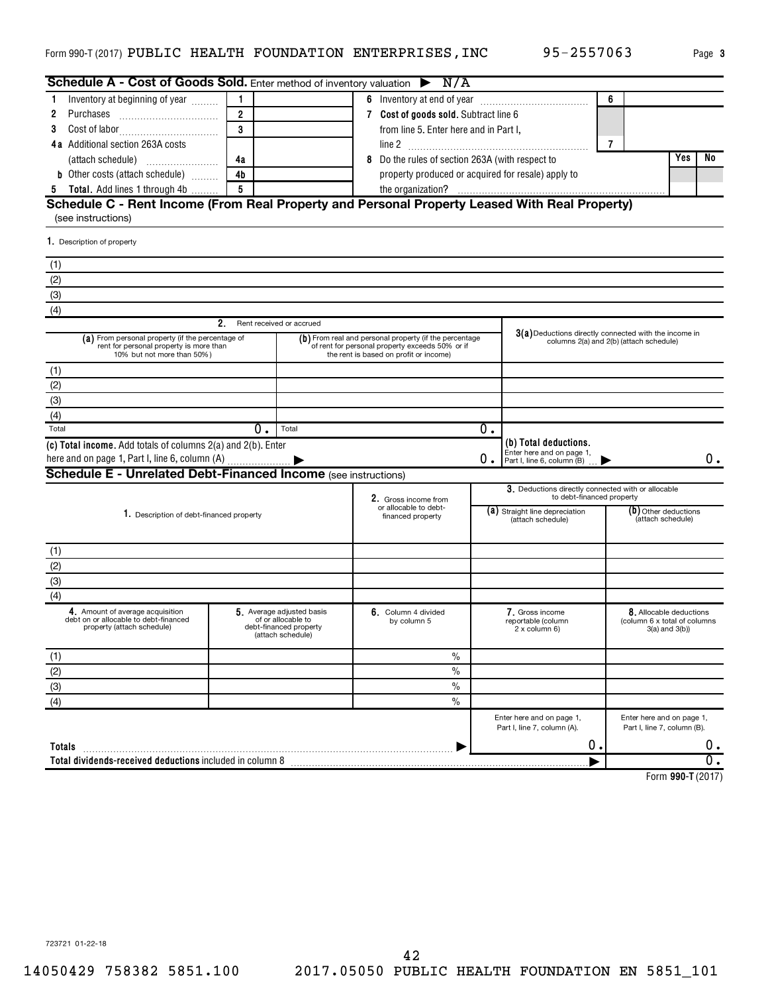|  | Page |
|--|------|
|  |      |

**3**

| Schedule A - Cost of Goods Sold. Enter method of inventory valuation $\triangleright$ N/A                                 |                |                                                                                                                                                     |                                                    |                                                                                                  |                                                                                                                                          |                                           |                                                          |    |  |  |
|---------------------------------------------------------------------------------------------------------------------------|----------------|-----------------------------------------------------------------------------------------------------------------------------------------------------|----------------------------------------------------|--------------------------------------------------------------------------------------------------|------------------------------------------------------------------------------------------------------------------------------------------|-------------------------------------------|----------------------------------------------------------|----|--|--|
| Inventory at beginning of year                                                                                            |                |                                                                                                                                                     | 6 Inventory at end of year                         |                                                                                                  | 6                                                                                                                                        |                                           |                                                          |    |  |  |
| 2                                                                                                                         | $\overline{2}$ |                                                                                                                                                     | 7 Cost of goods sold. Subtract line 6              |                                                                                                  |                                                                                                                                          |                                           |                                                          |    |  |  |
| 3                                                                                                                         | $\mathbf{a}$   |                                                                                                                                                     | from line 5. Enter here and in Part I,             |                                                                                                  |                                                                                                                                          |                                           |                                                          |    |  |  |
| 4a Additional section 263A costs                                                                                          |                |                                                                                                                                                     |                                                    |                                                                                                  |                                                                                                                                          | 7                                         |                                                          |    |  |  |
|                                                                                                                           | 4a             |                                                                                                                                                     | Do the rules of section 263A (with respect to      |                                                                                                  |                                                                                                                                          |                                           | Yes                                                      | No |  |  |
| <b>b</b> Other costs (attach schedule)                                                                                    | 4 <sub>b</sub> |                                                                                                                                                     | property produced or acquired for resale) apply to |                                                                                                  |                                                                                                                                          |                                           |                                                          |    |  |  |
| Total. Add lines 1 through 4b<br>-5                                                                                       | 5              |                                                                                                                                                     |                                                    |                                                                                                  |                                                                                                                                          |                                           |                                                          |    |  |  |
| Schedule C - Rent Income (From Real Property and Personal Property Leased With Real Property)                             |                |                                                                                                                                                     |                                                    |                                                                                                  |                                                                                                                                          |                                           |                                                          |    |  |  |
| (see instructions)                                                                                                        |                |                                                                                                                                                     |                                                    |                                                                                                  |                                                                                                                                          |                                           |                                                          |    |  |  |
| 1. Description of property                                                                                                |                |                                                                                                                                                     |                                                    |                                                                                                  |                                                                                                                                          |                                           |                                                          |    |  |  |
| (1)                                                                                                                       |                |                                                                                                                                                     |                                                    |                                                                                                  |                                                                                                                                          |                                           |                                                          |    |  |  |
| (2)                                                                                                                       |                |                                                                                                                                                     |                                                    |                                                                                                  |                                                                                                                                          |                                           |                                                          |    |  |  |
| (3)                                                                                                                       |                |                                                                                                                                                     |                                                    |                                                                                                  |                                                                                                                                          |                                           |                                                          |    |  |  |
| (4)                                                                                                                       |                |                                                                                                                                                     |                                                    |                                                                                                  |                                                                                                                                          |                                           |                                                          |    |  |  |
|                                                                                                                           | 2.             | Rent received or accrued                                                                                                                            |                                                    |                                                                                                  |                                                                                                                                          |                                           |                                                          |    |  |  |
| (a) From personal property (if the percentage of<br>rent for personal property is more than<br>10% but not more than 50%) |                | (b) From real and personal property (if the percentage<br>of rent for personal property exceeds 50% or if<br>the rent is based on profit or income) |                                                    | 3(a) Deductions directly connected with the income in<br>columns 2(a) and 2(b) (attach schedule) |                                                                                                                                          |                                           |                                                          |    |  |  |
| (1)                                                                                                                       |                |                                                                                                                                                     |                                                    |                                                                                                  |                                                                                                                                          |                                           |                                                          |    |  |  |
| (2)                                                                                                                       |                |                                                                                                                                                     |                                                    |                                                                                                  |                                                                                                                                          |                                           |                                                          |    |  |  |
| (3)                                                                                                                       |                |                                                                                                                                                     |                                                    |                                                                                                  |                                                                                                                                          |                                           |                                                          |    |  |  |
| (4)                                                                                                                       |                |                                                                                                                                                     |                                                    |                                                                                                  |                                                                                                                                          |                                           |                                                          |    |  |  |
| Total                                                                                                                     | $0$ .          | Total                                                                                                                                               |                                                    | 0.                                                                                               |                                                                                                                                          |                                           |                                                          |    |  |  |
| (c) Total income. Add totals of columns 2(a) and 2(b). Enter<br>here and on page 1, Part I, line 6, column (A)            |                |                                                                                                                                                     |                                                    | 0.                                                                                               | (b) Total deductions.<br>Enter here and on page 1,<br>Part I, line 6, column (B)                                                         |                                           |                                                          | 0. |  |  |
| Schedule E - Unrelated Debt-Financed Income (see instructions)                                                            |                |                                                                                                                                                     |                                                    |                                                                                                  |                                                                                                                                          |                                           |                                                          |    |  |  |
|                                                                                                                           |                |                                                                                                                                                     | 2. Gross income from                               |                                                                                                  | 3. Deductions directly connected with or allocable<br>to debt-financed property                                                          |                                           |                                                          |    |  |  |
| 1. Description of debt-financed property                                                                                  |                |                                                                                                                                                     | or allocable to debt-<br>financed property         |                                                                                                  | (a) Straight line depreciation<br>(attach schedule)                                                                                      | (b) Other deductions<br>(attach schedule) |                                                          |    |  |  |
| (1)                                                                                                                       |                |                                                                                                                                                     |                                                    |                                                                                                  |                                                                                                                                          |                                           |                                                          |    |  |  |
| (2)                                                                                                                       |                |                                                                                                                                                     |                                                    |                                                                                                  |                                                                                                                                          |                                           |                                                          |    |  |  |
| (3)                                                                                                                       |                |                                                                                                                                                     |                                                    |                                                                                                  |                                                                                                                                          |                                           |                                                          |    |  |  |
| (4)                                                                                                                       |                |                                                                                                                                                     |                                                    |                                                                                                  |                                                                                                                                          |                                           |                                                          |    |  |  |
| 4. Amount of average acquisition<br>debt on or allocable to debt-financed<br>property (attach schedule)                   |                | 5. Average adjusted basis<br>of or allocable to<br>debt-financed property<br>(attach schedule)                                                      | 6. Column 4 divided<br>by column 5                 |                                                                                                  | 7. Gross income<br>8. Allocable deductions<br>reportable (column<br>(column 6 x total of columns<br>2 x column 6)<br>$3(a)$ and $3(b)$ ) |                                           |                                                          |    |  |  |
| (1)                                                                                                                       |                |                                                                                                                                                     | $\%$                                               |                                                                                                  |                                                                                                                                          |                                           |                                                          |    |  |  |
| (2)                                                                                                                       |                |                                                                                                                                                     | $\frac{0}{0}$                                      |                                                                                                  |                                                                                                                                          |                                           |                                                          |    |  |  |
| (3)                                                                                                                       |                |                                                                                                                                                     | $\frac{0}{0}$                                      |                                                                                                  |                                                                                                                                          |                                           |                                                          |    |  |  |
| (4)                                                                                                                       |                |                                                                                                                                                     | $\%$                                               |                                                                                                  |                                                                                                                                          |                                           |                                                          |    |  |  |
|                                                                                                                           |                |                                                                                                                                                     |                                                    |                                                                                                  | Enter here and on page 1,<br>Part I, line 7, column (A).                                                                                 |                                           | Enter here and on page 1,<br>Part I, line 7, column (B). |    |  |  |
| Totals                                                                                                                    |                |                                                                                                                                                     |                                                    |                                                                                                  | 0.                                                                                                                                       |                                           |                                                          | ο. |  |  |
| Total dividends-received deductions included in column 8                                                                  |                |                                                                                                                                                     |                                                    |                                                                                                  |                                                                                                                                          |                                           |                                                          |    |  |  |
|                                                                                                                           |                |                                                                                                                                                     |                                                    |                                                                                                  |                                                                                                                                          |                                           |                                                          |    |  |  |

**990-T**  Form (2017)

723721 01-22-18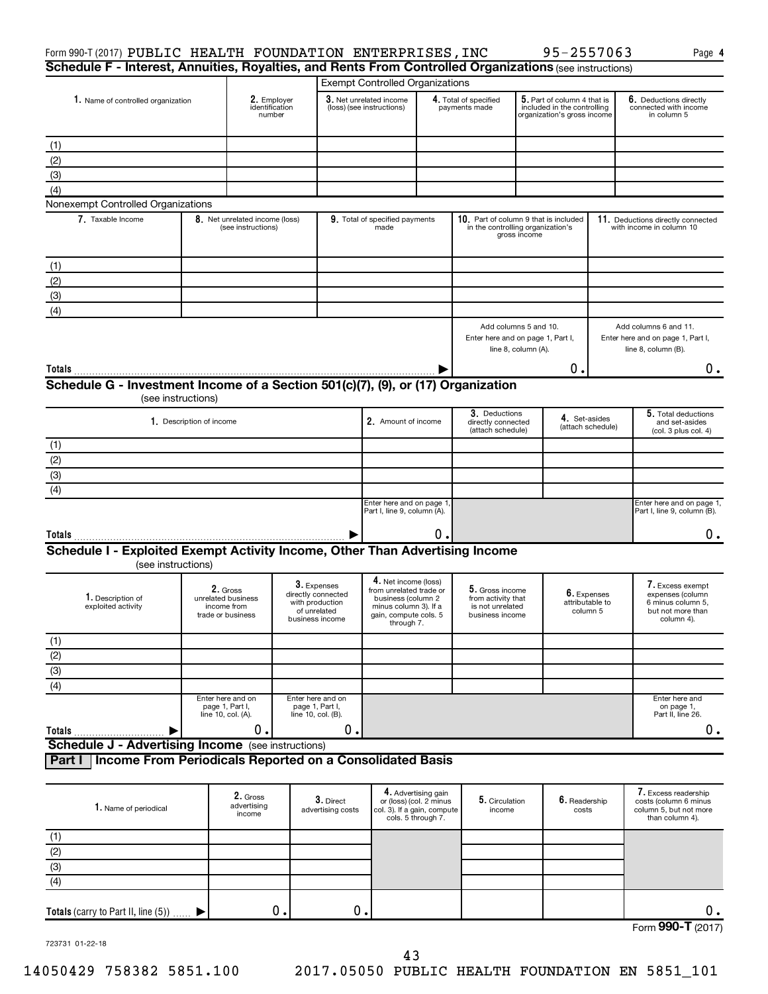| Form 990-T (2017) PUBLIC HEALTH FOUNDATION ENTERPRISES, INC                                             |                          |                                                                    |                                         |                                                                                         |                                                                                                                                       |                                                                      |                                                                              |                     | 95-2557063                                                                                |                                            | Page 4                                                                                       |
|---------------------------------------------------------------------------------------------------------|--------------------------|--------------------------------------------------------------------|-----------------------------------------|-----------------------------------------------------------------------------------------|---------------------------------------------------------------------------------------------------------------------------------------|----------------------------------------------------------------------|------------------------------------------------------------------------------|---------------------|-------------------------------------------------------------------------------------------|--------------------------------------------|----------------------------------------------------------------------------------------------|
| Schedule F - Interest, Annuities, Royalties, and Rents From Controlled Organizations (see instructions) |                          |                                                                    |                                         |                                                                                         |                                                                                                                                       |                                                                      |                                                                              |                     |                                                                                           |                                            |                                                                                              |
|                                                                                                         |                          |                                                                    |                                         |                                                                                         | <b>Exempt Controlled Organizations</b>                                                                                                |                                                                      |                                                                              |                     |                                                                                           |                                            |                                                                                              |
| 1. Name of controlled organization                                                                      |                          |                                                                    | 2. Employer<br>identification<br>number |                                                                                         | 3. Net unrelated income<br>(loss) (see instructions)                                                                                  |                                                                      | 4. Total of specified<br>payments made                                       |                     | 5. Part of column 4 that is<br>included in the controlling<br>organization's gross income |                                            | 6. Deductions directly<br>connected with income<br>in column 5                               |
| (1)                                                                                                     |                          |                                                                    |                                         |                                                                                         |                                                                                                                                       |                                                                      |                                                                              |                     |                                                                                           |                                            |                                                                                              |
| (2)                                                                                                     |                          |                                                                    |                                         |                                                                                         |                                                                                                                                       |                                                                      |                                                                              |                     |                                                                                           |                                            |                                                                                              |
| (3)                                                                                                     |                          |                                                                    |                                         |                                                                                         |                                                                                                                                       |                                                                      |                                                                              |                     |                                                                                           |                                            |                                                                                              |
| (4)                                                                                                     |                          |                                                                    |                                         |                                                                                         |                                                                                                                                       |                                                                      |                                                                              |                     |                                                                                           |                                            |                                                                                              |
| Nonexempt Controlled Organizations                                                                      |                          |                                                                    |                                         |                                                                                         |                                                                                                                                       |                                                                      |                                                                              |                     |                                                                                           |                                            |                                                                                              |
| 7. Taxable Income                                                                                       |                          | 8. Net unrelated income (loss)<br>(see instructions)               |                                         |                                                                                         | 9. Total of specified payments<br>made                                                                                                |                                                                      | 10. Part of column 9 that is included<br>in the controlling organization's   | gross income        |                                                                                           |                                            | 11. Deductions directly connected<br>with income in column 10                                |
| (1)                                                                                                     |                          |                                                                    |                                         |                                                                                         |                                                                                                                                       |                                                                      |                                                                              |                     |                                                                                           |                                            |                                                                                              |
| (2)                                                                                                     |                          |                                                                    |                                         |                                                                                         |                                                                                                                                       |                                                                      |                                                                              |                     |                                                                                           |                                            |                                                                                              |
| (3)                                                                                                     |                          |                                                                    |                                         |                                                                                         |                                                                                                                                       |                                                                      |                                                                              |                     |                                                                                           |                                            |                                                                                              |
| (4)                                                                                                     |                          |                                                                    |                                         |                                                                                         |                                                                                                                                       |                                                                      |                                                                              |                     |                                                                                           |                                            |                                                                                              |
|                                                                                                         |                          |                                                                    |                                         |                                                                                         |                                                                                                                                       |                                                                      | Add columns 5 and 10.<br>Enter here and on page 1, Part I,                   | line 8, column (A). |                                                                                           |                                            | Add columns 6 and 11.<br>Enter here and on page 1, Part I,<br>line 8, column (B).            |
|                                                                                                         |                          |                                                                    |                                         |                                                                                         |                                                                                                                                       |                                                                      |                                                                              |                     | Ο.                                                                                        |                                            | 0.                                                                                           |
| Schedule G - Investment Income of a Section 501(c)(7), (9), or (17) Organization                        |                          |                                                                    |                                         |                                                                                         |                                                                                                                                       |                                                                      |                                                                              |                     |                                                                                           |                                            |                                                                                              |
| (see instructions)                                                                                      |                          |                                                                    |                                         |                                                                                         |                                                                                                                                       |                                                                      |                                                                              |                     |                                                                                           |                                            |                                                                                              |
|                                                                                                         | 1. Description of income |                                                                    |                                         |                                                                                         | 2. Amount of income                                                                                                                   |                                                                      | 3. Deductions<br>directly connected<br>(attach schedule)                     |                     | 4. Set-asides                                                                             | (attach schedule)                          | 5. Total deductions<br>and set-asides<br>(col. 3 plus col. 4)                                |
| (1)                                                                                                     |                          |                                                                    |                                         |                                                                                         |                                                                                                                                       |                                                                      |                                                                              |                     |                                                                                           |                                            |                                                                                              |
| (2)                                                                                                     |                          |                                                                    |                                         |                                                                                         |                                                                                                                                       |                                                                      |                                                                              |                     |                                                                                           |                                            |                                                                                              |
| (3)                                                                                                     |                          |                                                                    |                                         |                                                                                         |                                                                                                                                       |                                                                      |                                                                              |                     |                                                                                           |                                            |                                                                                              |
| (4)                                                                                                     |                          |                                                                    |                                         |                                                                                         |                                                                                                                                       |                                                                      |                                                                              |                     |                                                                                           |                                            |                                                                                              |
|                                                                                                         |                          |                                                                    |                                         |                                                                                         | Enter here and on page 1<br>Part I, line 9, column (A).                                                                               |                                                                      |                                                                              |                     |                                                                                           |                                            | Enter here and on page 1,<br>Part I, line 9, column (B).                                     |
| Totals                                                                                                  |                          |                                                                    |                                         |                                                                                         |                                                                                                                                       | Ο.                                                                   |                                                                              |                     |                                                                                           |                                            | 0.                                                                                           |
| Schedule I - Exploited Exempt Activity Income, Other Than Advertising Income<br>(see instructions)      |                          |                                                                    |                                         |                                                                                         |                                                                                                                                       |                                                                      |                                                                              |                     |                                                                                           |                                            |                                                                                              |
| 1. Description of<br>exploited activity                                                                 |                          | 2. Gross<br>unrelated business<br>income from<br>trade or business |                                         | 3. Expenses<br>directly connected<br>with production<br>of unrelated<br>business income | 4. Net income (loss)<br>from unrelated trade or<br>business (column 2<br>minus column 3). If a<br>gain, compute cols. 5<br>through 7. |                                                                      | 5. Gross income<br>from activity that<br>is not unrelated<br>business income |                     |                                                                                           | 6. Expenses<br>attributable to<br>column 5 | 7. Excess exempt<br>expenses (column<br>6 minus column 5,<br>but not more than<br>column 4). |
| (1)                                                                                                     |                          |                                                                    |                                         |                                                                                         |                                                                                                                                       |                                                                      |                                                                              |                     |                                                                                           |                                            |                                                                                              |
| (2)                                                                                                     |                          |                                                                    |                                         |                                                                                         |                                                                                                                                       |                                                                      |                                                                              |                     |                                                                                           |                                            |                                                                                              |
| (3)                                                                                                     |                          |                                                                    |                                         |                                                                                         |                                                                                                                                       |                                                                      |                                                                              |                     |                                                                                           |                                            |                                                                                              |
| (4)                                                                                                     |                          |                                                                    |                                         |                                                                                         |                                                                                                                                       |                                                                      |                                                                              |                     |                                                                                           |                                            |                                                                                              |
|                                                                                                         |                          | Enter here and on<br>page 1, Part I,<br>line 10, col. (A).         |                                         | Enter here and on<br>page 1, Part I,<br>line 10, col. (B).                              |                                                                                                                                       |                                                                      |                                                                              |                     |                                                                                           |                                            | Enter here and<br>on page 1,<br>Part II, line 26.                                            |
| Totals                                                                                                  |                          | 0.                                                                 |                                         | О.                                                                                      |                                                                                                                                       |                                                                      |                                                                              |                     |                                                                                           |                                            | 0.                                                                                           |
| <b>Schedule J - Advertising Income</b> (see instructions)                                               |                          |                                                                    |                                         |                                                                                         |                                                                                                                                       |                                                                      |                                                                              |                     |                                                                                           |                                            |                                                                                              |
| Income From Periodicals Reported on a Consolidated Basis<br>Part I                                      |                          |                                                                    |                                         |                                                                                         |                                                                                                                                       |                                                                      |                                                                              |                     |                                                                                           |                                            |                                                                                              |
| 1. Name of periodical                                                                                   |                          | 2. Gross<br>advertising<br>income                                  |                                         | $3.$ Direct<br>advertising costs                                                        | col. 3). If a gain, compute                                                                                                           | 4. Advertising gain<br>or (loss) (col. 2 minus<br>cols. 5 through 7. | 5. Circulation<br>income                                                     |                     | 6. Readership<br>costs                                                                    |                                            | 7. Excess readership<br>costs (column 6 minus<br>column 5, but not more<br>than column 4).   |
|                                                                                                         |                          |                                                                    |                                         |                                                                                         |                                                                                                                                       |                                                                      |                                                                              |                     |                                                                                           |                                            |                                                                                              |
| (1)<br>(2)                                                                                              |                          |                                                                    |                                         |                                                                                         |                                                                                                                                       |                                                                      |                                                                              |                     |                                                                                           |                                            |                                                                                              |
|                                                                                                         |                          |                                                                    |                                         |                                                                                         |                                                                                                                                       |                                                                      |                                                                              |                     |                                                                                           |                                            |                                                                                              |

| $\overline{\phantom{0}}$<br>υ. |  |  |                                   |                 |
|--------------------------------|--|--|-----------------------------------|-----------------|
|                                |  |  | $F_{\text{Orm}}$ 990-T<br>$- - -$ | 74.71<br>$\sim$ |

723731 01-22-18

(3) (4)

 $\blacktriangleright$ 

**Totals** (carry to Part II, line  $(5)$ )  $\ldots$ .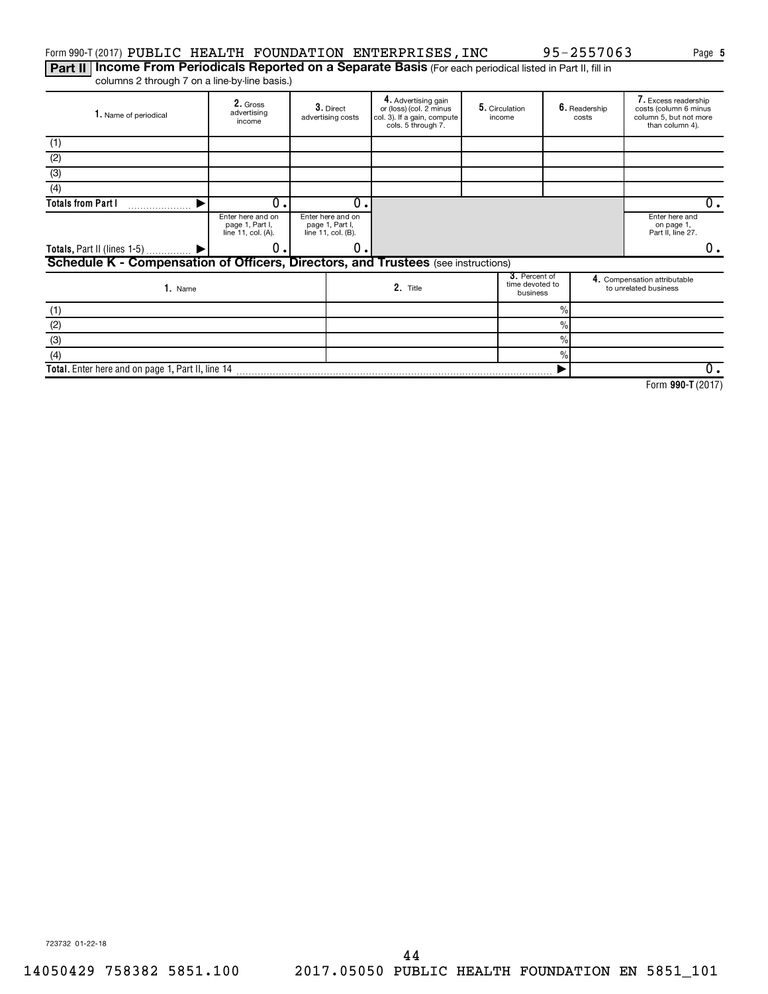### Form 990-T (2017) PUBLIC HEALTH FOUNDATION ENTERPRISES,INC 95-2557063 Page

Part II | Income From Periodicals Reported on a Separate Basis (For each periodical listed in Part II, fill in columns 2 through 7 on a line-by-line basis.)

| 1. Name of periodical                                                             | 2. Gross<br>advertising<br>income                          | 3. Direct<br>advertising costs                             |          | 4. Advertising gain<br>5. Circulation<br>or (loss) (col. 2 minus<br>col. 3). If a gain, compute<br>income<br>cols. 5 through 7. |  |                                              | 6. Readership<br>costs |  | 7. Excess readership<br>costs (column 6 minus<br>column 5, but not more<br>than column 4). |  |
|-----------------------------------------------------------------------------------|------------------------------------------------------------|------------------------------------------------------------|----------|---------------------------------------------------------------------------------------------------------------------------------|--|----------------------------------------------|------------------------|--|--------------------------------------------------------------------------------------------|--|
| (1)                                                                               |                                                            |                                                            |          |                                                                                                                                 |  |                                              |                        |  |                                                                                            |  |
| (2)                                                                               |                                                            |                                                            |          |                                                                                                                                 |  |                                              |                        |  |                                                                                            |  |
| $\overline{3}$                                                                    |                                                            |                                                            |          |                                                                                                                                 |  |                                              |                        |  |                                                                                            |  |
| (4)                                                                               |                                                            |                                                            |          |                                                                                                                                 |  |                                              |                        |  |                                                                                            |  |
| <b>Totals from Part I</b>                                                         | 0.                                                         |                                                            | 0        |                                                                                                                                 |  |                                              | 0.                     |  |                                                                                            |  |
|                                                                                   | Enter here and on<br>page 1, Part I,<br>line 11, col. (A). | Enter here and on<br>page 1, Part I,<br>line 11, col. (B). |          |                                                                                                                                 |  |                                              |                        |  | Enter here and<br>on page 1,<br>Part II, line 27.                                          |  |
| Totals, Part II (lines 1-5)  ▶                                                    | О.                                                         |                                                            | 0        |                                                                                                                                 |  |                                              |                        |  | 0.                                                                                         |  |
| Schedule K - Compensation of Officers, Directors, and Trustees (see instructions) |                                                            |                                                            |          |                                                                                                                                 |  |                                              |                        |  |                                                                                            |  |
| 1. Name                                                                           |                                                            |                                                            | 2. Title |                                                                                                                                 |  | 3. Percent of<br>time devoted to<br>business |                        |  | 4. Compensation attributable<br>to unrelated business                                      |  |
| (1)                                                                               |                                                            |                                                            |          |                                                                                                                                 |  |                                              | $\frac{0}{0}$          |  |                                                                                            |  |
| (2)                                                                               |                                                            |                                                            |          |                                                                                                                                 |  |                                              | $\%$                   |  |                                                                                            |  |
| (3)                                                                               |                                                            |                                                            |          |                                                                                                                                 |  |                                              | $\frac{0}{0}$          |  |                                                                                            |  |
| (4)                                                                               |                                                            |                                                            |          |                                                                                                                                 |  |                                              | $\frac{0}{0}$          |  |                                                                                            |  |
| Total. Enter here and on page 1, Part II, line 14                                 |                                                            |                                                            |          |                                                                                                                                 |  |                                              |                        |  | 0.                                                                                         |  |

**990-T**  Form (2017)

**5**

723732 01-22-18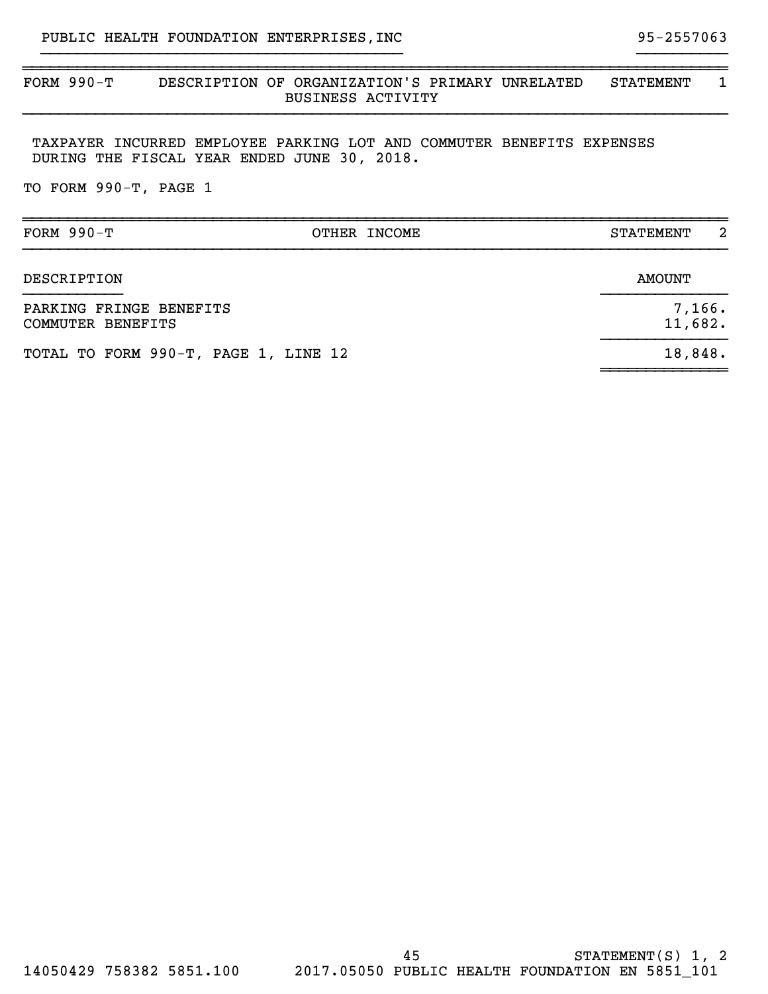### ~~~~~~~~~~~~~~~~~~~~~~~~~~~~~~~~~~~~~~~~~~~~~~~~~~~~~~~~~~~~~~~~~~~~~~~~~~~~~~ FORM 990-T DESCRIPTION OF ORGANIZATION'S PRIMARY UNRELATED STATEMENT 1 BUSINESS ACTIVITY }}}}}}}}}}}}}}}}}}}}}}}}}}}}}}}}}}}}}}}}}}}}}}}}}}}}}}}}}}}}}}}}}}}}}}}}}}}}}}

}}}}}}}}}}}}}}}}}}}}}}}}}}}}}}}}}}}}}}}} }}}}}}}}}}

TAXPAYER INCURRED EMPLOYEE PARKING LOT AND COMMUTER BENEFITS EXPENSES DURING THE FISCAL YEAR ENDED JUNE 30, 2018.

TO FORM 990-T, PAGE 1

| FORM $990-T$                                 | OTHER INCOME      | 2<br><b>STATEMENT</b> |
|----------------------------------------------|-------------------|-----------------------|
| DESCRIPTION                                  |                   | <b>AMOUNT</b>         |
| PARKING FRINGE BENEFITS<br>COMMUTER BENEFITS | 7,166.<br>11,682. |                       |
| TOTAL TO FORM 990-T, PAGE 1, LINE 12         |                   | 18,848.               |
|                                              |                   |                       |